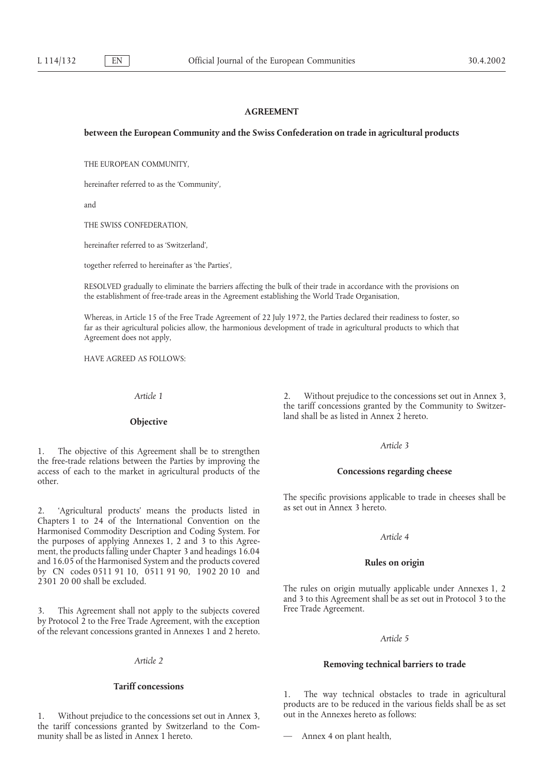### **AGREEMENT**

# **between the European Community and the Swiss Confederation on trade in agricultural products**

THE EUROPEAN COMMUNITY,

hereinafter referred to as the 'Community',

and

THE SWISS CONFEDERATION,

hereinafter referred to as 'Switzerland',

together referred to hereinafter as 'the Parties',

RESOLVED gradually to eliminate the barriers affecting the bulk of their trade in accordance with the provisions on the establishment of free-trade areas in the Agreement establishing the World Trade Organisation,

Whereas, in Article 15 of the Free Trade Agreement of 22 July 1972, the Parties declared their readiness to foster, so far as their agricultural policies allow, the harmonious development of trade in agricultural products to which that Agreement does not apply,

HAVE AGREED AS FOLLOWS:

*Article 3* 1. The objective of this Agreement shall be to strengthen the free-trade relations between the Parties by improving the access of each to the market in agricultural products of the **Concessions regarding cheese** other.

as set out in Annex 3 hereto. 2. 'Agricultural products' means the products listed in Chapters 1 to 24 of the International Convention on the Harmonised Commodity Description and Coding System. For *Article 4* the purposes of applying Annexes 1, 2 and 3 to this Agreement, the products falling under Chapter 3 and headings 16.04 and 16.05 of the Harmonised System and the products covered **Rules on origin** by CN codes 0511 91 10, 0511 91 90, 1902 20 10 and 2301 20 00 shall be excluded.

3. This Agreement shall not apply to the subjects covered Free Trade Agreement. by Protocol 2 to the Free Trade Agreement, with the exception of the relevant concessions granted in Annexes 1 and 2 hereto. *Article 5*

## **Tariff concessions**

1. Without prejudice to the concessions set out in Annex 3, out in the Annexes hereto as follows: the tariff concessions granted by Switzerland to the Community shall be as listed in Annex 1 hereto. — Annex 4 on plant health,

*Article 1* 2. Without prejudice to the concessions set out in Annex 3, the tariff concessions granted by the Community to Switzerland shall be as listed in Annex 2 hereto. **Objective**

The specific provisions applicable to trade in cheeses shall be

The rules on origin mutually applicable under Annexes 1, 2 and 3 to this Agreement shall be as set out in Protocol 3 to the

# *Article 2* **Removing technical barriers to trade**

1. The way technical obstacles to trade in agricultural products are to be reduced in the various fields shall be as set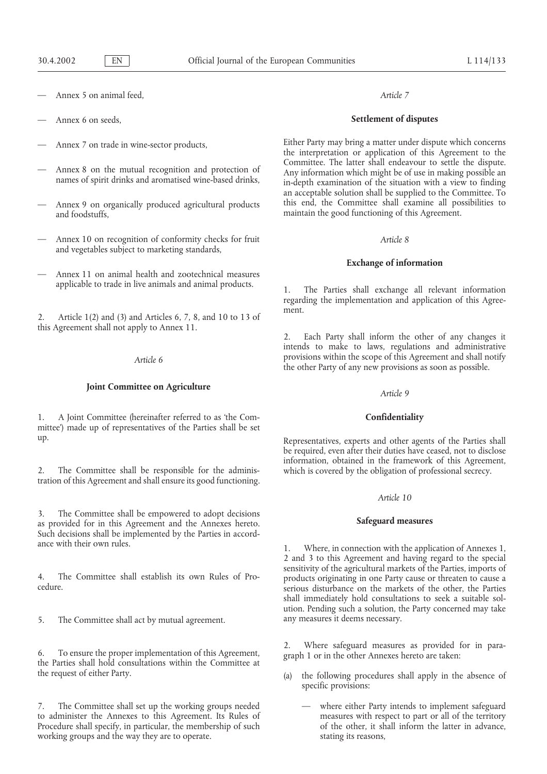- Annex 5 on animal feed, *Article 7*
- 
- 
- 
- and foodstuffs, and foodstuffs,  $\frac{1}{2}$  and foodstuffs,  $\frac{1}{2}$  and foodstuffs,  $\frac{1}{2}$  and foodstuffs,  $\frac{1}{2}$  and foodstuffs,  $\frac{1}{2}$  and foodstuffs,  $\frac{1}{2}$  and  $\frac{1}{2}$  and  $\frac{1}{2}$  and  $\frac{1}{2}$  and  $\frac{$
- Annex 10 on recognition of conformity checks for fruit *Article 8* and vegetables subject to marketing standards,
- Annex 11 on animal health and zootechnical measures applicable to trade in live animals and animal products. 1. The Parties shall exchange all relevant information

2. Article 1(2) and (3) and Articles 6, 7, 8, and 10 to 13 of this Agreement shall not apply to Annex 11.

# **Joint Committee on Agriculture** *Article 9*

1. A Joint Committee (hereinafter referred to as 'the Com- **Confidentiality** mittee') made up of representatives of the Parties shall be set up. Representatives, experts and other agents of the Parties shall

tration of this Agreement and shall ensure its good functioning.

3. The Committee shall be empowered to adopt decisions **Safeguard measures** as provided for in this Agreement and the Annexes hereto. Such decisions shall be implemented by the Parties in accordance with their own rules. 1. Where, in connection with the application of Annexes 1,

5. The Committee shall act by mutual agreement. any measures it deems necessary.

the request of either Party. (a) the following procedures shall apply in the absence of

The Committee shall set up the working groups needed — where either Party intends to implement safeguard to administer the Annexes to this Agreement. Its Rules of measures with respect to part or all of the territory<br>Procedure shall specify, in particular, the membership of such of the other, it shall inform the latter in adv Procedure shall specify, in particular, the membership of such working groups and the way they are to operate. Stating its reasons,

# — Annex 6 on seeds, **Settlement of disputes**

Annex 7 on trade in wine-sector products, Either Party may bring a matter under dispute which concerns the interpretation or application of this Agreement to the Annex 8 on the mutual recognition and protection of<br>
names of spirit drinks and aromatised wine-based drinks,<br>
in-depth examination of the situation with a view to finding<br>
in-depth examination of the situation with a view an acceptable solution shall be supplied to the Committee. To Annex 9 on organically produced agricultural products this end, the Committee shall examine all possibilities to

# **Exchange of information**

regarding the implementation and application of this Agreement.

2. Each Party shall inform the other of any changes it intends to make to laws, regulations and administrative Article 6 *Article 6 Provisions within the scope of this Agreement and shall notify the other Party of any new provisions as soon as possible.* 

be required, even after their duties have ceased, not to disclose information, obtained in the framework of this Agreement, 2. The Committee shall be responsible for the adminis- which is covered by the obligation of professional secrecy.

# *Article 10*

2 and 3 to this Agreement and having regard to the special 4. The Committee shall establish its own Rules of Pro-<br>cedure.<br>cedure. shall immediately hold consultations to seek a suitable solution. Pending such a solution, the Party concerned may take

2. Where safeguard measures as provided for in para- 6. To ensure the proper implementation of this Agreement, graph 1 or in the other Annexes hereto are taken: the Parties shall hold consultations within the Committee at

- specific provisions:
	-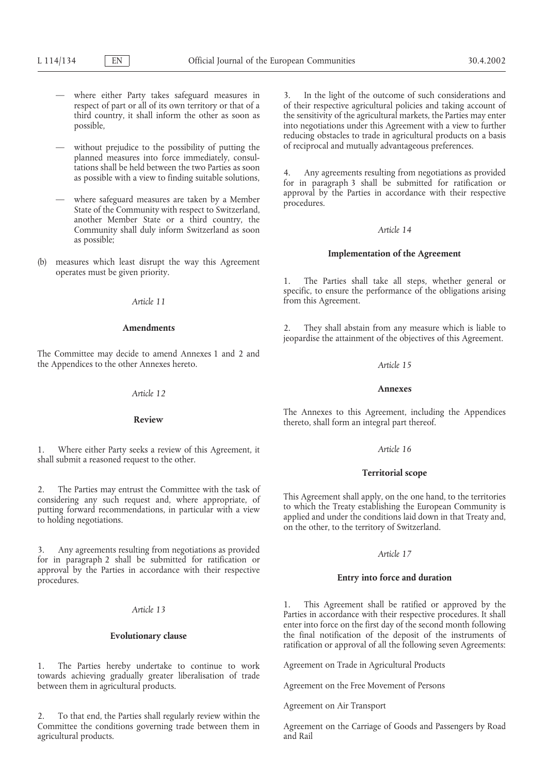- 
- planned measures into force immediately, consul-
- another Member State or a third country, the Community shall duly inform Switzerland as soon *Article 14* as possible;
- **Implementation of the Agreement** (b) measures which least disrupt the way this Agreement operates must be given priority. 1. The Parties shall take all steps, whether general or

The Committee may decide to amend Annexes 1 and 2 and the Appendices to the other Annexes hereto. *Article 15*

# **Annexes** *Article 12*

1. Where either Party seeks a review of this Agreement, it *Article 16* shall submit a reasoned request to the other.

2. The Parties may entrust the Committee with the task of<br>considering any such request and, where appropriate, of<br>putting forward recommendations, in particular with a view<br>to which the Treaty establishing the European Com

3. Any agreements resulting from negotiations as provided *Article 17* for in paragraph 2 shall be submitted for ratification or approval by the Parties in accordance with their respective procedures. **Entry into force and duration**

1. The Parties hereby undertake to continue to work Agreement on Trade in Agricultural Products towards achieving gradually greater liberalisation of trade between them in agricultural products. Agreement on the Free Movement of Persons

2. To that end, the Parties shall regularly review within the Committee the conditions governing trade between them in Agreement on the Carriage of Goods and Passengers by Road agricultural products. The contract of the contract of the contract of Rail and Rail

where either Party takes safeguard measures in 3. In the light of the outcome of such considerations and respect of part or all of its own territory or that of a of their respective agricultural policies and taking account of third country, it shall inform the other as soon as the sensitivity of the agricultural markets, the Parties may enter possible, into negotiations under this Agreement with a view to further reducing obstacles to trade in agricultural products on a basis without prejudice to the possibility of putting the of reciprocal and mutually advantageous preferences.

tations shall be held between the two Parties as soon 4. Any agreements resulting from negotiations as provided as possible with a view to finding suitable solutions, for in paragraph 3 shall be submitted for ratification approval by the Parties in accordance with their respective — where safeguard measures are taken by a Member procedures. State of the Community with respect to Switzerland,

specific, to ensure the performance of the obligations arising *Article 11* from this Agreement.

**Amendments** 2. They shall abstain from any measure which is liable to jeopardise the attainment of the objectives of this Agreement.

The Annexes to this Agreement, including the Appendices **Review** thereto, shall form an integral part thereof.

### **Territorial scope**

Article 13 **Article 13** 2 **Parties in accordance with their respective procedures**. It shall enter into force on the first day of the second month following **Evolutionary clause** the final notification of the deposit of the instruments of ratification or approval of all the following seven Agreements:

Agreement on Air Transport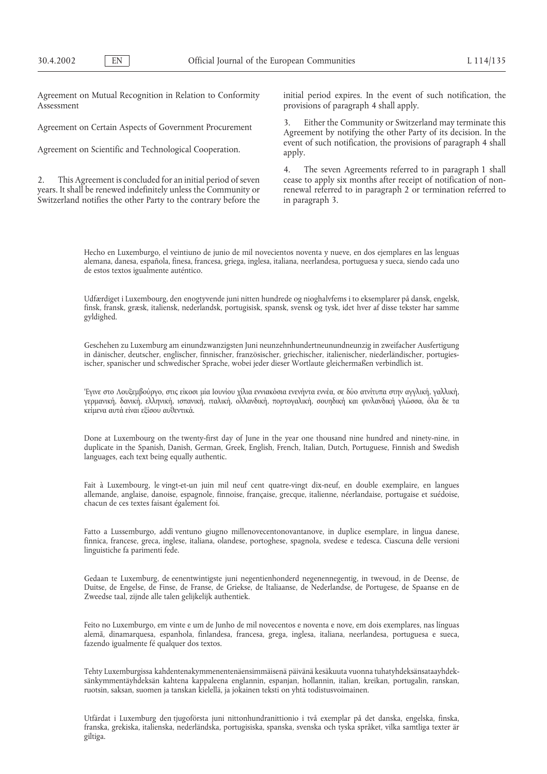Assessment **provisions of paragraph 4 shall apply.** 

years. It shall be renewed indefinitely unless the Community or renewal referred to in paragraph 2 or termination referred to Switzerland notifies the other Party to the contrary before the in paragraph 3.

Agreement on Mutual Recognition in Relation to Conformity initial period expires. In the event of such notification, the

Agreement on Certain Aspects of Government Procurement 3. Either the Community or Switzerland may terminate this Agreement by notifying the other Party of its decision. In the Agreement on Scientific and Technological Cooperation. event of such notification, the provisions of paragraph 4 shall apply.

4. The seven Agreements referred to in paragraph 1 shall 2. This Agreement is concluded for an initial period of seven cease to apply six months after receipt of notification of non-

Hecho en Luxemburgo, el veintiuno de junio de mil novecientos noventa y nueve, en dos ejemplares en las lenguas alemana, danesa, española, finesa, francesa, griega, inglesa, italiana, neerlandesa, portuguesa y sueca, siendo cada uno de estos textos igualmente auténtico.

Udfærdiget i Luxembourg, den enogtyvende juni nitten hundrede og nioghalvfems i to eksemplarer på dansk, engelsk, finsk, fransk, græsk, italiensk, nederlandsk, portugisisk, spansk, svensk og tysk, idet hver af disse tekster har samme gyldighed.

Geschehen zu Luxemburg am einundzwanzigsten Juni neunzehnhundertneunundneunzig in zweifacher Ausfertigung in dänischer, deutscher, englischer, finnischer, französischer, griechischer, italienischer, niederländischer, portugiesischer, spanischer und schwedischer Sprache, wobei jeder dieser Wortlaute gleichermaßen verbindlich ist.

'Έγινε στο Λουξεμβούργο, στις είκοσι μία Ιουνίου χίλια εννιακόσια ενενήντα εννέα, σε δύο ατνίτυπα στην αγγλική, γαλλική, γερμανική, δανική, ελληνική, ισπανική, ιταλική, ολλανδική, πορτογαλική, σουηδική και φινλανδική γλώσσα, όλα δε τα κείμενα αυτά είναι εξίσου αυθεντικά.

Done at Luxembourg on the twenty-first day of June in the year one thousand nine hundred and ninety-nine, in duplicate in the Spanish, Danish, German, Greek, English, French, Italian, Dutch, Portuguese, Finnish and Swedish languages, each text being equally authentic.

Fait à Luxembourg, le vingt-et-un juin mil neuf cent quatre-vingt dix-neuf, en double exemplaire, en langues allemande, anglaise, danoise, espagnole, finnoise, française, grecque, italienne, néerlandaise, portugaise et suédoise, chacun de ces textes faisant également foi.

Fatto a Lussemburgo, addı` ventuno giugno millenovecentonovantanove, in duplice esemplare, in lingua danese, finnica, francese, greca, inglese, italiana, olandese, portoghese, spagnola, svedese e tedesca. Ciascuna delle versioni linguistiche fa parimenti fede.

Gedaan te Luxemburg, de eenentwintigste juni negentienhonderd negenennegentig, in twevoud, in de Deense, de Duitse, de Engelse, de Finse, de Franse, de Griekse, de Italiaanse, de Nederlandse, de Portugese, de Spaanse en de Zweedse taal, zijnde alle talen gelijkelijk authentiek.

Feito no Luxemburgo, em vinte e um de Junho de mil novecentos e noventa e nove, em dois exemplares, nas línguas alemã, dinamarquesa, espanhola, finlandesa, francesa, grega, inglesa, italiana, neerlandesa, portuguesa e sueca, fazendo igualmente fé qualquer dos textos.

Tehty Luxemburgissa kahdentenakymmenentenäensimmäisenä päivänä kesäkuuta vuonna tuhatyhdeksänsataayhdeksänkymmentäyhdeksän kahtena kappaleena englannin, espanjan, hollannin, italian, kreikan, portugalin, ranskan, ruotsin, saksan, suomen ja tanskan kielellä, ja jokainen teksti on yhtä todistusvoimainen.

Utfärdat i Luxemburg den tjugoförsta juni nittonhundranittionio i två exemplar på det danska, engelska, finska, franska, grekiska, italienska, nederländska, portugisiska, spanska, svenska och tyska språket, vilka samtliga texter är giltiga.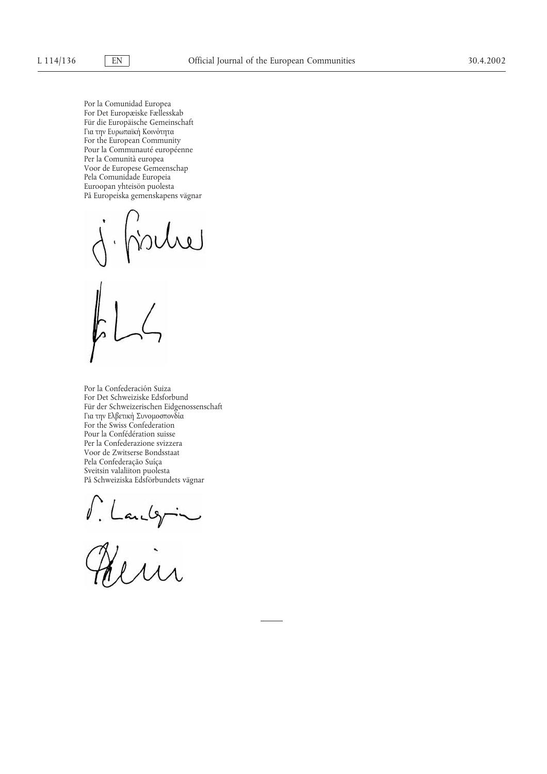Por la Comunidad Europea For Det Europæiske Fællesskab Für die Europäische Gemeinschaft Για την Ευρωπαϊκή Κοινότητα For the European Community Pour la Communauté européenne Per la Comunità europea Voor de Europese Gemeenschap Pela Comunidade Europeia Euroopan yhteisön puolesta På Europeiska gemenskapens vägnar

Por la Confederación Suiza For Det Schweiziske Edsforbund Für der Schweizerischen Eidgenossenschaft Για την Ελβετική Συνομοσπονδία For the Swiss Confederation Pour la Confédération suisse Per la Confederazione svizzera Voor de Zwitserse Bondsstaat Pela Confederação Suíça Sveitsin valaliiton puolesta På Schweiziska Edsförbundets vägnar

M. Landgrin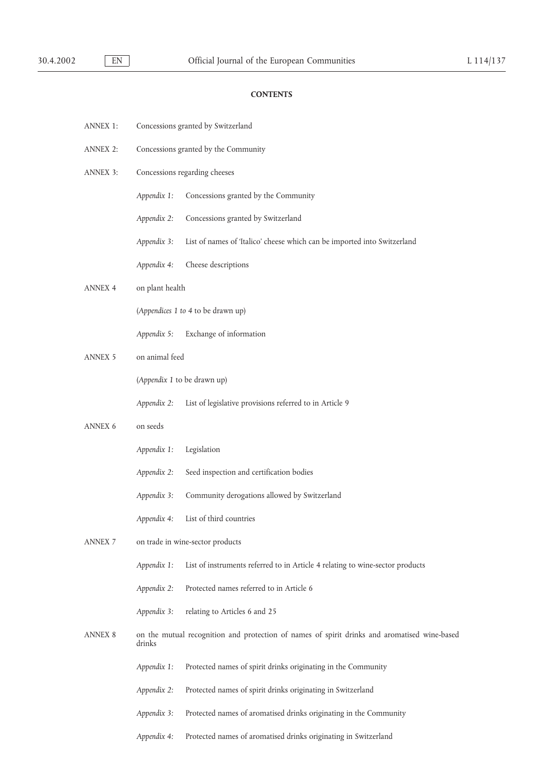# **CONTENTS**

| <b>ANNEX 1:</b>          |                                      | Concessions granted by Switzerland                                                           |  |
|--------------------------|--------------------------------------|----------------------------------------------------------------------------------------------|--|
| <b>ANNEX 2:</b>          | Concessions granted by the Community |                                                                                              |  |
| <b>ANNEX 3:</b>          | Concessions regarding cheeses        |                                                                                              |  |
|                          | Appendix 1:                          | Concessions granted by the Community                                                         |  |
|                          | Appendix 2:                          | Concessions granted by Switzerland                                                           |  |
|                          | Appendix 3:                          | List of names of 'Italico' cheese which can be imported into Switzerland                     |  |
|                          | Appendix 4:                          | Cheese descriptions                                                                          |  |
| <b>ANNEX 4</b>           | on plant health                      |                                                                                              |  |
|                          |                                      | (Appendices 1 to 4 to be drawn up)                                                           |  |
|                          | Appendix 5:                          | Exchange of information                                                                      |  |
| <b>ANNEX 5</b>           | on animal feed                       |                                                                                              |  |
|                          |                                      | (Appendix 1 to be drawn up)                                                                  |  |
|                          | Appendix 2:                          | List of legislative provisions referred to in Article 9                                      |  |
| ANNEX 6                  | on seeds                             |                                                                                              |  |
|                          | Appendix 1:                          | Legislation                                                                                  |  |
|                          | Appendix 2:                          | Seed inspection and certification bodies                                                     |  |
|                          | Appendix 3:                          | Community derogations allowed by Switzerland                                                 |  |
|                          | Appendix 4:                          | List of third countries                                                                      |  |
| $\operatorname{ANNEX}$ 7 |                                      | on trade in wine-sector products                                                             |  |
|                          | Appendix 1:                          | List of instruments referred to in Article 4 relating to wine-sector products                |  |
|                          | Appendix 2:                          | Protected names referred to in Article 6                                                     |  |
|                          | Appendix 3:                          | relating to Articles 6 and 25                                                                |  |
| <b>ANNEX 8</b>           | drinks                               | on the mutual recognition and protection of names of spirit drinks and aromatised wine-based |  |
|                          | Appendix 1:                          | Protected names of spirit drinks originating in the Community                                |  |
|                          | Appendix 2:                          | Protected names of spirit drinks originating in Switzerland                                  |  |
|                          | Appendix 3:                          | Protected names of aromatised drinks originating in the Community                            |  |
|                          | Appendix 4:                          | Protected names of aromatised drinks originating in Switzerland                              |  |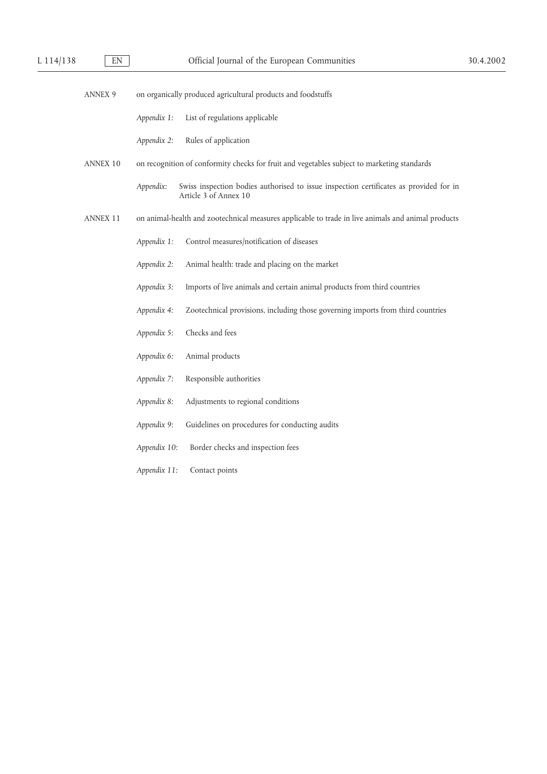- ANNEX 9 on organically produced agricultural products and foodstuffs
	- *Appendix 1:* List of regulations applicable
	- *Appendix 2:* Rules of application
- ANNEX 10 on recognition of conformity checks for fruit and vegetables subject to marketing standards
	- *Appendix:* Swiss inspection bodies authorised to issue inspection certificates as provided for in Article 3 of Annex 10
- ANNEX 11 on animal-health and zootechnical measures applicable to trade in live animals and animal products
	- *Appendix 1:* Control measures/notification of diseases
	- *Appendix 2:* Animal health: trade and placing on the market
	- *Appendix 3:* Imports of live animals and certain animal products from third countries
	- *Appendix 4:* Zootechnical provisions, including those governing imports from third countries
	- *Appendix 5:* Checks and fees
	- *Appendix 6:* Animal products
	- *Appendix 7:* Responsible authorities
	- *Appendix 8:* Adjustments to regional conditions
	- *Appendix 9:* Guidelines on procedures for conducting audits
	- *Appendix 10:* Border checks and inspection fees
	- *Appendix 11:* Contact points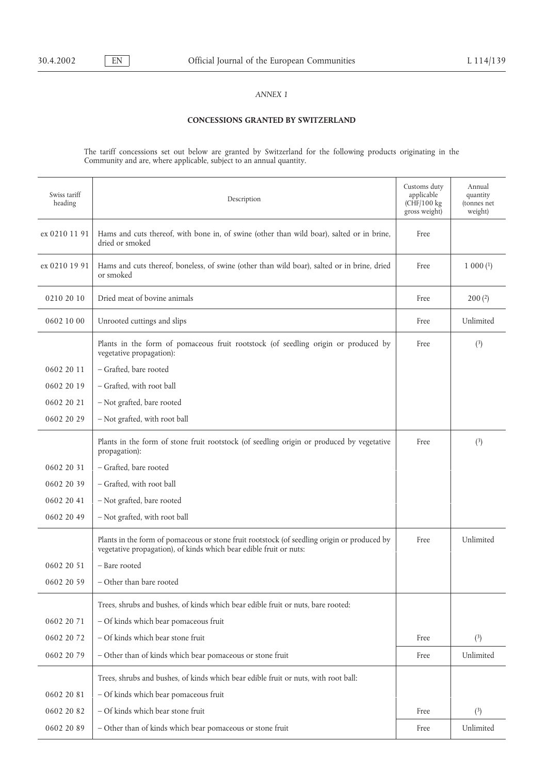# **CONCESSIONS GRANTED BY SWITZERLAND**

The tariff concessions set out below are granted by Switzerland for the following products originating in the Community and are, where applicable, subject to an annual quantity.

| Swiss tariff<br>heading | Description                                                                                                                                                       | Customs duty<br>applicable<br>$(CHF/100 \text{ kg})$<br>gross weight) | Annual<br>quantity<br>(tonnes net<br>weight) |
|-------------------------|-------------------------------------------------------------------------------------------------------------------------------------------------------------------|-----------------------------------------------------------------------|----------------------------------------------|
| ex 0210 11 91           | Hams and cuts thereof, with bone in, of swine (other than wild boar), salted or in brine,<br>dried or smoked                                                      | Free                                                                  |                                              |
| ex 0210 19 91           | Hams and cuts thereof, boneless, of swine (other than wild boar), salted or in brine, dried<br>or smoked                                                          | Free                                                                  | $1\ 000\,(1)$                                |
| 0210 20 10              | Dried meat of bovine animals                                                                                                                                      | Free                                                                  | 200(2)                                       |
| 0602 10 00              | Unrooted cuttings and slips                                                                                                                                       | Free                                                                  | Unlimited                                    |
|                         | Plants in the form of pomaceous fruit rootstock (of seedling origin or produced by<br>vegetative propagation):                                                    | Free                                                                  | $\binom{3}{ }$                               |
| 0602 20 11              | - Grafted, bare rooted                                                                                                                                            |                                                                       |                                              |
| 0602 20 19              | - Grafted, with root ball                                                                                                                                         |                                                                       |                                              |
| 0602 20 21              | - Not grafted, bare rooted                                                                                                                                        |                                                                       |                                              |
| 0602 20 29              | - Not grafted, with root ball                                                                                                                                     |                                                                       |                                              |
|                         | Plants in the form of stone fruit rootstock (of seedling origin or produced by vegetative<br>propagation):                                                        | Free                                                                  | $\binom{3}{ }$                               |
| 0602 20 31              | - Grafted, bare rooted                                                                                                                                            |                                                                       |                                              |
| 0602 20 39              | - Grafted, with root ball                                                                                                                                         |                                                                       |                                              |
| 0602 20 41              | - Not grafted, bare rooted                                                                                                                                        |                                                                       |                                              |
| 0602 20 49              | - Not grafted, with root ball                                                                                                                                     |                                                                       |                                              |
|                         | Plants in the form of pomaceous or stone fruit rootstock (of seedling origin or produced by<br>vegetative propagation), of kinds which bear edible fruit or nuts: | Free                                                                  | Unlimited                                    |
| 0602 20 51              | - Bare rooted                                                                                                                                                     |                                                                       |                                              |
| 0602 20 59              | - Other than bare rooted                                                                                                                                          |                                                                       |                                              |
|                         | Trees, shrubs and bushes, of kinds which bear edible fruit or nuts, bare rooted:                                                                                  |                                                                       |                                              |
| 0602 20 71              | - Of kinds which bear pomaceous fruit                                                                                                                             |                                                                       |                                              |
| 0602 20 72              | - Of kinds which bear stone fruit                                                                                                                                 | Free                                                                  | (3)                                          |
| 0602 20 79              | - Other than of kinds which bear pomaceous or stone fruit                                                                                                         | Free                                                                  | Unlimited                                    |
|                         | Trees, shrubs and bushes, of kinds which bear edible fruit or nuts, with root ball:                                                                               |                                                                       |                                              |
| 0602 20 81              | - Of kinds which bear pomaceous fruit                                                                                                                             |                                                                       |                                              |
| 0602 20 82              | - Of kinds which bear stone fruit                                                                                                                                 | Free                                                                  | (3)                                          |
| 0602 20 89              | - Other than of kinds which bear pomaceous or stone fruit                                                                                                         | Free                                                                  | Unlimited                                    |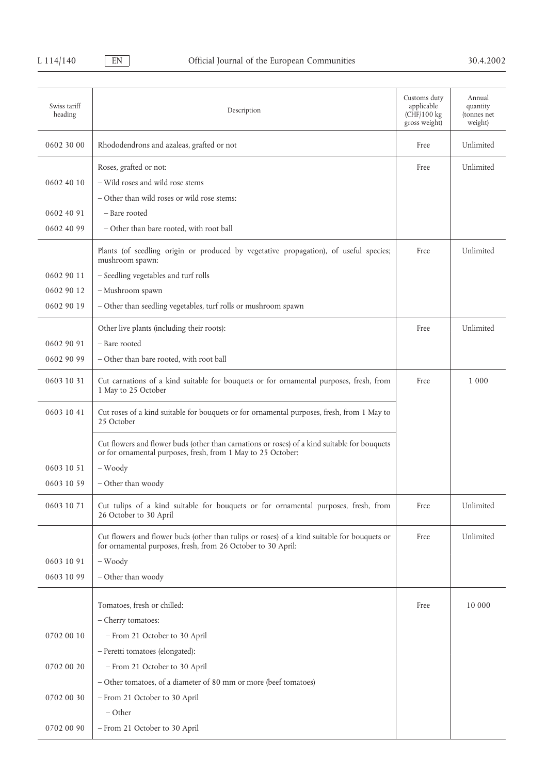| Swiss tariff<br>heading | Description                                                                                                                                                  | Customs duty<br>applicable<br>(CHF/100 kg<br>gross weight) | Annual<br>quantity<br>(tonnes net<br>weight) |
|-------------------------|--------------------------------------------------------------------------------------------------------------------------------------------------------------|------------------------------------------------------------|----------------------------------------------|
| 0602 30 00              | Rhododendrons and azaleas, grafted or not                                                                                                                    | Free                                                       | Unlimited                                    |
| 0602 40 10              | Roses, grafted or not:<br>- Wild roses and wild rose stems<br>- Other than wild roses or wild rose stems:                                                    | Free                                                       | Unlimited                                    |
| 0602 40 91              | - Bare rooted                                                                                                                                                |                                                            |                                              |
| 0602 40 99              | - Other than bare rooted, with root ball                                                                                                                     |                                                            |                                              |
|                         | Plants (of seedling origin or produced by vegetative propagation), of useful species;<br>mushroom spawn:                                                     | Free                                                       | Unlimited                                    |
| 0602 90 11              | - Seedling vegetables and turf rolls                                                                                                                         |                                                            |                                              |
| 0602 90 12              | - Mushroom spawn                                                                                                                                             |                                                            |                                              |
| 0602 90 19              | - Other than seedling vegetables, turf rolls or mushroom spawn                                                                                               |                                                            |                                              |
|                         | Other live plants (including their roots):                                                                                                                   | Free                                                       | Unlimited                                    |
| 0602 90 91              | - Bare rooted                                                                                                                                                |                                                            |                                              |
| 0602 90 99              | - Other than bare rooted, with root ball                                                                                                                     |                                                            |                                              |
| 0603 10 31              | Cut carnations of a kind suitable for bouquets or for ornamental purposes, fresh, from<br>1 May to 25 October                                                | Free                                                       | 1 0 0 0                                      |
| 0603 10 41              | Cut roses of a kind suitable for bouquets or for ornamental purposes, fresh, from 1 May to<br>25 October                                                     |                                                            |                                              |
|                         | Cut flowers and flower buds (other than carnations or roses) of a kind suitable for bouquets<br>or for ornamental purposes, fresh, from 1 May to 25 October: |                                                            |                                              |
| 0603 10 51              | - Woody                                                                                                                                                      |                                                            |                                              |
| 0603 10 59              | - Other than woody                                                                                                                                           |                                                            |                                              |
| 0603 10 71              | Cut tulips of a kind suitable for bouquets or for ornamental purposes, fresh, from<br>26 October to 30 April                                                 | Free                                                       | Unlimited                                    |
|                         | Cut flowers and flower buds (other than tulips or roses) of a kind suitable for bouquets or<br>for ornamental purposes, fresh, from 26 October to 30 April:  | Free                                                       | Unlimited                                    |
| 0603 10 91              | $-$ Woody                                                                                                                                                    |                                                            |                                              |
| 0603 10 99              | - Other than woody                                                                                                                                           |                                                            |                                              |
|                         | Tomatoes, fresh or chilled:                                                                                                                                  | Free                                                       | 10 000                                       |
|                         | - Cherry tomatoes:                                                                                                                                           |                                                            |                                              |
| 0702 00 10              | - From 21 October to 30 April                                                                                                                                |                                                            |                                              |
|                         | - Peretti tomatoes (elongated):                                                                                                                              |                                                            |                                              |
| 0702 00 20              | - From 21 October to 30 April                                                                                                                                |                                                            |                                              |
|                         | - Other tomatoes, of a diameter of 80 mm or more (beef tomatoes)                                                                                             |                                                            |                                              |
| 0702 00 30              | - From 21 October to 30 April                                                                                                                                |                                                            |                                              |
|                         | $-$ Other                                                                                                                                                    |                                                            |                                              |
| 0702 00 90              | - From 21 October to 30 April                                                                                                                                |                                                            |                                              |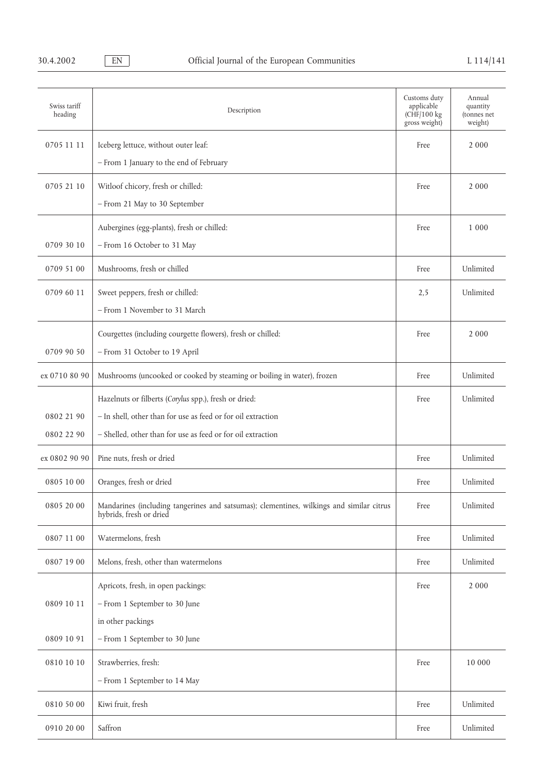| Swiss tariff<br>heading | Description                                                                                                         | Customs duty<br>applicable<br>(CHF/100 kg<br>gross weight) | Annual<br>quantity<br>(tonnes net<br>weight) |
|-------------------------|---------------------------------------------------------------------------------------------------------------------|------------------------------------------------------------|----------------------------------------------|
| 0705 11 11              | Iceberg lettuce, without outer leaf:                                                                                | Free                                                       | 2 0 0 0                                      |
|                         | - From 1 January to the end of February                                                                             |                                                            |                                              |
| 0705 21 10              |                                                                                                                     |                                                            | 2 0 0 0                                      |
|                         | Witloof chicory, fresh or chilled:<br>- From 21 May to 30 September                                                 | Free                                                       |                                              |
|                         |                                                                                                                     |                                                            |                                              |
|                         | Aubergines (egg-plants), fresh or chilled:                                                                          | Free                                                       | 1 0 0 0                                      |
| 0709 30 10              | - From 16 October to 31 May                                                                                         |                                                            |                                              |
| 0709 51 00              | Mushrooms, fresh or chilled                                                                                         | Free                                                       | Unlimited                                    |
| 0709 60 11              | Sweet peppers, fresh or chilled:                                                                                    | 2,5                                                        | Unlimited                                    |
|                         | - From 1 November to 31 March                                                                                       |                                                            |                                              |
|                         | Courgettes (including courgette flowers), fresh or chilled:                                                         | Free                                                       | 2 0 0 0                                      |
| 0709 90 50              | - From 31 October to 19 April                                                                                       |                                                            |                                              |
| ex 0710 80 90           | Mushrooms (uncooked or cooked by steaming or boiling in water), frozen                                              | Free                                                       | Unlimited                                    |
|                         | Hazelnuts or filberts (Corylus spp.), fresh or dried:                                                               | Free                                                       | Unlimited                                    |
| 0802 21 90              | - In shell, other than for use as feed or for oil extraction                                                        |                                                            |                                              |
| 0802 22 90              | - Shelled, other than for use as feed or for oil extraction                                                         |                                                            |                                              |
| ex 0802 90 90           | Pine nuts, fresh or dried                                                                                           | Free                                                       | Unlimited                                    |
| 0805 10 00              | Oranges, fresh or dried                                                                                             | Free                                                       | Unlimited                                    |
| 0805 20 00              | Mandarines (including tangerines and satsumas); clementines, wilkings and similar citrus<br>hybrids, fresh or dried | Free                                                       | Unlimited                                    |
| 0807 11 00              | Watermelons, fresh                                                                                                  | Free                                                       | Unlimited                                    |
| 0807 19 00              | Melons, fresh, other than watermelons                                                                               | Free                                                       | Unlimited                                    |
|                         | Apricots, fresh, in open packings:                                                                                  | Free                                                       | 2 0 0 0                                      |
| 0809 10 11              | - From 1 September to 30 June                                                                                       |                                                            |                                              |
|                         | in other packings                                                                                                   |                                                            |                                              |
| 0809 10 91              | - From 1 September to 30 June                                                                                       |                                                            |                                              |
| 0810 10 10              | Strawberries, fresh:                                                                                                | Free                                                       | 10 000                                       |
|                         | - From 1 September to 14 May                                                                                        |                                                            |                                              |
| 0810 50 00              | Kiwi fruit, fresh                                                                                                   | Free                                                       | Unlimited                                    |
| 0910 20 00              | Saffron                                                                                                             | Free                                                       | Unlimited                                    |
|                         |                                                                                                                     |                                                            |                                              |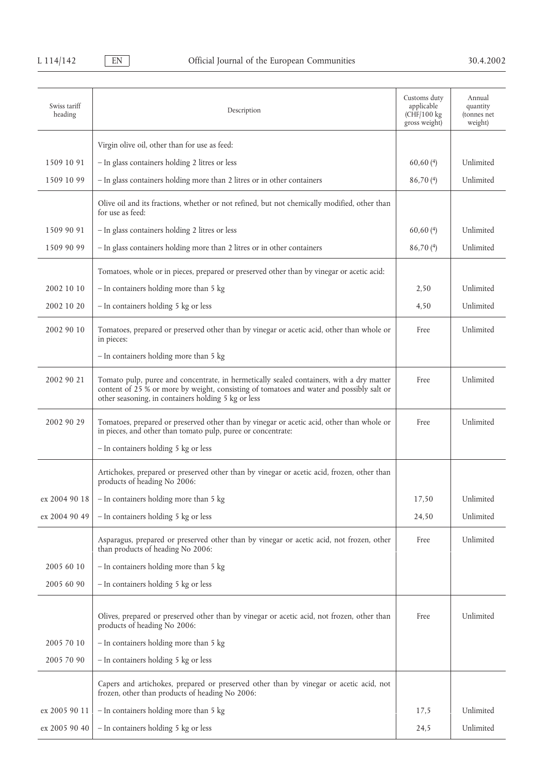| Swiss tariff<br>heading | Description                                                                                                                                                                                                                                 | Customs duty<br>applicable<br>(CHF/100 kg<br>gross weight) | Annual<br>quantity<br>(tonnes net<br>weight) |
|-------------------------|---------------------------------------------------------------------------------------------------------------------------------------------------------------------------------------------------------------------------------------------|------------------------------------------------------------|----------------------------------------------|
|                         | Virgin olive oil, other than for use as feed:                                                                                                                                                                                               |                                                            |                                              |
| 1509 10 91              | - In glass containers holding 2 litres or less                                                                                                                                                                                              | 60,60(4)                                                   | Unlimited                                    |
| 1509 10 99              | - In glass containers holding more than 2 litres or in other containers                                                                                                                                                                     | 86,70(4)                                                   | Unlimited                                    |
|                         | Olive oil and its fractions, whether or not refined, but not chemically modified, other than<br>for use as feed:                                                                                                                            |                                                            |                                              |
| 1509 90 91              | - In glass containers holding 2 litres or less                                                                                                                                                                                              | 60,60(4)                                                   | Unlimited                                    |
| 1509 90 99              | - In glass containers holding more than 2 litres or in other containers                                                                                                                                                                     | 86,70(4)                                                   | Unlimited                                    |
|                         | Tomatoes, whole or in pieces, prepared or preserved other than by vinegar or acetic acid:                                                                                                                                                   |                                                            |                                              |
| 2002 10 10              | - In containers holding more than 5 kg                                                                                                                                                                                                      | 2,50                                                       | Unlimited                                    |
| 2002 10 20              | - In containers holding 5 kg or less                                                                                                                                                                                                        | 4,50                                                       | Unlimited                                    |
| 2002 90 10              | Tomatoes, prepared or preserved other than by vinegar or acetic acid, other than whole or<br>in pieces:                                                                                                                                     | Free                                                       | Unlimited                                    |
|                         | - In containers holding more than 5 kg                                                                                                                                                                                                      |                                                            |                                              |
| 2002 90 21              | Tomato pulp, puree and concentrate, in hermetically sealed containers, with a dry matter<br>content of 25 % or more by weight, consisting of tomatoes and water and possibly salt or<br>other seasoning, in containers holding 5 kg or less | Free                                                       | Unlimited                                    |
| 2002 90 29              | Tomatoes, prepared or preserved other than by vinegar or acetic acid, other than whole or<br>in pieces, and other than tomato pulp, puree or concentrate:                                                                                   | Free                                                       | Unlimited                                    |
|                         | - In containers holding 5 kg or less                                                                                                                                                                                                        |                                                            |                                              |
|                         | Artichokes, prepared or preserved other than by vinegar or acetic acid, frozen, other than<br>products of heading No 2006:                                                                                                                  |                                                            |                                              |
| ex 2004 90 18           | - In containers holding more than 5 kg                                                                                                                                                                                                      | 17,50                                                      | Unlimited                                    |
| ex 2004 90 49           | - In containers holding 5 kg or less                                                                                                                                                                                                        | 24,50                                                      | Unlimited                                    |
|                         | Asparagus, prepared or preserved other than by vinegar or acetic acid, not frozen, other<br>than products of heading No 2006:                                                                                                               | Free                                                       | Unlimited                                    |
| 2005 60 10              | - In containers holding more than 5 kg                                                                                                                                                                                                      |                                                            |                                              |
| 2005 60 90              | - In containers holding 5 kg or less                                                                                                                                                                                                        |                                                            |                                              |
|                         |                                                                                                                                                                                                                                             |                                                            |                                              |
|                         | Olives, prepared or preserved other than by vinegar or acetic acid, not frozen, other than<br>products of heading No 2006:                                                                                                                  | Free                                                       | Unlimited                                    |
| 2005 70 10              | - In containers holding more than 5 kg                                                                                                                                                                                                      |                                                            |                                              |
| 2005 70 90              | - In containers holding 5 kg or less                                                                                                                                                                                                        |                                                            |                                              |
|                         | Capers and artichokes, prepared or preserved other than by vinegar or acetic acid, not<br>frozen, other than products of heading No 2006:                                                                                                   |                                                            |                                              |
| ex 2005 90 11           | - In containers holding more than 5 kg                                                                                                                                                                                                      | 17,5                                                       | Unlimited                                    |
| ex 2005 90 40           | - In containers holding 5 kg or less                                                                                                                                                                                                        | 24,5                                                       | Unlimited                                    |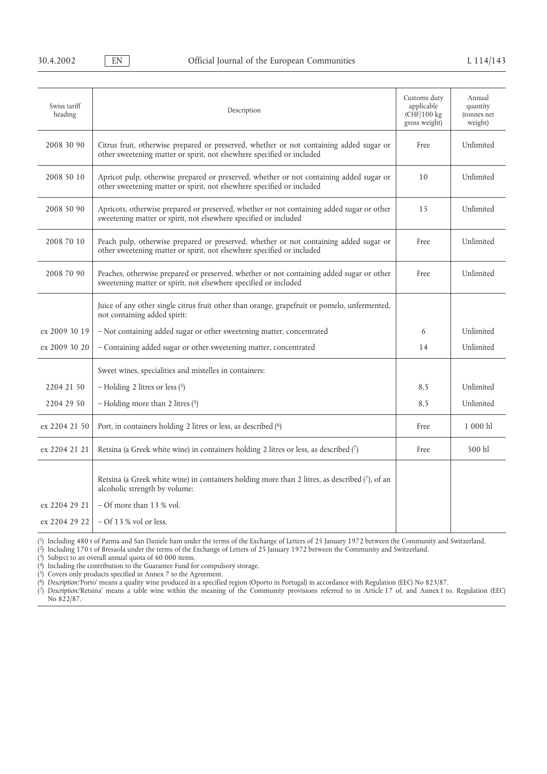| Swiss tariff<br>heading | Description                                                                                                                                                       | Customs duty<br>applicable<br>(CHF/100 kg<br>gross weight) | Annual<br>quantity<br>(tonnes net<br>weight) |
|-------------------------|-------------------------------------------------------------------------------------------------------------------------------------------------------------------|------------------------------------------------------------|----------------------------------------------|
| 2008 30 90              | Citrus fruit, otherwise prepared or preserved, whether or not containing added sugar or<br>other sweetening matter or spirit, not elsewhere specified or included | Free                                                       | Unlimited                                    |
| 2008 50 10              | Apricot pulp, otherwise prepared or preserved, whether or not containing added sugar or<br>other sweetening matter or spirit, not elsewhere specified or included | 10 <sup>1</sup>                                            | Unlimited                                    |
| 2008 50 90              | Apricots, otherwise prepared or preserved, whether or not containing added sugar or other<br>sweetening matter or spirit, not elsewhere specified or included     | 15                                                         | Unlimited                                    |
| 2008 70 10              | Peach pulp, otherwise prepared or preserved, whether or not containing added sugar or<br>other sweetening matter or spirit, not elsewhere specified or included   | Free                                                       | Unlimited                                    |
| 2008 70 90              | Peaches, otherwise prepared or preserved, whether or not containing added sugar or other<br>sweetening matter or spirit, not elsewhere specified or included      | Free                                                       | Unlimited                                    |
|                         | Juice of any other single citrus fruit other than orange, grapefruit or pomelo, unfermented,<br>not containing added spirit:                                      |                                                            |                                              |
| ex 2009 30 19           | - Not containing added sugar or other sweetening matter, concentrated                                                                                             | 6                                                          | Unlimited                                    |
| ex 2009 30 20           | - Containing added sugar or other sweetening matter, concentrated                                                                                                 | 14                                                         | Unlimited                                    |
|                         | Sweet wines, specialities and mistelles in containers:                                                                                                            |                                                            |                                              |
| 2204 21 50              | $-$ Holding 2 litres or less $(5)$                                                                                                                                | 8,5                                                        | Unlimited                                    |
| 2204 29 50              | - Holding more than 2 litres $(5)$                                                                                                                                | 8,5                                                        | Unlimited                                    |
| ex 2204 21 50           | Port, in containers holding 2 litres or less, as described (6)                                                                                                    | Free                                                       | 1 000 hl                                     |
| ex 2204 21 21           | Retsina (a Greek white wine) in containers holding 2 litres or less, as described (7)                                                                             | Free                                                       | 500 hl                                       |
|                         | Retsina (a Greek white wine) in containers holding more than 2 litres, as described (7), of an<br>alcoholic strength by volume:                                   |                                                            |                                              |
| ex 2204 29 21           | - Of more than 13 % vol.                                                                                                                                          |                                                            |                                              |
| ex 2204 29 22           | $-$ Of 13 % vol or less.                                                                                                                                          |                                                            |                                              |

(1) Including 480 t of Parma and San Daniele ham under the terms of the Exchange of Letters of 25 January 1972 between the Community and Switzerland. (2) Including 170 t of Bresaola under the terms of the Exchange of Letters of 25 January 1972 between the Community and Switzerland.

(3) Subject to an overall annual quota of 60 000 items.

(4) Including the contribution to the Guarantee Fund for compulsory storage.

(5) Covers only products specified in Annex 7 to the Agreement. (6) *Description:*'Porto' means a quality wine produced in a specified region (Oporto in Portugal) in accordance with Regulation (EEC) No 823/87.

(7) *Description:*'Retsina' means a table wine within the meaning of the Community provisions referred to in Article 17 of, and Annex I to, Regulation (EEC) No 822/87.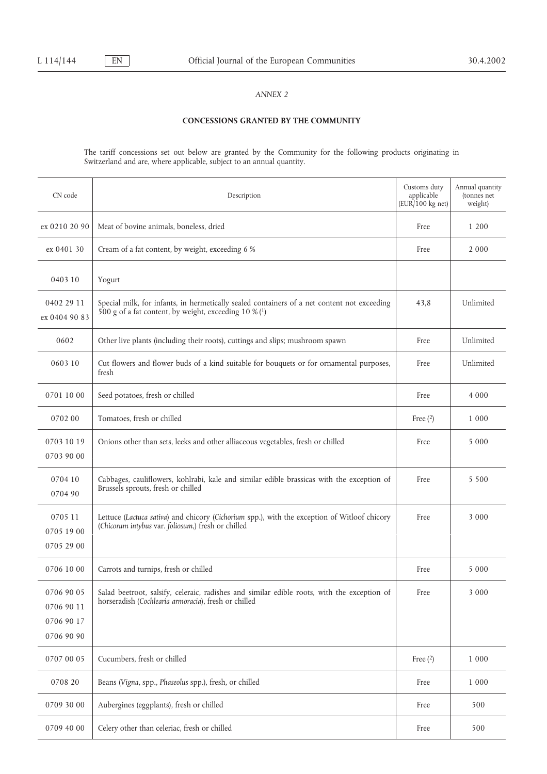# **CONCESSIONS GRANTED BY THE COMMUNITY**

The tariff concessions set out below are granted by the Community for the following products originating in Switzerland and are, where applicable, subject to an annual quantity.

| CN code                                              | Description                                                                                                                                          | Customs duty<br>applicable<br>$(EUR/100$ kg net) | Annual quantity<br>(tonnes net<br>weight) |
|------------------------------------------------------|------------------------------------------------------------------------------------------------------------------------------------------------------|--------------------------------------------------|-------------------------------------------|
| ex 0210 20 90                                        | Meat of bovine animals, boneless, dried                                                                                                              | Free                                             | 1 200                                     |
| ex 0401 30                                           | Cream of a fat content, by weight, exceeding 6 %                                                                                                     | Free                                             | 2 0 0 0                                   |
| 0403 10                                              | Yogurt                                                                                                                                               |                                                  |                                           |
| 0402 29 11<br>ex 0404 90 83                          | Special milk, for infants, in hermetically sealed containers of a net content not exceeding<br>500 g of a fat content, by weight, exceeding 10 % (1) | 43,8                                             | Unlimited                                 |
| 0602                                                 | Other live plants (including their roots), cuttings and slips; mushroom spawn                                                                        | Free                                             | Unlimited                                 |
| 0603 10                                              | Cut flowers and flower buds of a kind suitable for bouquets or for ornamental purposes,<br>fresh                                                     | Free                                             | Unlimited                                 |
| 0701 10 00                                           | Seed potatoes, fresh or chilled                                                                                                                      | Free                                             | 4 0 0 0                                   |
| 070200                                               | Tomatoes, fresh or chilled                                                                                                                           | Free $(2)$                                       | 1 0 0 0                                   |
| 0703 10 19<br>0703 90 00                             | Onions other than sets, leeks and other alliaceous vegetables, fresh or chilled                                                                      | Free                                             | 5 0 0 0                                   |
| 0704 10<br>0704 90                                   | Cabbages, cauliflowers, kohlrabi, kale and similar edible brassicas with the exception of<br>Brussels sprouts, fresh or chilled                      | Free                                             | 5 5 0 0                                   |
| 0705 11<br>0705 19 00<br>0705 29 00                  | Lettuce (Lactuca sativa) and chicory (Cichorium spp.), with the exception of Witloof chicory<br>(Chicorum intybus var. foliosum,) fresh or chilled   | Free                                             | 3 0 0 0                                   |
| 0706 10 00                                           | Carrots and turnips, fresh or chilled                                                                                                                | Free                                             | 5 0 0 0                                   |
| 0706 90 05<br>0706 90 11<br>0706 90 17<br>0706 90 90 | Salad beetroot, salsify, celeraic, radishes and similar edible roots, with the exception of<br>horseradish (Cochlearia armoracia), fresh or chilled  | Free                                             | 3 0 0 0                                   |
| 0707 00 05                                           | Cucumbers, fresh or chilled                                                                                                                          | Free $(2)$                                       | 1 0 0 0                                   |
| 0708 20                                              | Beans (Vigna, spp., Phaseolus spp.), fresh, or chilled                                                                                               | Free                                             | 1 0 0 0                                   |
| 0709 30 00                                           | Aubergines (eggplants), fresh or chilled                                                                                                             | Free                                             | 500                                       |
| 0709 40 00                                           | Celery other than celeriac, fresh or chilled                                                                                                         | Free                                             | 500                                       |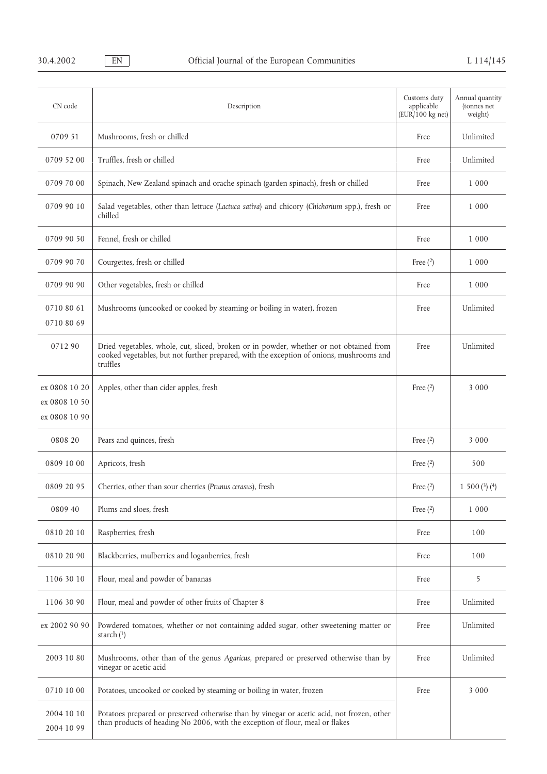| CN code                                         | Description                                                                                                                                                                                     | Customs duty<br>applicable<br>(EUR/100 kg net) | Annual quantity<br>(tonnes net<br>weight) |
|-------------------------------------------------|-------------------------------------------------------------------------------------------------------------------------------------------------------------------------------------------------|------------------------------------------------|-------------------------------------------|
| 0709 51                                         | Mushrooms, fresh or chilled                                                                                                                                                                     | Free                                           | Unlimited                                 |
| 0709 52 00                                      | Truffles, fresh or chilled                                                                                                                                                                      | Free                                           | Unlimited                                 |
| 0709 70 00                                      | Spinach, New Zealand spinach and orache spinach (garden spinach), fresh or chilled                                                                                                              | Free                                           | 1 0 0 0                                   |
| 0709 90 10                                      | Salad vegetables, other than lettuce (Lactuca sativa) and chicory (Chichorium spp.), fresh or<br>chilled                                                                                        | Free                                           | 1 0 0 0                                   |
| 0709 90 50                                      | Fennel, fresh or chilled                                                                                                                                                                        | Free                                           | 1 0 0 0                                   |
| 0709 90 70                                      | Courgettes, fresh or chilled                                                                                                                                                                    | Free $(2)$                                     | 1 0 0 0                                   |
| 0709 90 90                                      | Other vegetables, fresh or chilled                                                                                                                                                              | Free                                           | 1 0 0 0                                   |
| 0710 80 61<br>0710 80 69                        | Mushrooms (uncooked or cooked by steaming or boiling in water), frozen                                                                                                                          | Free                                           | Unlimited                                 |
| 071290                                          | Dried vegetables, whole, cut, sliced, broken or in powder, whether or not obtained from<br>cooked vegetables, but not further prepared, with the exception of onions, mushrooms and<br>truffles | Free                                           | Unlimited                                 |
| ex 0808 10 20<br>ex 0808 10 50<br>ex 0808 10 90 | Apples, other than cider apples, fresh                                                                                                                                                          | Free $(2)$                                     | 3 0 0 0                                   |
| 0808 20                                         | Pears and quinces, fresh                                                                                                                                                                        | Free $(2)$                                     | 3 0 0 0                                   |
| 0809 10 00                                      | Apricots, fresh                                                                                                                                                                                 | Free $(2)$                                     | 500                                       |
| 0809 20 95                                      | Cherries, other than sour cherries (Prunus cerasus), fresh                                                                                                                                      | Free $(2)$                                     | 1 500 $(3)$ $(4)$                         |
| 0809 40                                         | Plums and sloes, fresh                                                                                                                                                                          | Free $(2)$                                     | 1 0 0 0                                   |
| 0810 20 10                                      | Raspberries, fresh                                                                                                                                                                              | Free                                           | 100                                       |
| 0810 20 90                                      | Blackberries, mulberries and loganberries, fresh                                                                                                                                                | Free                                           | 100                                       |
| 1106 30 10                                      | Flour, meal and powder of bananas                                                                                                                                                               | Free                                           | 5                                         |
| 1106 30 90                                      | Flour, meal and powder of other fruits of Chapter 8                                                                                                                                             | Free                                           | Unlimited                                 |
| ex 2002 90 90                                   | Powdered tomatoes, whether or not containing added sugar, other sweetening matter or<br>starch $(1)$                                                                                            | Free                                           | Unlimited                                 |
| 2003 10 80                                      | Mushrooms, other than of the genus Agaricus, prepared or preserved otherwise than by<br>vinegar or acetic acid                                                                                  | Free                                           | Unlimited                                 |
| 0710 10 00                                      | Potatoes, uncooked or cooked by steaming or boiling in water, frozen                                                                                                                            | Free                                           | 3 0 0 0                                   |
| 2004 10 10<br>2004 10 99                        | Potatoes prepared or preserved otherwise than by vinegar or acetic acid, not frozen, other<br>than products of heading No 2006, with the exception of flour, meal or flakes                     |                                                |                                           |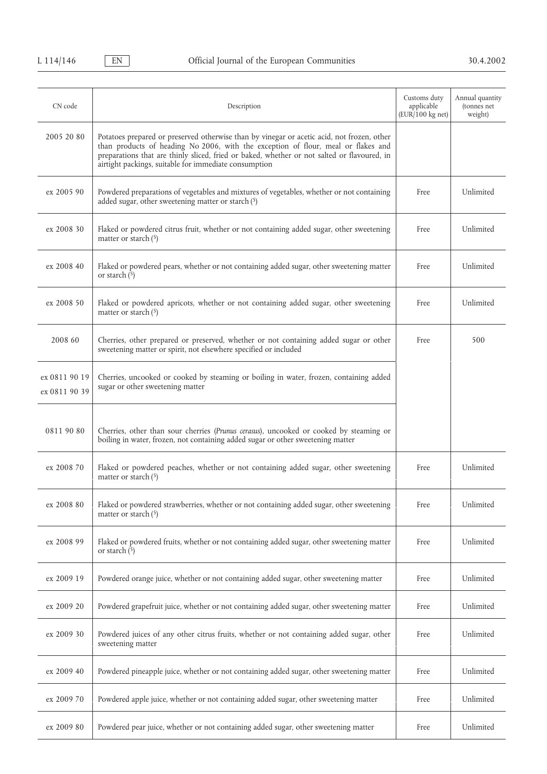| CN code                        | Description                                                                                                                                                                                                                                                                                                                             | Customs duty<br>applicable<br>(EUR/100 kg net) | Annual quantity<br>(tonnes net<br>weight) |
|--------------------------------|-----------------------------------------------------------------------------------------------------------------------------------------------------------------------------------------------------------------------------------------------------------------------------------------------------------------------------------------|------------------------------------------------|-------------------------------------------|
| 2005 20 80                     | Potatoes prepared or preserved otherwise than by vinegar or acetic acid, not frozen, other<br>than products of heading No 2006, with the exception of flour, meal or flakes and<br>preparations that are thinly sliced, fried or baked, whether or not salted or flavoured, in<br>airtight packings, suitable for immediate consumption |                                                |                                           |
| ex 2005 90                     | Powdered preparations of vegetables and mixtures of vegetables, whether or not containing<br>added sugar, other sweetening matter or starch (5)                                                                                                                                                                                         | Free                                           | Unlimited                                 |
| ex 2008 30                     | Flaked or powdered citrus fruit, whether or not containing added sugar, other sweetening<br>matter or starch $(5)$                                                                                                                                                                                                                      | Free                                           | Unlimited                                 |
| ex 2008 40                     | Flaked or powdered pears, whether or not containing added sugar, other sweetening matter<br>or starch $(5)$                                                                                                                                                                                                                             | Free                                           | Unlimited                                 |
| ex 2008 50                     | Flaked or powdered apricots, whether or not containing added sugar, other sweetening<br>matter or starch $(5)$                                                                                                                                                                                                                          | Free                                           | Unlimited                                 |
| 2008 60                        | Cherries, other prepared or preserved, whether or not containing added sugar or other<br>sweetening matter or spirit, not elsewhere specified or included                                                                                                                                                                               | Free                                           | 500                                       |
| ex 0811 90 19<br>ex 0811 90 39 | Cherries, uncooked or cooked by steaming or boiling in water, frozen, containing added<br>sugar or other sweetening matter                                                                                                                                                                                                              |                                                |                                           |
| 0811 90 80                     | Cherries, other than sour cherries (Prunus cerasus), uncooked or cooked by steaming or<br>boiling in water, frozen, not containing added sugar or other sweetening matter                                                                                                                                                               |                                                |                                           |
| ex 2008 70                     | Flaked or powdered peaches, whether or not containing added sugar, other sweetening<br>matter or starch $(5)$                                                                                                                                                                                                                           | Free                                           | Unlimited                                 |
| ex 2008 80                     | Flaked or powdered strawberries, whether or not containing added sugar, other sweetening<br>matter or starch $(5)$                                                                                                                                                                                                                      | Free                                           | Unlimited                                 |
| ex 2008 99                     | Flaked or powdered fruits, whether or not containing added sugar, other sweetening matter<br>or starch $(5)$                                                                                                                                                                                                                            | Free                                           | Unlimited                                 |
| ex 2009 19                     | Powdered orange juice, whether or not containing added sugar, other sweetening matter                                                                                                                                                                                                                                                   | Free                                           | Unlimited                                 |
| ex 2009 20                     | Powdered grapefruit juice, whether or not containing added sugar, other sweetening matter                                                                                                                                                                                                                                               | Free                                           | Unlimited                                 |
| ex 2009 30                     | Powdered juices of any other citrus fruits, whether or not containing added sugar, other<br>sweetening matter                                                                                                                                                                                                                           | Free                                           | Unlimited                                 |
| ex 2009 40                     | Powdered pineapple juice, whether or not containing added sugar, other sweetening matter                                                                                                                                                                                                                                                | Free                                           | Unlimited                                 |
| ex 2009 70                     | Powdered apple juice, whether or not containing added sugar, other sweetening matter                                                                                                                                                                                                                                                    | Free                                           | Unlimited                                 |
| ex 2009 80                     | Powdered pear juice, whether or not containing added sugar, other sweetening matter                                                                                                                                                                                                                                                     | Free                                           | Unlimited                                 |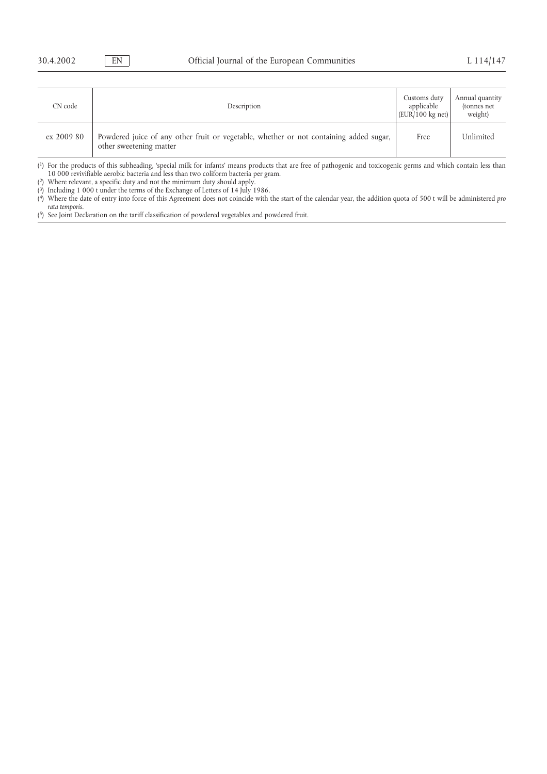| CN code    | Description                                                                                                       | Customs duty<br>applicable<br>$ EUR/100 \text{ kg net} $ | Annual quantity<br>(tonnes net)<br>weight) |
|------------|-------------------------------------------------------------------------------------------------------------------|----------------------------------------------------------|--------------------------------------------|
| ex 2009 80 | Powdered juice of any other fruit or vegetable, whether or not containing added sugar,<br>other sweetening matter | Free                                                     | Unlimited                                  |

(1) For the products of this subheading, 'special milk for infants' means products that are free of pathogenic and toxicogenic germs and which contain less than 10 000 revivifiable aerobic bacteria and less than two coliform bacteria per gram.

(2) Where relevant, a specific duty and not the minimum duty should apply.

(3) Including 1 000 t under the terms of the Exchange of Letters of 14 July 1986.

(4) Where the date of entry into force of this Agreement does not coincide with the start of the calendar year, the addition quota of 500 t will be administered *pro rata temporis*.

(5) See Joint Declaration on the tariff classification of powdered vegetables and powdered fruit.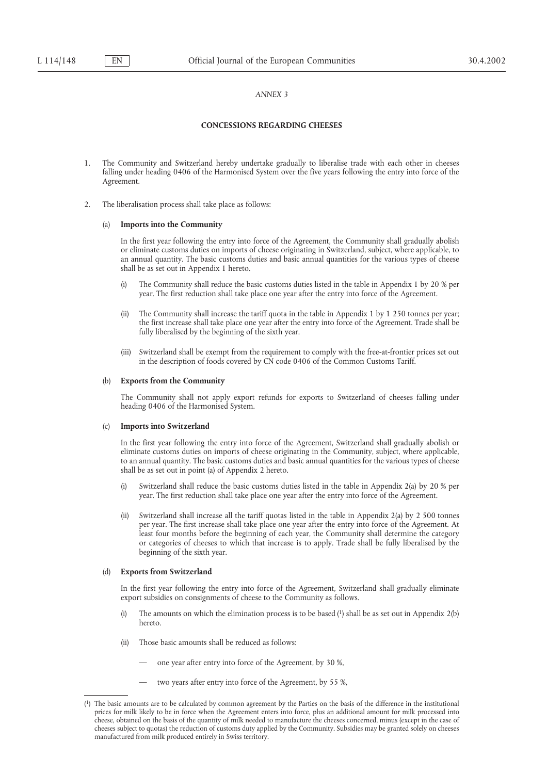## **CONCESSIONS REGARDING CHEESES**

- 1. The Community and Switzerland hereby undertake gradually to liberalise trade with each other in cheeses falling under heading 0406 of the Harmonised System over the five years following the entry into force of the Agreement.
- 2. The liberalisation process shall take place as follows:

## (a) **Imports into the Community**

In the first year following the entry into force of the Agreement, the Community shall gradually abolish or eliminate customs duties on imports of cheese originating in Switzerland, subject, where applicable, to an annual quantity. The basic customs duties and basic annual quantities for the various types of cheese shall be as set out in Appendix 1 hereto.

- (i) The Community shall reduce the basic customs duties listed in the table in Appendix 1 by 20 % per year. The first reduction shall take place one year after the entry into force of the Agreement.
- (ii) The Community shall increase the tariff quota in the table in Appendix 1 by 1 250 tonnes per year; the first increase shall take place one year after the entry into force of the Agreement. Trade shall be fully liberalised by the beginning of the sixth year.
- (iii) Switzerland shall be exempt from the requirement to comply with the free-at-frontier prices set out in the description of foods covered by CN code 0406 of the Common Customs Tariff.

### **Exports from the Community**

The Community shall not apply export refunds for exports to Switzerland of cheeses falling under heading 0406 of the Harmonised System.

### (c) **Imports into Switzerland**

In the first year following the entry into force of the Agreement, Switzerland shall gradually abolish or eliminate customs duties on imports of cheese originating in the Community, subject, where applicable, to an annual quantity. The basic customs duties and basic annual quantities for the various types of cheese shall be as set out in point (a) of Appendix 2 hereto.

- (i) Switzerland shall reduce the basic customs duties listed in the table in Appendix 2(a) by 20 % per year. The first reduction shall take place one year after the entry into force of the Agreement.
- Switzerland shall increase all the tariff quotas listed in the table in Appendix 2(a) by 2 500 tonnes per year. The first increase shall take place one year after the entry into force of the Agreement. At least four months before the beginning of each year, the Community shall determine the category or categories of cheeses to which that increase is to apply. Trade shall be fully liberalised by the beginning of the sixth year.

### (d) **Exports from Switzerland**

In the first year following the entry into force of the Agreement, Switzerland shall gradually eliminate export subsidies on consignments of cheese to the Community as follows.

- The amounts on which the elimination process is to be based  $(1)$  shall be as set out in Appendix 2(b) hereto.
- (ii) Those basic amounts shall be reduced as follows:
	- one year after entry into force of the Agreement, by 30 %,
	- two years after entry into force of the Agreement, by 55 %,

<sup>(1)</sup> The basic amounts are to be calculated by common agreement by the Parties on the basis of the difference in the institutional prices for milk likely to be in force when the Agreement enters into force, plus an additional amount for milk processed into cheese, obtained on the basis of the quantity of milk needed to manufacture the cheeses concerned, minus (except in the case of cheeses subject to quotas) the reduction of customs duty applied by the Community. Subsidies may be granted solely on cheeses manufactured from milk produced entirely in Swiss territory.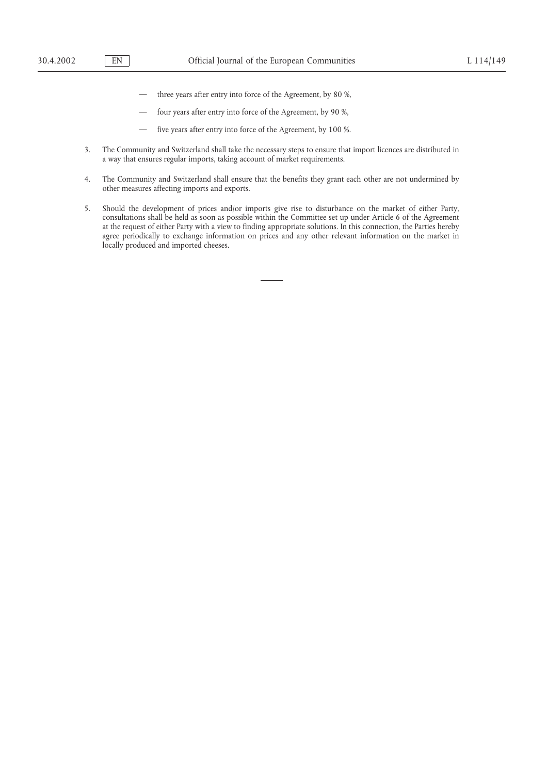- three years after entry into force of the Agreement, by 80 %,
- four years after entry into force of the Agreement, by 90 %,
- five years after entry into force of the Agreement, by 100 %.
- 3. The Community and Switzerland shall take the necessary steps to ensure that import licences are distributed in a way that ensures regular imports, taking account of market requirements.
- 4. The Community and Switzerland shall ensure that the benefits they grant each other are not undermined by other measures affecting imports and exports.
- 5. Should the development of prices and/or imports give rise to disturbance on the market of either Party, consultations shall be held as soon as possible within the Committee set up under Article 6 of the Agreement at the request of either Party with a view to finding appropriate solutions. In this connection, the Parties hereby agree periodically to exchange information on prices and any other relevant information on the market in locally produced and imported cheeses.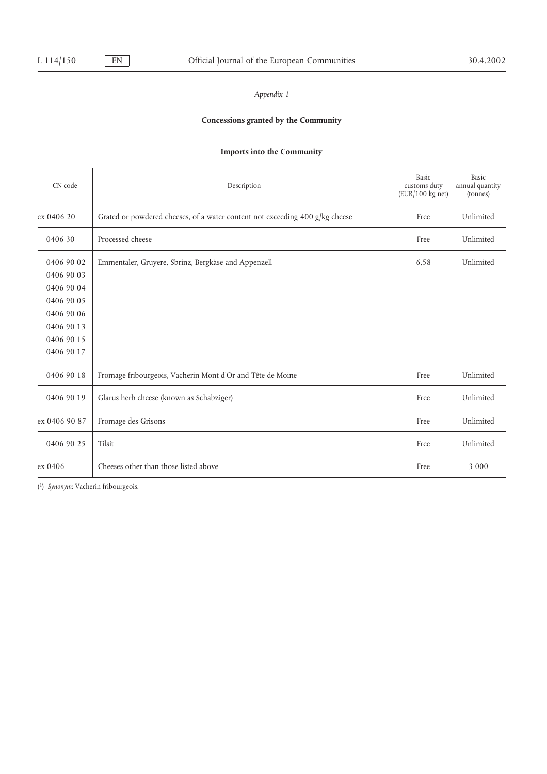# **Concessions granted by the Community**

# **Imports into the Community**

| CN code                                                                                                      | Description                                                                  | Basic<br>customs duty<br>(EUR/100 kg net) | Basic<br>annual quantity<br>(tonnes) |
|--------------------------------------------------------------------------------------------------------------|------------------------------------------------------------------------------|-------------------------------------------|--------------------------------------|
| ex 0406 20                                                                                                   | Grated or powdered cheeses, of a water content not exceeding 400 g/kg cheese | Free                                      | Unlimited                            |
| 0406 30                                                                                                      | Processed cheese                                                             | Free                                      | Unlimited                            |
| 0406 90 02<br>0406 90 03<br>0406 90 04<br>0406 90 05<br>0406 90 06<br>0406 90 13<br>0406 90 15<br>0406 90 17 | Emmentaler, Gruyere, Sbrinz, Bergkäse and Appenzell                          | 6,58                                      | Unlimited                            |
| 0406 90 18                                                                                                   | Fromage fribourgeois, Vacherin Mont d'Or and Tête de Moine                   | Free                                      | Unlimited                            |
| 0406 90 19                                                                                                   | Glarus herb cheese (known as Schabziger)                                     | Free                                      | Unlimited                            |
| ex 0406 90 87                                                                                                | Fromage des Grisons                                                          | Free                                      | Unlimited                            |
| 0406 90 25                                                                                                   | Tilsit                                                                       | Free                                      | Unlimited                            |
| ex 0406                                                                                                      | Cheeses other than those listed above                                        | Free                                      | 3 0 0 0                              |
| (1) Synonym: Vacherin fribourgeois.                                                                          |                                                                              |                                           |                                      |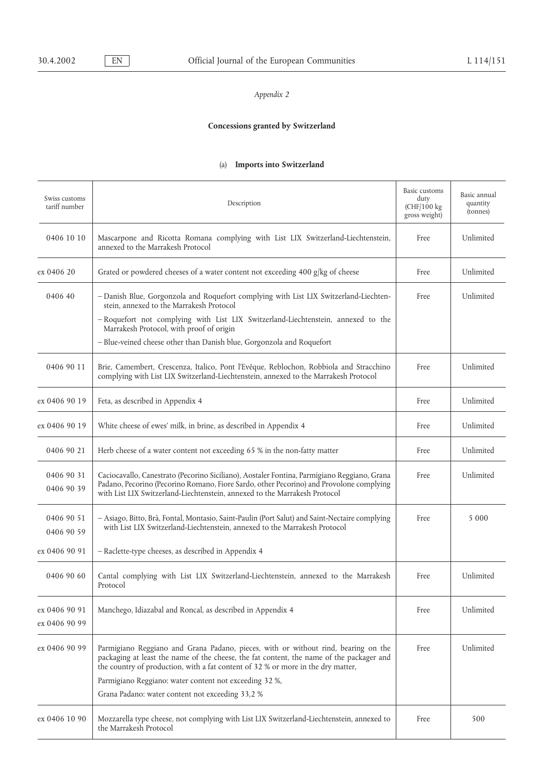# **Concessions granted by Switzerland**

# (a) **Imports into Switzerland**

| Swiss customs<br>tariff number | Description                                                                                                                                                                                                                                                          | Basic customs<br>duty<br>(CHF/100 kg<br>gross weight) | Basic annual<br>quantity<br>(tonnes) |
|--------------------------------|----------------------------------------------------------------------------------------------------------------------------------------------------------------------------------------------------------------------------------------------------------------------|-------------------------------------------------------|--------------------------------------|
| 0406 10 10                     | Mascarpone and Ricotta Romana complying with List LIX Switzerland-Liechtenstein,<br>annexed to the Marrakesh Protocol                                                                                                                                                | Free                                                  | Unlimited                            |
| ex 0406 20                     | Grated or powdered cheeses of a water content not exceeding 400 g/kg of cheese                                                                                                                                                                                       | Free                                                  | Unlimited                            |
| 0406 40                        | - Danish Blue, Gorgonzola and Roquefort complying with List LIX Switzerland-Liechten-<br>stein, annexed to the Marrakesh Protocol                                                                                                                                    | Free                                                  | Unlimited                            |
|                                | - Roquefort not complying with List LIX Switzerland-Liechtenstein, annexed to the<br>Marrakesh Protocol, with proof of origin                                                                                                                                        |                                                       |                                      |
|                                | - Blue-veined cheese other than Danish blue, Gorgonzola and Roquefort                                                                                                                                                                                                |                                                       |                                      |
| 0406 90 11                     | Brie, Camembert, Crescenza, Italico, Pont l'Evêque, Reblochon, Robbiola and Stracchino<br>complying with List LIX Switzerland-Liechtenstein, annexed to the Marrakesh Protocol                                                                                       | Free                                                  | Unlimited                            |
| ex 0406 90 19                  | Feta, as described in Appendix 4                                                                                                                                                                                                                                     | Free                                                  | Unlimited                            |
| ex 0406 90 19                  | White cheese of ewes' milk, in brine, as described in Appendix 4                                                                                                                                                                                                     | Free                                                  | Unlimited                            |
| 0406 90 21                     | Herb cheese of a water content not exceeding 65 % in the non-fatty matter                                                                                                                                                                                            | Free                                                  | Unlimited                            |
| 0406 90 31<br>0406 90 39       | Caciocavallo, Canestrato (Pecorino Siciliano), Aostaler Fontina, Parmigiano Reggiano, Grana<br>Padano, Pecorino (Pecorino Romano, Fiore Sardo, other Pecorino) and Provolone complying<br>with List LIX Switzerland-Liechtenstein, annexed to the Marrakesh Protocol | Free                                                  | Unlimited                            |
| 0406 90 51<br>0406 90 59       | - Asiago, Bitto, Brà, Fontal, Montasio, Saint-Paulin (Port Salut) and Saint-Nectaire complying<br>with List LIX Switzerland-Liechtenstein, annexed to the Marrakesh Protocol                                                                                         | Free                                                  | 5 0 0 0                              |
| ex 0406 90 91                  | - Raclette-type cheeses, as described in Appendix 4                                                                                                                                                                                                                  |                                                       |                                      |
| 0406 90 60                     | Cantal complying with List LIX Switzerland-Liechtenstein, annexed to the Marrakesh<br>Protocol                                                                                                                                                                       | Free                                                  | Unlimited                            |
| ex 0406 90 91<br>ex 0406 90 99 | Manchego, Idiazabal and Roncal, as described in Appendix 4                                                                                                                                                                                                           | Free                                                  | Unlimited                            |
| ex 0406 90 99                  | Parmigiano Reggiano and Grana Padano, pieces, with or without rind, bearing on the<br>packaging at least the name of the cheese, the fat content, the name of the packager and<br>the country of production, with a fat content of 32 % or more in the dry matter,   | Free                                                  | Unlimited                            |
|                                | Parmigiano Reggiano: water content not exceeding 32 %,                                                                                                                                                                                                               |                                                       |                                      |
|                                | Grana Padano: water content not exceeding 33,2 %                                                                                                                                                                                                                     |                                                       |                                      |
| ex 0406 10 90                  | Mozzarella type cheese, not complying with List LIX Switzerland-Liechtenstein, annexed to<br>the Marrakesh Protocol                                                                                                                                                  | Free                                                  | 500                                  |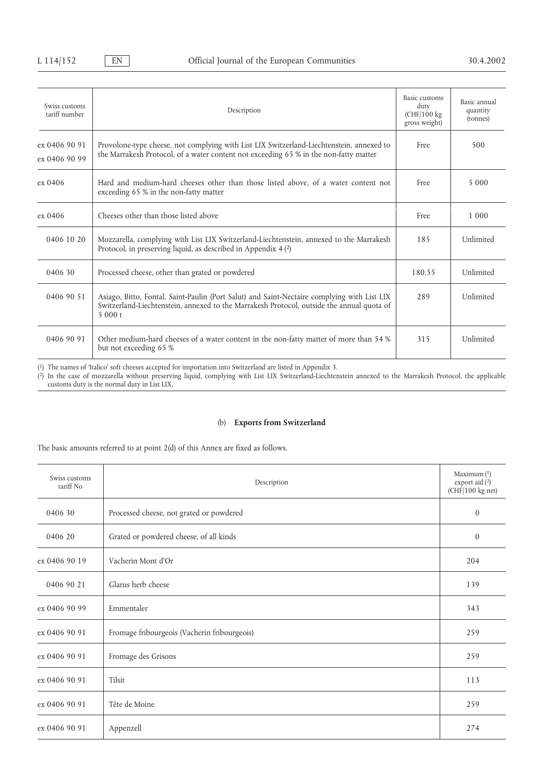| Swiss customs<br>tariff number | Description                                                                                                                                                                                        | Basic customs<br>duty<br>(CHF/100 kg<br>gross weight) | Basic annual<br>quantity<br>(tonnes) |
|--------------------------------|----------------------------------------------------------------------------------------------------------------------------------------------------------------------------------------------------|-------------------------------------------------------|--------------------------------------|
| ex 0406 90 91<br>ex 0406 90 99 | Provolone-type cheese, not complying with List LIX Switzerland-Liechtenstein, annexed to<br>the Marrakesh Protocol, of a water content not exceeding 65 % in the non-fatty matter                  | Free                                                  | 500                                  |
| ex 0406                        | Hard and medium-hard cheeses other than those listed above, of a water content not<br>exceeding 65 % in the non-fatty matter                                                                       | Free                                                  | 5 0 0 0                              |
| ex 0406                        | Cheeses other than those listed above                                                                                                                                                              | Free                                                  | 1 0 0 0                              |
| 0406 10 20                     | Mozzarella, complying with List LIX Switzerland-Liechtenstein, annexed to the Marrakesh<br>Protocol, in preserving liquid, as described in Appendix 4(2)                                           | 185                                                   | Unlimited                            |
| 0406 30                        | Processed cheese, other than grated or powdered                                                                                                                                                    | 180,55                                                | Unlimited                            |
| 0406 90 51                     | Asiago, Bitto, Fontal, Saint-Paulin (Port Salut) and Saint-Nectaire complying with List LIX<br>Switzerland-Liechtenstein, annexed to the Marrakesh Protocol, outside the annual quota of<br>5000 t | 289                                                   | Unlimited                            |
| 0406 90 91                     | Other medium-hard cheeses of a water content in the non-fatty matter of more than 54 %<br>but not exceeding 65 %                                                                                   | 315                                                   | Unlimited                            |

(1) The names of 'Italico' soft cheeses accepted for importation into Switzerland are listed in Appendix 3.

(2) In the case of mozzarella without preserving liquid, complying with List LIX Switzerland-Liechtenstein annexed to the Marrakesh Protocol, the applicable customs duty is the normal duty in List LIX.

# (b) **Exports from Switzerland**

The basic amounts referred to at point 2(d) of this Annex are fixed as follows.

| Swiss customs<br>tariff No | Description                                  | Maximum (1)<br>export aid (2)<br>(CHF/100 kg net) |
|----------------------------|----------------------------------------------|---------------------------------------------------|
| 0406 30                    | Processed cheese, not grated or powdered     | $\mathbf{0}$                                      |
| 0406 20                    | Grated or powdered cheese, of all kinds      | $\overline{0}$                                    |
| ex 0406 90 19              | Vacherin Mont d'Or                           | 204                                               |
| 0406 90 21                 | Glarus herb cheese                           | 139                                               |
| ex 0406 90 99              | Emmentaler                                   | 343                                               |
| ex 0406 90 91              | Fromage fribourgeois (Vacherin fribourgeois) | 259                                               |
| ex 0406 90 91              | Fromage des Grisons                          | 259                                               |
| ex 0406 90 91              | Tilsit                                       | 113                                               |
| ex 0406 90 91              | Tête de Moine                                | 259                                               |
| ex 0406 90 91              | Appenzell                                    | 274                                               |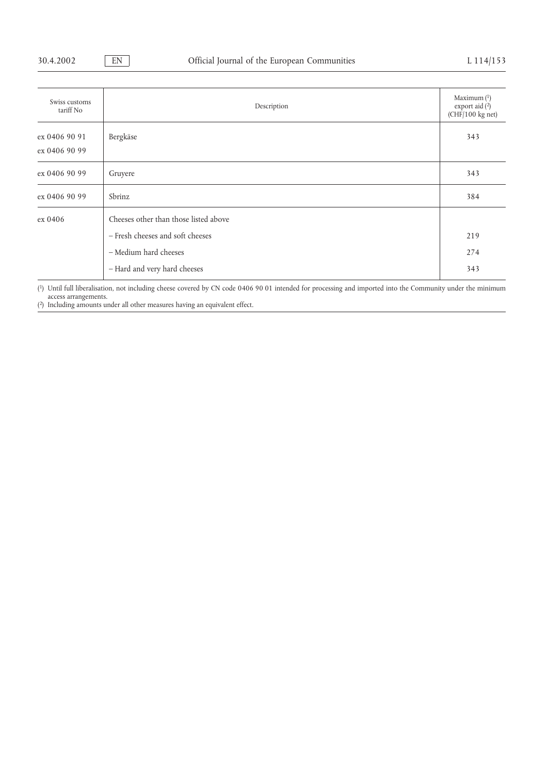| Swiss customs<br>tariff No     | Description                           | Maximum $(1)$<br>export aid (2)<br>(CHF/100 kg net) |
|--------------------------------|---------------------------------------|-----------------------------------------------------|
| ex 0406 90 91<br>ex 0406 90 99 | Bergkäse                              | 343                                                 |
| ex 0406 90 99                  | 343<br>Gruyere                        |                                                     |
| ex 0406 90 99                  | Sbrinz                                |                                                     |
| ex 0406                        | Cheeses other than those listed above |                                                     |
|                                | - Fresh cheeses and soft cheeses      | 219                                                 |
|                                | - Medium hard cheeses                 | 274                                                 |
|                                | - Hard and very hard cheeses          | 343                                                 |

(1) Until full liberalisation, not including cheese covered by CN code 0406 90 01 intended for processing and imported into the Community under the minimum access arrangements.

(2) Including amounts under all other measures having an equivalent effect.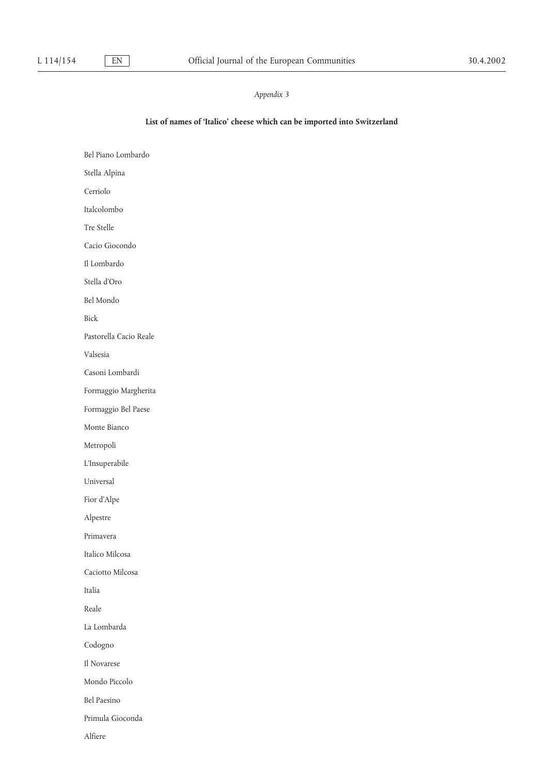# **List of names of 'Italico' cheese which can be imported into Switzerland**

Bel Piano Lombardo Stella Alpina Cerriolo Italcolombo Tre Stelle Cacio Giocondo Il Lombardo Stella d'Oro Bel Mondo Bick Pastorella Cacio Reale Valsesia Casoni Lombardi Formaggio Margherita Formaggio Bel Paese Monte Bianco Metropoli L'Insuperabile Universal Fior d'Alpe Alpestre Primavera Italico Milcosa Caciotto Milcosa Italia Reale La Lombarda Codogno Il Novarese Mondo Piccolo Bel Paesino Primula Gioconda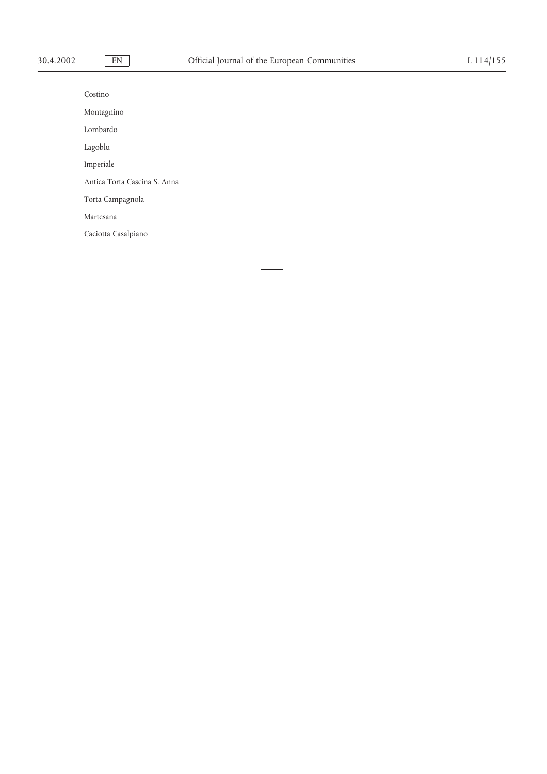| Costino                      |
|------------------------------|
| Montagnino                   |
| Lombardo                     |
| Lagoblu                      |
| Imperiale                    |
| Antica Torta Cascina S. Anna |
| Torta Campagnola             |
| Martesana                    |
| Caciotta Casalpiano          |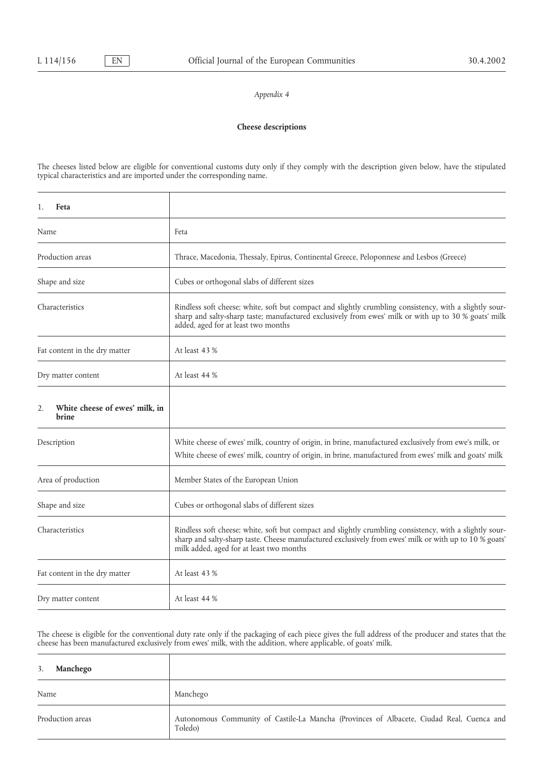# **Cheese descriptions**

The cheeses listed below are eligible for conventional customs duty only if they comply with the description given below, have the stipulated typical characteristics and are imported under the corresponding name.

| 1.<br>Feta                                           |                                                                                                                                                                                                                                                               |
|------------------------------------------------------|---------------------------------------------------------------------------------------------------------------------------------------------------------------------------------------------------------------------------------------------------------------|
| Name                                                 | Feta                                                                                                                                                                                                                                                          |
| Production areas                                     | Thrace, Macedonia, Thessaly, Epirus, Continental Greece, Peloponnese and Lesbos (Greece)                                                                                                                                                                      |
| Shape and size                                       | Cubes or orthogonal slabs of different sizes                                                                                                                                                                                                                  |
| Characteristics                                      | Rindless soft cheese; white, soft but compact and slightly crumbling consistency, with a slightly sour-<br>sharp and salty-sharp taste; manufactured exclusively from ewes' milk or with up to 30 % goats' milk<br>added, aged for at least two months        |
| Fat content in the dry matter                        | At least 43 %                                                                                                                                                                                                                                                 |
| Dry matter content                                   | At least 44 %                                                                                                                                                                                                                                                 |
| White cheese of ewes' milk, in<br>2.<br><b>brine</b> |                                                                                                                                                                                                                                                               |
| Description                                          | White cheese of ewes' milk, country of origin, in brine, manufactured exclusively from ewe's milk, or<br>White cheese of ewes' milk, country of origin, in brine, manufactured from ewes' milk and goats' milk                                                |
| Area of production                                   | Member States of the European Union                                                                                                                                                                                                                           |
| Shape and size                                       | Cubes or orthogonal slabs of different sizes                                                                                                                                                                                                                  |
| Characteristics                                      | Rindless soft cheese; white, soft but compact and slightly crumbling consistency, with a slightly sour-<br>sharp and salty-sharp taste. Cheese manufactured exclusively from ewes' milk or with up to 10 % goats'<br>milk added, aged for at least two months |
| Fat content in the dry matter                        | At least 43 %                                                                                                                                                                                                                                                 |
| Dry matter content                                   | At least 44 %                                                                                                                                                                                                                                                 |

The cheese is eligible for the conventional duty rate only if the packaging of each piece gives the full address of the producer and states that the cheese has been manufactured exclusively from ewes' milk, with the addition, where applicable, of goats' milk.

| Manchego<br>3.   |                                                                                                      |
|------------------|------------------------------------------------------------------------------------------------------|
| Name             | Manchego                                                                                             |
| Production areas | Autonomous Community of Castile-La Mancha (Provinces of Albacete, Ciudad Real, Cuenca and<br>Toledo) |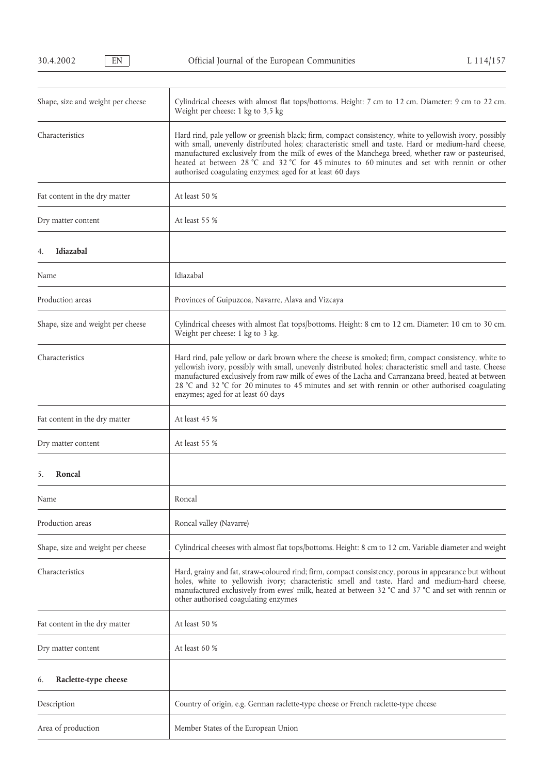| Shape, size and weight per cheese | Cylindrical cheeses with almost flat tops/bottoms. Height: 7 cm to 12 cm. Diameter: 9 cm to 22 cm.<br>Weight per cheese: 1 kg to 3,5 kg                                                                                                                                                                                                                                                                                                                                         |
|-----------------------------------|---------------------------------------------------------------------------------------------------------------------------------------------------------------------------------------------------------------------------------------------------------------------------------------------------------------------------------------------------------------------------------------------------------------------------------------------------------------------------------|
| Characteristics                   | Hard rind, pale yellow or greenish black; firm, compact consistency, white to yellowish ivory, possibly<br>with small, unevenly distributed holes; characteristic smell and taste. Hard or medium-hard cheese,<br>manufactured exclusively from the milk of ewes of the Manchega breed, whether raw or pasteurised,<br>heated at between 28 °C and 32 °C for 45 minutes to 60 minutes and set with rennin or other<br>authorised coagulating enzymes; aged for at least 60 days |
| Fat content in the dry matter     | At least 50 %                                                                                                                                                                                                                                                                                                                                                                                                                                                                   |
| Dry matter content                | At least 55 %                                                                                                                                                                                                                                                                                                                                                                                                                                                                   |
| Idiazabal<br>4.                   |                                                                                                                                                                                                                                                                                                                                                                                                                                                                                 |
| Name                              | Idiazabal                                                                                                                                                                                                                                                                                                                                                                                                                                                                       |
| Production areas                  | Provinces of Guipuzcoa, Navarre, Alava and Vizcaya                                                                                                                                                                                                                                                                                                                                                                                                                              |
| Shape, size and weight per cheese | Cylindrical cheeses with almost flat tops/bottoms. Height: 8 cm to 12 cm. Diameter: 10 cm to 30 cm.<br>Weight per cheese: 1 kg to 3 kg.                                                                                                                                                                                                                                                                                                                                         |
| Characteristics                   | Hard rind, pale yellow or dark brown where the cheese is smoked; firm, compact consistency, white to<br>yellowish ivory, possibly with small, unevenly distributed holes; characteristic smell and taste. Cheese<br>manufactured exclusively from raw milk of ewes of the Lacha and Carranzana breed, heated at between<br>28 ℃ and 32 ℃ for 20 minutes to 45 minutes and set with rennin or other authorised coagulating<br>enzymes; aged for at least 60 days                 |
| Fat content in the dry matter     | At least 45 %                                                                                                                                                                                                                                                                                                                                                                                                                                                                   |
| Dry matter content                | At least 55 %                                                                                                                                                                                                                                                                                                                                                                                                                                                                   |
| 5.<br>Roncal                      |                                                                                                                                                                                                                                                                                                                                                                                                                                                                                 |
| Name                              | Roncal                                                                                                                                                                                                                                                                                                                                                                                                                                                                          |
| Production areas                  | Roncal valley (Navarre)                                                                                                                                                                                                                                                                                                                                                                                                                                                         |
| Shape, size and weight per cheese | Cylindrical cheeses with almost flat tops/bottoms. Height: 8 cm to 12 cm. Variable diameter and weight                                                                                                                                                                                                                                                                                                                                                                          |
| Characteristics                   | Hard, grainy and fat, straw-coloured rind; firm, compact consistency, porous in appearance but without<br>holes, white to yellowish ivory; characteristic smell and taste. Hard and medium-hard cheese,<br>manufactured exclusively from ewes' milk, heated at between 32 °C and 37 °C and set with rennin or<br>other authorised coagulating enzymes                                                                                                                           |
| Fat content in the dry matter     | At least 50 %                                                                                                                                                                                                                                                                                                                                                                                                                                                                   |
| Dry matter content                | At least 60 %                                                                                                                                                                                                                                                                                                                                                                                                                                                                   |
| Raclette-type cheese<br>6.        |                                                                                                                                                                                                                                                                                                                                                                                                                                                                                 |
| Description                       | Country of origin, e.g. German raclette-type cheese or French raclette-type cheese                                                                                                                                                                                                                                                                                                                                                                                              |
| Area of production                | Member States of the European Union                                                                                                                                                                                                                                                                                                                                                                                                                                             |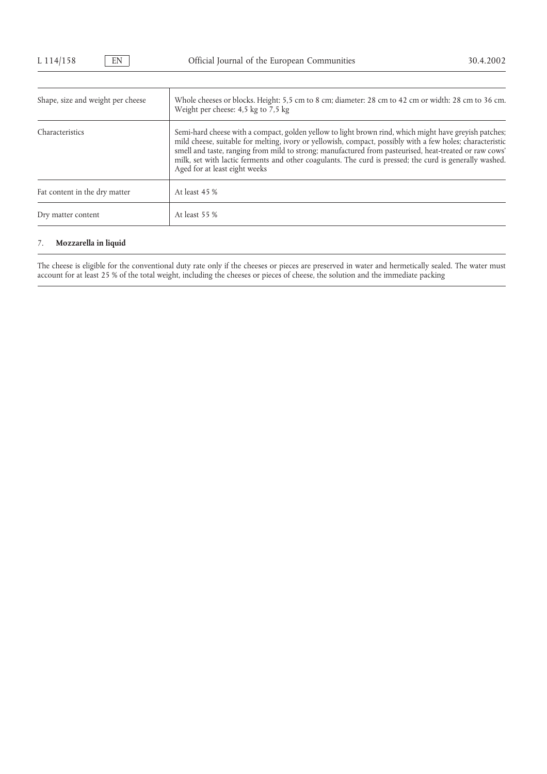| Shape, size and weight per cheese | Whole cheeses or blocks. Height: 5,5 cm to 8 cm; diameter: 28 cm to 42 cm or width: 28 cm to 36 cm.<br>Weight per cheese: 4,5 kg to 7,5 kg                                                                                                                                                                                                                                                                                                                               |
|-----------------------------------|--------------------------------------------------------------------------------------------------------------------------------------------------------------------------------------------------------------------------------------------------------------------------------------------------------------------------------------------------------------------------------------------------------------------------------------------------------------------------|
| Characteristics                   | Semi-hard cheese with a compact, golden yellow to light brown rind, which might have greyish patches;<br>mild cheese, suitable for melting, ivory or yellowish, compact, possibly with a few holes; characteristic<br>smell and taste, ranging from mild to strong; manufactured from pasteurised, heat-treated or raw cows'<br>milk, set with lactic ferments and other coagulants. The curd is pressed; the curd is generally washed.<br>Aged for at least eight weeks |
| Fat content in the dry matter     | At least 45 %                                                                                                                                                                                                                                                                                                                                                                                                                                                            |
| Dry matter content                | At least 55 %                                                                                                                                                                                                                                                                                                                                                                                                                                                            |

# 7. **Mozzarella in liquid**

The cheese is eligible for the conventional duty rate only if the cheeses or pieces are preserved in water and hermetically sealed. The water must account for at least 25 % of the total weight, including the cheeses or pieces of cheese, the solution and the immediate packing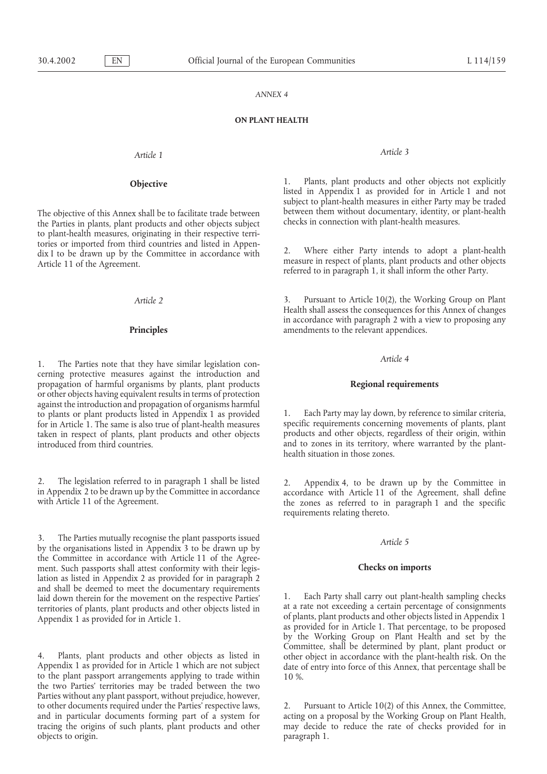### **ON PLANT HEALTH**

*Article 1 Article 3*

the Parties in plants, plant products and other objects subject to plant-health measures, originating in their respective territories or imported from third countries and listed in Appen-<br>dix I to be drawn up by the Committee in accordance with<br>Article 11 of the Agreement.<br>Article 11 of the Agreement.<br>The Agreement expected to in paragraph 1, it s

*Article 4* 1. The Parties note that they have similar legislation concerning protective measures against the introduction and propagation of harmful organisms by plants, plant products **Regional requirements** or other objects having equivalent results in terms of protection against the introduction and propagation of organisms harmful to plants or plant products listed in Appendix 1 as provided 1. Each Party may lay down, by reference to similar criteria,<br>for in Article 1. The same is also true of plant-health measures specific requirements concerning m taken in respect of plants, plant products and other objects introduced from third countries.  $\overline{\phantom{a}}$  and to zones in its territory, where warranted by the plant-

2. The legislation referred to in paragraph 1 shall be listed<br>in Appendix 4, to be drawn up by the Committee in accordance<br>with Article 11 of the Agreement, shall define<br>with Article 11 of the Agreement.<br>the zones as refer

3. The Parties mutually recognise the plant passports issued *Article 5* by the organisations listed in Appendix 3 to be drawn up by the Committee in accordance with Article 11 of the Agreement. Such passports shall attest conformity with their legis- **Checks on imports** lation as listed in Appendix 2 as provided for in paragraph 2 and shall be deemed to meet the documentary requirements<br>laid down therein for the movement on the respective Parties' laid a rate not exceeding a certain percentage of consignments<br>territories of plants, plant products an Appendix 1 as provided for in Article 1. of plants, plant products and other objects listed in Appendix 1

the two Parties' territories may be traded between the two Parties without any plant passport, without prejudice, however, to other documents required under the Parties' respective laws, 2. Pursuant to Article 10(2) of this Annex, the Committee, and in particular documents forming part of a system for acting on a proposal by the Working Group on Plant Health, tracing the origins of such plants, plant products and other may decide to reduce the rate of checks provided for in objects to origin. **paragraph 1.** 

**Objective** 1. Plants, plant products and other objects not explicitly listed in Appendix 1 as provided for in Article 1 and not subject to plant-health measures in either Party may be traded The objective of this Annex shall be to facilitate trade between between them without documentary, identity, or plant-health the Parties in plants, plant products and other objects subject checks in connection with plant-h

*Article 2* 3. Pursuant to Article 10(2), the Working Group on Plant Health shall assess the consequences for this Annex of changes in accordance with paragraph 2 with a view to proposing any **Principles** amendments to the relevant appendices.

for in Article 1. The same is also true of plant-health measures specific requirements concerning movements of plants, plant taken in respect of plants, plant products and other objects products and other objects, regardle health situation in those zones.

requirements relating thereto.

as provided for in Article 1. That percentage, to be proposed by the Working Group on Plant Health and set by the 4. Plants, plant products and other objects as listed in Committee, shall be determined by plant, plant product or other objects as listed in accordance with the plant-health risk. On the Appendix 1 as provided for in Arti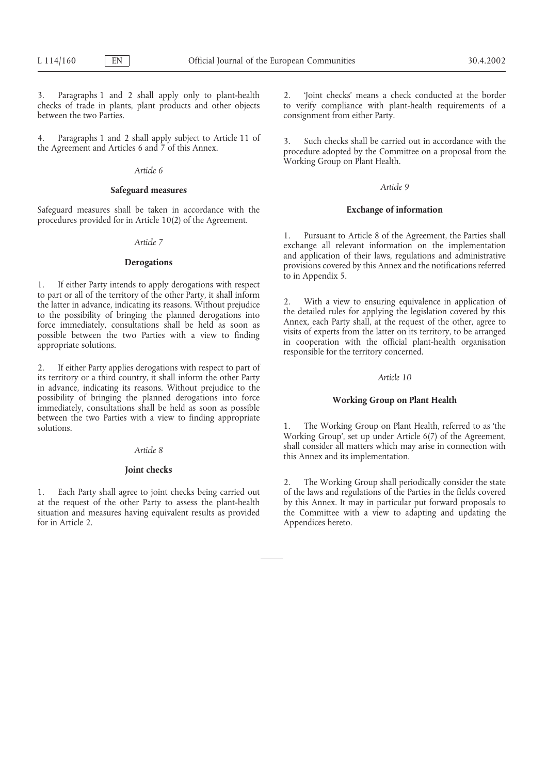checks of trade in plants, plant products and other objects to verify compliance with plant-health requirements of a between the two Parties. consignment from either Party.

4. Paragraphs 1 and 2 shall apply subject to Article 11 of 3. Such checks shall be carried out in accordance with the the Agreement and Articles 6 and 7 of this Annex.

# *Article 6*

# *Article 9* **Safeguard measures**

Safeguard measures shall be taken in accordance with the **Exchange of information** procedures provided for in Article 10(2) of the Agreement.

to in Appendix 5.<br>1. If either Party intends to apply derogations with respect to part or all of the territory of the other Party, it shall inform<br>the latter in advance, indicating its reasons. Without prejudice<br>to the possibility of bringing the planned derogations into<br>force immediately, consultati

2. If either Party applies derogations with respect to part of its territory or a third country, it shall inform the other Party *Article 10* in advance, indicating its reasons. Without prejudice to the possibility of bringing the planned derogations into force possibility of bringing the planned derogations into force **Working Group on Plant Health** immediately, consultations shall be held as soon as possible between the two Parties with a view to finding appropriate solutions. 1. The Working Group on Plant Health, referred to as 'the

# **Joint checks**

at the request of the other Party to assess the plant-health by this Annex. It may in particular put forward proposals to situation and measures having equivalent results as provided the Committee with a view to adapting and updating the for in Article 2.

3. Paragraphs 1 and 2 shall apply only to plant-health 2. 'Joint checks' means a check conducted at the border

Working Group on Plant Health.

1. Pursuant to Article 8 of the Agreement, the Parties shall<br>exchange all relevant information on the implementation<br>and application of their laws, regulations and administrative **Derogations** provisions covered by this Annex and the notifications referred

Working Group', set up under Article 6(7) of the Agreement, shall consider all matters which may arise in connection with *Article 8* this Annex and its implementation.

2. The Working Group shall periodically consider the state 1. Each Party shall agree to joint checks being carried out of the laws and regulations of the Parties in the fields covered Appendices hereto.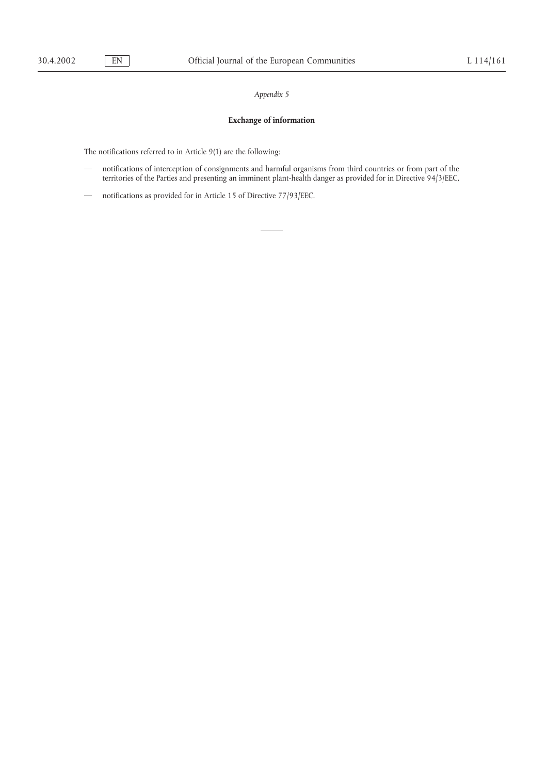# **Exchange of information**

The notifications referred to in Article 9(1) are the following:

- notifications of interception of consignments and harmful organisms from third countries or from part of the territories of the Parties and presenting an imminent plant-health danger as provided for in Directive 94/3/EEC,
- notifications as provided for in Article 15 of Directive 77/93/EEC.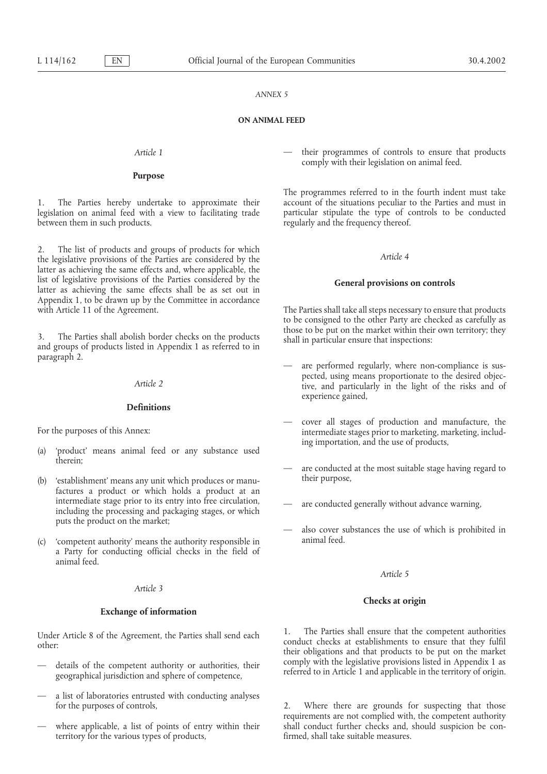### **ON ANIMAL FEED**

# **Purpose**

between them in such products. The regularly and the frequency thereof.

2. The list of products and groups of products for which *Article 4* the legislative provisions of the Parties are considered by the latter as achieving the same effects and, where applicable, the list of legislative provisions of the Parties considered by the list of legislative provisions of the Parties considered by the **General provisions on controls** latter as achieving the same effects shall be as set out in Appendix 1, to be drawn up by the Committee in accordance with Article 11 of the Agreement. The Parties shall take all steps necessary to ensure that products

paragraph 2. <br>
— are performed regularly, where non-compliance is sus-

# **Definitions**

- ing importation, and the use of products, (a) 'product' means animal feed or any substance used therein; — are conducted at the most suitable stage having regard to
- their purpose, (b) 'establishment' means any unit which produces or manufactures a product or which holds a product at an intermediate stage prior to its entry into free circulation, intermediate stage prior to its entry into free circulation, — are conducted generally without advance warning, including the processing and packaging stages, or which
- $(c)$  'competent authority' means the authority responsible in a Party for conducting official checks in the field of animal feed.

# *Article 3*

## **Exchange of information**

- referred to in Article 1 and applicable in the territory of origin. geographical jurisdiction and sphere of competence,
- a list of laboratories entrusted with conducting analyses for the purposes of controls, the controls, 2. Where there are grounds for suspecting that those
- territory for the various types of products,

*Article 1* — their programmes of controls to ensure that products comply with their legislation on animal feed.

The programmes referred to in the fourth indent must take 1. The Parties hereby undertake to approximate their account of the situations peculiar to the Parties and must in legislation on animal feed with a view to facilitating trade particular stipulate the type of controls to b particular stipulate the type of controls to be conducted

to be consigned to the other Party are checked as carefully as 3. The Parties shall abolish border checks on the products<br>and groups of products listed in Appendix 1 as referred to in

- pected, using means proportionate to the desired objec- *Article 2* tive, and particularly in the light of the risks and of experience gained,
- For the purposes of this Annex: intermediate stages of production and manufacture, the intermediate stages prior to marketing, marketing, includ-
	-
	-
	- puts the product on the market;<br>  $\frac{1}{100}$  also cover substances the use of which is prohibited in<br>  $\frac{1}{100}$  animal feed

### *Article 5*

### **Checks at origin**

Under Article 8 of the Agreement, the Parties shall send each<br>other:<br>orduct checks at establishments to ensure that they fulfil<br>their obligations and that products to be put on the market details of the competent authority or authorities, their comply with the legislative provisions listed in Appendix 1 as

requirements are not complied with, the competent authority where applicable, a list of points of entry within their shall conduct further checks and, should suspicion be con-<br>fermed shall take suitable measures.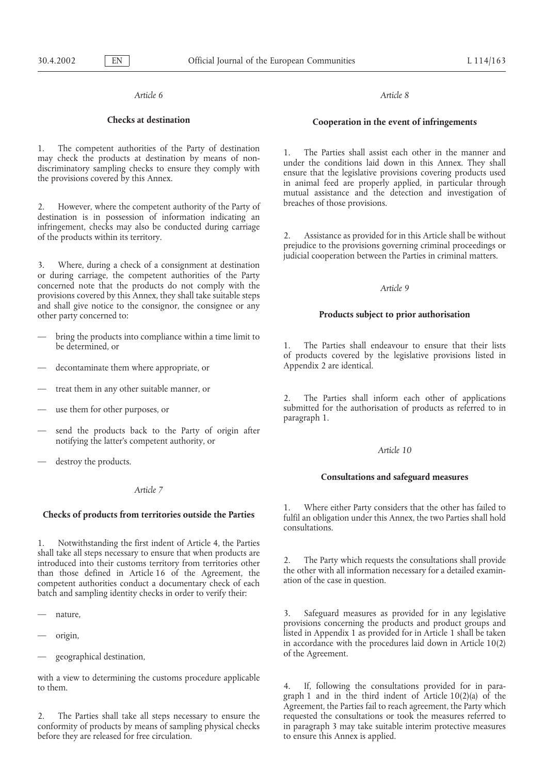## *Article 6 Article 8*

1. The competent authorities of the Party of destination<br>may check the products at destination by means of non-<br>discriminatory sampling checks to ensure they comply with<br>the provisions covered by this Annex.<br>in animal feed

breaches of those provisions. 2. However, where the competent authority of the Party of destination is in possession of information indicating an infringement, checks may also be conducted during carriage of the products within its territory. 2. Assistance as provided for in this Article shall be without

3. Where, during a check of a consignment at destination or during carriage, the competent authorities of the Party concerned note that the products do not comply with the *Article 9* provisions covered by this Annex, they shall take suitable steps and shall give notice to the consignor, the consignee or any other party concerned to: **Products subject to prior authorisation**

- bring the products into compliance within a time limit to
- decontaminate them where appropriate, or Appendix 2 are identical.
- treat them in any other suitable manner, or
- 
- send the products back to the Party of origin after notifying the latter's competent authority, or
- destroy the products.

# *Article 7*

1. Notwithstanding the first indent of Article 4, the Parties shall take all steps necessary to ensure that when products are introduced into their customs territory from territories other<br>than those defined in Article 16 of the Agreement, the the other with all information necessary for a detailed examin-<br>competent authorities conduct a document batch and sampling identity checks in order to verify their:

- 
- 
- geographical destination,  $\qquad \qquad$  of the Agreement.

with a view to determining the customs procedure applicable to them.<br> **4.** If, following the consultations provided for in para-

before they are released for free circulation. to ensure this Annex is applied.

# **Checks at destination Cooperation in the event of infringements**

mutual assistance and the detection and investigation of

prejudice to the provisions governing criminal proceedings or judicial cooperation between the Parties in criminal matters.

be determined, or 1. The Parties shall endeavour to ensure that their lists of products covered by the legislative provisions listed in

2. The Parties shall inform each other of applications use them for other purposes, or submitted for the authorisation of products as referred to in paragraph 1.

## *Article 10*

# **Consultations and safeguard measures**

1. Where either Party considers that the other has failed to **Checks of products from territories outside the Parties** fulfil an obligation under this Annex, the two Parties shall hold consultations.

— nature, 3. Safeguard measures as provided for in any legislative provisions concerning the products and product groups and origin, and isted in Appendix 1 as provided for in Article 1 shall be taken in accordance with the procedures laid down in Article 10(2)

graph 1 and in the third indent of Article 10(2)(a) of the Agreement, the Parties fail to reach agreement, the Party which 2. The Parties shall take all steps necessary to ensure the requested the consultations or took the measures referred to conformity of products by means of sampling physical checks in paragraph 3 may take suitable interim in paragraph 3 may take suitable interim protective measures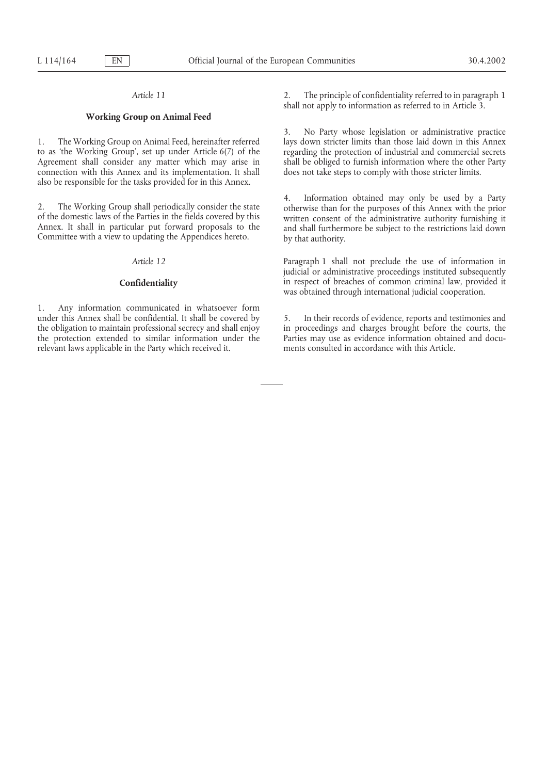# **Working Group on Animal Feed**

to as 'the Working Group', set up under Article 6(7) of the regarding the protection of industrial and commercial secrets Agreement shall consider any matter which may arise in shall be obliged to furnish information where the other Party connection with this Annex and its implementation. It shall does not take steps to comply with those stricter limits. also be responsible for the tasks provided for in this Annex.

1. Any information communicated in whatsoever form under this Annex shall be confidential. It shall be covered by 5. In their records of evidence, reports and testimonies and the obligation to maintain professional secrecy and shall enjoy in proceedings and charges brought the obligation to maintain professional secrecy and shall enjoy in proceedings and charges brought before the courts, the the protection extended to similar information under the Parties may use as evidence information obt the protection extended to similar information under the Parties may use as evidence information obtain<br>relevant laws applicable in the Party which received it. The ments consulted in accordance with this Article. relevant laws applicable in the Party which received it.

*Article 11* 2. The principle of confidentiality referred to in paragraph 1 shall not apply to information as referred to in Article 3.

3. No Party whose legislation or administrative practice 1. The Working Group on Animal Feed, hereinafter referred lays down stricter limits than those laid down in this Annex

2. The Working Group shall periodically consider the state<br>of the domestic laws of the Parties in the fields covered by this<br>Annex. It shall in particular put forward proposals to the<br>Committee with a view to updating the

*Article 12* Paragraph 1 shall not preclude the use of information in judicial or administrative proceedings instituted subsequently **Confidentiality** in respect of breaches of common criminal law, provided it was obtained through international judicial cooperation.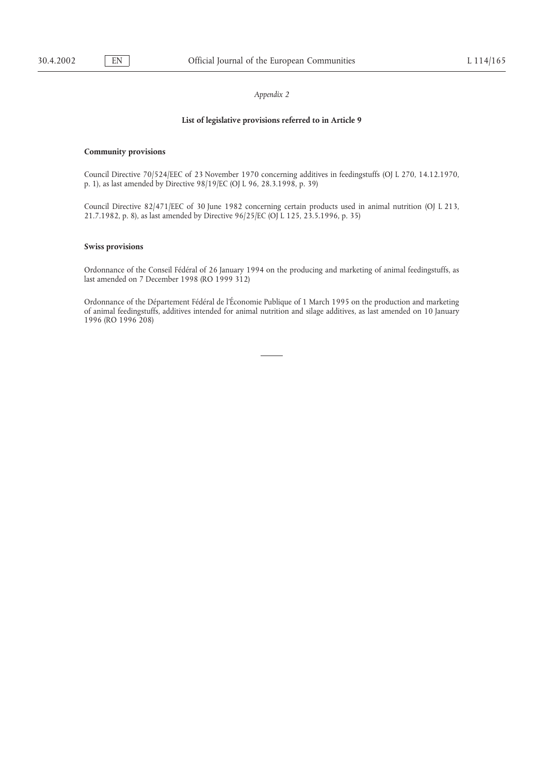### **List of legislative provisions referred to in Article 9**

### **Community provisions**

Council Directive 70/524/EEC of 23 November 1970 concerning additives in feedingstuffs (OJ L 270, 14.12.1970, p. 1), as last amended by Directive 98/19/EC (OJ L 96, 28.3.1998, p. 39)

Council Directive 82/471/EEC of 30 June 1982 concerning certain products used in animal nutrition (OJ L 213, 21.7.1982, p. 8), as last amended by Directive 96/25/EC (OJ L 125, 23.5.1996, p. 35)

### **Swiss provisions**

Ordonnance of the Conseil Fédéral of 26 January 1994 on the producing and marketing of animal feedingstuffs, as last amended on 7 December 1998 (RO 1999 312)

Ordonnance of the Département Fédéral de l'Économie Publique of 1 March 1995 on the production and marketing of animal feedingstuffs, additives intended for animal nutrition and silage additives, as last amended on 10 January 1996 (RO 1996 208)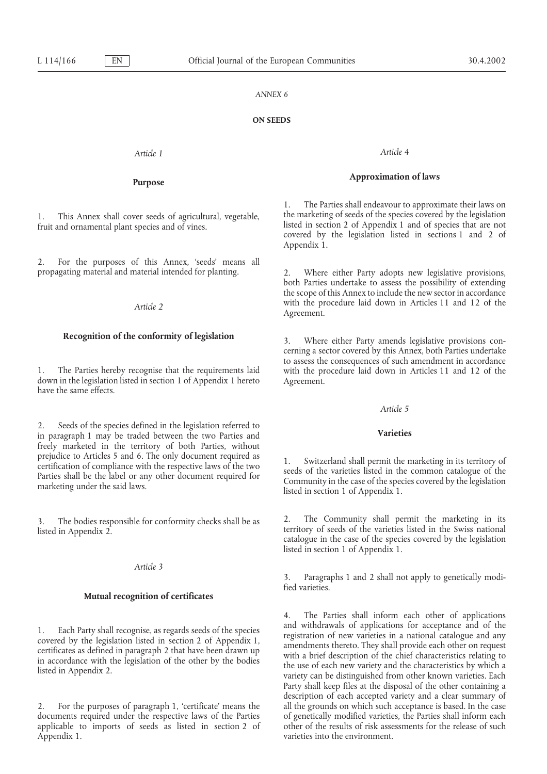### **ON SEEDS**

# *Article 1 Article 4*

2. For the purposes of this Annex, 'seeds' means all propagating material and material intended for planting. 2. Where either Party adopts new legislative provisions,

down in the legislation listed in section 1 of Appendix 1 hereto Agreement. have the same effects.

2. Seeds of the species defined in the legislation referred to **Varieties** in paragraph 1 may be traded between the two Parties and freely marketed in the territory of both Parties, without

# *Article 3*

## **Mutual recognition of certificates**

documents required under the respective laws of the Parties of genetically modified varieties, the Parties shall inform each applicable to imports of seeds as listed in section 2 of other of the results of risk assessments applicable to imports of seeds as listed in section 2 of Appendix 1. **a** a set of the environment.

# **Approximation of laws Purpose**

1. The Parties shall endeavour to approximate their laws on 1. This Annex shall cover seeds of agricultural, vegetable, the marketing of seeds of the species covered by the legislation fruit and ornamental plant species and of vines is the species that are not fruit and ornamental plant species and of vines.<br>covered by the legislation listed in sections 1 and 2 of covered by the legislation listed in sections 1 and 2 of Appendix 1.

> both Parties undertake to assess the possibility of extending the scope of this Annex to include the new sector in accordance Article 2 with the procedure laid down in Articles 11 and 12 of the *Agreement*.

**Recognition of the conformity of legislation** 3. Where either Party amends legislative provisions concerning a sector covered by this Annex, both Parties undertake to assess the consequences of such amendment in accordance 1. The Parties hereby recognise that the requirements laid with the procedure laid down in Articles 11 and 12 of the

### *Article 5*

prejudice to Articles 5 and 6. The only document required as<br>certification of compliance with the respective laws of the two<br>Parties shall be the label or any other document required for<br>marketing under the said laws.<br>iste

3. The bodies responsible for conformity checks shall be as <br>listed in Appendix 2<br>listed in Appendix 2 listed in Appendix 2. **Except** is the varieties listed in the Swiss national catalogue in the case of the species covered by the legislation catalogue in the case of the species covered by the legislation listed in section 1 of Appendix 1.

> 3. Paragraphs 1 and 2 shall not apply to genetically modified varieties.

4. The Parties shall inform each other of applications 1. Each Party shall recognise, as regards seeds of the species<br>covered by the legislation listed in section 2 of Appendix 1,<br>certificates as defined in paragraph 2 that have been drawn up<br>in accordance with the legislation Party shall keep files at the disposal of the other containing a description of each accepted variety and a clear summary of 2. For the purposes of paragraph 1, 'certificate' means the all the grounds on which such acceptance is based. In the case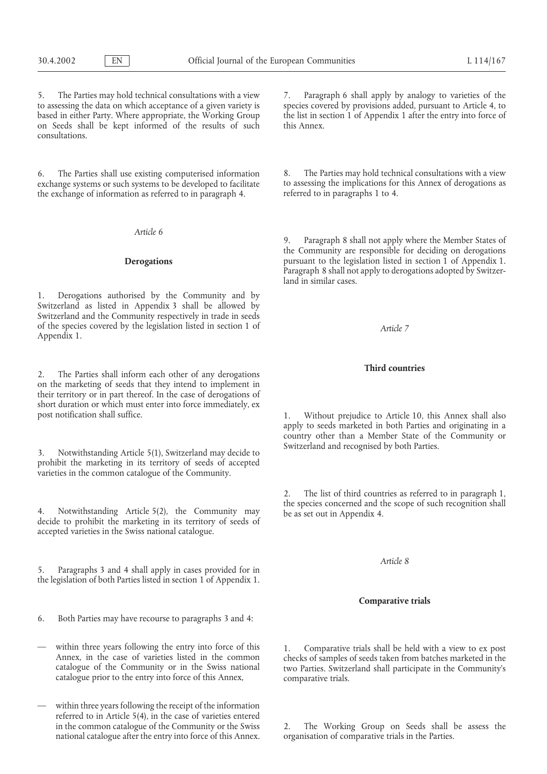5. The Parties may hold technical consultations with a view 7. Paragraph 6 shall apply by analogy to varieties of the on Seeds shall be kept informed of the results of such this Annex. consultations.

exchange systems or such systems to be developed to facilitate to assessing the implications for the exchange of information as referred to in paragraph 4. The exchange of information as referred to in paragraph 4. the exchange of information as referred to in paragraph 4.

*Article 6*

1. Derogations authorised by the Community and by Switzerland as listed in Appendix 3 shall be allowed by Switzerland and the Community respectively in trade in seeds of the species covered by the legislation listed in section 1 of *Article 7* Appendix 1.

**Third countries** 2. The Parties shall inform each other of any derogations on the marketing of seeds that they intend to implement in their territory or in part thereof. In the case of derogations of short duration or which must enter into force immediately, ex

Switzerland and recognised by both Parties. 3. Notwithstanding Article 5(1), Switzerland may decide to prohibit the marketing in its territory of seeds of accepted varieties in the common catalogue of the Community.

accepted varieties in the Swiss national catalogue.

5. Paragraphs 3 and 4 shall apply in cases provided for in the legislation of both Parties listed in section 1 of Appendix 1.

- 6. Both Parties may have recourse to paragraphs 3 and 4:
- 
- within three years following the receipt of the information referred to in Article 5(4), in the case of varieties entered national catalogue after the entry into force of this Annex. organisation of comparative trials in the Parties.

to assessing the data on which acceptance of a given variety is species covered by provisions added, pursuant to Article 4, to based in either Party. Where appropriate, the Working Group the list in section 1 of Appendix 1 after the entry into force of

6. The Parties shall use existing computerised information 8. The Parties may hold technical consultations with a view exchange systems or such systems to be developed to facilitate to assessing the implications for this A

9. Paragraph 8 shall not apply where the Member States of the Community are responsible for deciding on derogations **Derogations pursuant to the legislation listed in section 1 of Appendix 1.** Paragraph 8 shall not apply to derogations adopted by Switzerland in similar cases.

post notification shall suffice. The surface of the state of the Vithout prejudice to Article 10, this Annex shall also apply to seeds marketed in both Parties and originating in a country other than a Member State of the Community or

2. The list of third countries as referred to in paragraph 1, the species concerned and the scope of such recognition shall 4. Notwithstanding Article 5(2), the Community may be as set out in Appendix 4. decide to prohibit the marketing in its territory of seeds of

# *Article 8*

## **Comparative trials**

within three years following the entry into force of this 1. Comparative trials shall be held with a view to ex post<br>Annex, in the case of varieties listed in the common<br>catalogue of the Community or in the Swiss national

in the common catalogue of the Community or the Swiss 2. The Working Group on Seeds shall be assess the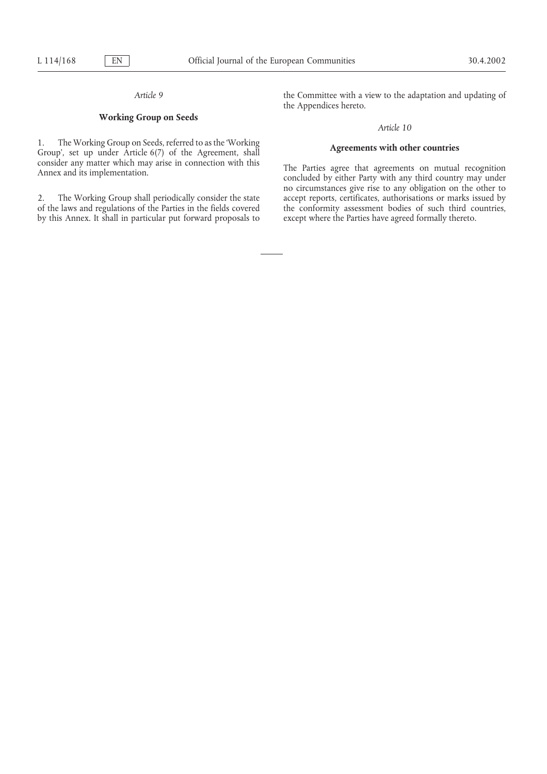# **Working Group on Seeds**

1. The Working Group on Seeds, referred to as the 'Working **Agreements with other countries** Group', set up under Article 6(7) of the Agreement, shall **Agreement Agreement** consider any matter which may arise in connection with this The Parties agree that agreements on mutual recognition Annex and its implementation. concluded by either Party with any third country may under

of the laws and regulations of the Parties in the fields covered the conformity assessment bodies of such third countries, by this Annex. It shall in particular put forward proposals to except where the Parties have agreed formally thereto.

*Article 9* the Committee with a view to the adaptation and updating of the Appendices hereto.

### *Article 10*

no circumstances give rise to any obligation on the other to 2. The Working Group shall periodically consider the state accept reports, certificates, authorisations or marks issued by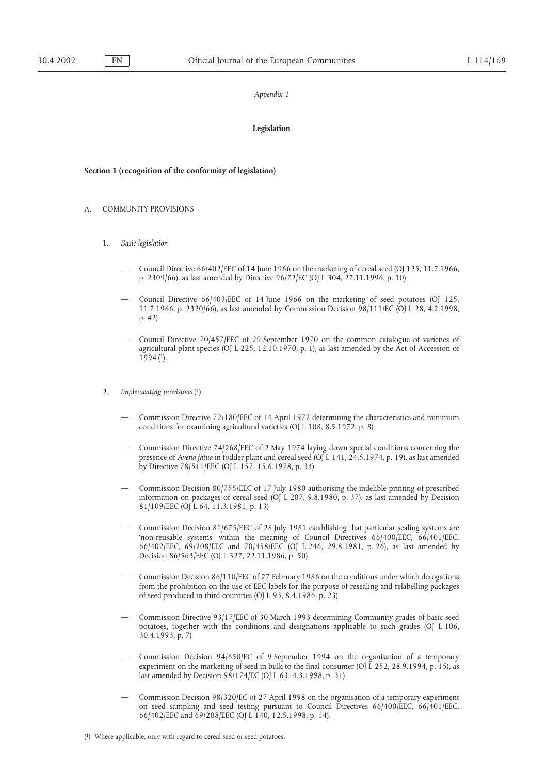### *Appendix 1*

### **Legislation**

# **Section 1 (recognition of the conformity of legislation)**

- A. COMMUNITY PROVISIONS
	- 1. *Basic legislation*
		- Council Directive 66/402/EEC of 14 June 1966 on the marketing of cereal seed (OJ 125, 11.7.1966, p. 2309/66), as last amended by Directive 96/72/EC (OJ L 304, 27.11.1996, p. 10)
		- Council Directive 66/403/EEC of 14 June 1966 on the marketing of seed potatoes (OJ 125, 11.7.1966, p. 2320/66), as last amended by Commission Decision 98/111/EC (OJ L 28, 4.2.1998, p. 42)
		- Council Directive 70/457/EEC of 29 September 1970 on the common catalogue of varieties of agricultural plant species (OJ L 225, 12.10.1970, p. 1), as last amended by the Act of Accession of  $1994$  (1).
	- 2. *Implementing provisions* (1)
		- Commission Directive 72/180/EEC of 14 April 1972 determining the characteristics and minimum conditions for examining agricultural varieties (OJ L 108, 8.5.1972, p. 8)
		- Commission Directive 74/268/EEC of 2 May 1974 laying down special conditions concerning the presence of *Avena fatua* in fodder plant and cereal seed (OJ L 141, 24.5.1974, p. 19), as last amended by Directive 78/511/EEC (OJ L 157, 15.6.1978, p. 34)
		- Commission Decision 80/755/EEC of 17 July 1980 authorising the indelible printing of prescribed information on packages of cereal seed (OJ L 207, 9.8.1980, p. 37), as last amended by Decision 81/109/EEC (OJ L 64, 11.3.1981, p. 13)
		- Commission Decision 81/675/EEC of 28 July 1981 establishing that particular sealing systems are 'non-reusable systems' within the meaning of Council Directives 66/400/EEC, 66/401/EEC, 66/402/EEC, 69/208/EEC and 70/458/EEC (OJ L 246, 29.8.1981, p. 26), as last amended by Decision 86/563/EEC (OJ L 327, 22.11.1986, p. 50)
		- Commission Decision 86/110/EEC of 27 February 1986 on the conditions under which derogations from the prohibition on the use of EEC labels for the purpose of resealing and relabelling packages of seed produced in third countries (OJ L 93, 8.4.1986, p. 23)
		- Commission Directive 93/17/EEC of 30 March 1993 determining Community grades of basic seed potatoes, together with the conditions and designations applicable to such grades (OJ L 106, 30.4.1993, p. 7)
		- Commission Decision 94/650/EC of 9 September 1994 on the organisation of a temporary experiment on the marketing of seed in bulk to the final consumer (OJ L 252, 28.9.1994, p. 15), as last amended by Decision 98/174/EC (OJ L 63, 4.3.1998, p. 31)
		- Commission Decision 98/320/EC of 27 April 1998 on the organisation of a temporary experiment on seed sampling and seed testing pursuant to Council Directives 66/400/EEC, 66/401/EEC, 66/402/EEC and 69/208/EEC (OJ L 140, 12.5.1998, p. 14).

<sup>(1)</sup> Where applicable, only with regard to cereal seed or seed potatoes.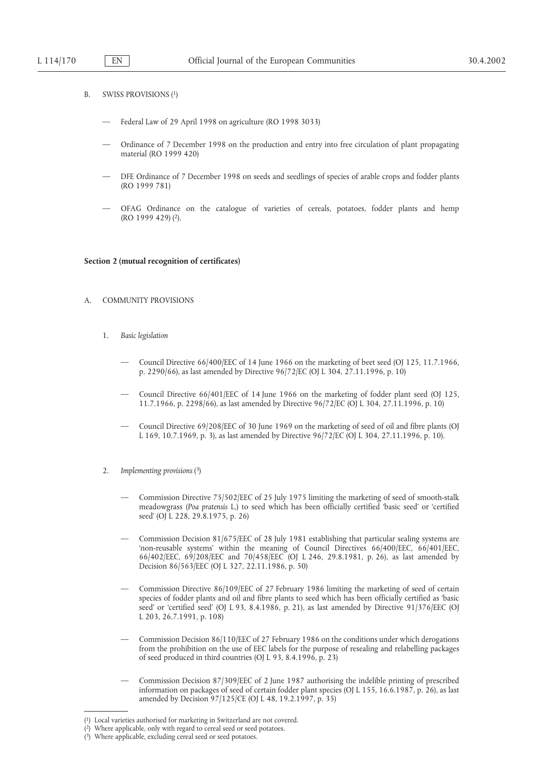- B. SWISS PROVISIONS (1)
	- Federal Law of 29 April 1998 on agriculture (RO 1998 3033)
	- Ordinance of 7 December 1998 on the production and entry into free circulation of plant propagating material (RO 1999 420)
	- DFE Ordinance of 7 December 1998 on seeds and seedlings of species of arable crops and fodder plants (RO 1999 781)
	- OFAG Ordinance on the catalogue of varieties of cereals, potatoes, fodder plants and hemp (RO 1999 429) (2).

### **Section 2 (mutual recognition of certificates)**

### A. COMMUNITY PROVISIONS

- 1. *Basic legislation*
	- Council Directive 66/400/EEC of 14 June 1966 on the marketing of beet seed (OJ 125, 11.7.1966, p. 2290/66), as last amended by Directive 96/72/EC (OJ L 304, 27.11.1996, p. 10)
	- Council Directive 66/401/EEC of 14 June 1966 on the marketing of fodder plant seed (OJ 125, 11.7.1966, p. 2298/66), as last amended by Directive 96/72/EC (OJ L 304, 27.11.1996, p. 10)
	- Council Directive 69/208/EEC of 30 June 1969 on the marketing of seed of oil and fibre plants (OJ L 169, 10.7.1969, p. 3), as last amended by Directive 96/72/EC (OJ L 304, 27.11.1996, p. 10).
- 2. *Implementing provisions* (3)
	- Commission Directive 75/502/EEC of 25 July 1975 limiting the marketing of seed of smooth-stalk meadowgrass (*Poa pratensis* L.) to seed which has been officially certified 'basic seed' or 'certified seed' (OJ L 228, 29.8.1975, p. 26)
	- Commission Decision 81/675/EEC of 28 July 1981 establishing that particular sealing systems are 'non-reusable systems' within the meaning of Council Directives 66/400/EEC, 66/401/EEC, 66/402/EEC, 69/208/EEC and 70/458/EEC (OJ L 246, 29.8.1981, p. 26), as last amended by Decision 86/563/EEC (OJ L 327, 22.11.1986, p. 50)
	- Commission Directive 86/109/EEC of 27 February 1986 limiting the marketing of seed of certain species of fodder plants and oil and fibre plants to seed which has been officially certified as 'basic seed' or 'certified seed' (OJ L 93, 8.4.1986, p. 21), as last amended by Directive 91/376/EEC (OJ L 203, 26.7.1991, p. 108)
	- Commission Decision 86/110/EEC of 27 February 1986 on the conditions under which derogations from the prohibition on the use of EEC labels for the purpose of resealing and relabelling packages of seed produced in third countries (OJ L 93, 8.4.1996, p. 23)
	- Commission Decision 87/309/EEC of 2 June 1987 authorising the indelible printing of prescribed information on packages of seed of certain fodder plant species (OJ L 155, 16.6.1987, p. 26), as last amended by Decision 97/125/CE (OJ L 48, 19.2.1997, p. 35)

<sup>(1)</sup> Local varieties authorised for marketing in Switzerland are not covered.

<sup>(</sup> Where applicable, only with regard to cereal seed or seed potatoes.

<sup>(3)</sup> Where applicable, excluding cereal seed or seed potatoes.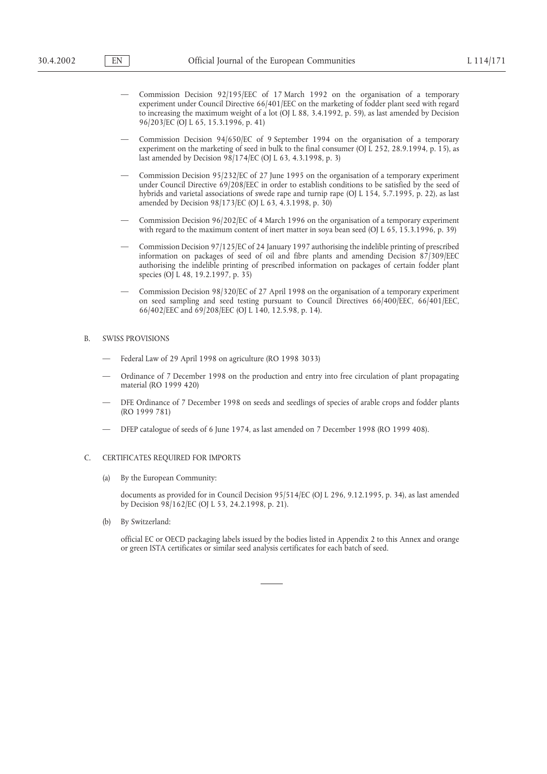- Commission Decision 92/195/EEC of 17 March 1992 on the organisation of a temporary experiment under Council Directive 66/401/EEC on the marketing of fodder plant seed with regard to increasing the maximum weight of a lot (OJ L 88, 3.4.1992, p. 59), as last amended by Decision 96/203/EC (OJ L 65, 15.3.1996, p. 41)
- Commission Decision 94/650/EC of 9 September 1994 on the organisation of a temporary experiment on the marketing of seed in bulk to the final consumer (OJ L 252, 28.9.1994, p. 15), as last amended by Decision 98/174/EC (OJ L 63, 4.3.1998, p. 3)
- Commission Decision 95/232/EC of 27 June 1995 on the organisation of a temporary experiment under Council Directive 69/208/EEC in order to establish conditions to be satisfied by the seed of hybrids and varietal associations of swede rape and turnip rape (OJ L 154, 5.7.1995, p. 22), as last amended by Decision 98/173/EC (OJ L 63, 4.3.1998, p. 30)
- Commission Decision 96/202/EC of 4 March 1996 on the organisation of a temporary experiment with regard to the maximum content of inert matter in soya bean seed (OJ L 65, 15.3.1996, p. 39)
- Commission Decision 97/125/EC of 24 January 1997 authorising the indelible printing of prescribed information on packages of seed of oil and fibre plants and amending Decision 87/309/EEC authorising the indelible printing of prescribed information on packages of certain fodder plant species (OJ L 48, 19.2.1997, p. 35)
- Commission Decision 98/320/EC of 27 April 1998 on the organisation of a temporary experiment on seed sampling and seed testing pursuant to Council Directives 66/400/EEC, 66/401/EEC, 66/402/EEC and 69/208/EEC (OJ L 140, 12.5.98, p. 14).

### B. SWISS PROVISIONS

- Federal Law of 29 April 1998 on agriculture (RO 1998 3033)
- Ordinance of 7 December 1998 on the production and entry into free circulation of plant propagating material (RO 1999 420)
- DFE Ordinance of 7 December 1998 on seeds and seedlings of species of arable crops and fodder plants (RO 1999 781)
- DFEP catalogue of seeds of 6 June 1974, as last amended on 7 December 1998 (RO 1999 408).

# C. CERTIFICATES REQUIRED FOR IMPORTS

(a) By the European Community:

documents as provided for in Council Decision 95/514/EC (OJ L 296, 9.12.1995, p. 34), as last amended by Decision 98/162/EC (OJ L 53, 24.2.1998, p. 21).

(b) By Switzerland:

official EC or OECD packaging labels issued by the bodies listed in Appendix 2 to this Annex and orange or green ISTA certificates or similar seed analysis certificates for each batch of seed.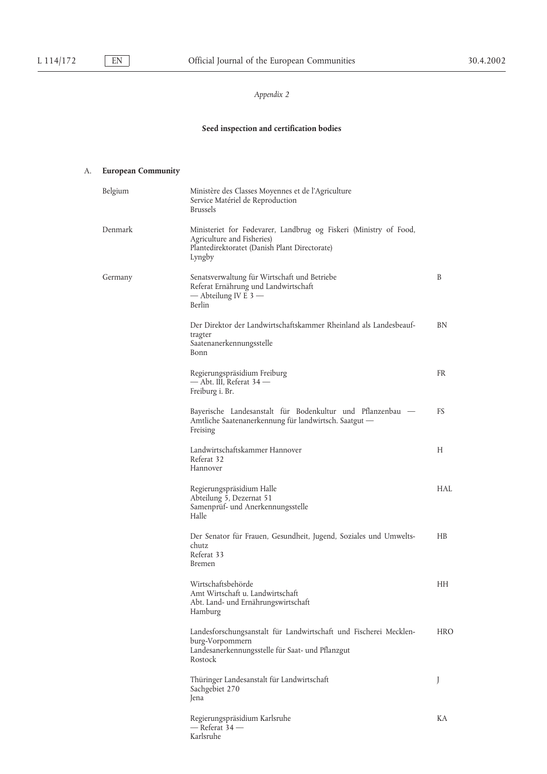# *Appendix 2*

# **Seed inspection and certification bodies**

# A. **European Community**

| Belgium | Ministère des Classes Moyennes et de l'Agriculture<br>Service Matériel de Reproduction<br><b>Brussels</b>                                                  |            |
|---------|------------------------------------------------------------------------------------------------------------------------------------------------------------|------------|
| Denmark | Ministeriet for Fødevarer, Landbrug og Fiskeri (Ministry of Food,<br>Agriculture and Fisheries)<br>Plantedirektoratet (Danish Plant Directorate)<br>Lyngby |            |
| Germany | Senatsverwaltung für Wirtschaft und Betriebe<br>Referat Ernährung und Landwirtschaft<br>— Abteilung IV E 3 —<br><b>Berlin</b>                              | B          |
|         | Der Direktor der Landwirtschaftskammer Rheinland als Landesbeauf-<br>tragter<br>Saatenanerkennungsstelle<br>Bonn                                           | BN         |
|         | Regierungspräsidium Freiburg<br>— Abt. III, Referat 34 —<br>Freiburg i. Br.                                                                                | <b>FR</b>  |
|         | Bayerische Landesanstalt für Bodenkultur und Pflanzenbau<br>Amtliche Saatenanerkennung für landwirtsch. Saatgut -<br>Freising                              | FS         |
|         | Landwirtschaftskammer Hannover<br>Referat 32<br>Hannover                                                                                                   | Н          |
|         | Regierungspräsidium Halle<br>Abteilung 5, Dezernat 51<br>Samenprüf- und Anerkennungsstelle<br>Halle                                                        | HAL        |
|         | Der Senator für Frauen, Gesundheit, Jugend, Soziales und Umwelts-<br>chutz<br>Referat 33<br><b>Bremen</b>                                                  | H B        |
|         | Wirtschaftsbehörde<br>Amt Wirtschaft u. Landwirtschaft<br>Abt. Land- und Ernährungswirtschaft<br>Hamburg                                                   | HH.        |
|         | Landesforschungsanstalt für Landwirtschaft und Fischerei Mecklen-<br>burg-Vorpommern<br>Landesanerkennungsstelle für Saat- und Pflanzgut<br>Rostock        | <b>HRO</b> |
|         | Thüringer Landesanstalt für Landwirtschaft<br>Sachgebiet 270<br>Jena                                                                                       | J          |
|         | Regierungspräsidium Karlsruhe<br>— Referat 34 —<br>Karlsruhe                                                                                               | KА         |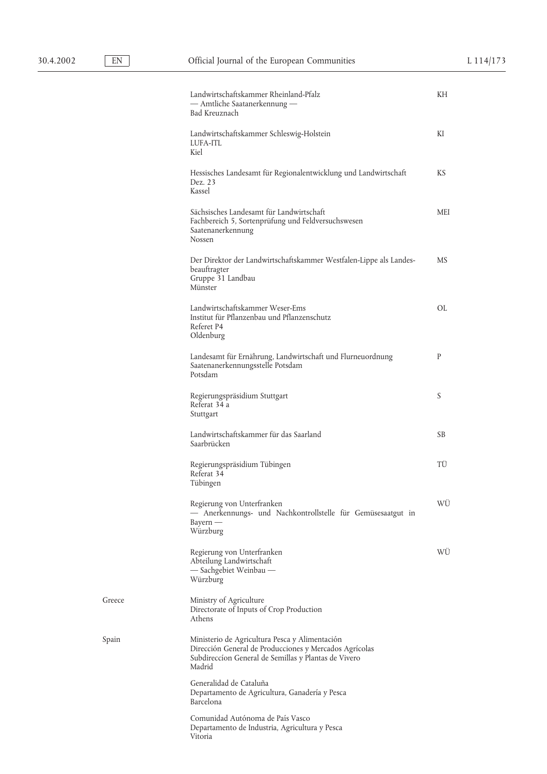Greece

|        | Landwirtschaftskammer Rheinland-Pfalz<br>- Amtliche Saatanerkennung -<br>Bad Kreuznach                                                                                     | KH  |
|--------|----------------------------------------------------------------------------------------------------------------------------------------------------------------------------|-----|
|        | Landwirtschaftskammer Schleswig-Holstein<br>LUFA-ITL<br>Kiel                                                                                                               | ΚI  |
|        | Hessisches Landesamt für Regionalentwicklung und Landwirtschaft<br>Dez. 23<br>Kassel                                                                                       | KS  |
|        | Sächsisches Landesamt für Landwirtschaft<br>Fachbereich 5, Sortenprüfung und Feldversuchswesen<br>Saatenanerkennung<br>Nossen                                              | MEI |
|        | Der Direktor der Landwirtschaftskammer Westfalen-Lippe als Landes-<br>beauftragter<br>Gruppe 31 Landbau<br>Münster                                                         | МS  |
|        | Landwirtschaftskammer Weser-Ems<br>Institut für Pflanzenbau und Pflanzenschutz<br>Referet P4<br>Oldenburg                                                                  | OL  |
|        | Landesamt für Ernährung, Landwirtschaft und Flurneuordnung<br>Saatenanerkennungsstelle Potsdam<br>Potsdam                                                                  | P   |
|        | Regierungspräsidium Stuttgart<br>Referat 34 a<br>Stuttgart                                                                                                                 | S   |
|        | Landwirtschaftskammer für das Saarland<br>Saarbrücken                                                                                                                      | SB  |
|        | Regierungspräsidium Tübingen<br>Referat 34<br>Tübingen                                                                                                                     | TÜ  |
|        | Regierung von Unterfranken<br>- Anerkennungs- und Nachkontrollstelle für Gemüsesaatgut in<br>$Bayern$ —<br>Würzburg                                                        | WÛ  |
|        | Regierung von Unterfranken<br>Abteilung Landwirtschaft<br>- Sachgebiet Weinbau<br>Würzburg                                                                                 | WÜ  |
| Greece | Ministry of Agriculture<br>Directorate of Inputs of Crop Production<br>Athens                                                                                              |     |
| Spain  | Ministerio de Agricultura Pesca y Alimentación<br>Dirección General de Producciones y Mercados Agrícolas<br>Subdireccion General de Semillas y Plantas de Vivero<br>Madrid |     |
|        | Generalidad de Cataluña<br>Departamento de Agricultura, Ganadería y Pesca<br>Barcelona                                                                                     |     |
|        | Comunidad Autónoma de País Vasco<br>Departamento de Industria, Agricultura y Pesca<br>Vitoria                                                                              |     |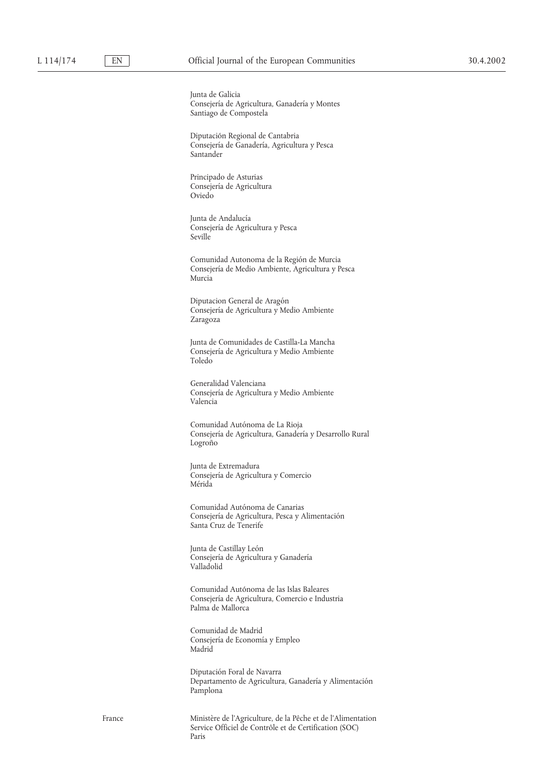Junta de Galicia Consejería de Agricultura, Ganadería y Montes Santiago de Compostela

Diputación Regional de Cantabria Consejería de Ganadería, Agricultura y Pesca Santander

Principado de Asturias Consejería de Agricultura Oviedo

Junta de Andalucía Consejería de Agricultura y Pesca Seville

Comunidad Autonoma de la Región de Murcia Consejería de Medio Ambiente, Agricultura y Pesca Murcia

Diputacion General de Aragón Consejería de Agricultura y Medio Ambiente Zaragoza

Junta de Comunidades de Castilla-La Mancha Consejería de Agricultura y Medio Ambiente Toledo

Generalidad Valenciana Consejería de Agricultura y Medio Ambiente Valencia

Comunidad Autónoma de La Rioja Consejería de Agricultura, Ganadería y Desarrollo Rural Logroño

Junta de Extremadura Consejería de Agricultura y Comercio Mérida

Comunidad Autónoma de Canarias Consejería de Agricultura, Pesca y Alimentación Santa Cruz de Tenerife

Junta de Castillay León Consejería de Agricultura y Ganadería Valladolid

Comunidad Autónoma de las Islas Baleares Consejería de Agricultura, Comercio e Industria Palma de Mallorca

Comunidad de Madrid Consejería de Economía y Empleo Madrid

Diputación Foral de Navarra Departamento de Agricultura, Ganadería y Alimentación Pamplona

France Ministère de l'Agriculture, de la Pêche et de l'Alimentation Service Officiel de Contrôle et de Certification (SOC) Paris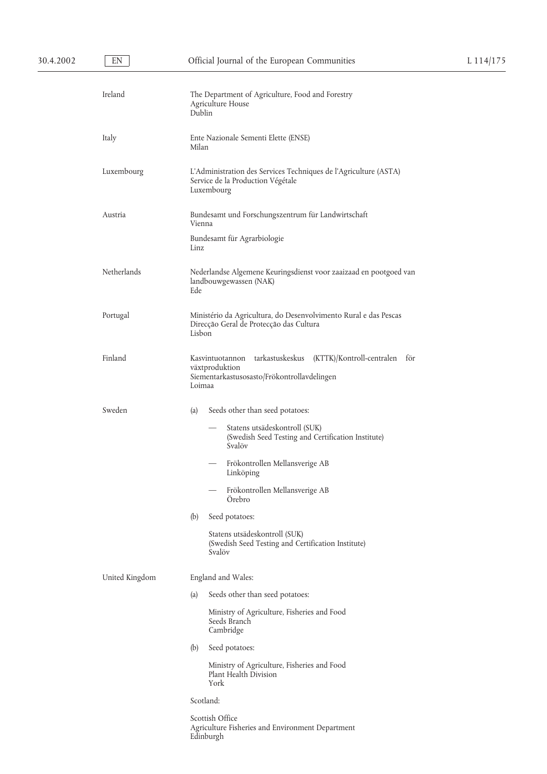| Ireland        | The Department of Agriculture, Food and Forestry<br>Agriculture House<br>Dublin                                                             |
|----------------|---------------------------------------------------------------------------------------------------------------------------------------------|
| Italy          | Ente Nazionale Sementi Elette (ENSE)<br>Milan                                                                                               |
| Luxembourg     | L'Administration des Services Techniques de l'Agriculture (ASTA)<br>Service de la Production Végétale<br>Luxembourg                         |
| Austria        | Bundesamt und Forschungszentrum für Landwirtschaft<br>Vienna                                                                                |
|                | Bundesamt für Agrarbiologie<br>Linz                                                                                                         |
| Netherlands    | Nederlandse Algemene Keuringsdienst voor zaaizaad en pootgoed van<br>landbouwgewassen (NAK)<br>Ede                                          |
| Portugal       | Ministério da Agricultura, do Desenvolvimento Rural e das Pescas<br>Direcção Geral de Protecção das Cultura<br>Lisbon                       |
| Finland        | Kasvintuotannon tarkastuskeskus (KTTK)/Kontroll-centralen<br>för<br>växtproduktion<br>Siementarkastusosasto/Frökontrollavdelingen<br>Loimaa |
| Sweden         | (a)<br>Seeds other than seed potatoes:                                                                                                      |
|                | Statens utsädeskontroll (SUK)<br>(Swedish Seed Testing and Certification Institute)<br>Svalöv                                               |
|                | Frökontrollen Mellansverige AB<br>Linköping                                                                                                 |
|                | Frökontrollen Mellansverige AB<br>Orebro                                                                                                    |
|                | Seed potatoes:<br>(b)                                                                                                                       |
|                | Statens utsädeskontroll (SUK)<br>(Swedish Seed Testing and Certification Institute)<br>Svalöv                                               |
| United Kingdom | England and Wales:                                                                                                                          |
|                | Seeds other than seed potatoes:<br>(a)                                                                                                      |
|                | Ministry of Agriculture, Fisheries and Food<br>Seeds Branch<br>Cambridge                                                                    |
|                | (b)<br>Seed potatoes:                                                                                                                       |
|                | Ministry of Agriculture, Fisheries and Food<br>Plant Health Division<br>York                                                                |
|                | Scotland:                                                                                                                                   |
|                | Scottish Office<br>Agriculture Fisheries and Environment Department<br>Edinburgh                                                            |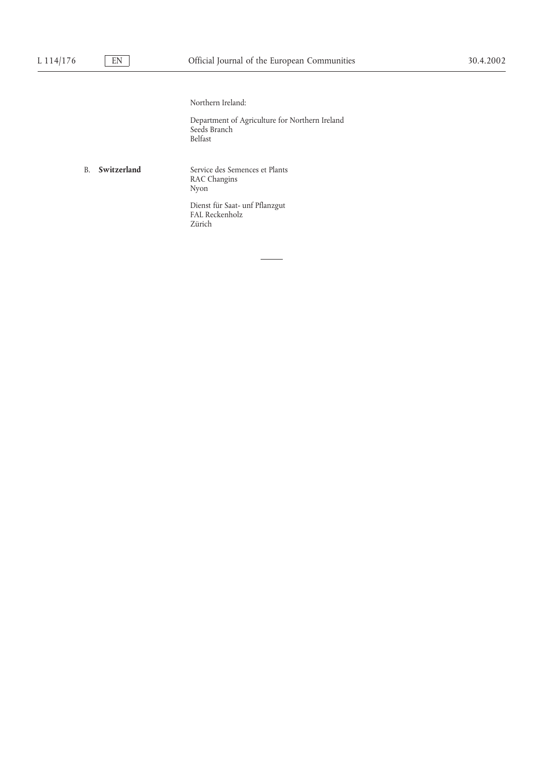### Northern Ireland:

Department of Agriculture for Northern Ireland Seeds Branch Belfast

B. **Switzerland** Service des Semences et Plants RAC Changins Nyon

> Dienst für Saat- unf Pflanzgut FAL Reckenholz Zürich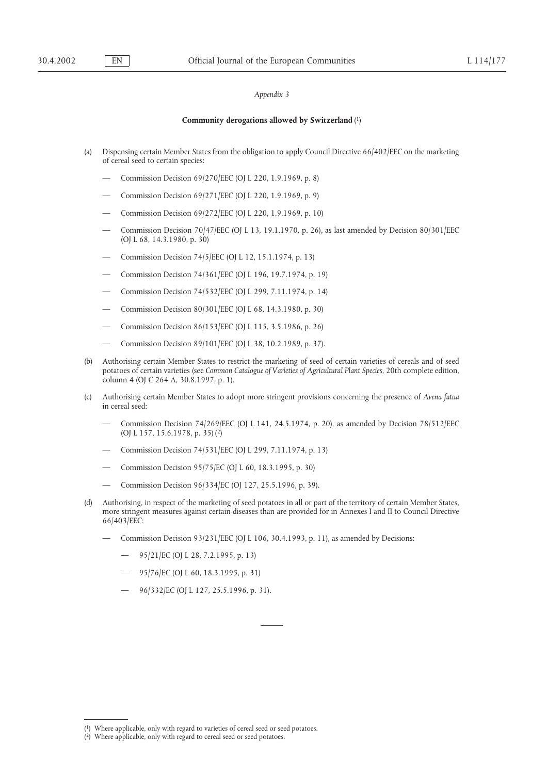### *Appendix 3*

### **Community derogations allowed by Switzerland** (1)

- (a) Dispensing certain Member States from the obligation to apply Council Directive 66/402/EEC on the marketing of cereal seed to certain species:
	- Commission Decision 69/270/EEC (OJ L 220, 1.9.1969, p. 8)
	- Commission Decision 69/271/EEC (OJ L 220, 1.9.1969, p. 9)
	- Commission Decision 69/272/EEC (OJ L 220, 1.9.1969, p. 10)
	- Commission Decision 70/47/EEC (OJ L 13, 19.1.1970, p. 26), as last amended by Decision 80/301/EEC (OJ L 68, 14.3.1980, p. 30)
	- Commission Decision 74/5/EEC (OJ L 12, 15.1.1974, p. 13)
	- Commission Decision 74/361/EEC (OJ L 196, 19.7.1974, p. 19)
	- Commission Decision 74/532/EEC (OJ L 299, 7.11.1974, p. 14)
	- Commission Decision 80/301/EEC (OJ L 68, 14.3.1980, p. 30)
	- Commission Decision 86/153/EEC (OJ L 115, 3.5.1986, p. 26)
	- Commission Decision 89/101/EEC (OJ L 38, 10.2.1989, p. 37).
- (b) Authorising certain Member States to restrict the marketing of seed of certain varieties of cereals and of seed potatoes of certain varieties (see *Common Catalogue of Varieties of Agricultural Plant Species*, 20th complete edition, column 4 (OJ C 264 A, 30.8.1997, p. 1).
- (c) Authorising certain Member States to adopt more stringent provisions concerning the presence of *Avena fatua* in cereal seed:
	- Commission Decision 74/269/EEC (OJ L 141, 24.5.1974, p. 20), as amended by Decision 78/512/EEC (OJ L 157, 15.6.1978, p. 35) (2)
	- Commission Decision 74/531/EEC (OJ L 299, 7.11.1974, p. 13)
	- Commission Decision 95/75/EC (OJ L 60, 18.3.1995, p. 30)
	- Commission Decision 96/334/EC (OJ 127, 25.5.1996, p. 39).
- (d) Authorising, in respect of the marketing of seed potatoes in all or part of the territory of certain Member States, more stringent measures against certain diseases than are provided for in Annexes I and II to Council Directive 66/403/EEC:
	- Commission Decision 93/231/EEC (OJ L 106, 30.4.1993, p. 11), as amended by Decisions:
		- 95/21/EC (OJ L 28, 7.2.1995, p. 13)
		- 95/76/EC (OJ L 60, 18.3.1995, p. 31)
		- 96/332/EC (OJ L 127, 25.5.1996, p. 31).

<sup>(</sup> Where applicable, only with regard to varieties of cereal seed or seed potatoes.

<sup>(2)</sup> Where applicable, only with regard to cereal seed or seed potatoes.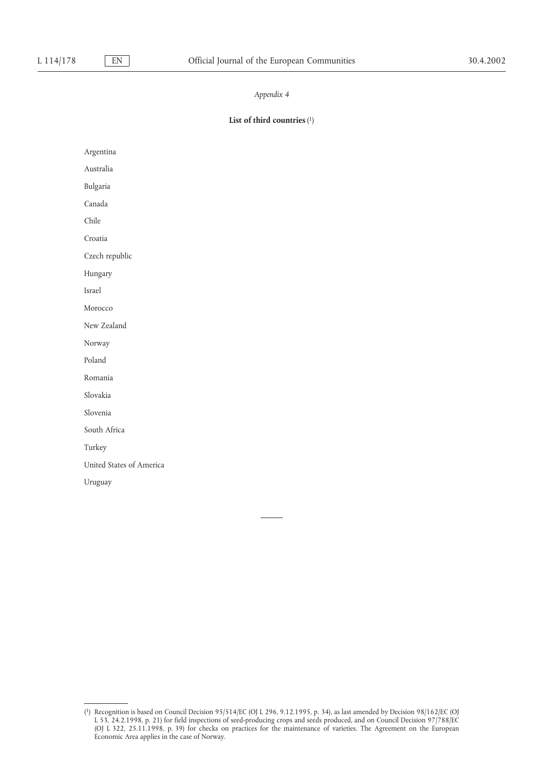### *Appendix 4*

### **List of third countries**(1)

Argentina

Australia

Bulgaria

Canada

Chile

Croatia

Czech republic

Hungary

Israel

Morocco

New Zealand

Norway

Poland

Romania

Slovakia

Slovenia

South Africa

Turkey

United States of America

Uruguay

<sup>(1)</sup> Recognition is based on Council Decision 95/514/EC (OJ L 296, 9.12.1995, p. 34), as last amended by Decision 98/162/EC (OJ L 53, 24.2.1998, p. 21) for field inspections of seed-producing crops and seeds produced, and on Council Decision 97/788/EC (OJ L 322, 25.11.1998, p. 39) for checks on practices for the maintenance of varieties. The Agreement on the European Economic Area applies in the case of Norway.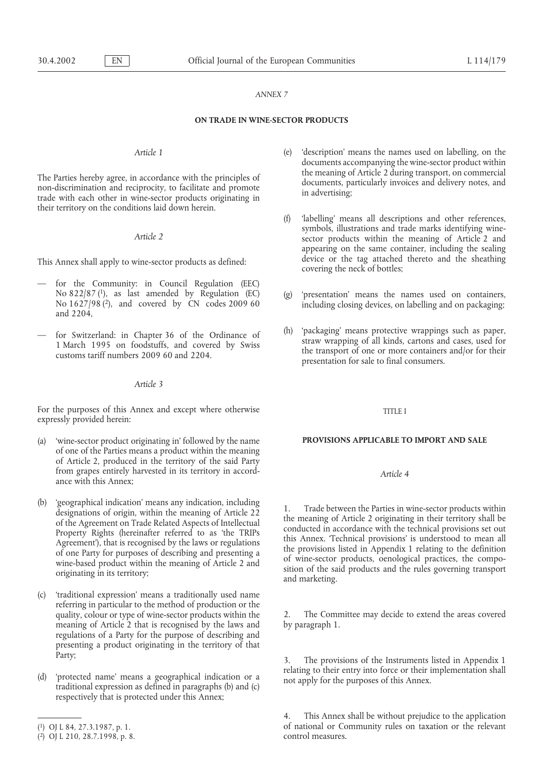### *ANNEX 7*

### **ON TRADE IN WINE-SECTOR PRODUCTS**

their territory on the conditions laid down herein.

- for the Community: in Council Regulation (EEC) No 822/87 (1), as last amended by Regulation (EC) (g) 'presentation' means the names used on containers, No 1627/98 (2), and covered by CN codes 2009 60 including closing devices, on labelling and on packaging; and 2204.
- 

### *Article 3*

For the purposes of this Annex and except where otherwise TITLE I expressly provided herein:

- (a) 'wine-sector product originating in' followed by the name **PROVISIONS APPLICABLE TO IMPORT AND SALE** of one of the Parties means a product within the meaning of Article 2, produced in the territory of the said Party from grapes entirely harvested in its territory in accord- *Article 4* ance with this Annex;
- (b) 'geographical indication' means any indication, including<br>
designations of origin, within the meaning of Article 22<br>
of the Agreement on Trade Related Aspects of Intellectual<br>
Property Rights (hereinafter referred to a
- (c) 'traditional expression' means a traditionally used name referring in particular to the method of production or the quality, colour or type of wine-sector products within the 2. The Committee may decide to extend the areas covered meaning of Article 2 that is recognised by the laws and by paragraph 1. regulations of a Party for the purpose of describing and presenting a product originating in the territory of that Party;<br>
2. The provisions of the Instruments listed in Appendix 1
- respectively that is protected under this Annex;
- *Article 1* (e) 'description' means the names used on labelling, on the documents accompanying the wine-sector product within The Parties hereby agree, in accordance with the principles of the meaning of Article 2 during transport, on commercial documents, particularly invoices and delivery notes, and trade with each other in wine-sector products
- (f) 'labelling' means all descriptions and other references, symbols, illustrations and trade marks identifying wine-<br>*Article 2* sector products within the meaning of Article 2 and appearing on the same container, including the sealing device or the tag attached thereto and the sheathing This Annex shall apply to wine-sector products as defined: device or the tag attached covering the neck of bottles;
	-
	- for Switzerland: in Chapter 36 of the Ordinance of (h) 'packaging' means protective wrappings such as paper,<br>1 March 1995 on foodstuffs, and covered by Swiss<br>customs tariff numbers 2009 60 and 2204.<br>presentation for sale t

(d) 'protected name' means a geographical indication or a relating to their entry into force or their implementation shall not apply for the purposes of this Annex. traditional expression as defined in paragraphs (b) and

This Annex shall be without prejudice to the application (1) OJ L 84, 27.3.1987, p. 1. of national or Community rules on taxation or the relevant (2) OLL 210, 28, 7.1998, p. 8.

 $(2)$  OJ L 210, 28.7.1998, p. 8.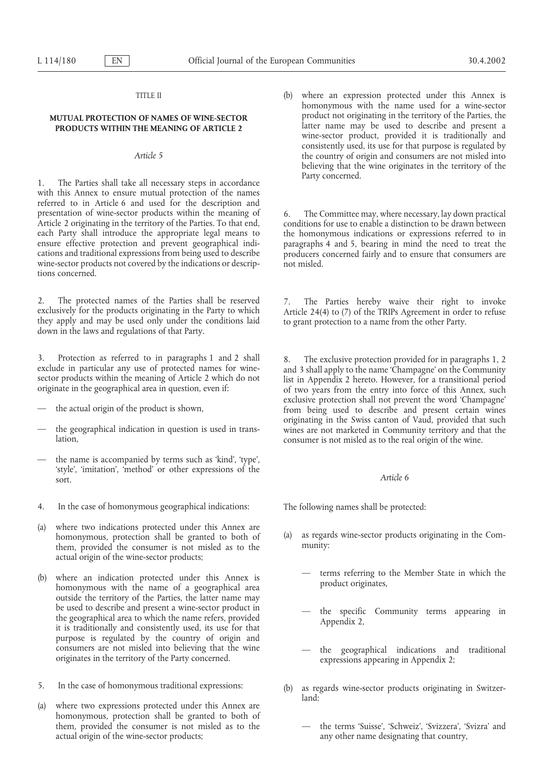1. The Parties shall take all necessary steps in accordance with this Annex to ensure mutual protection of the names referred to in Article 6 and used for the description and presentation of wine-sector products within the meaning of 6. The Committee may, where necessary, lay down practical<br>Article 2 originating in the territory of the Parties. To that end, conditions for use to enable a distin wine-sector products not covered by the indications or descrip- not misled. tions concerned.

2. The protected names of the Parties shall be reserved 7. The Parties hereby waive their right to invoke exclusively for the products originating in the Party to which the Article 24(4) to (7) of the TRIPs Agreement in or

3. Protection as referred to in paragraphs 1 and 2 shall 8. The exclusive protection provided for in paragraphs 1, 2 exclude in particular any use of protected names for wine-<br>sector products within the meaning of Article

- 
- 
- the name is accompanied by terms such as 'kind', 'type', 'style', 'imitation', 'method' or other expressions of the sort. *Article 6*
- 4. In the case of homonymous geographical indications: The following names shall be protected:
- (a) where two indications protected under this Annex are homonymous, protection shall be granted to both of (a) as regards wine-sector products originating in the Com-<br>them provided the consumer is not misled as to the munity: them, provided the consumer is not misled as to the actual origin of the wine-sector products;
- outside the territory of the Parties, the latter name may be used to describe and present a wine-sector product in <br>the geographical area to which the name refers, provided<br>it is traditionally and consistently used, its use for that<br> $\sum_{n=1}^{\infty}$  Appendix 2, purpose is regulated by the country of origin and consumers are not misled into believing that the wine consumers are not misled into believing that the wine — the geographical indications and traditional originates in the territory of the Party concerned. expressions appearing in Appendix 2;
- 
- (a) where two expressions protected under this Annex are homonymous, protection shall be granted to both of them, provided the consumer is not misled as to the — the terms 'Suisse', 'Schweiz', 'Svizzera', 'Svizra' and actual origin of the wine-sector products; any other name designating that country,

TITLE II (b) where an expression protected under this Annex is homonymous with the name used for a wine-sector **MUTUAL PROTECTION OF NAMES OF WINE-SECTOR** product not originating in the territory of the Parties, the latter name may be used to describe and present a **PRODUCTS WITHIN THE MEANING OF ARTICLE 2** wine-sector product, provided it is traditionally and consistently used, its use for that purpose is regulated by *Article 5* the country of origin and consumers are not misled into believing that the wine originates in the territory of the

conditions for use to enable a distinction to be drawn between each Party shall introduce the appropriate legal means to the homonymous indications or expressions referred to in ensure effective protection and prevent geographical indi-<br>paragraphs 4 and 5, bearing in mind the need to paragraphs 4 and 5, bearing in mind the need to treat the cations and traditional expressions from being used to describe producers concerned fairly and to ensure that consumers are

exclusive protection shall not prevent the word 'Champagne' the actual origin of the product is shown, the actual origin of the product is shown,  $\frac{1}{2}$  from being used to describe and present certain wines originating in the Swiss canton of Vaud, provided that such<br>the geographical indication in question is used in trans-<br>lation,<br>consumer is not misled as to the real origin of the wine.

- 
- (b) where an indication protected under this Annex is  $-$  terms referring to the Member State in which the homonymous with the name of a geographical area
	-
	-
- 5. In the case of homonymous traditional expressions: (b) as regards wine-sector products originating in Switzerland:
	-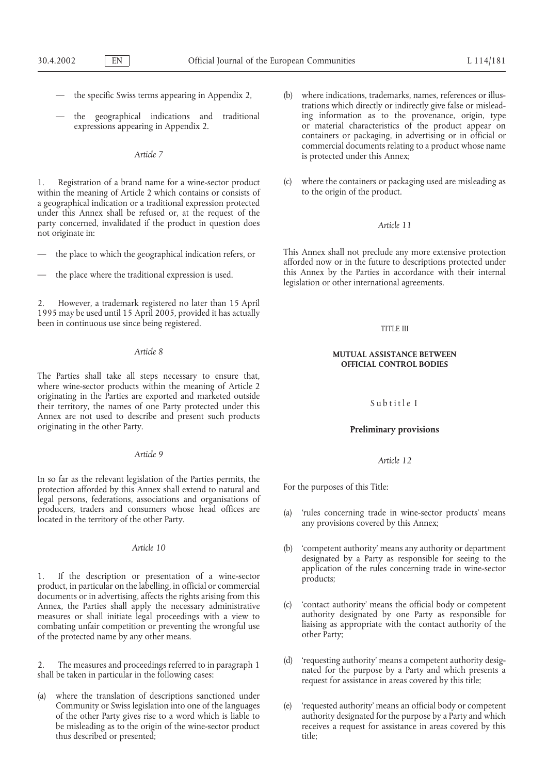- 
- 

within the meaning of Article 2 which contains or consists of a geographical indication or a traditional expression protected under this Annex shall be refused or, at the request of the party concerned, invalidated if the product in question does *Article 11* not originate in:

- 
- 

2. However, a trademark registered no later than 15 April 1995 may be used until 15 April 2005, provided it has actually been in continuous use since being registered. THE III

The Parties shall take all steps necessary to ensure that, where wine-sector products within the meaning of Article 2 originating in the Parties are exported and marketed outside originating in the Parties are exported and marketed outside Subtitle I their territory, the names of one Party protected under this Annex are not used to describe and present such products originating in the other Party. **Preliminary provisions**

In so far as the relevant legislation of the Parties permits, the protection afforded by this Annex shall extend to natural and For the purposes of this Title: legal persons, federations, associations and organisations of

1. If the description or presentation of a wine-sector products; product, in particular on the labelling, in official or commercial documents or in advertising, affects the rights arising from this Annex, the Parties shall apply the necessary administrative (c) 'contact authority' means the official body or competent measures or shall initiate legal proceedings with a view to authority designated by one Party as resp measures or shall initiate legal proceedings with a view to authority designated by one Party as responsible for<br>combating unfair competition or preventing the wrongful use liaising as appropriate with the contact authorit combating unfair competition or preventing the wrongful use liaising as a<br>of the protected name by any other means of the protected name by any other means.

(a) where the translation of descriptions sanctioned under Community or Swiss legislation into one of the languages (e) 'requested authority' means an official body or competent thus described or presented; title;

- the specific Swiss terms appearing in Appendix 2, (b) where indications, trademarks, names, references or illustrations which directly or indirectly give false or mislead the geographical indications and traditional ing information as to the provenance, origin, type<br>
or material characteristics of the product appear on or material characteristics of the product appear on containers or packaging, in advertising or in official or commercial documents relating to a product whose name Article 7 is protected under this Annex;
- 1. Registration of a brand name for a wine-sector product (c) where the containers or packaging used are misleading as within the meaning of Article 2 which contains or consists of to the origin of the product.

the place to which the geographical indication refers, or This Annex shall not preclude any more extensive protection afforded now or in the future to descriptions protected under the place where the traditional expression is used. this Annex by the Parties in accordance with their internal legislation or other international agreements.

# *Article 8* **MUTUAL ASSISTANCE BETWEEN OFFICIAL CONTROL BODIES**

# *Article 9 Article 12*

- producers, traders and consumers whose head offices are (a) 'rules concerning trade in wine-sector products' means located in the territory of the other Party. any provisions covered by this Annex;
	- *Article 10* (b) 'competent authority' means any authority or department designated by a Party as responsible for seeing to the application of the rules concerning trade in wine-sector
		-
- 2. The measures and proceedings referred to in paragraph 1 (d) 'requesting authority' means a competent authority desig-<br>shall be taken in particular in the following cases:<br>request for assistance in areas covered by this
	- of the other Party gives rise to a word which is liable to authority designated for the purpose by a Party and which be misleading as to the origin of the wine-sector product receives a request for assistance in areas covered by this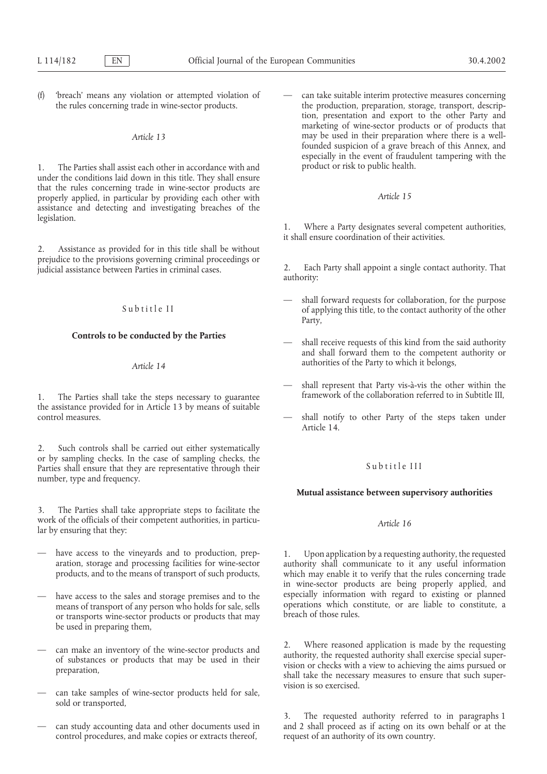(f) 'breach' means any violation or attempted violation of — can take suitable interim protective measures concerning

1. The Parties shall assist each other in accordance with and under the conditions laid down in this title. They shall ensure that the rules concerning trade in wine-sector products are properly applied, in particular by providing each other with *Article 15* assistance and detecting and investigating breaches of the legislation. 1. Where a Party designates several competent authorities,

2. Assistance as provided for in this title shall be without prejudice to the provisions governing criminal proceedings or <br>judicial assistance between Parties in criminal cases. <br>authority: <br>authority:

1. The Parties shall take the steps necessary to guarantee the assistance provided for in Article 13 by means of suitable control measures.

2. Such controls shall be carried out either systematically or by sampling checks. In the case of sampling checks, the Subtitle III Parties shall ensure that they are representative through their Subtitle III number, type and frequency.

3. The Parties shall take appropriate steps to facilitate the work of the officials of their competent authorities, in particu-<br>*Article 16 Article 16 Article 16* 

- 
- or transports wine-sector products or products that may be used in preparing them,
- 
- can take samples of wine-sector products held for sale, sold or transported,
- control procedures, and make copies or extracts thereof, request of an authority of its own country.

the rules concerning trade in wine-sector products. the production, preparation, storage, transport, description, presentation and export to the other Party and marketing of wine-sector products or of products that *Article 13* may be used in their preparation where there is a wellfounded suspicion of a grave breach of this Annex, and especially in the event of fraudulent tampering with the

it shall ensure coordination of their activities.

- shall forward requests for collaboration, for the purpose Subtitle II of applying this title, to the contact authority of the other Party,
- **Controls to be conducted by the Parties** shall receive requests of this kind from the said authority and shall forward them to the competent authority or authorities of the Party to which it belongs, *Article 14*
	- shall represent that Party vis-à-vis the other within the framework of the collaboration referred to in Subtitle III.
	- shall notify to other Party of the steps taken under Article 14.

### **Mutual assistance between supervisory authorities**

have access to the vineyards and to production, prep-<br>aration, storage and processing facilities for wine-sector<br>authority shall communicate to it any useful information aration, storage and processing facilities for wine-sector authority shall communicate to it any useful information products, and to the means of transport of such products, which may enable it to verify that the rules con which may enable it to verify that the rules concerning trade in wine-sector products are being properly applied, and have access to the sales and storage premises and to the especially information with regard to existing or planned means of transport of any person who holds for sale, sells operations which constitute, or are liable to constitute, a<br>or transports wine sector products or products that may breach of those rules.

can make an inventory of the wine-sector products and<br>of substances or products that may be used in their<br>preparation,<br>that may be used in their<br>preparation,<br>shall take the necessary measures to ensure that such super-<br>pre vision is so exercised.

3. The requested authority referred to in paragraphs 1 can study accounting data and other documents used in and 2 shall proceed as if acting on its own behalf or at the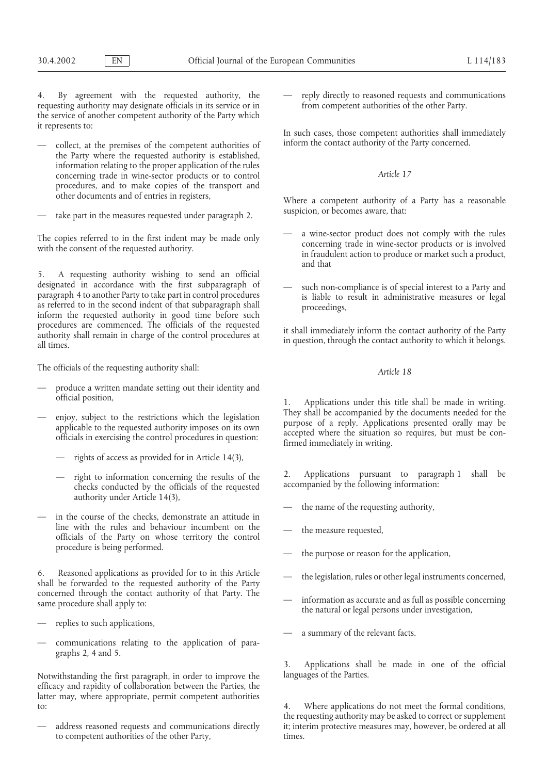4. By agreement with the requested authority, the — reply directly to reasoned requests and communications requesting authority may designate officials in its service or in from competent authorities of the other Party. the service of another competent authority of the Party which it represents to: In such cases, those competent authorities shall immediately

- the Party where the requested authority is established, information relating to the proper application of the rules concerning trade in wine-sector products or to control *Article 17* procedures, and to make copies of the transport and other documents and of entries in registers, Where a competent authority of a Party has a reasonable
- take part in the measures requested under paragraph 2. Suspicion, or becomes aware, that:

5. A requesting authority wishing to send an official designated in accordance with the first subparagraph of paragraph  $\frac{1}{2}$  such non-compliance is of special interest to a Party and paragraph  $\frac{1}{4}$  to another Party to take part in control procedures as referred to i procedures are commenced. The officials of the requested<br>authority shall remain in charge of the control procedures at<br>all times.<br>all times.

The officials of the requesting authority shall: *Article 18*

- produce a written mandate setting out their identity and official position,
- - rights of access as provided for in Article 14(3),
	- checks conducted by the officials of the requested authority under Article 14(3),
- in the course of the checks, demonstrate an attitude in line with the rules and behaviour incumbent on the line with the rules and behaviour incumbent on the — the measure requested, officials of the Party on whose territory the control

6. Reasoned applications as provided for to in this Article — the legislation, rules or other legal instruments concerned, shall be forwarded to the requested authority of the Party concerned through the contact authority of that Party. The information as accurate and as full as possible concerning the natural or legal persons under investigation,

- replies to such applications,
- communications relating to the application of paragraphs 2, 4 and 5.

Notwithstanding the first paragraph, in order to improve the languages of the Parties. efficacy and rapidity of collaboration between the Parties, the latter may, where appropriate, permit competent authorities to: 4. Where applications do not meet the formal conditions,

to competent authorities of the other Party, times.

— collect, at the premises of the competent authorities of inform the contact authority of the Party concerned.

- The copies referred to in the first indent may be made only a wine-sector product does not comply with the rules<br>with the consent of the requested authority.<br>in fraudulent action to produce or market such a product, and that
	-

1. Applications under this title shall be made in writing. enjoy, subject to the restrictions which the legislation<br>applicable to the requested authority imposes on its own<br>officials in exercising the control procedures in question:<br>firmed immediately in writing.

— right to information concerning the results of the 2. Applications pursuant to paragraph 1 shall be checks conducted by the officials of the requested accompanied by the following information:

- the name of the requesting authority,
- 
- the purpose or reason for the application,
- 
- 
- a summary of the relevant facts.

3. Applications shall be made in one of the official

the requesting authority may be asked to correct or supplement address reasoned requests and communications directly it; interim protective measures may, however, be ordered at all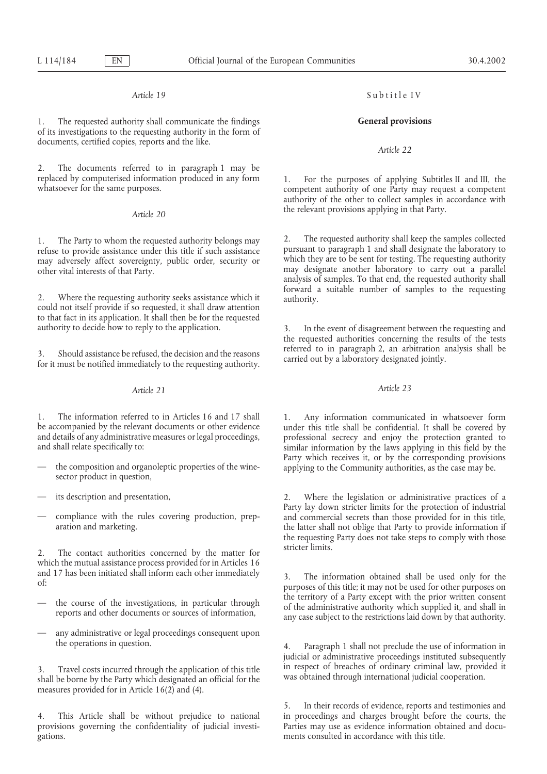1. The requested authority shall communicate the findings **General provisions** of its investigations to the requesting authority in the form of documents, certified copies, reports and the like. *Article 22* 

2. The documents referred to in paragraph 1 may be replaced by computerised information produced in any form

refuse to provide assistance under this title if such assistance pursuant to paragraph 1 and shall designate the laboratory to may adversely affect sovereignty, public order, security or which they are to be sent for testi may adversely affect sovereignty, public order, security or other vital interests of that Party. may designate another laboratory to carry out a parallel

2. Where the requesting authority seeks assistance which it authority.<br>could not itself provide if so requested, it shall draw attention to that fact in its application. It shall then be for the requested authority to decide how to reply to the application.

3. Should assistance be refused, the decision and the reasons<br>for it must be notified immediately to the requesting authority. carried out by a laboratory designated jointly.

1. The information referred to in Articles 16 and 17 shall 1. Any information communicated in whatsoever form be accompanied by the relevant documents or other evidence under this title shall be confidential. It shall be c and details of any administrative measures or legal proceedings, and shall relate specifically to:

- 
- 
- 

2. The contact authorities concerned by the matter for which the mutual assistance process provided for in Articles 16 and 17 has been initiated shall inform each other immediately

- 
- any administrative or legal proceedings consequent upon the operations in question. 4. Paragraph 1 shall not preclude the use of information in

measures provided for in Article 16(2) and (4).

provisions governing the confidentiality of judicial investi-<br>Parties may use as evidence information obtained and docugations. ments consulted in accordance with this title.

# *Article 19* Subtitle IV

replaced by computerised information produced in any form 1. For the purposes of applying Subtitles II and III, the whatsoever for the same purposes. competent authority of one Party may request a competent authority of the other to collect samples in accordance with the relevant provisions applying in that Party. *Article 20*

1. The Party to whom the requested authority belongs may 2. The requested authority shall keep the samples collected refuse to provide assistance under this title if such assistance pursuant to paragraph 1 and shall design analysis of samples. To that end, the requested authority shall forward a suitable number of samples to the requesting

> 3. In the event of disagreement between the requesting and the requested authorities concerning the results of the tests referred to in paragraph 2, an arbitration analysis shall be

# *Article 21 Article 23*

under this title shall be confidential. It shall be covered by professional secrecy and enjoy the protection granted to similar information by the laws applying in this field by the Party which receives it, or by the corresponding provisions the composition and organoleptic properties of the wine-<br>sector product in question,

— its description and presentation, 2. Where the legislation or administrative practices of a Party lay down stricter limits for the protection of industrial — compliance with the rules covering production, prep- and commercial secrets than those provided for in this title, the latter shall not oblige that Party to provide information if the requesting Party does not take steps to comply with those stricter limits.

and 1/ has been initiated shall inform each other immediately 3. The information obtained shall be used only for the purposes of this title; it may not be used for other purposes on the course of the investigations, in particular through the territory of a Party except with the prior written consent<br>reports and other documents or sources of information,<br>any case subject to the restrictions laid down b

judicial or administrative proceedings instituted subsequently 3. Travel costs incurred through the application of this title in respect of breaches of ordinary criminal law, provided it shall be borne by the Party which designated an official for the was obtained through internationa

5. In their records of evidence, reports and testimonies and 4. This Article shall be without prejudice to national in proceedings and charges brought before the courts, the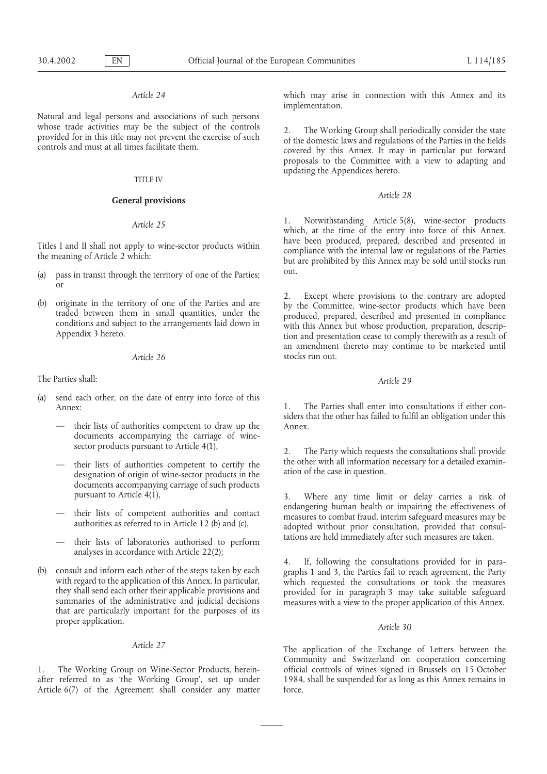Natural and legal persons and associations of such persons whose trade activities may be the subject of the controls

### TITLE IV

# *Article 28* **General provisions**

- (a) pass in transit through the territory of one of the Parties; out. or
- 

The Parties shall: *Article 29*

- (a) send each other, on the date of entry into force of this Annex: the Parties shall enter into consultations if either con-
	- their lists of authorities competent to draw up the Annex. documents accompanying the carriage of wine-
	- designation of origin of wine-sector products in the documents accompanying carriage of such products
	-
	- their lists of laboratories authorised to perform analyses in accordance with Article 22(2);
- (b) consult and inform each other of the steps taken by each<br>with regard to the application of this Annex. In particular,<br>they shall send each other their applicable provisions and<br>summaries of the administrative and judic proper application. *Article 30*

1. The Working Group on Wine-Sector Products, herein-<br>1984, shall be suspended for as long as this Annex remains in<br>1984, shall be suspended for as long as this Annex remains in after referred to as 'the Working Group', set up under Article 6(7) of the Agreement shall consider any matter force.

*Article 24* which may arise in connection with this Annex and its implementation.

whose trade activities may be the subject of the controls<br>provided for in this title may not prevent the exercise of such<br>controls<br>controls and must at all times facilitate them.<br>controls and must at all times facilitate t proposals to the Committee with a view to adapting and updating the Appendices hereto.

Article 25<br>
1. Notwithstanding Article 5(8), wine-sector products<br>
which, at the time of the entry into force of this Annex,<br>
have been produced, prepared, described and presented in Titles I and II shall not apply to wine-sector products within<br>the meaning of Article 2 which:<br>the meaning of Article 2 which:<br>but are prohibited by this Annex may be sold until stocks run

(b) originate in the territory of one of the Parties and are<br>traded between them in small quantities, under the<br>conditions and subject to the arrangements laid down in<br>Appendix 3 hereto.<br>Appendix 3 hereto. an amendment thereto may continue to be marketed until *Article 26* stocks run out.

siders that the other has failed to fulfil an obligation under this

sector products pursuant to Article  $4(1)$ ,  $\qquad \qquad$  2. The Party which requests the consultations shall provide their lists of authorities competent to certify the the other with all information necessary for a detailed examin-<br>designation of origin of wine-sector products in the the case in question.

pursuant to Article 4(1),<br>3. Where any time limit or delay carries a risk of<br>endangering human health or impairing the effectiveness of their lists of competent authorities and contact<br>authorities as referred to in Article 12 (b) and (c),<br>authorities as referred to in Article 12 (b) and (c),<br>and (c),<br>and the substantial strengthening are internal internal

*Article 27* The application of the Exchange of Letters between the Community and Switzerland on cooperation concerning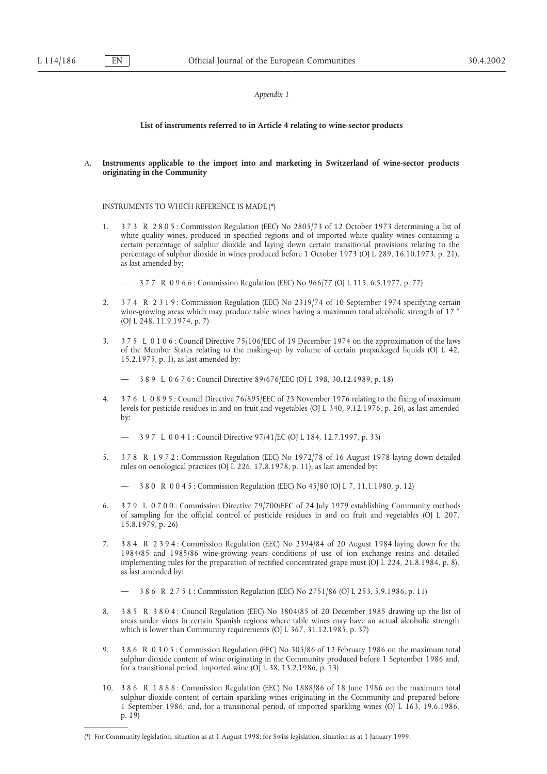### *Appendix 1*

### **List of instruments referred to in Article 4 relating to wine-sector products**

A. **Instruments applicable to the import into and marketing in Switzerland of wine-sector products originating in the Community**

### INSTRUMENTS TO WHICH REFERENCE IS MADE (\*)

- 1. 3 7 3 R 2 8 0 5 : Commission Regulation (EEC) No 2805/73 of 12 October 1973 determining a list of white quality wines, produced in specified regions and of imported white quality wines containing a certain percentage of sulphur dioxide and laying down certain transitional provisions relating to the percentage of sulphur dioxide in wines produced before 1 October 1973 (OJ L 289, 16.10.1973, p. 21), as last amended by:
	- 3 7 7 R 0 9 6 6 : Commission Regulation (EEC) No 966/77 (OJ L 115, 6.5.1977, p. 77)
- 2. 3 7 4 R 2 3 1 9 : Commission Regulation (EEC) No 2319/74 of 10 September 1974 specifying certain wine-growing areas which may produce table wines having a maximum total alcoholic strength of 17 ° (OJ L 248, 11.9.1974, p. 7)
- 3. 3 7 5 L 0 1 0 6 : Council Directive 75/106/EEC of 19 December 1974 on the approximation of the laws of the Member States relating to the making-up by volume of certain prepackaged liquids (OJ L 42, 15.2.1975, p. 1), as last amended by:

— 3 8 9 L 0 6 7 6 : Council Directive 89/676/EEC (OJ L 398, 30.12.1989, p. 18)

4. 3 7 6 L 0 8 9 5 : Council Directive 76/895/EEC of 23 November 1976 relating to the fixing of maximum levels for pesticide residues in and on fruit and vegetables (OJ L 340, 9.12.1976, p. 26), as last amended by:

— 3 9 7 L 0 0 4 1 : Council Directive 97/41/EC (OJ L 184, 12.7.1997, p. 33)

- 5. 3 7 8 R 1 9 7 2 : Commission Regulation (EEC) No 1972/78 of 16 August 1978 laying down detailed rules on oenological practices (OJ L 226, 17.8.1978, p. 11), as last amended by:
	- 3 8 0 R 0 0 4 5 : Commission Regulation (EEC) No 45/80 (OJ L 7, 11.1.1980, p. 12)
- 6. 3 7 9 L 0 7 0 0 : Commission Directive 79/700/EEC of 24 July 1979 establishing Community methods of sampling for the official control of pesticide residues in and on fruit and vegetables (OJ L 207, 15.8.1979, p. 26)
- 7. 3 8 4 R 2 3 9 4 : Commission Regulation (EEC) No 2394/84 of 20 August 1984 laying down for the 1984/85 and 1985/86 wine-growing years conditions of use of ion exchange resins and detailed implementing rules for the preparation of rectified concentrated grape must (OJ L 224, 21.8.1984, p. 8), as last amended by:

— 3 8 6 R 2 7 5 1 : Commission Regulation (EEC) No 2751/86 (OJ L 253, 5.9.1986, p. 11)

- 8. 3 8 5 R 3 8 0 4 : Council Regulation (EEC) No 3804/85 of 20 December 1985 drawing up the list of areas under vines in certain Spanish regions where table wines may have an actual alcoholic strength which is lower than Community requirements (OJ L 367, 31.12.1985, p. 37)
- 9. 3 8 6 R 0 3 0 5 : Commission Regulation (EEC) No 305/86 of 12 February 1986 on the maximum total sulphur dioxide content of wine originating in the Community produced before 1 September 1986 and, for a transitional period, imported wine (OJ L 38, 13.2.1986, p. 13)
- 10. 3 8 6 R 1 8 8 8 : Commission Regulation (EEC) No 1888/86 of 18 June 1986 on the maximum total sulphur dioxide content of certain sparkling wines originating in the Community and prepared before 1 September 1986, and, for a transitional period, of imported sparkling wines (OJ L 163, 19.6.1986, p. 19)

<sup>(\*)</sup> For Community legislation, situation as at 1 August 1998: for Swiss legislation, situation as at 1 January 1999.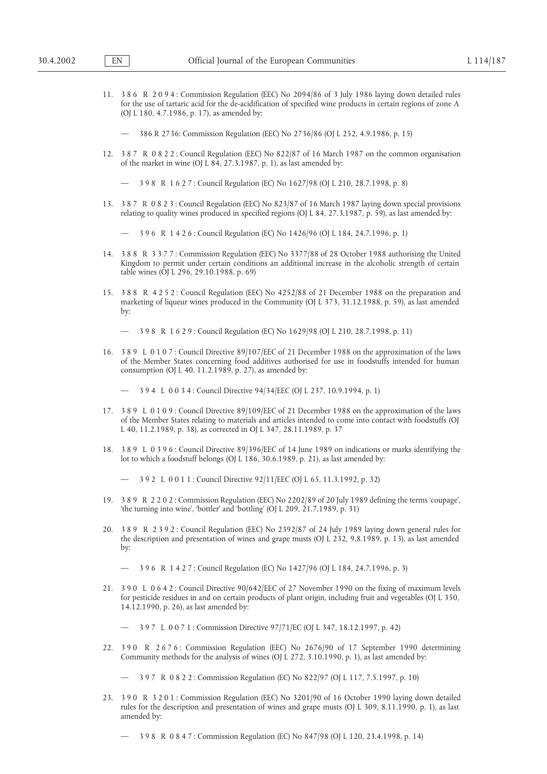- 11. 3 8 6 R 2 0 9 4 : Commission Regulation (EEC) No 2094/86 of 3 July 1986 laying down detailed rules for the use of tartaric acid for the de-acidification of specified wine products in certain regions of zone A (OJ L 180, 4.7.1986, p. 17), as amended by:
	- 386 R 2736: Commission Regulation (EEC) No 2736/86 (OJ L 252, 4.9.1986, p. 15)
- 12. 3 8 7 R 0 8 2 2 : Council Regulation (EEC) No 822/87 of 16 March 1987 on the common organisation of the market in wine (OJ L 84, 27.3.1987, p. 1), as last amended by:

— 3 9 8 R 1 6 2 7 : Council Regulation (EC) No 1627/98 (OJ L 210, 28.7.1998, p. 8)

13. 3 8 7 R 0 8 2 3 : Council Regulation (EEC) No 823/87 of 16 March 1987 laying down special provisions relating to quality wines produced in specified regions (OJ L 84, 27.3.1987, p. 59), as last amended by:

— 3 9 6 R 1 4 2 6 : Council Regulation (EC) No 1426/96 (OJ L 184, 24.7.1996, p. 1)

- 14. 3 8 8 R 3 3 7 7 : Commission Regulation (EEC) No 3377/88 of 28 October 1988 authorising the United Kingdom to permit under certain conditions an additional increase in the alcoholic strength of certain table wines (OJ L 296, 29.10.1988, p. 69)
- 15. 3 8 8 R 4 2 5 2 : Council Regulation (EEC) No 4252/88 of 21 December 1988 on the preparation and marketing of liqueur wines produced in the Community (OJ L 373, 31.12.1988, p. 59), as last amended by:

— 3 9 8 R 1 6 2 9 : Council Regulation (EC) No 1629/98 (OJ L 210, 28.7.1998, p. 11)

16. 3 8 9 L 0 1 0 7 : Council Directive 89/107/EEC of 21 December 1988 on the approximation of the laws of the Member States concerning food additives authorised for use in foodstuffs intended for human consumption (OJ L 40, 11.2.1989, p. 27), as amended by:

— 3 9 4 L 0 0 3 4 : Council Directive 94/34/EEC (OJ L 237, 10.9.1994, p. 1)

- 17. 3 8 9 L 0 1 0 9 : Council Directive 89/109/EEC of 21 December 1988 on the approximation of the laws of the Member States relating to materials and articles intended to come into contact with foodstuffs (OJ L 40, 11.2.1989, p. 38), as corrected in OJ L 347, 28.11.1989, p. 37
- 18. 3 8 9 L 0 3 9 6 : Council Directive 89/396/EEC of 14 June 1989 on indications or marks identifying the lot to which a foodstuff belongs (OJ L 186, 30.6.1989, p. 21), as last amended by:

— 3 9 2 L 0 0 1 1 : Council Directive 92/11/EEC (OJ L 65, 11.3.1992, p. 32)

- 19. 3 8 9 R 2 2 0 2 : Commission Regulation (EEC) No 2202/89 of 20 July 1989 defining the terms 'coupage', 'the turning into wine', 'bottler' and 'bottling' (OJ L 209, 21.7.1989, p. 31)
- 20. 3 8 9 R 2 3 9 2 : Council Regulation (EEC) No 2392/87 of 24 July 1989 laying down general rules for the description and presentation of wines and grape musts (OJ L 232, 9.8.1989, p. 13), as last amended by:

— 3 9 6 R 1 4 2 7 : Council Regulation (EC) No 1427/96 (OJ L 184, 24.7.1996, p. 3)

21. 3 9 0 L 0 6 4 2 : Council Directive 90/642/EEC of 27 November 1990 on the fixing of maximum levels for pesticide residues in and on certain products of plant origin, including fruit and vegetables (OJ L 350, 14.12.1990, p. 26), as last amended by:

— 3 9 7 L 0 0 7 1 : Commission Directive 97/71/EC (OJ L 347, 18.12.1997, p. 42)

22. 3 9 0 R 2 6 7 6 : Commission Regulation (EEC) No 2676/90 of 17 September 1990 determining Community methods for the analysis of wines (OJ L 272, 3.10.1990, p. 1), as last amended by:

— 3 9 7 R 0 8 2 2 : Commission Regulation (EC) No 822/97 (OJ L 117, 7.5.1997, p. 10)

23. 3 9 0 R 3 2 0 1 : Commission Regulation (EEC) No 3201/90 of 16 October 1990 laying down detailed rules for the description and presentation of wines and grape musts (OJ L 309, 8.11.1990, p. 1), as last amended by:

— 3 9 8 R 0 8 4 7 : Commission Regulation (EC) No 847/98 (OJ L 120, 23.4.1998, p. 14)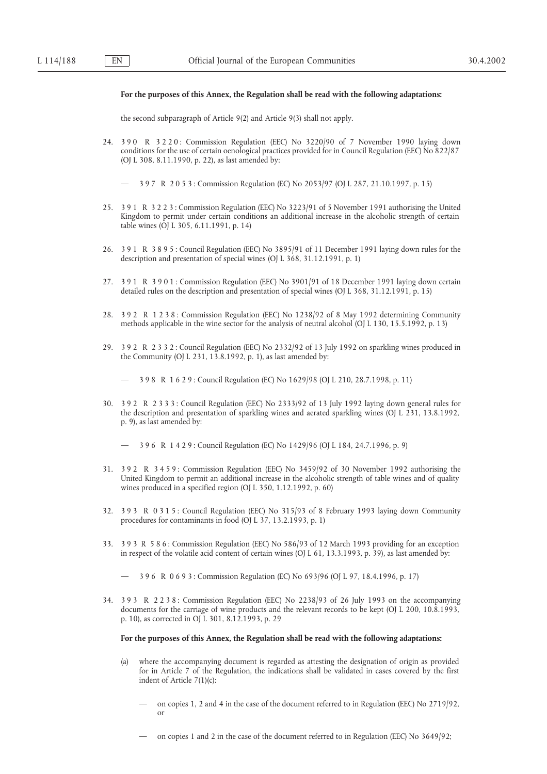### **For the purposes of this Annex, the Regulation shall be read with the following adaptations:**

the second subparagraph of Article 9(2) and Article 9(3) shall not apply.

- 24. 3 9 0 R 3 2 2 0 : Commission Regulation (EEC) No 3220/90 of 7 November 1990 laying down conditions for the use of certain oenological practices provided for in Council Regulation (EEC) No 822/87 (OJ L 308, 8.11.1990, p. 22), as last amended by:
	- 3 9 7 R 2 0 5 3 : Commission Regulation (EC) No 2053/97 (OJ L 287, 21.10.1997, p. 15)
- 25. 3 9 1 R 3 2 2 3 : Commission Regulation (EEC) No 3223/91 of 5 November 1991 authorising the United Kingdom to permit under certain conditions an additional increase in the alcoholic strength of certain table wines (OJ L 305, 6.11.1991, p. 14)
- 26. 3 9 1 R 3 8 9 5 : Council Regulation (EEC) No 3895/91 of 11 December 1991 laying down rules for the description and presentation of special wines (OJ L 368, 31.12.1991, p. 1)
- 27. 3 9 1 R 3 9 0 1 : Commission Regulation (EEC) No 3901/91 of 18 December 1991 laying down certain detailed rules on the description and presentation of special wines (OJ L 368, 31.12.1991, p. 15)
- 28. 3 9 2 R 1 2 3 8 : Commission Regulation (EEC) No 1238/92 of 8 May 1992 determining Community methods applicable in the wine sector for the analysis of neutral alcohol (OJ L 130, 15.5.1992, p. 13)
- 29. 3 9 2 R 2 3 3 2 : Council Regulation (EEC) No 2332/92 of 13 July 1992 on sparkling wines produced in the Community (OJ L 231, 13.8.1992, p. 1), as last amended by:

— 3 9 8 R 1 6 2 9 : Council Regulation (EC) No 1629/98 (OJ L 210, 28.7.1998, p. 11)

30. 3 9 2 R 2 3 3 3 : Council Regulation (EEC) No 2333/92 of 13 July 1992 laying down general rules for the description and presentation of sparkling wines and aerated sparkling wines (OJ L 231, 13.8.1992, p. 9), as last amended by:

— 3 9 6 R 1 4 2 9 : Council Regulation (EC) No 1429/96 (OJ L 184, 24.7.1996, p. 9)

- 31. 3 9 2 R 3 4 5 9 : Commission Regulation (EEC) No 3459/92 of 30 November 1992 authorising the United Kingdom to permit an additional increase in the alcoholic strength of table wines and of quality wines produced in a specified region (OJ L 350, 1.12.1992, p. 60)
- 32. 3 9 3 R 0 3 1 5 : Council Regulation (EEC) No 315/93 of 8 February 1993 laying down Community procedures for contaminants in food (OJ L 37, 13.2.1993, p. 1)
- 33. 3 9 3 R 5 8 6 : Commission Regulation (EEC) No 586/93 of 12 March 1993 providing for an exception in respect of the volatile acid content of certain wines (OJ L 61, 13.3.1993, p. 39), as last amended by:
	- 3 9 6 R 0 6 9 3 : Commission Regulation (EC) No 693/96 (OJ L 97, 18.4.1996, p. 17)
- 34. 3 9 3 R 2 2 3 8 : Commission Regulation (EEC) No 2238/93 of 26 July 1993 on the accompanying documents for the carriage of wine products and the relevant records to be kept (OJ L 200, 10.8.1993, p. 10), as corrected in OJ L 301, 8.12.1993, p. 29

### **For the purposes of this Annex, the Regulation shall be read with the following adaptations:**

- (a) where the accompanying document is regarded as attesting the designation of origin as provided for in Article 7 of the Regulation, the indications shall be validated in cases covered by the first indent of Article 7(1)(c):
	- on copies 1, 2 and 4 in the case of the document referred to in Regulation (EEC) No 2719/92, or
	- on copies 1 and 2 in the case of the document referred to in Regulation (EEC) No 3649/92;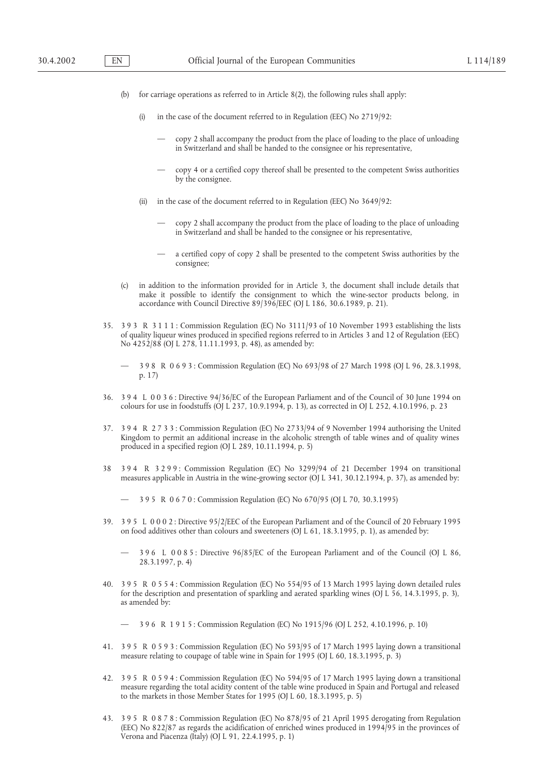- (b) for carriage operations as referred to in Article 8(2), the following rules shall apply:
	- (i) in the case of the document referred to in Regulation (EEC) No 2719/92:
		- copy 2 shall accompany the product from the place of loading to the place of unloading in Switzerland and shall be handed to the consignee or his representative,
		- copy 4 or a certified copy thereof shall be presented to the competent Swiss authorities by the consignee.
	- (ii) in the case of the document referred to in Regulation (EEC) No 3649/92:
		- copy 2 shall accompany the product from the place of loading to the place of unloading in Switzerland and shall be handed to the consignee or his representative,
		- a certified copy of copy 2 shall be presented to the competent Swiss authorities by the consignee;
- (c) in addition to the information provided for in Article 3, the document shall include details that make it possible to identify the consignment to which the wine-sector products belong, in accordance with Council Directive 89/396/EEC (OJ L 186, 30.6.1989, p. 21).
- 35. 3 9 3 R 3 1 1 1 : Commission Regulation (EC) No 3111/93 of 10 November 1993 establishing the lists of quality liqueur wines produced in specified regions referred to in Articles 3 and 12 of Regulation (EEC) No 4252/88 (OJ L 278, 11.11.1993, p. 48), as amended by:
	- 3 9 8 R 0 6 9 3 : Commission Regulation (EC) No 693/98 of 27 March 1998 (OJ L 96, 28.3.1998, p. 17)
- 36. 3 9 4 L 0 0 3 6 : Directive 94/36/EC of the European Parliament and of the Council of 30 June 1994 on colours for use in foodstuffs (OJ L 237, 10.9.1994, p. 13), as corrected in OJ L 252, 4.10.1996, p. 23
- 37. 3 9 4 R 2 7 3 3 : Commission Regulation (EC) No 2733/94 of 9 November 1994 authorising the United Kingdom to permit an additional increase in the alcoholic strength of table wines and of quality wines produced in a specified region (OJ L 289, 10.11.1994, p. 5)
- 38 3 9 4 R 3 2 9 9 : Commission Regulation (EC) No 3299/94 of 21 December 1994 on transitional measures applicable in Austria in the wine-growing sector (OJ L 341, 30.12.1994, p. 37), as amended by:

— 3 9 5 R 0 6 7 0 : Commission Regulation (EC) No 670/95 (OJ L 70, 30.3.1995)

39. 3 9 5 L 0 0 0 2 : Directive 95/2/EEC of the European Parliament and of the Council of 20 February 1995 on food additives other than colours and sweeteners (OJ L 61, 18.3.1995, p. 1), as amended by:

— 3 9 6 L 0 0 8 5 : Directive 96/85/EC of the European Parliament and of the Council (OJ L 86, 28.3.1997, p. 4)

40. 3 9 5 R 0 5 5 4 : Commission Regulation (EC) No 554/95 of 13 March 1995 laying down detailed rules for the description and presentation of sparkling and aerated sparkling wines (OJ L 56, 14.3.1995, p. 3), as amended by:

— 3 9 6 R 1 9 1 5 : Commission Regulation (EC) No 1915/96 (OJ L 252, 4.10.1996, p. 10)

- 41. 3 9 5 R 0 5 9 3 : Commission Regulation (EC) No 593/95 of 17 March 1995 laying down a transitional measure relating to coupage of table wine in Spain for 1995 (OJ L 60, 18.3.1995, p. 3)
- 42. 3 9 5 R 0 5 9 4 : Commission Regulation (EC) No 594/95 of 17 March 1995 laying down a transitional measure regarding the total acidity content of the table wine produced in Spain and Portugal and released to the markets in those Member States for 1995 (OJ L 60, 18.3.1995, p. 5)
- 43. 3 9 5 R 0 8 7 8 : Commission Regulation (EC) No 878/95 of 21 April 1995 derogating from Regulation (EEC) No 822/87 as regards the acidification of enriched wines produced in 1994/95 in the provinces of Verona and Piacenza (Italy) (OJ L 91, 22.4.1995, p. 1)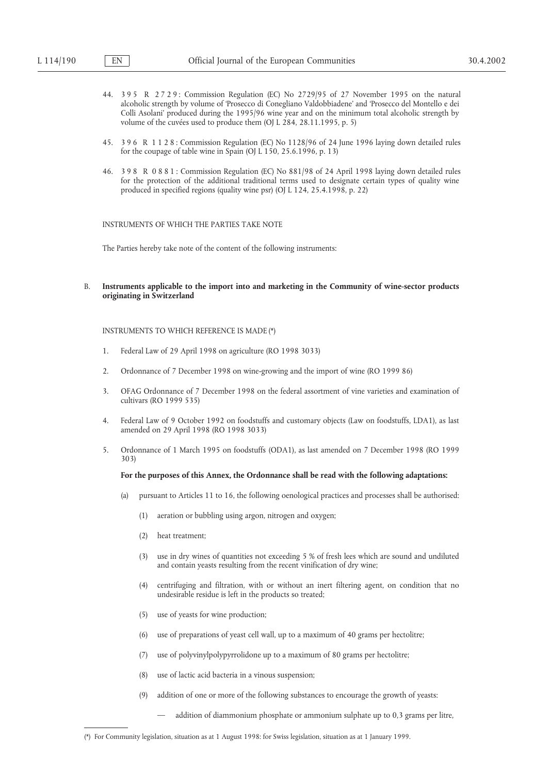- 44. 3 9 5 R 2 7 2 9 : Commission Regulation (EC) No 2729/95 of 27 November 1995 on the natural alcoholic strength by volume of 'Prosecco di Conegliano Valdobbiadene' and 'Prosecco del Montello e dei Colli Asolani' produced during the 1995/96 wine year and on the minimum total alcoholic strength by volume of the cuvées used to produce them (OJ L 284, 28.11.1995, p. 5)
- 45. 3 9 6 R 1 1 2 8 : Commission Regulation (EC) No 1128/96 of 24 June 1996 laying down detailed rules for the coupage of table wine in Spain (OJ L 150, 25.6.1996, p. 13)
- 46. 3 9 8 R 0 8 8 1 : Commission Regulation (EC) No 881/98 of 24 April 1998 laying down detailed rules for the protection of the additional traditional terms used to designate certain types of quality wine produced in specified regions (quality wine psr) (OJ L 124, 25.4.1998, p. 22)

### INSTRUMENTS OF WHICH THE PARTIES TAKE NOTE

The Parties hereby take note of the content of the following instruments:

### B. **Instruments applicable to the import into and marketing in the Community of wine-sector products originating in Switzerland**

### INSTRUMENTS TO WHICH REFERENCE IS MADE (\*)

- 1. Federal Law of 29 April 1998 on agriculture (RO 1998 3033)
- 2. Ordonnance of 7 December 1998 on wine-growing and the import of wine (RO 1999 86)
- 3. OFAG Ordonnance of 7 December 1998 on the federal assortment of vine varieties and examination of cultivars (RO 1999 535)
- 4. Federal Law of 9 October 1992 on foodstuffs and customary objects (Law on foodstuffs, LDA1), as last amended on 29 April 1998 (RO 1998 3033)
- 5. Ordonnance of 1 March 1995 on foodstuffs (ODA1), as last amended on 7 December 1998 (RO 1999 303)

### **For the purposes of this Annex, the Ordonnance shall be read with the following adaptations:**

- (a) pursuant to Articles 11 to 16, the following oenological practices and processes shall be authorised:
	- (1) aeration or bubbling using argon, nitrogen and oxygen;
	- (2) heat treatment;
	- (3) use in dry wines of quantities not exceeding 5 % of fresh lees which are sound and undiluted and contain yeasts resulting from the recent vinification of dry wine;
	- (4) centrifuging and filtration, with or without an inert filtering agent, on condition that no undesirable residue is left in the products so treated;
	- (5) use of yeasts for wine production;
	- (6) use of preparations of yeast cell wall, up to a maximum of 40 grams per hectolitre;
	- (7) use of polyvinylpolypyrrolidone up to a maximum of 80 grams per hectolitre;
	- (8) use of lactic acid bacteria in a vinous suspension;
	- (9) addition of one or more of the following substances to encourage the growth of yeasts:
		- addition of diammonium phosphate or ammonium sulphate up to 0,3 grams per litre,

<sup>(\*)</sup> For Community legislation, situation as at 1 August 1998: for Swiss legislation, situation as at 1 January 1999.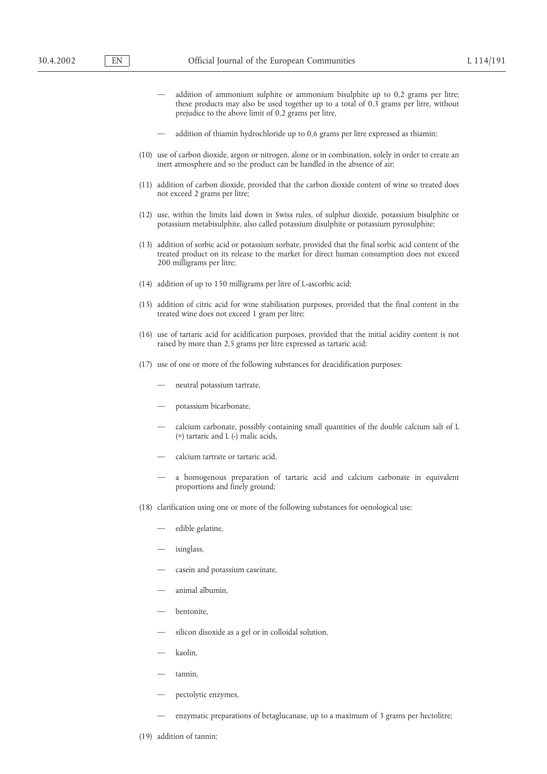- addition of ammonium sulphite or ammonium bisulphite up to 0,2 grams per litre; these products may also be used together up to a total of 0,3 grams per litre, without prejudice to the above limit of 0,2 grams per litre,
- addition of thiamin hydrochloride up to 0,6 grams per litre expressed as thiamin;
- (10) use of carbon dioxide, argon or nitrogen, alone or in combination, solely in order to create an inert atmosphere and so the product can be handled in the absence of air;
- (11) addition of carbon dioxide, provided that the carbon dioxide content of wine so treated does not exceed 2 grams per litre;
- (12) use, within the limits laid down in Swiss rules, of sulphur dioxide, potassium bisulphite or potassium metabisulphite, also called potassium disulphite or potassium pyrosulphite;
- (13) addition of sorbic acid or potassium sorbate, provided that the final sorbic acid content of the treated product on its release to the market for direct human consumption does not exceed 200 milligrams per litre;
- (14) addition of up to 150 milligrams per litre of L-ascorbic acid;
- (15) addition of citric acid for wine stabilisation purposes, provided that the final content in the treated wine does not exceed 1 gram per litre;
- (16) use of tartaric acid for acidification purposes, provided that the initial acidity content is not raised by more than 2,5 grams per litre expressed as tartaric acid;
- (17) use of one or more of the following substances for deacidification purposes:
	- neutral potassium tartrate,
	- potassium bicarbonate,
	- calcium carbonate, possibly containing small quantities of the double calcium salt of L (+) tartaric and L (-) malic acids,
	- calcium tartrate or tartaric acid,
	- a homogenous preparation of tartaric acid and calcium carbonate in equivalent proportions and finely ground;
- (18) clarification using one or more of the following substances for oenological use:
	- edible gelatine,
	- isinglass,
	- casein and potassium caseinate,
	- animal albumin,
	- bentonite,
	- silicon disoxide as a gel or in colloidal solution,
	- kaolin,
	- tannin,
	- pectolytic enzymes,
	- enzymatic preparations of betaglucanase, up to a maximum of 3 grams per hectolitre;
- (19) addition of tannin;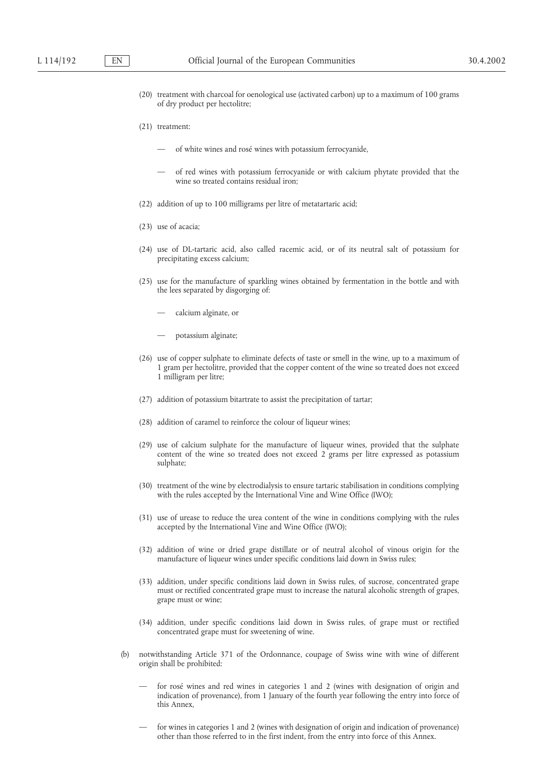- (20) treatment with charcoal for oenological use (activated carbon) up to a maximum of 100 grams of dry product per hectolitre;
- (21) treatment:
	- of white wines and rosé wines with potassium ferrocyanide,
	- of red wines with potassium ferrocyanide or with calcium phytate provided that the wine so treated contains residual iron;
- (22) addition of up to 100 milligrams per litre of metatartaric acid;
- (23) use of acacia;
- (24) use of DL-tartaric acid, also called racemic acid, or of its neutral salt of potassium for precipitating excess calcium;
- (25) use for the manufacture of sparkling wines obtained by fermentation in the bottle and with the lees separated by disgorging of:
	- calcium alginate, or
	- potassium alginate;
- (26) use of copper sulphate to eliminate defects of taste or smell in the wine, up to a maximum of 1 gram per hectolitre, provided that the copper content of the wine so treated does not exceed 1 milligram per litre;
- (27) addition of potassium bitartrate to assist the precipitation of tartar;
- (28) addition of caramel to reinforce the colour of liqueur wines;
- (29) use of calcium sulphate for the manufacture of liqueur wines, provided that the sulphate content of the wine so treated does not exceed 2 grams per litre expressed as potassium sulphate;
- (30) treatment of the wine by electrodialysis to ensure tartaric stabilisation in conditions complying with the rules accepted by the International Vine and Wine Office (IWO);
- (31) use of urease to reduce the urea content of the wine in conditions complying with the rules accepted by the International Vine and Wine Office (IWO);
- (32) addition of wine or dried grape distillate or of neutral alcohol of vinous origin for the manufacture of liqueur wines under specific conditions laid down in Swiss rules;
- (33) addition, under specific conditions laid down in Swiss rules, of sucrose, concentrated grape must or rectified concentrated grape must to increase the natural alcoholic strength of grapes, grape must or wine;
- (34) addition, under specific conditions laid down in Swiss rules, of grape must or rectified concentrated grape must for sweetening of wine.
- (b) notwithstanding Article 371 of the Ordonnance, coupage of Swiss wine with wine of different origin shall be prohibited:
	- for rosé wines and red wines in categories 1 and 2 (wines with designation of origin and indication of provenance), from 1 January of the fourth year following the entry into force of this Annex,
	- for wines in categories 1 and 2 (wines with designation of origin and indication of provenance) other than those referred to in the first indent, from the entry into force of this Annex.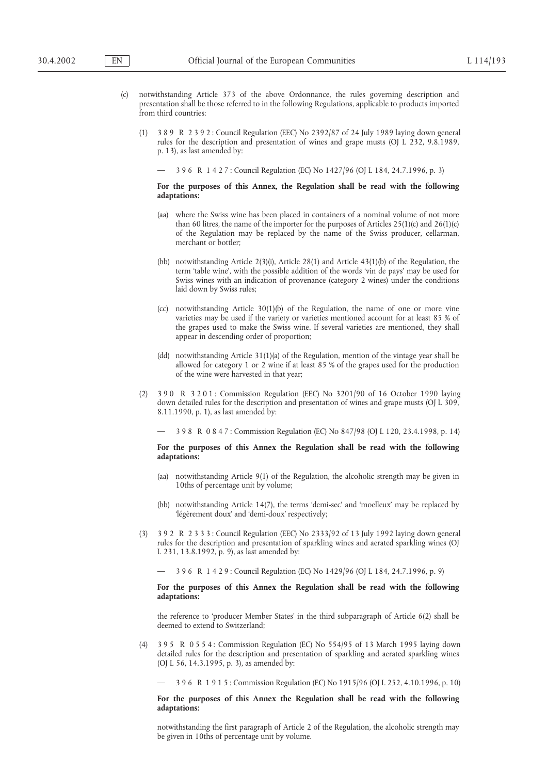- notwithstanding Article 373 of the above Ordonnance, the rules governing description and presentation shall be those referred to in the following Regulations, applicable to products imported from third countries:
	- (1) 3 8 9 R 2 3 9 2 : Council Regulation (EEC) No 2392/87 of 24 July 1989 laying down general rules for the description and presentation of wines and grape musts (OJ L 232, 9.8.1989, p. 13), as last amended by:
		- 3 9 6 R 1 4 2 7 : Council Regulation (EC) No 1427/96 (OJ L 184, 24.7.1996, p. 3)

### **For the purposes of this Annex, the Regulation shall be read with the following adaptations:**

- (aa) where the Swiss wine has been placed in containers of a nominal volume of not more than 60 litres, the name of the importer for the purposes of Articles  $25(1)(c)$  and  $26(1)(c)$ of the Regulation may be replaced by the name of the Swiss producer, cellarman, merchant or bottler;
- (bb) notwithstanding Article 2(3)(i), Article 28(1) and Article 43(1)(b) of the Regulation, the term 'table wine', with the possible addition of the words 'vin de pays' may be used for Swiss wines with an indication of provenance (category 2 wines) under the conditions laid down by Swiss rules;
- (cc) notwithstanding Article  $30(1)(b)$  of the Regulation, the name of one or more vine varieties may be used if the variety or varieties mentioned account for at least 85 % of the grapes used to make the Swiss wine. If several varieties are mentioned, they shall appear in descending order of proportion;
- (dd) notwithstanding Article 31(1)(a) of the Regulation, mention of the vintage year shall be allowed for category 1 or 2 wine if at least 85 % of the grapes used for the production of the wine were harvested in that year;
- (2) 3 9 0 R 3 2 0 1 : Commission Regulation (EEC) No 3201/90 of 16 October 1990 laying down detailed rules for the description and presentation of wines and grape musts (OJ L 309, 8.11.1990, p. 1), as last amended by:

— 3 9 8 R 0 8 4 7 : Commission Regulation (EC) No 847/98 (OJ L 120, 23.4.1998, p. 14)

### **For the purposes of this Annex the Regulation shall be read with the following adaptations:**

- (aa) notwithstanding Article 9(1) of the Regulation, the alcoholic strength may be given in 10ths of percentage unit by volume;
- (bb) notwithstanding Article 14(7), the terms 'demi-sec' and 'moelleux' may be replaced by 'légèrement doux' and 'demi-doux' respectively;
- (3) 3 9 2 R 2 3 3 3 : Council Regulation (EEC) No 2333/92 of 13 July 1992 laying down general rules for the description and presentation of sparkling wines and aerated sparkling wines (OJ L 231, 13.8.1992, p. 9), as last amended by:

— 3 9 6 R 1 4 2 9 : Council Regulation (EC) No 1429/96 (OJ L 184, 24.7.1996, p. 9)

### **For the purposes of this Annex the Regulation shall be read with the following adaptations:**

the reference to 'producer Member States' in the third subparagraph of Article 6(2) shall be deemed to extend to Switzerland;

(4) 3 9 5 R 0 5 5 4 : Commission Regulation (EC) No 554/95 of 13 March 1995 laying down detailed rules for the description and presentation of sparkling and aerated sparkling wines (OJ L 56, 14.3.1995, p. 3), as amended by:

### **For the purposes of this Annex the Regulation shall be read with the following adaptations:**

notwithstanding the first paragraph of Article 2 of the Regulation, the alcoholic strength may be given in 10ths of percentage unit by volume.

<sup>— 3 9 6</sup> R 1 9 1 5 : Commission Regulation (EC) No 1915/96 (OJ L 252, 4.10.1996, p. 10)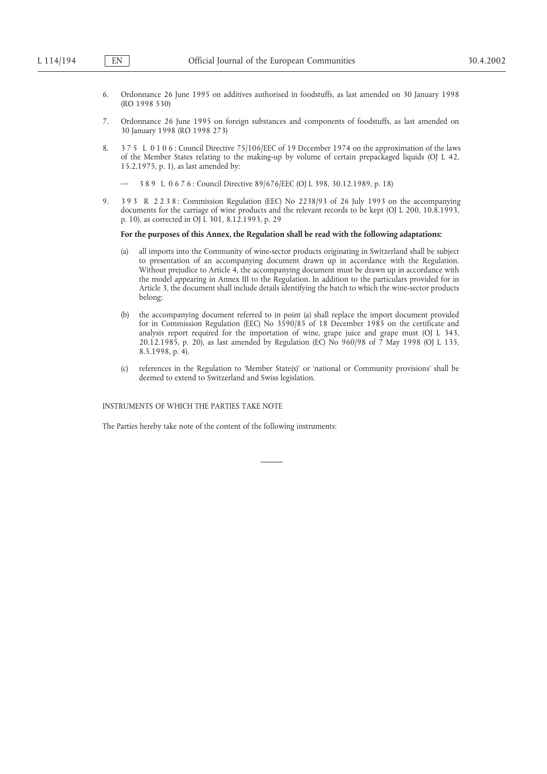- 6. Ordonnance 26 June 1995 on additives authorised in foodstuffs, as last amended on 30 January 1998 (RO 1998 530)
- 7. Ordonnance 26 June 1995 on foreign substances and components of foodstuffs, as last amended on 30 January 1998 (RO 1998 273)
- 8. 3 7 5 L 0 1 0 6 : Council Directive 75/106/EEC of 19 December 1974 on the approximation of the laws of the Member States relating to the making-up by volume of certain prepackaged liquids (OJ L 42, 15.2.1975, p. 1), as last amended by:
	- 3 8 9 L 0 6 7 6 : Council Directive 89/676/EEC (OJ L 398, 30.12.1989, p. 18)
- 9. 3 9 3 R 2 2 3 8 : Commission Regulation (EEC) No 2238/93 of 26 July 1993 on the accompanying documents for the carriage of wine products and the relevant records to be kept (OJ L 200, 10.8.1993, p. 10), as corrected in OJ L 301, 8.12.1993, p. 29

### **For the purposes of this Annex, the Regulation shall be read with the following adaptations:**

- (a) all imports into the Community of wine-sector products originating in Switzerland shall be subject to presentation of an accompanying document drawn up in accordance with the Regulation. Without prejudice to Article 4, the accompanying document must be drawn up in accordance with the model appearing in Annex III to the Regulation. In addition to the particulars provided for in Article 3, the document shall include details identifying the batch to which the wine-sector products belong;
- (b) the accompanying document referred to in point (a) shall replace the import document provided for in Commission Regulation (EEC) No 3590/85 of 18 December 1985 on the certificate and analysis report required for the importation of wine, grape juice and grape must (OJ L 343, 20.12.1985, p. 20), as last amended by Regulation (EC) No 960/98 of 7 May 1998 (OJ L 135, 8.5.1998, p. 4).
- (c) references in the Regulation to 'Member State(s)' or 'national or Community provisions' shall be deemed to extend to Switzerland and Swiss legislation.

INSTRUMENTS OF WHICH THE PARTIES TAKE NOTE

The Parties hereby take note of the content of the following instruments: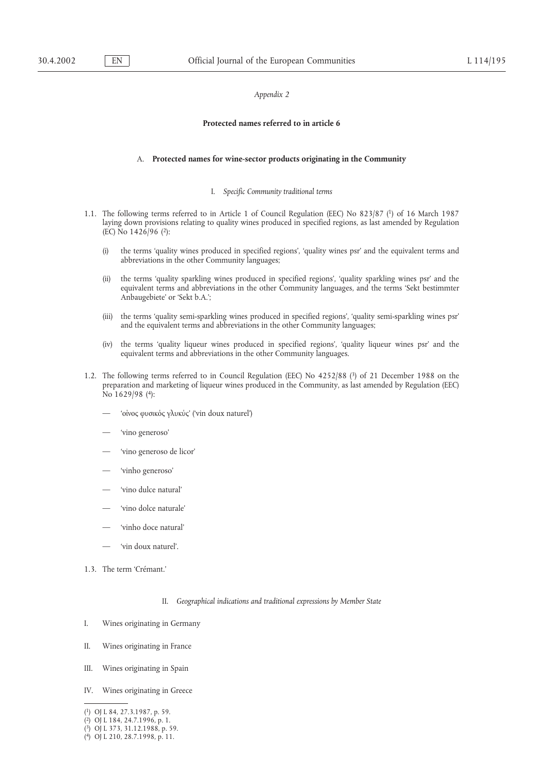### *Appendix 2*

### **Protected names referred to in article 6**

### A. **Protected names for wine-sector products originating in the Community**

### I. *Specific Community traditional terms*

- 1.1. The following terms referred to in Article 1 of Council Regulation (EEC) No 823/87 (1) of 16 March 1987 laying down provisions relating to quality wines produced in specified regions, as last amended by Regulation (EC) No 1426/96 (2):
	- (i) the terms 'quality wines produced in specified regions', 'quality wines psr' and the equivalent terms and abbreviations in the other Community languages;
	- (ii) the terms 'quality sparkling wines produced in specified regions', 'quality sparkling wines psr' and the equivalent terms and abbreviations in the other Community languages, and the terms 'Sekt bestimmter Anbaugebiete' or 'Sekt b.A.';
	- (iii) the terms 'quality semi-sparkling wines produced in specified regions', 'quality semi-sparkling wines psr' and the equivalent terms and abbreviations in the other Community languages;
	- (iv) the terms 'quality liqueur wines produced in specified regions', 'quality liqueur wines psr' and the equivalent terms and abbreviations in the other Community languages.
- 1.2. The following terms referred to in Council Regulation (EEC) No 4252/88 (3) of 21 December 1988 on the preparation and marketing of liqueur wines produced in the Community, as last amended by Regulation (EEC) No 1629/98 (4):
	- 'οι΄νος φυσικο΄ς γλυκυ΄ς' ('vin doux naturel')
	- 'vino generoso'
	- 'vino generoso de licor'
	- 'vinho generoso'
	- 'vino dulce natural'
	- 'vino dolce naturale'
	- 'vinho doce natural'
	- 'vin doux naturel'.
- 1.3. The term 'Crémant.'
	- II. *Geographical indications and traditional expressions by Member State*
- I. Wines originating in Germany
- II. Wines originating in France
- III. Wines originating in Spain
- IV. Wines originating in Greece
- (1) OJ L 84, 27.3.1987, p. 59.

( 3) OJ L 373, 31.12.1988, p. 59.

<sup>(2)</sup> OJ L 184, 24.7.1996, p. 1.

<sup>(4)</sup> OJ L 210, 28.7.1998, p. 11.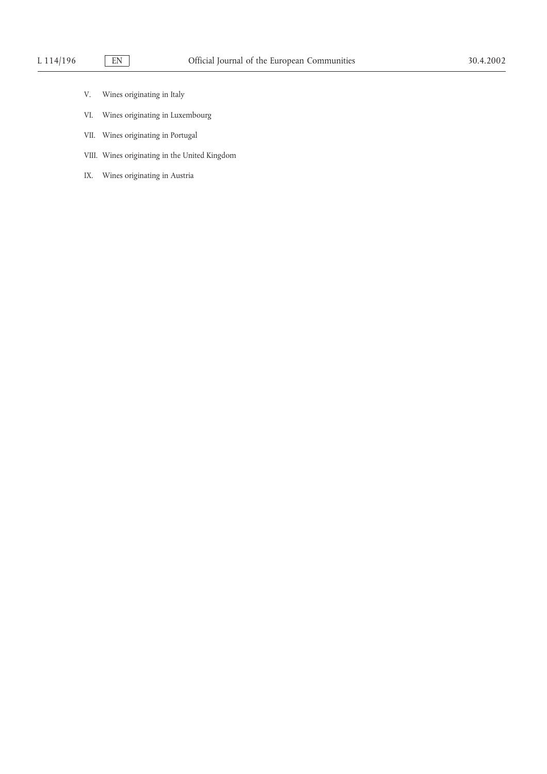- V. Wines originating in Italy
- VI. Wines originating in Luxembourg
- VII. Wines originating in Portugal
- VIII. Wines originating in the United Kingdom
- IX. Wines originating in Austria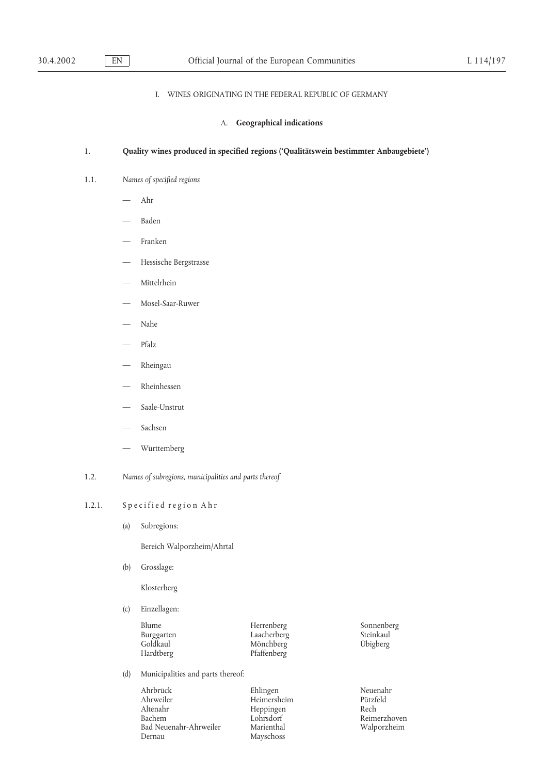## I. WINES ORIGINATING IN THE FEDERAL REPUBLIC OF GERMANY

### A. **Geographical indications**

### 1. **Quality wines produced in specified regions ('Qualitätswein bestimmter Anbaugebiete')**

### 1.1. *Names of specified regions*

- Ahr
- Baden
- Franken
- Hessische Bergstrasse
- Mittelrhein
- Mosel-Saar-Ruwer
- Nahe
- Pfalz
- Rheingau
- Rheinhessen
- Saale-Unstrut
- Sachsen
- Württemberg
- 1.2. *Names of subregions, municipalities and parts thereof*

### 1.2.1. Specified region Ahr

(a) Subregions:

Bereich Walporzheim/Ahrtal

(b) Grosslage:

Klosterberg

(c) Einzellagen:

| Blume<br>Burggarten<br>Goldkaul<br>Hardtberg | Herrenberg<br>Laacherberg<br>Mönchberg<br>Pfaffenberg | Sonnenberg<br>Steinkaul<br>Übigberg |
|----------------------------------------------|-------------------------------------------------------|-------------------------------------|
|                                              |                                                       |                                     |

(d) Municipalities and parts thereof:

Ahrbrück Ehlingen Neuenahr Ahrweiler Heimersheim Pützfeld<br>Altenahr Heppingen Rech Altenahr Heppingen Bachem Lohrsdorf Bad Neuenahr-Ahrweiler Marienthal Mays Walporzheim Mayschoss Mayschoss Mayschoss Mayschoss Mayschoss Mayschoss Mayschoss Mayschoss Mayschoss Mayschoss Mayschoss Mayschoss Mayschoss Mayschoss Mayschoss Mayschoss Mayschoss M

Mayschoss

Reimerzhoven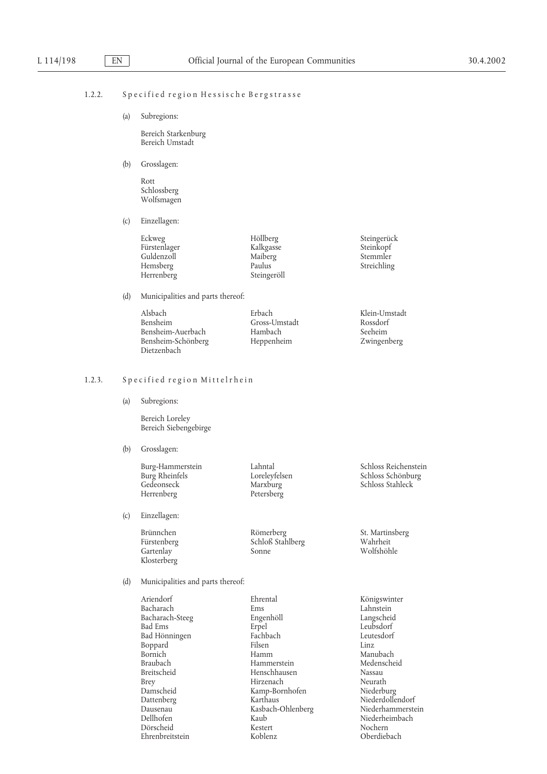### 1.2.2. Specified region Hessische Bergstrasse

(a) Subregions:

Bereich Starkenburg Bereich Umstadt

(b) Grosslagen:

Rott Schlossberg Wolfsmagen

(c) Einzellagen:

| Höllberg    |
|-------------|
| Kalkgasse   |
| Maiberg     |
| Paulus      |
| Steingeröll |
|             |

(d) Municipalities and parts thereof:

| Alsbach            | Erbach        | Klein-Umstadt |
|--------------------|---------------|---------------|
| <b>Bensheim</b>    | Gross-Umstadt | Rossdorf      |
| Bensheim-Auerbach  | Hambach       | Seeheim       |
| Bensheim-Schönberg | Heppenheim    | Zwingenberg   |
| Dietzenbach        |               |               |

# 1.2.3. Specified region Mittelrhein

(a) Subregions:

Bereich Loreley Bereich Siebengebirge

(b) Grosslagen:

Gedeonseck Marxburg Schloss Stahleck Herrenberg Petersberg

(c) Einzellagen:

Klosterberg

Brünnchen Römerberg St. Martinsberg Schloß Stahlberg Gartenlay Sonne Wolfshöhle

Burg-Hammerstein Lahntal Schloss Reichenstein Burg<br> Rheinfels Loreleyfelsen Schloss Schönburg<br> Schloss Schönburg Schloss Schönburg

Steingerück Steinkopf Stemmler Streichling

(d) Municipalities and parts thereof:

Ariendorf Ehrental Königswinter Bacharach Ems Ems Lahnstein<br>Bacharach-Steeg Engenhöll – Langscheid Bacharach-Steeg Boppard Braubach Hammerstein<br>Breitscheid Henschhauser Ehrenbreitstein

Bad Ems Erpel Leubsdorf Bad Hönningen Fachbach Leutesdorf n India<br>Bornich Manubach Hammerstein Manubach Medenscheid<br>Hammerstein Medenscheid Breitscheid Henschhausen Nassau Nassau Brev Hirzenach Neurath Neurath Neurath Neurath Neurath Neurath Neurath Neurath Neurath Neurath Neurath Neurath Neurath Neurath Neurath Neurath Neurath Neurath Neurath Neurath Neurath Hirzenach Neurath<br>
Kamp-Bornhofen Niederburg Damscheid Kamp-Bornhofen<br>Dattenberg Karthaus Dattenberg Karthaus Niederdollendorf Dausenau Kasbach-Ohlenberg<br>Dellhofen Kaub Dörscheid Kestert Nochern

Niederheimbach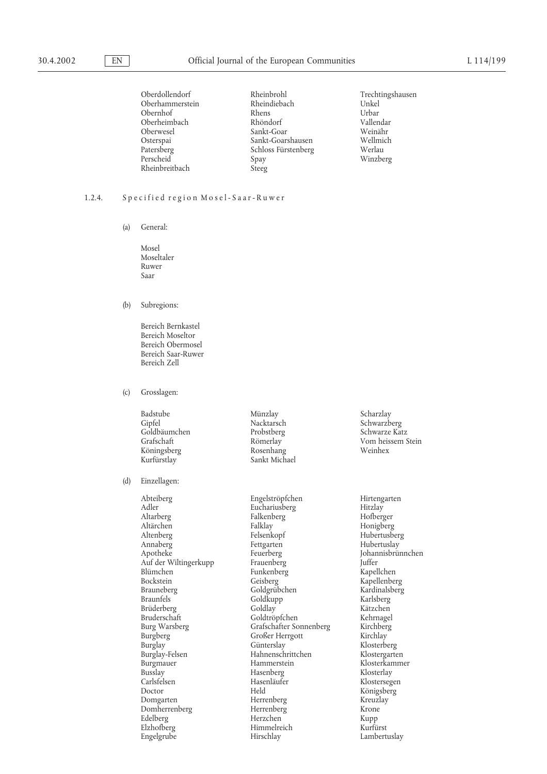Oberdollendorf Rheinbrohl Trechtingshausen Oberhammerstein Rheinbreitbach

Obernhof Rhens Urbar Urbar<br>Oberheimbach Rhöndorf Vallendar Oberheimbach Rhöndorf Vallendar Sankt-Goar Weinähr<br>
Sankt-Goarshausen Wellmich Osterspai Sankt-Goarshausen Wellmich Patersberg Schloss Fürstenberg<br>Perscheid Spay Spay Winzberg<br>Steeg

### 1.2.4. Specified region Mosel-Saar-Ruwer

(a) General:

Mosel Moseltaler Ruwer Saar

(b) Subregions:

Bereich Bernkastel Bereich Moseltor Bereich Obermosel Bereich Saar-Ruwer Bereich Zell

(c) Grosslagen:

Badstube Münzlay Scharzlay Goldbäumchen Probstberg<br>Grafschaft Römerlay

### (d) Einzellagen:

Blümchen Funkenberg<br>Bockstein Geisberg Burglay-Felsen Hahnenschrittchen<br>Burgmauer Hammerstein Busslay Hasenberg<br>Carlsfelsen Hasenläufer Domherrenberg Herrenberg<br>Edelberg Herzchen

Köningsberg Rosenhang Weinhex Sankt Michael

Abteiberg Engelströpfchen Hirtengarten Adler Euchariusberg Hitzlay Adler a Euchariusberg Hitzlay<br>Altarberg Hofberger Halkenberg Hofberger Falkenberg Altärchen Falklay Falklay Honigberg<br>Altenberg Felsenkopf Hubertusbe Altenberg Felsenkopf Hubertusberg Annaberg Fettgarten Hubertuslay<br>Apotheke Feuerberg Feuerberg Johannisbrün Feuerberg Johannisbrünnchen<br>Frauenberg Juffer – Juffer Auf der Wiltingerkupp Frauenberg Juffer Bockstein Geisberg Geisberg Kapellenberg Kapellenberg<br>Brauneberg Goldgrübchen Kardinalsberg Brauneberg Goldgrübchen Kardinalsl<br>Braunfels Goldkupp Karlsberg Goldkupp Karlsberg<br>Goldlay Kätzchen Brüderberg Goldlay Goldlay Kätzchen<br>Bruderschaft Goldtröpfchen Kehrnagel Goldtröpfchen Burg Warsberg Grafschafter Sonnenberg Kirchberg Burgberg Großer Herrgott Kirchlay Burglay Günterslay Klosterberg Burgmauer Hammerstein Klosterkammer Hasenläufer Klostersegen<br>Held Königsherg Doctor Held Königsberg Domgarten Herrenberg Kreuzlay Edelberg Herzchen Kupp Elzhofberg Himmelreich Kurfürst Engelgrube Hirschlay Hirschlay Lambertuslay

Nacktarsch Schwarzberg<br>Probstberg Schwarze Katz Vom heissem Stein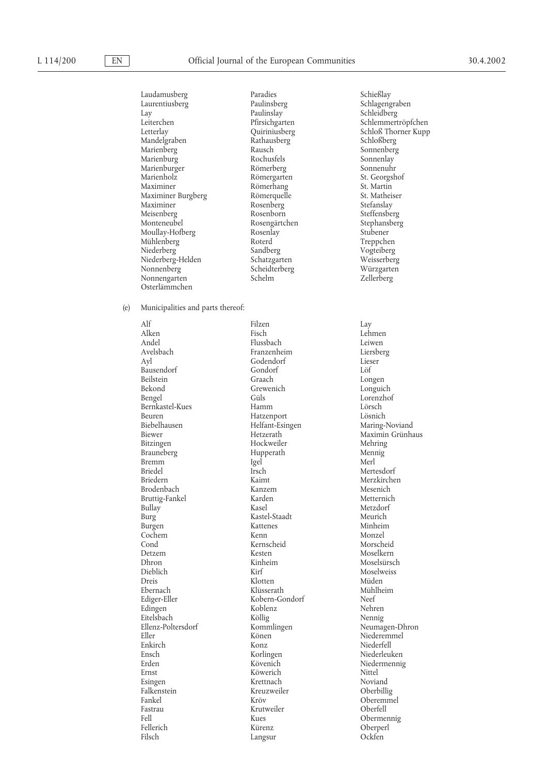Laudamusberg Paradies Schießlay Schlagengraben Lay Paulinslay Schleidberg Leiterchen Pfirsichgarten Schlemmertröpfchen Letterlay Quiriniusberg Schloß Thorner Kupp Mandelgraben Rathausberg Schloßberg Rausch Sonnenberg<br>Rochusfels Sonnenlay Marienburg Rochusfels Sonnenlay Marienburger Römerberg Sonnenuhr Marienholz Römergarten St. Georgshof Römerhang St. Martin<br>
Römerquelle St. Matheiser Maximiner Burgberg Römerquelle St. Matheiser Rosenberg Meisenberg Rosenborn Steffensberg Steffensberg<br>Monteneubel Rosengärtchen Stephansberg Rosengärtchen Stephans<br>
Rosenlay Stubener Moullay-Hofberg Rosenlay Rosenlay Stubener<br>Mühlenberg Roterd Treppchen Mühlenberg Moterd Roterd Treppchen<br>
Niederberg Sandberg Vogteiberg Vogteiberg Niederberg Sandberg Vogteiberg Niederberg-Helden Schatzgarten Weisserberg Scheidterberg Nonnengarten Schelm Zellerberg Osterlämmchen (e) Municipalities and parts thereof: Alf Filzen Lay Alken Fisch Lehmen Andel Flussbach Leiwen Avelsbach Franzenheim Liersberg Godendorf Lies<br>Gondorf Löf Bausendorf Gondorf Löf Beilstein Graach Longen Bekond Grewenich Longuich<br>Bengel Güls Güls Lorenzho Lorenzhof<br>Lörsch Bernkastel-Kues Hamm Hamm Lörsch<br>Beuren Hatzenport Lösnich Hatzenport Biebelhausen Helfant-Esingen Maring-Noviand<br>Biewer Hetzerath Maximin Grünha Maximin Grünhaus Bitzingen Hockweiler Mehring Brauneberg Hupperath Mennig<br>Bremm Igel Hupperath Menlig<br>Merl Bremm Igel Merl Briedel Irsch Mertesdorf Briedern Kaimt Kaimt Merzkirchen<br>Brodenbach Kanzem Mesenich Brodenbach Kanzem Mesenich Bruttig-Fankel<br>Bullay Bullay Kasel Metzdorf Kastel-Staadt Burgen Kattenes Minheim Cochem Kenn Kenn Monzel Cond Kernscheid Morscheid Detzem Kesten Moselkern Dhron Kinheim Moselsürsch Dieblich Kirf Moselweiss Dreis Klotten Müden Ebernach Klüsserath Mühlheim Kobern-Gondorf Neef<br>Koblenz Nehren Edingen Koblenz Nehren<br>Eitelsbach Köllig Nennig Nehren Eitelsbach Ellenz-Poltersdorf Kommlingen Neumagen-Dhron Eller Könen Niederemmel Konz<br>Korlingen Miederfell<br>Niederleuken Ensch<br>Erden Korlingen<br>Kövenich Erden Kövenich Niedermennig Ernst Köwerich Nittel Esingen Manuel (Esingen Krettnach Manuel Noviand Noviand Ralkenstein Kreuzweiler (Esimeral America)<br>Extension (Esimeral America) (Esimeral America) (Esimeral America) (Esimeral America) (Esimeral America) (Esim Falkenstein Kreuzweiler<br>Fankel Kröv Fankel Kröv Oberemmel Fastrau Krutweiler<br>Fell Kues Obermennig Fellerich Kürenz Oberperl Filsch Langsur Ockfen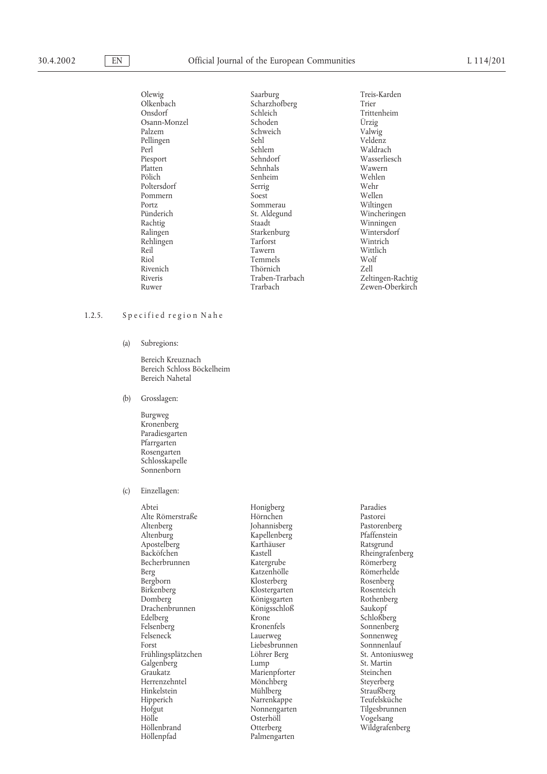Olewig Saarburg Saarburg Treis-Karden<br>Olkenbach Scharzhofberg Trier Treis-Karden Olkenbach Scharzhofberg<br>Onsdorf Schleich Schleich Trittenheim<br>
Schoden Ürzig Osann-Monzel Schoden Urzig<br>Palzem Schweich Valwig Schweich Valwig<br>
Palzem Valwig<br>
Veldenz Pellingen Sehl Sehlem Veldenz<br>Perl Sehlem Naldrach Weldenz Perl Waldrach Sehlem Waldrach Piesport Sehndorf Wasserliesch Platten Sehnhals Wawern Pölich Senheim Wehlen Wehlen<br> Pölich Serrig<br> Pölich Senheim Wehr Poltersdorf Serrig Wehr Pommern Soest Soest Wellen<br>Portz Sommerau Wiltingen Portz Sommerau Wiltingen Pünderich St. Aldegund Wincheringen Rachtig Staadt Winningen Starkenburg Wintersdorf<br>Tarforst Wintrich Rehlingen Tarforst Wintrich Reil Tawern Wittlich Riol Temmels Wolf<br>Rivenich Thörnich Zell Thörnich<br>Traben-Trarbach Riveris Traben-Trarbach Zeltingen-Rachtig

Zewen-Oberkirch

### 1.2.5. Specified region Nahe

(a) Subregions:

Bereich Kreuznach Bereich Schloss Böckelheim Bereich Nahetal

- (b) Grosslagen:
	- Burgweg Kronenberg Paradiesgarten Pfarrgarten Rosengarten Schlosskapelle Sonnenborn
- (c) Einzellagen:

Abtei Honigberg Paradies Alte Römerstraße Altenberg Johannisberg Pastorenberg Apostelberg<br>Backöfchen Becherbrunnen Berg Katzenhölle Römerhelde Bergborn Klosterberg Rosenberg Birkenberg Klostergarten Rosenteich Drachenbrunnen Königs<br>Edelberg Krone Felsenberg Kronenfels Sonnenberg Elseneck Lauerweg Sonnenberg Sonnenberg Sonnenberg Sonnenberg Sonnenberg Sonnenberg Sonnenberg Sonnenberg Sonnenberg Sonnenberg Sonnenberg Sonnenberg Sonnenberg Sonnenberg Sonnenberg Sonnen Felseneck Lauerweg Sonnenweg Forst Eiebesbrunnen Sonnnenlauf<br>Frühlingsplätzchen Löhrer Berg St. Antoniusweg Frühlingsplätzchen Löhrer Berg St. Antonius<br>Galgenberg Lump Lump St. Martin Galgenberg Lump St. Martin<br>Graukatz – Marienpforter Steinchen Graukatz Marienpforter Steinchen Herrenzehntel Mönchberg Steyerberg  $\begin{array}{ccc}\n\text{Hinkelstein} & \text{Mühlberg} & \text{Straußberg} \\
\text{Hipperich} & \text{Narrenkappe} & \text{Teufelsküche}\n\end{array}$ Hipperich Marrenkappe Teufelsküche<br>Hofgut Nonnengarten Tilgesbrunnen Hofgut Nonnengarten<br>Hölle Osterhöll Hölle Osterhöll Vogelsang Höllenpfad Palmengarten

Kapellenberg Pfaffenstein<br>
Karthäuser Ratsgrund Königsgarten Rothenberg Königsschloß<br>
Rothenberg Königsschloß<br>
Saukopf Otterberg Wildgrafenberg

Kastell Kastell Rheingrafenberg<br>
Römerberg<br>
Römerberg Schloßberg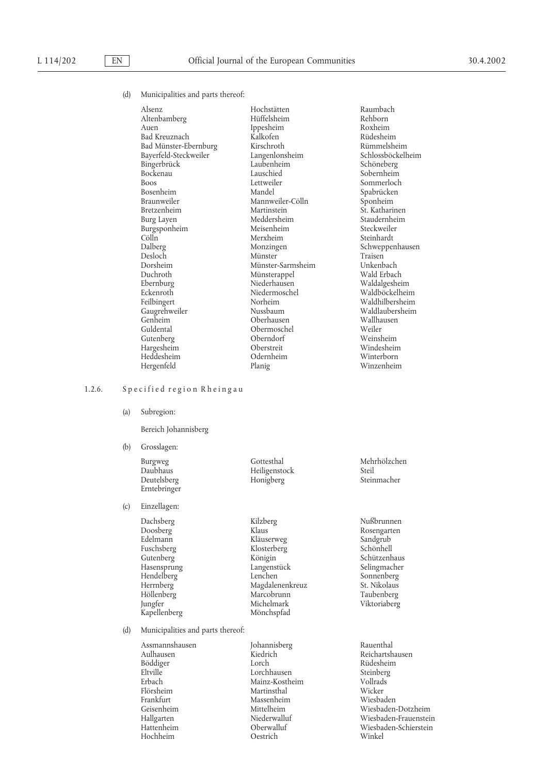(d) Municipalities and parts thereof:

| Alsenz                | Hochstätten       | Raumbach          |
|-----------------------|-------------------|-------------------|
| Altenbamberg          | Hüffelsheim       | Rehborn           |
| Auen                  | Ippesheim         | Roxheim           |
| Bad Kreuznach         | Kalkofen          | Rüdesheim         |
| Bad Münster-Ebernburg | Kirschroth        | Rümmelsheim       |
| Bayerfeld-Steckweiler | Langenlonsheim    | Schlossböckelheim |
| Bingerbrück           | Laubenheim        | Schöneberg        |
| Bockenau              | Lauschied         | Sobernheim        |
| <b>Boos</b>           | Lettweiler        | Sommerloch        |
| <b>Bosenheim</b>      | Mandel            | Spabrücken        |
| Braunweiler           | Mannweiler-Cölln  | Sponheim          |
| Bretzenheim           | Martinstein       | St. Katharinen    |
| Burg Layen            | Meddersheim       | Staudernheim      |
| Burgsponheim          | Meisenheim        | Steckweiler       |
| Cölln                 | Merxheim          | Steinhardt        |
| Dalberg               | Monzingen         | Schweppenhausen   |
| Desloch               | Münster           | Traisen           |
| Dorsheim              | Münster-Sarmsheim | Unkenbach         |
| Duchroth              | Münsterappel      | Wald Erbach       |
| Ebernburg             | Niederhausen      | Waldalgesheim     |
| Eckenroth             | Niedermoschel     | Waldböckelheim    |
| Feilbingert           | Norheim           | Waldhilbersheim   |
| Gaugrehweiler         | Nussbaum          | Waldlaubersheim   |
| Genheim               | Oberhausen        | Wallhausen        |
| Guldental             | Obermoschel       | Weiler            |
| Gutenberg             | Oberndorf         | Weinsheim         |
| Hargesheim            | Oberstreit        | Windesheim        |
| Heddesheim            | Odernheim         | Winterborn        |
| Hergenfeld            | Planig            | Winzenheim        |

### 1.2.6. Specified region Rheingau

(a) Subregion:

Bereich Johannisberg

(b) Grosslagen:

Erntebringer

(c) Einzellagen:

Fuschsberg Klosterberg Klosterberg<br>Gutenberg Königin Höllenberg Marcobrunn<br>
1988 Marcobrunn<br>
Michelmark Kapellenberg

Daubhaus Heiligenstock Steil Honigberg

Dachsberg Kilzberg Nußbrunnen Doosberg Klaus Rosengarten Edelmann Kläuserweg Sandgrub<br>Fuschsberg Klosterberg Schönhell Hasensprung Langenstück Selingmacher<br>Hendelberg Lenchen Sonnenberg Herrnberg Magdalenenkreuz St. Nikolaus Michelmark Viktoriaberg<br>Mönchspfad

(d) Municipalities and parts thereof:

Aulhausen Kiedrich Reichartshausen Böddiger Lorch Rüdesheim Eltville Lorchhausen Steinberg Erbach Mainz-Kostheim Vollrads<br>
Elörsheim Martinsthal Wicker Flörsheim Martinsthal Martinsthal Wicker<br>Frankfurt Massenheim Wiesbaden Frankfurt Massenheim<br>Geisenheim Mittelheim

Assmannshausen Johannisberg Rauenthal Hochheim Oestrich Winkel

Burgweg Gottesthal Mehrhölzchen

Schützenhaus Sonnenberg

Geisenheim Mittelheim Wiesbaden-Dotzheim Wiesbaden-Frauenstein Hattenheim Oberwalluf Wiesbaden-Schierstein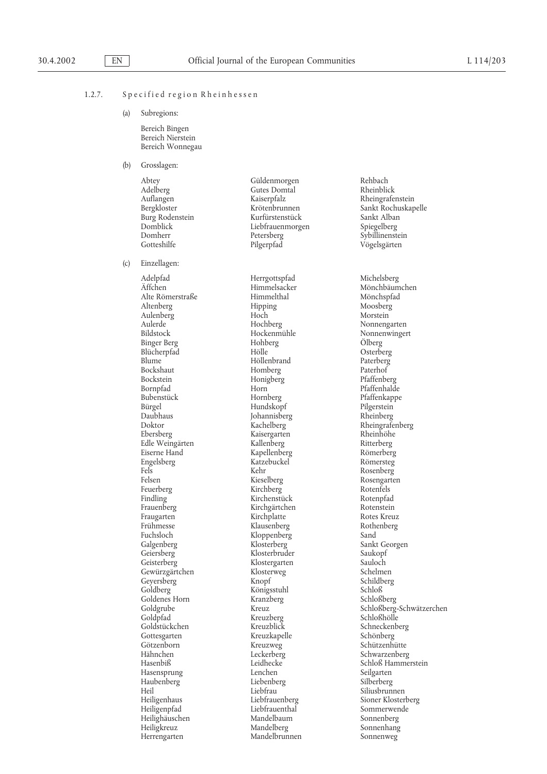### 1.2.7. Specified region Rheinhessen

(a) Subregions:

Bereich Bingen Bereich Nierstein Bereich Wonnegau

- (b) Grosslagen:
	- Abtey Güldenmorgen Rehbach Adelberg Gutes Domtal<br>Auflangen Kaiserpfalz

(c) Einzellagen:

Adelpfad Herrgottspfad Michelsberg Alte Römerstraße Himmelthal Mönchspfad Altenberg Aulenberg Hoch Morstein Aulerde Einstein († 1875)<br>18 Maart – Hockenmühle Hockenmünischen Nonnenwinger<br>18 Maart – Hockenmühle Hockenmünischen Nonnenwinger Binger Berg Hohberg O¨ lberg Blücherpfad Hölle Osterberg Blume Höllenbrand Paterberg<br>Bockshaut Homberg Paterhof Bockshaut Homberg<br>Bockstein Honigberg Bockstein Honigberg Pfaffenberg Bornpfad Horn Pfaffenhalde Bubenstück Hornberg Pfaffenkappe Bürgel Pilgerstein<br>
Example Hundskopf Pilgerstein<br>
Paubhaus Pheinberg Pheinberg Doktor Kachelberg Rheingrafenberg Edle Weingärten Kallenberg Ritterberg Eiserne Hand Kapellenberg Römerberg Engelsberg Katzebuckel<br>Eels Kehr Fels Kehr Rosenberg Felsen Kieselberg (Rosengarten Rosengarten Kieselberg (Rosengarten Rosengarten Rosengarten Rosengarten Rosengarten Rosengarten Rosengarten Rosengarten Rosengarten Rosengarten Rosengarten Rosengarten Rosengarten Rosengarten Feuerberg Kirchberg Rotenfels Findling Kirchenstück Rotenpfad<br>
Frauenberg Kirchgärtchen Rotenstein Frauenberg Kirchgärtchen Rotenstein Frühmesse Klausenberg Rothenberg Fuchsloch Kloppenberg<br>Galgenberg Klosterberg Geiersberg Klosterbruder Saukopf Gewürzgärtchen Klosterweg Schelmen<br>Geversberg Knopf Knopf Schildberg Goldberg Königsstuhl Schloß Schloß<br>Goldenes Horn Kranzberg Schloßberg Schloßberg Goldenes Horn Kranzl<br>Goldgrube Kreuz Goldstückchen Kreuzblick Schneckenberg Gottesgarten Kreuzkapelle<br>Götzenborn Kreuzweg Götzenborn Kreuzweg Schützenhütte Hähnchen Leckerberg Schwarzenberg Hasensprung Lenchen Seilgarten Haubenberg Heil University Christian Liebfrau and Christian Christian Siliusbrunnen<br>
Heiligenhaus Michael Liebfrauenberg Sioner Klosterberg Heiligenhaus Liebfrauenberg<br>Heiligenpfad Liebfrauenthal Heilighäuschen Heiligkreuz Mandelberg Sonnenhang Herrengarten Mandelbrunnen Sonnenweg

Auflangen Kaiserpfalz Rheingrafenstein Burg Rodenstein Kurfürstenstück Sankt Alban North Sankt Alban Domblick Liebfrauenmorgen Domblick Liebfrauenmorgen<br>Domherr Petersberg Gotteshilfe Pilgerpfad Vögelsgärten

> Hockenmühle Nonnenwingert<br>Hohberg Ölberg Johannisberg Kaisergarten Kirchplatte Klostergarten Kreuzberg Liebfrauenthal Sommerwende<br>
> Mandelbaum Sonnenberg

Krötenbrunnen Sankt Rochuskapelle<br>Kurfürstenstück Sankt Alban Sybillinenstein

A¨ ffchen Himmelsacker Mönchbäumchen Sankt Georgen Schildberg Goldgrube Kreuz Schloßberg-Schwätzerchen Leidhecke Schloß Hammerstein<br>
Lenchen Seilvarten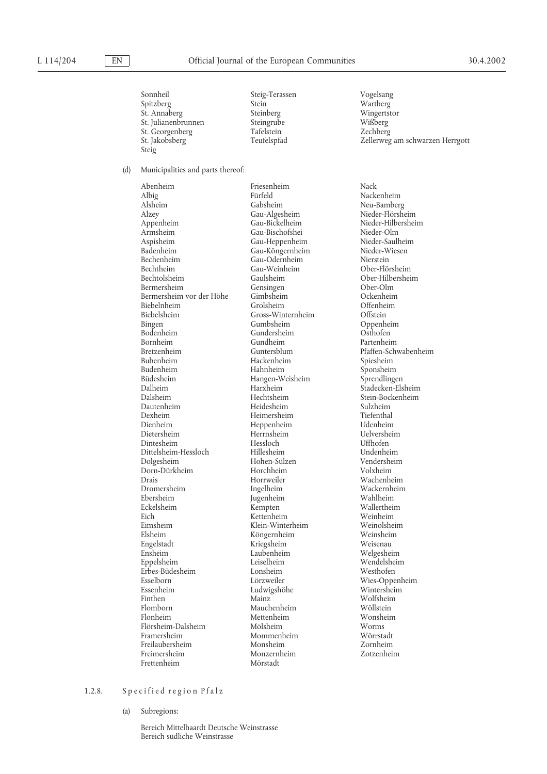Sonnheil Steig-Terassen Vogelsang<br>Spitzberg Stein Stein Wartberg Spitzberg St. Annaberg Steinberg Wingertstor St. Julianenbrunnen Steingrube Wißberg St. Georgenberg Tafelstein<br>
St. Jakobsberg Teufelspfad Steig

(d) Municipalities and parts thereof:

Abenheim Friesenheim Nack Albig Fürfeld Nackenheim Alzey Gau-Algesheim Nieder-Flörsheim Appenheim Gau-Bickelheim Nieder-Hilbersheim Gau-Bischofshei<br>Armsheim Gau-Bischofshei Nieder-Olm Armsheim Gau-Bischofshei Nieder-Olm Aspisheim Gau-Heppenheim Nieder-Saulheim Badenheim Gau-Köngernheim<br>Bechenheim Gau-Odernheim Bechenheim Gau-Odernheim Nierstein Bechtolsheim Gaulsheim Gaulsheim Ober-Hilbersheim Bermersheim Ober-Olm Bermersheim Gensingen Gensingen Ober-Olm<br>Bermersheim vor der Höhe Gimbsheim Ockenheim Bermersheim vor der Höhe Gimbsheim Großenheim Ockenheim Der Offenheim Der Offenheim Offenheim Der Offenheim Ch Biebelnheim Grolsheim Großein<br>Biebelsheim Gross-Winternheim Offstein Bingen Gumbsheim Gumbsheim Oppenheim<br>Bodenheim Gundersheim Osthofen Bornheim Gundheim Partenheim Bretzenheim Guntersblum Pfaffen-Schwabenheim Budenheim Hahnheim Sponsheim Büdesheim Mangen-Weisheim Hangen-Weisheim Dalheim Dalheim Harxheim Stadecken-Elsheim Dalsheim Hechtsheim Stein-Bockenheim Dautenheim Heidesheim Sulzheim Dexheim Heimersheim Tiefenthal Dienheim Heppenheim<br>Dietersheim Herrnsheim Dintesheim Hessloch Uffhofen Dittelsheim-Hessloch Dolgesheim Hohen-Sülzen Vendersheim Dorn-Dürkheim Horchheim<br>Drais Horrweiler Drais Horrweiler Wachenheim Dromersheim Ingelheim Wackernheim Ebersheim Jugenheim<br>Eckelsheim Kempten Eckelsheim Kempten Wallertheim Eimsheim Klein-Winterheim Weinolsheim Engelstadt Kriegsheim Weisenau Ensheim Laubenheim Welgesheim Erbes-Büdesheim Lonsheim<br>Esselborn Lörzweiler Essenheim Ludwigshöhe Wintersheim Finthen Mainz Mainz Wolfsheim<br>Flomborn Mauchenheim Wöllstein Flomborn Mauchenheim Wöllstein Flörsheim-Dalsheim Mölsheim Mölsheim Worms<br>Framersheim Mommenheim Wörrstadt Freilaubersheim Monsheim Monsheim Zornheim<br>Freimersheim Monzernheim Zotzenhei Frettenheim

Gau-Weinheim Gross-Winternheim<br>Gumbsheim Gundersheim Bubenheim Hackenheim Spiesheim Herrnsheim Uelversheim<br>Hessloch Uffhofen Kettenheim Köngernheim Leiselheim Wendelsheim Wendelsheim Westhofen Lörzweiler Wies-Oppenheim<br>
Ludwigshöhe Wintersheim Mettenheim Mommenheim Freimersheim Monzernheim Zotzenheim

St. Jakobsberg Teufelspfad Zellerweg am schwarzen Herrgott

Neu-Bamberg

# 1.2.8. Specified region Pfalz

(a) Subregions:

Bereich Mittelhaardt Deutsche Weinstrasse Bereich südliche Weinstrasse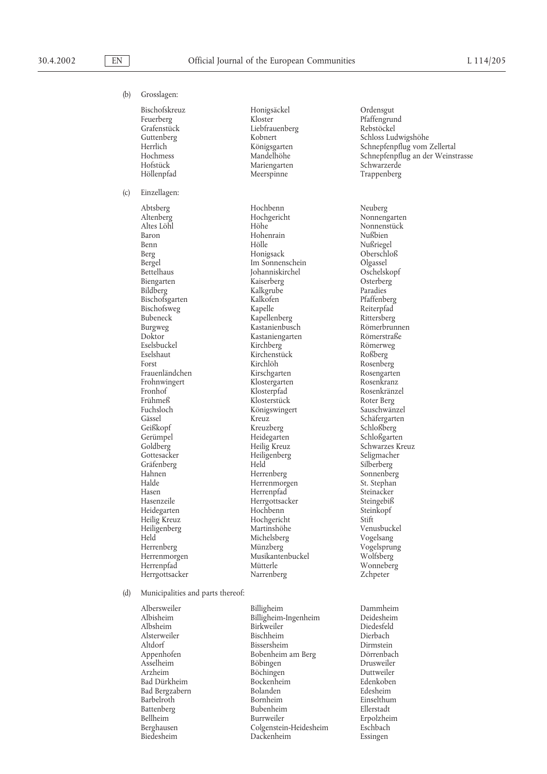(b) Grosslagen: Bischofskreuz Honigsäckel Ordensgut Feuerberg Kloster Pfaffengrund Grafenstück Liebfrauenberg<br>Guttenberg Kobnert Hofstück Mariengarten<br>Höllenpfad Meerspinne (c) Einzellagen: Abtsberg Hochbenn Neuberg Bischofsgarten Kalkofe<br>Bischofsweg Kapelle Eselsbuckel Fuchsloch Königswingert<br>Gässel Kreuz Geißkopf Kreuzberg<br>Gerümpel Heidegarten Gräfenberg Held

Altenberg Hochgericht Nonnengarten Altes Löhl Höhe Nonnenstück Hohenrain Benn Hölle Hölle Nußriegel<br>Berg Honigsack Oberschloß Honigsack Bergel Im Sonnenschein Digassel Digassel Im Sonnenschein Digassel Oschelskopf Bettelhaus Johanniskirchel Oschelsko<br>Biengarten Kaiserberg Osterberg Biengarten Kaiserberg Osterberg Kalkgrube<br>Bildberg Paradies<br>Pfaffenberg Bischofsweg Kapelle Reiterpfad Kapellenberg Rittersberg<br>
Rittersberg<br>
Römerbrunnen Burgweg Kastanienbusch Römerbrunnen Kastaniengarten Römerstraßen Römerstraßen Rücken Rücken Rücken Rücken Rücken Rücken Rücken Rücken Rücken Rücke<br>Bei Rücken Rücken Rücken Rücken Rücken Rücken Rücken Rücken Rücken Rücken Rücken Rücken Eines Eines Eines Ein Eselshaut Kirchenstück Roßberg Forst Einstein Kirchlöh Rosenberg<br>Frauenländchen Kirschgarten Rosengarte Frauenländchen Kirschgarten Rosengarten Klostergarten<br>Klosterpfad Fronhof Klosterpfad Rosenkränzel Frühmeß<br>Fuchsloch – Klosterstück Roter Berg<br>Königswingert – Sauschwänzel Gässel Kreuz Schäfergarten Gerümpel Heidegarten Schloßgarten Gottesacker Heiligenberg Seligmacher Hahnen Herrenberg Sonnenberg Sonnenberg Halde Herrenmorgen St. Stephan Hasen Herrenpfad Steinacker Herrgottsacker Steingebiß<br>Hochbenn Steinkopf Heidegarten Hochbenn Steinkopf Heilig Kreuz Hochgericht Stift Heiligenberg Martinshöhe Venusbuck<br>Held Michelsberg Vogelsang Michelsberg<br>Münzberg Herrenberg Münzberg Vogelsprung Herrenmorgen Musikantenbuckel Wolfsberg Herrenpfad Mütterle Wonneberg Herrgottsacker Narrenberg Zchpeter

Guttenberg Kobnert Schloss Ludwigshöhe Herrlich Königsgarten Schnepfenpflug vom Zellertal<br>Hochmess Mandelhöhe Schnepfenpflug an der Weins Hochmess Mandelhöhe Schnepfenpflug an der Weinstrasse Trappenberg

Schwarzes Kreuz

**Erpolzheim** 

#### (d) Municipalities and parts thereof:

Bad Bergzabern Bolanden Edesheim Battenberg Bubenheim Bellheim Burrweiler

Albersweiler Billigheim Dammheim Billigheim-Ingenheim Albsheim Birkweiler Diedesfeld Alsterweiler Bischheim Dierbach Altdorf Bissersheim Berg Dirmstein<br>Appenhofen Bobenheim am Berg Dörrenbach Appenhofen Bobenheim am Berg<br>Asselheim Böbingen Böbingen Drusweiler<br>Böchingen Duttweiler Arzheim Böchingen Duttweiler Bad Dürkheim Bockenheim Edenkoben Barbelroth Bornheim Einselthum Battenberg Bubenheim Ellerstadt Berghausen Colgenstein-Heidesheim Eschbach Biedesheim Dackenheim Essingen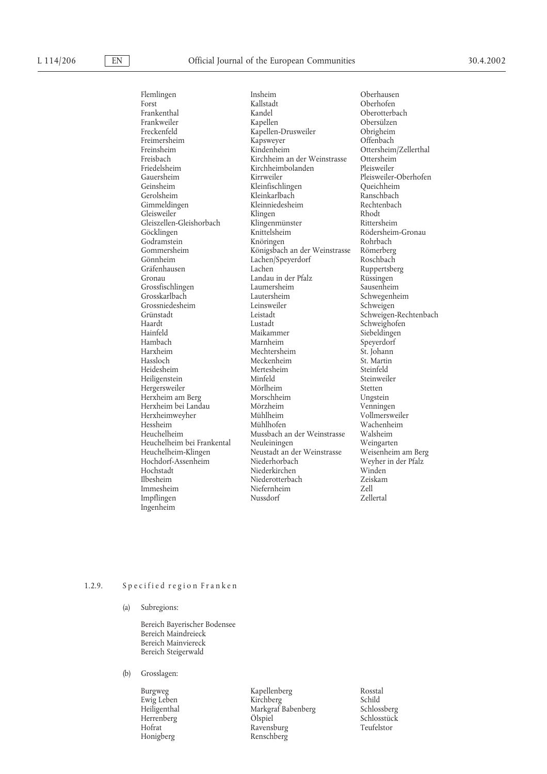# L 114/206 EN Official Journal of the European Communities 30.4.2002

Freimersheim Kapsweyer<br>Freinsheim Kindenheim Friedelsheim Kirchheimbolanden<br>Gauersheim Kirrweiler Gleiszellen-Gleishorbach Klingenmüns<br>Göcklingen Knittelsheim Gönnheim Lachen/Speyerdorf<br>Gräfenhausen Lachen Grossfischlingen Laumershein<br>Grosskarlbach Lautersheim Grossniedesheim Herxheimweyher Impflingen Ingenheim

Flemlingen Insheim Insheim Oberhausen<br>Forst Collistadt Collistadt Oberhofen Forst Example 2013 - The Multiplant Communist Collection Contract Collection Collection Collection Collection Collection Collection Collection Collection Collection Collection Collection Collection Collection Collection Co Frankenthal Kandel Oberotterbach Frankweiler Kapellen Obersülzen Freckenfeld Kapellen-Drusweiler Obrigheim Freinsheim Kindenheim Ottersheim/Zellerthal<br>Freisbach Kirchheim an der Weinstrasse Ottersheim Freisbach Kirchheim an der Weinstrasse Ottersheim Gauersheim Kirrweiler Pleisweiler-Oberhofen<br>Geinsheim Kleinfischlingen Queichheim Geinsheim Kleinfischlingen Queichheim Gerolsheim Kleinkarlbach Ranschbach Kleinniedesheim Gleisweiler Klingen Klingen Rhodt<br>Gleiszellen-Gleishorbach Klingenmünster Rittersheim Göcklingen Knittelsheim Rödersheim-Gronau Knöringen Rohrbach<br>Königsbach an der Weinstrasse Römerberg Gommersheim Königsbach an der Weinstrasse Römerberg Gronau 1983 – Landau in der Pfalz Rüssingen<br>Grossfischlingen – Laumersheim – Sausenheim Lautersheim Schwegenheim<br>Leinsweiler Schweigen Grünstadt Leistadt Leistadt Schweigen-Rechtenbach<br>
Haardt Lustadt Schweighofen Haardt Lustadt Schweighofen Hainfeld Maikammer Siebeldingen Hambach Marnheim Speyerdorf<br>Harxheim Mechtersheim St. Johann Harxheim Mechtersheim St. Johann Hassloch Meckenheim St. Martin Mertesheim Steinfeld<br>
Minfeld Steinweiler Heiligenstein Minfeld Steinweiler Mörlheim Steinweiler Steinweiler Steinweiler Steinweiler Steinweiler Steinwe<br>1989 – Stetten Mörlheim Stetten Stetten Steinweise Steinweise Steinweise Steinweise Steinweise Steinweise Stein Hergersweiler Mörlheim Stetten Herxheim am Berg Morschheim Ungstein Herxheim bei Landau Mörzheim Venningen Hessheim Mühlhofen Wachenheim Heuchelheim Mussbach an der Weinstrasse Walsheim Heuchelheim bei Frankental Neuleiningen Weingarten Heuchelheim-Klingen Neustadt an der Weinstrasse<br>Hochdorf-Assenheim Niederhorbach Hochdorf-Assenheim Niederhorbach Weyher in der Pfalz Hochstadt Niederkirchen Winden Niederotterbach Zeis<br>Niefernheim Zell Immesheim Niefernheim Zell

Ruppertsberg

## 1.2.9. Specified region Franken

(a) Subregions:

Bereich Bayerischer Bodensee Bereich Maindreieck Bereich Mainviereck Bereich Steigerwald

(b) Grosslagen:

Herrenberg Honigberg Renschberg

Burgweg Kapellenberg Rosstal Ewig Leben Kirchberg Schild Markgraf Babenberg Schlossberg<br>Ölspiel Schlosstück Hofrat Ravensburg Teufelstor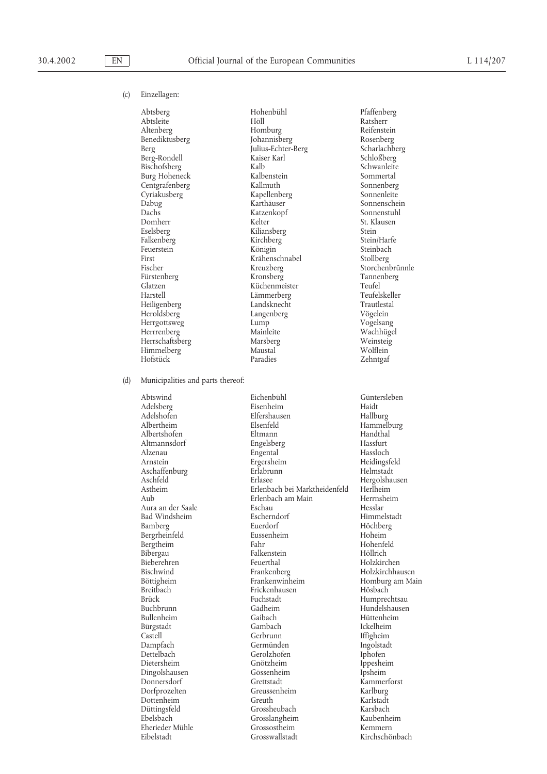## (c) Einzellagen:

Benediktusberg Dachs Katzenkopf<br> Katzenkopf<br> Kelter First Krähenschnabel<br>Fischer Kreuzberg Herrgottsweg Lump Herrschaftsberg

Abtsberg Hohenbühl Pfaffenberg Abtsleite Höll Höll Ratsherr Reifenstein<br>Altenberg Homburg Reifenstein Homburg Reifenstein<br>
Iohannisberg Rosenberg Berg Julius-Echter-Berg Scharlachberg Berg-Rondell Kaiser Karl Schloßberg Bischofsberg Kalb Schwanleite Burg Hoheneck Kalbenstein Sommertal Centgrafenberg Kallmuth Sonnenberg Kapellenberg Dabug Karthäuser Sonnenschein Domherr Kelter St. Klausen<br>
Stelsberg Kiliansberg Stein<br>
Stein Eselsberg Kiliansberg Stein Falkenberg Kirchberg Stein/Harfe Feuerstein Königin Königin Steinbach<br>First Steinbach Krähenschnabel Steinbach Kreuzberg Storchenbrünnle<br>Kronsberg Tannenberg Fürstenberg Kronsberg Tannenberg Tannenberg Tannenberg Tannenberg Tannenberg Tannenberg Tannenberg Tannenberg<br>Teufel Teufel Teufel Küchenmeister Teufel Teufel Teufel Teufel Teufel Teufel Teufel Teufel Teufel Teufel Teufe Glatzen (auch Küchenmeister Teufel Teufel (auch Küchenmeister Teufel Teufelskeller (auch Zurüchen)<br>Einerherstell (auch Teufelskeller (auch Zurüchen Teufelskeller (auch Zurüchen) (auch Zurüchen) zurüchten Zurüc Lämmerberg Heiligenberg Landsknecht Trautlestal Heroldsberg Langenberg Vögelein Herrrenberg Mainleite Wachhügel Himmelberg Maustal Wölflein<br>Hofstück Paradies – Zehntoaf

(d) Municipalities and parts thereof:

Albertshofen Alzenau Engental<br>Arnstein Ergersheim Aschaffenburg<br>Aschfeld Bad Windsheim Bieberehren Feuerthal<br>Bischwind Frankenberg Breitbach Frickenhausen<br>Brück Fuchstadt Dettelbach Gerolzhofen<br>Dietersheim Gnötzheim

Abtswind Eichenbühl Güntersleben Adelsberg Eisenheim Haidt Elfershausen Albertheim Elsenfeld Hammelburg Altmannsdorf Engelsberg Hassfurt Ergersheim Heidingsfeld<br>Erlabrunn Helmstadt Aschfeld Erlasee Hergolshausen<br>Astheim Erlenbach bei Marktheidenfeld Herlheim Astheim Erlenbach bei Marktheidenfeld Herlheim Erlenbach am Main<br>Eschau Aura an der Saale Eschau Hesslar Bamberg Euerdorf Höchberg Bergrheinfeld Eussenheim Hoheim Hoheim Bergtheim Hoheim Hoheim Hoheim Hoheim Hoheim Hoheim Hoheim Hoheim Hoheim Hoheim Hoheim Hoheim Hoheim Hoheim Hoheim Hoheim Hoheim Hoheim Hoheim Hoheim Hoheim Hoheim Hoheim Hoheim Hohei Bergtheim Fahr Fahr Hohenfeld Hohenfeld Hohenfeld Höllrich Hohenfeld Höllrich Höllrich Höllrich Höllrich Höllrich Höllrich Höllrich Höllrich Höllrich Höllrich Höllrich Höllrich Höllrich Höllrich Höllrich Höllrich Höllrich Falkenstein Höllrich<br>Feuerthal Holzkirchen Bischwind Frankenberg Holzkirchhausen Böttigheim Frankenwinheim Homburg am Main<br>Breitbach Frickenhausen Hösbach Hösbach Brück Fuchstadt Humprechtsau<br>Buchbrunn Gädheim Hundelshausen Buchbrunn Gädheim Hundelshausen Bürgstadt Gambach Ickelheim Castell Gerbrunn Gerbrunn Iffigheim<br>Dampfach Germünden Ingolstadt Dampfach Germünden Ingolstadt Gnötzheim Ippesheim Dingolshausen Gössenheim Ipsheim Donnersdorf Grettstadt Kammerforst Dorfprozelten Greussenheim Karlburg Dottenheim Greuth Karlstadt Düttingsfeld Grossheubach Karsbach Grosslangheim Eherieder Mühle Grossostheim Kemmern Eibelstadt Grosswallstadt Kirchschönbach

Zehntgaf

Hüttenheim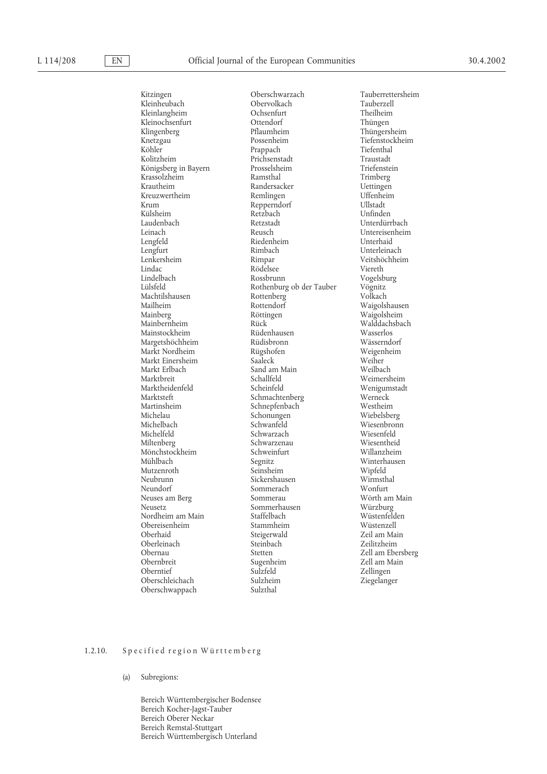Kitzingen Oberschwarzach Tauberrettersheim Kleinheubach Kleinochsenfurt Ottendorf<br>
Klingenberg Pflaumheim Machtilshausen Rottenberg<br>Mailheim Rottendorf Markt Erlbach Sand am Main<br>Marktbreit Schallfeld Michelau Schonungen<br>Michelbach Schwanfeld Mönchstockheim Oberschleichach Oberschwappach Sulzthal

Kleinlangheim Ochsenfurt Theilheim Pflaumheim Thüngersheim<br>Possenheim Tiefenstockhei Knetzgau 1988 – Knetzgau Possenheim – Tiefenstockheim Köhler – Tiefenstockheim († 1892)<br>Köhler – Prappach – Tiefenthal Köhler Prappach Tiefenthal<br>Kolitzheim Prichsenstadt Traustadt Traustadt Prichsenstadt Prichsenstadt Traustadt<br>Prosselsheim Triefenstein Königsberg in Bayern Prosselsheim Prosselsheim Triefenste<br>Krassolzheim Ramsthal Prosselsheim Trimberg Krassolzheim (Krassolzheim Ramsthal Trimberg)<br>Krautheim Randersacker (Krautheim Dettingen Randersacker Uettingen<br>Remlingen Uffenheim Kreuzwertheim Remlingen Uffenheim<br>Krum Repperndorf Ullstadt Repperndorf Külsheim Retzbach Unfinden Laudenbach Retzstadt Unterdürrbach Leinach Reusch Untereisenheim Riedenheim<br>Rimbach Lengfurt Rimbach Unterleinach Lenkersheim Rimpar Veitshöchheim Lindac Rödelsee Viereth Lindelbach Rossbrunn Vogelsburg Rothenburg ob der Tauber Vögnitz<br>Rottenberg Volkach Mainberg Röttingen Waigolsheim Mainbernheim Rück Rück Walddach:<br>Mainstockheim Rüdenhausen Wasserlos Mainstockheim Rüdenhausen Wasserlos Margetshöchheim Rüdisbronn Wässerndorf Markt Nordheim Rügshofen Weigenheim Markt Einersheim Saaleck Weiher Schallfeld Weimersheim<br>Scheinfeld Wenigumstadt Marktheidenfeld Scheinfeld Scheinfeld Wenigum<br>Marktsteft Schmachtenberg Werneck Marktsteft Schmachtenberg Werneck Martinsheim Schnepfenbach Westheim Schonengen<br>Michelau Schonungen Wiebelsberg Michelfeld Schwarzach Wiesenfeld Miltenberg Schwarzenau Wiesentheid Mühlbach Segnitz Winterhausen Mutzenroth Seinsheim Wipfeld Neubrunn Sickershausen Wirmsthal Sommerach<br>Sommerau Neuses am Berg Sommerau Wörth am Main Sommerhausen Würzburg<br>Staffelbach Wüstenfelden Nordheim am Main Staffelbach Wüstenfelden Obereisenheim Stammheim Stammheim Wüstenzell<br>Oberhaid Steigerwald Zeil am Main Steigerwald Oberleinach Steinbach Zeilitzheim Obernbreit Sugenheim Zell am Main<br>Oberntief Sulzfeld – Zellingen Zellingen Sulzfeld Zellingen<br>
Sulzheim Ziegelanger

Waigolshausen Wiesenbronn<br>Wiesenfeld Zell am Ebersberg

## 1.2.10. Specified region Württemberg

#### (a) Subregions:

Bereich Württembergischer Bodensee Bereich Kocher-Jagst-Tauber Bereich Oberer Neckar Bereich Remstal-Stuttgart Bereich Württembergisch Unterland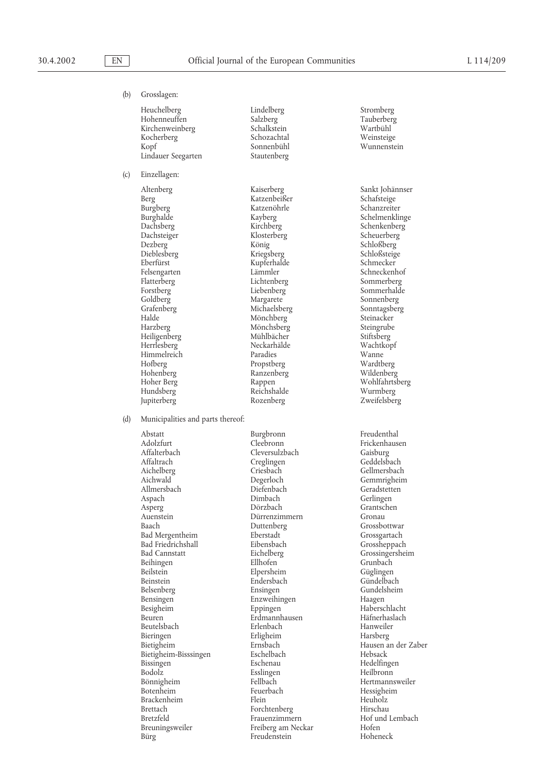(b) Grosslagen:

Heuchelberg Lindelberg Stromberg Hohenneuffen Salzberg Tauberberg Kirchenweinberg Schalkstein Wartbühl Kocherberg Schozachtal<br>
Kopf Sonnenbühl Lindauer Seegarten

(c) Einzellagen:

Berg Katzenbeißer Schafsteige Schafsteige Burgberg Katzenöhrle Schafsteige Schafsteige Schafsteige Schafsteige Burgberg Katzenöhrle<br>Burghalde Kayberg Dachsberg Kirchberg Schenkenberg Dezberg König Schloßberg Eberfürst Kupferhalde Schmecker Felsengarten Lämmler<br>Flatterberg Lichtenberg Forstberg Liebenberg Liebenberg Sommerhalde<br>
Sonnenberg Sommerhalde<br>
Sonnenberg Goldberg Margarete Sonnenberg Grafenberg Michaelsberg Sonntagsberg Halde Mönchberg Steinacker<br>Harzberg Mönchsberg Steingrube Heiligenberg Mühlbächer Stiftsberg Himmelreich Paradies Wanne Hofberg Propstberg<br>Hohenberg Ranzenberg Hohenberg Ranzenberg Wildenberg Hundsberg Reichshalde<br>
Iupiterberg Rozenberg

Sonnenbühl Wunnenstein<br>Stautenberg Wunnenstein

Altenberg Kaiserberg Sankt Johännser Kriegsberg Flatterberg Lichtenberg Sommerberg Mönchsberg Steingrube<br>Mühlbächer Stiftsberg Neckarhälde

(d) Municipalities and parts thereof:

Abstatt Burgbronn Freudenthal Adolzfurt Cleebronn Frickenhausen Affalterbach Cleversulzbach<br>Affaltrach Creglingen Affaltrach Creglingen Geddelsbach Geddelsbach<br>Aichelberg Criesbach Criesbach Gellmersbac Aichelberg Criesbach Gellmersbach Allmersbach Diefenbach Diefenbach Geradstett Aspach Geradstett Aspach Christ Asperg Dörzbach Grantschen Baach Duttenberg Grossbottwar Bad Mergentheim Eberstadt Grossgartach Grossgartach Bad Friedrichshall Eibensbach Grossheppach Bad Friedrichshall Eibensbach<br>Bad Cannstatt Eichelberg Bad Cannstatt Eichelberg Grossingersheim Beihingen Ellhofen Ellhofen Grunbach<br>Beilstein Elpersheim Güglingen Beilstein Elpersheim<br>Beinstein Endersbach Beinstein Endersbach Gündelbach Belsenberg Ensingen Gundelsheim Bensingen Enzweihingen<br>Besigheim Eppingen Besigheim Eppingen Eppingen Haberschlacht<br>Beuren Häfnerhaslacht Erdmannhausen Hafferhaslach Beutelsbach Erlenbach Hanweiler Bieringen Erligheim Harsberg Bietigheim Ernsbach Ernsbach Hausen an der Zaber<br>Bietigheim-Bisssingen Eschelbach Hebsack Hebsack Bietigheim-Bisssingen Bissingen Eschenau Eschenau Hedelfingen<br>Bodolz Esslingen Esseingen Heilbronn Bodolz Esslingen Heilbronn Bönnigheim Fellbach Hertmannsweiler Brackenheim Flein Heuholz Brettach Forchtenberg Hirschau Breuningsweiler Freiberg am Neckar Hofen

Degerloch Gemmrigheim<br>Diefenbach Geradstetten Dimbach<br>Dörzbach Dürrenzimmern Erdmannhausen Feuerbach Hessighe<br>Flein Heuholz Frauenzimmern Bürg Freudenstein Hoheneck

Burghalde Kayberg Schelmenklinge Scheuerberg Wohlfahrtsberg<br>Wurmberg Zweifelsberg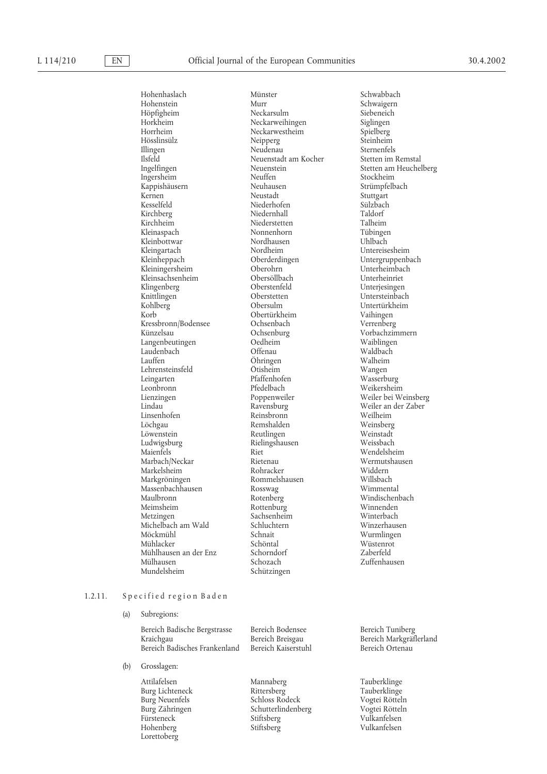## L 114/210 **EN C** Consequent European Communities 30.4.2002

Hohenhaslach Münster Schwabbach Höpfigheim Neckarsulm Siebeneich Horkheim Neckarweihingen Siglingen Horrheim Neckarwestheim Spielberg<br>Hösslinsülz Neipperg Neipperg Steinheim Hösslinsülz Neipperg Steinheim Illingen Neudenau Sternenfels Ilsfeld Neuenstadt am Kocher Ingelfingen im Remstalt am Socher Ingelfingen im Remstalt am Neuenstein im Remstalt am Neuenstein im Remstalt am Neuenstein im Remstalt am Neuenstein im Remstalt am Neuenstein im Remstalt am Ne Ingersheim Neuffen Stockheim Kappishäusern Neuhausen Neuhausen Strümpfelbach<br>Kernen Neustadt Kernen Meustadt (Stuttgart Stuttgart Stuttgart Stuttgart Stuttgart Stuttgart Stuttgart Stuttgart Stuttgart Stu<br>Kesselfeld (Stuttgart Stuttgart Stutzbach Stutzbach Stutzbach Stutzbach Stutzbach Stutzbach Stutzbach Stutzbac Kirchberg Niedernhall Taldorf Kirchheim Niederstetten Talheim Talheim Niederstetten Talheim Talheim Niederstetten Tübingen Kleinbottwar Nordhause<br>Kleingartach Nordheim Kleingartach Mordheim Untereisesheim<br>Kleinheppach Oberderdingen Untergruppenb Kleiningersheim Oberohrn Unterheimbach<br>
Kleinsachsenheim Obersöllbach Unterheinriet Kleinsachsenheim Obersöllbach<br>
Klingenberg Oberstenfeld Klingenberg Oberstenfeld Unterjesingen Knittlingen Oberstetten Untersteinbach<br>Kohlberg Obersulm Untertürkheim Korb Obertürkheim Vaihingen<br>Kressbronn/Bodensee Ochsenbach Verrenberg Kressbronn/Bodensee Ochsenbach<br>Künzelsau Ochsenburg Langenbeutingen Oedheim Waiblingen Laudenbach<br>Lauffen Lehrensteinsfeld Ötisheim<br>
Leingarten Pfaffenhofen Leingarten Pfaffenhofen Wasserburg Leonbronn Pfedelbach Weikersheim Lienzingen Poppenweiler Weiler bei Weinsberg Lindau Ravensburg Weiler an der Zaber Linsenhofen Reinsbronn<br>Löchgau Remshalden Löwenstein Reutlingen Weinstadt Ludwigsburg Rielingshausen<br>Maienfels Riet Marbach/Neckar Rietenau Wermutshausen Markelsheim Rohracker Widdern Markgröningen Rommelshausen Willsbach Massenbachhausen Rosswag<br>Maulbronn Rotenberg Maulbronn Rotenberg Windischenbach<br>
Meimsheim Rottenburg Winnenden<br>
Rottenburg Winnenden Meimsheim Rottenburg Winnenden Michelbach am Wald Schluchtern Winzerhausen Mühlacker Schöntal Wüstenrot Mühlhausen an der Enz Mülhausen Schozach Zuffenhausen

Niederhofen Nonnenhorn Tübinger<br>Nordhausen Uhlbach Oberderdingen Untergruppenbach<br>Oberohrn Unterheimbach Ochsenburg Vorbachzimmern<br>
Oedheim Waiblingen Öhringen Walheim<br>Ötisheim Wangen Remshalden Weinsberg Sachsenheim<br>Schluchtern Schützingen

Schwaigern Ingelfingen Neuenstein Stetten am Heuchelberg Untertürkheim Wendelsheim Wurmlingen

# 1.2.11. Specified region Baden

### (a) Subregions:

Bereich Badische Bergstrasse Bereich Bodensee Bereich Tuniberg Kraichgau Bereich Breisgau Bereich Markgräflerland Bereich Badisches Frankenland

- (b) Grosslagen:
	- Lorettoberg

Attilafelsen Mannaberg Tauberklinge<br>
Rittersberg Hauberklinge<br>
Tauberklinge Burg Lichteneck Rittersberg Tauberklinge Burg Neuenfels Schloss Rodeck Vogtei Rötteln Burg Zähringen Schutterlindenberg Vogtei Rötteln Stiftsberg Hohenberg Stiftsberg Vulkanfelsen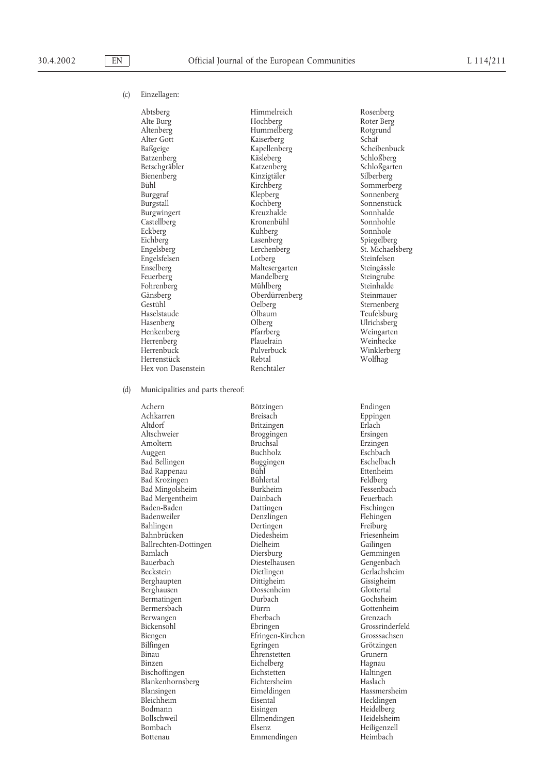## (c) Einzellagen:

Abtsberg Himmelreich Rosenberg Alte Burg Hochberg Roter Berg Altenberg Hummelberg Rotgrund Baßgeige Kapellenberg Scheibenbuck Betschgräbler Katzenberg Schloßgarten Bienenberg Kinzigtäler<br>Bühl Kirchberg Bühl Kirchberg Sommerberg Sommerberg<br>Burggraf Klepberg Sonnenberg Burgstall Kochberg Sonnenstück Burgwingert Kreuzhalde Sonnhalde Castellberg Kronenbühl Sonnhohle Eckberg Kuhberg<br>Eichberg Sonnerg Kuhberg Eichberg Lasenberg Spiegelberg Spiegelberg Spiegelberg Spiegelberg Spiegelberg St. Michaels Engelsfelsen Enselberg Maltesergarten Steingässle<br>
Enselberg Mandelberg Steingrube Fohrenberg Mühlberg Mühlberg Steinhalde<br>Gänsberg Steinmauer Oberdürrenberg Steinmauer Gestühl – Gelberg – Sternenberg – Sternenberg – Sternenberg – Sternenberg – Sternenberg – Sternenberg – Sternenberg – Sternenberg – Sternenberg – Sternenberg – Sternenberg – Sternenberg – Sternenberg – Sternenberg – Sterne Haselstaude O¨ lbaum Teufelsburg Henkenberg Pfarrberg Weingarten Herrenberg Plauelrain<br>
Herrenbuck Pulverbuck<br>
Pulverbuck<br>
Pulverbuck Herrenbuck Pulverbuck Winklerberg Herrenstück Rebtal<br>Hex von Dasenstein Renchtäler Hex von Dasenstein

Kaiserberg Schäf<br>Kapellenberg Scheibenbuck Käsleberg Schloßberg<br>
Katzenberg Schloßgarten Engelsberg St. Michaelsberg<br>Letherg Steinfelsen Mandelberg Steingrube<br>
Mühlberg Steinhalde Oberdürrenberg

(d) Municipalities and parts thereof:

Achern 1988 - Bötzingen Bötzingen Breisach en Endingen auch an Endingen auch an Breisach eine Breise Endingen<br>1989 - Breisach Breisach en Eppingen Altdorf Britzingen Erlach Erlach († 1892)<br>Altschweier – Broggingen Ersinge Amoltern Bruchsal Bruchsal Erzingen<br>Augeen Buchholz Eschbach Auggen Buchholz Buchholz Eschbach<br>Bad Bellingen Buggingen Buggingen Eschelbach Bad Bellingen Buggingen Eschelbach Bad Rappenau Bühl Bühl Ettenheim<br>Bad Krozingen Bühlertal Bühlertal Feldberg Bad Krozingen Bühlertal Feldberg Bad Mingolsheim Burkheim Fessenbach<br>Bad Mergentheim Dainbach Feuerbach Bad Mergentheim Dainbach Peuerbach Feuerbach Baden-Baden Pischingen Dattingen Fischingen Baden-Baden Dattingen Fischingen Bahlingen Dertingen Freiburg Bahnbrücken Diedesheim Friesenheim Ballrechten-Dottingen Dielheim<br>Bamlach Diersburg Bamlach Diersburg Gemmingen Bauerbach Diestelhausen<br>Beckstein Dietlingen Berghaupten Dittigheim Gissigheim Berghausen Dossenheim Glottertal Bermatingen Durbach Gochsheim Bermersbach Dürrn Gottenhei<br>Berwangen Berbach Grenzach Berwangen Bickensohl Ebringen Grossrinderfeld Biengen Efringen-Kirchen Grosssachsen<br>Bilfingen Egringen Egringen Grötzingen Binau Ehrenstetten Grunern Binzen Eichelberg Hagnau<br>Bischoffingen Eichstetten Haltinge Bischoffingen Eichstetten Haltingen Blankenhornsberg Blansingen – Eimeldingen Hassmersheim<br>Bleichheim – Eisental – Hecklingen Hecklingen Bleichheim Eisental Hecklingen<br>Bodmann Eisingen Heidelberg Bodmann Eisingen Eisingen Heidelberg<br>Bollschweil Ellmendingen Heidelsheim Bombach Elsenz Elsenz Heiligenzell Bottenau Emmendingen Heimbach

Broggingen Ersingen Denzlingen Dietlingen Gerlachsheim<br>Dittigheim Gissigheim Bilfingen Egringen Grötzingen Ellmendingen

Sonnenberg<sup>T</sup> Ulrichsberg

Eppingen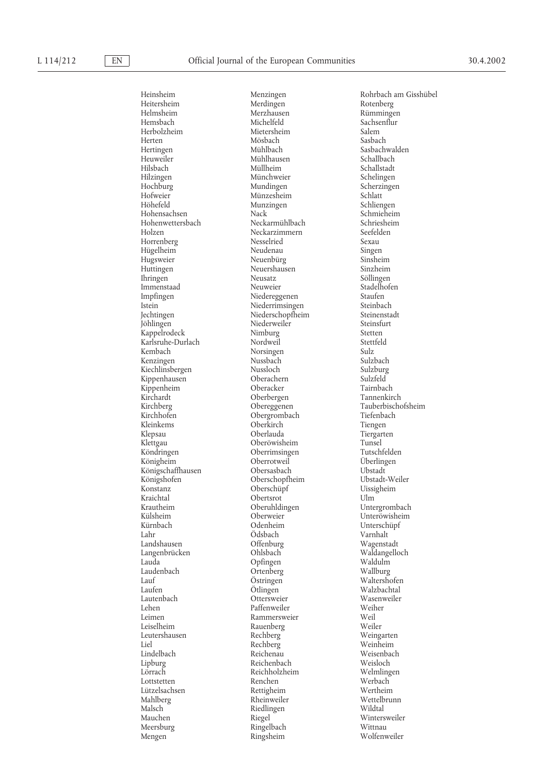Heuweiler Mühlhausen<br>Hilsbach Müllheim Hilzingen Münchweier<br>Hochburg Mundingen Jöhlingen Niederweiler<br>Kappelrodeck Nimburg Kirchardt Oberbergen<br>
Kirchberg Obereggenen Konstanz Oberschüpf<br>
Kraichtal Obertsrot Lahr Ödsbach<br>Landshausen Offenbur Langenbrücken Laudenbach Ortenberg<br>Lauf Östringen Leutershausen Lützelsachsen Rettigheim<br>Mahlberg Rheinweiler Malsch Riedlingen<br>Mauchen Riegel Mengen Ringsheim

Merdingen Helmsheim Merzhausen Rümmingen Michelfeld Sachsenflur<br>Mietersheim Salem Herbolzheim Mietersheim Salem<br>Herten Sashach Möshach Sashach Herten Mösbach Sasbach Hertingen Mühlbach Sasbachwalden<br>Heuweiler Mühlhausen Schallbach Hilsbach Müllheim Schallstadt Hochburg Mundingen Scherzingen Hofweier Münzesheim Schlatt Munzingen Hohensachsen Nack Schmieheim Hohenwettersbach Neckarmühlbach Schriesheim Neckarzimmern<br>Nesselried Horrenberg Nesselried Sexau Hügelheim Neudenau Singen Hugsweier Neuenbürg Sinsheim Neuershausen Ihringen 1988 – Neusatz Söllingen Söllingen Söllingen Söllingen Söllingen Stadelhofen Stadelhofen Stadelhofen Immenstaad Neuweier Stadelhofen<br>Impfingen Niedereggenen Staufen Impfingen 1988 Niedereggenen Staufen Staufen Staufen ist Staufen Staufen Steinbach Niederrimsingen Steinbach Steinbach Steinbach (1989) Steinbach Steinbach Steinbach Steinbach Steinbach Steinbach Steinbach Steinbach Steinb Niederrimsingen Jechtingen Niederschopfheim Steinenstadt Kappelrodeck Nimburg Stetten Karlsruhe-Durlach Nordweil Stettl<br>Kembach Norsingen Sulz Norsingen Sulz<br>Nussbach Sulzbach Kenzingen Nussbach Sulzbach Kiechlinsbergen Mussloch Nussloch Sulzburg<br>Kippenhausen Oberachern Sulzfeld Kippenhausen Oberachern Sulzfeld Kippenheim Oberacker Tairnbach Kirchberg Manuel Obereggenen Tauberbischofsheim<br>
Tiefenbach Tiefenbach Terenbach Tiefenbach Obergrombach Kleinkems Oberkirch Tiengen Klepsau Oberlauda Tiergarten Klettgau Oberöwisheim Tunsel Oberrimsingen Königheim Oberrotweil U¨ berlingen Königschaffhausen Obersasbach Ubstadt Ubstadt Ubstadt Ubstadt Ubstadt-Weiler Königshofen Oberschopfheim Ubstadt-Weiler Kraichtal Obertsrot Ulm Krautheim Oberuhldingen Untergrombach Kürnbach Odenheim Unterschüpf Landshausen Offenburg Wagenstadt Lauda Opfingen Waldulm Östringen Waltershofen<br>Ötlingen Walzbachtal Laufen Collingen Communication (University Valzbachtal<br>Lautenbach Contersweier Communication (University Valzbachtal Lautenbach Ottersweier Wasenweiler Lehen Paffenweiler Weih<br>Leimen Rammersweier Weil Rammersweier Leiselheim Rauenberg Weiler Weiler<br>1999 - Rechberg Weingarten<br>1999 - Weingarten Liel Rechberg Weinheim Lindelbach Reichenau Weisenbach Lipburg Reichenbach Weisloch Reichholzheim Welmling<br>Renchen Werbach Lottstetten Renchen Werbach Mauchen Riegel Wintersweiler Ringelbach Wittnau<br>Ringsheim Wolfenweiler

Heinsheim Menzingen Rohrbach am Gisshübel<br>Heitersheim Merdingen Rotenberg Rotenberg Unteröwisheim Wettelbrunn<br>Wildtal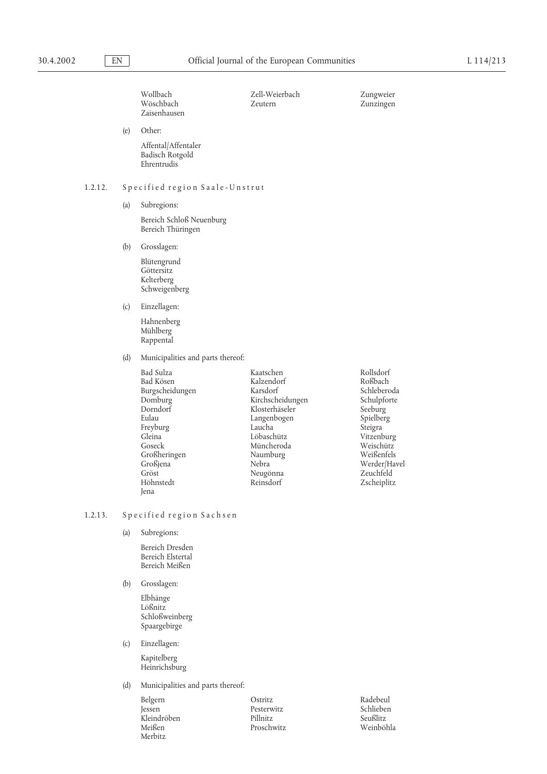Wollbach Zell-Weierbach Zungweier Zaisenhausen

Zunzingen

(e) Other:

Affental/Affentaler Badisch Rotgold Ehrentrudis

# 1.2.12. Specified region Saale-Unstrut

(a) Subregions:

Bereich Schloß Neuenburg Bereich Thüringen

(b) Grosslagen:

Blütengrund Göttersitz Kelterberg Schweigenberg

(c) Einzellagen:

Hahnenberg Mühlberg Rappental

(d) Municipalities and parts thereof:

| Bad Sulza       | Kaatschen        | Rollsdorf    |
|-----------------|------------------|--------------|
| Bad Kösen       | Kalzendorf       | Roßbach      |
| Burgscheidungen | Karsdorf         | Schleberoda  |
| Domburg         | Kirchscheidungen | Schulpforte  |
| Dorndorf        | Klosterhäseler   | Seeburg      |
| Eulau           | Langenbogen      | Spielberg    |
| Freyburg        | Laucha           | Steigra      |
| Gleina          | Löbaschütz       | Vitzenburg   |
| Goseck          | Müncheroda       | Weischütz    |
| Großheringen    | Naumburg         | Weißenfels   |
| Großjena        | Nebra            | Werder/Havel |
| Gröst           | Neugönna         | Zeuchfeld    |
| Höhnstedt       | Reinsdorf        | Zscheiplitz  |
| Jena            |                  |              |

## 1.2.13. Specified region Sachsen

(a) Subregions:

Bereich Dresden Bereich Elstertal Bereich Meißen

(b) Grosslagen:

Elbhänge Lößnitz Schloßweinberg Spaargebirge

(c) Einzellagen:

Kapitelberg Heinrichsburg

(d) Municipalities and parts thereof:

Belgern Ostritz Radebeul Jessen Desterwitz Radebeul Jessen Desterwitz Kleindröben Pillnitz Seußlitz Meißen Proschwitz Merbitz

Pesterwitz Schlieber<br>Pillnitz Seußlitz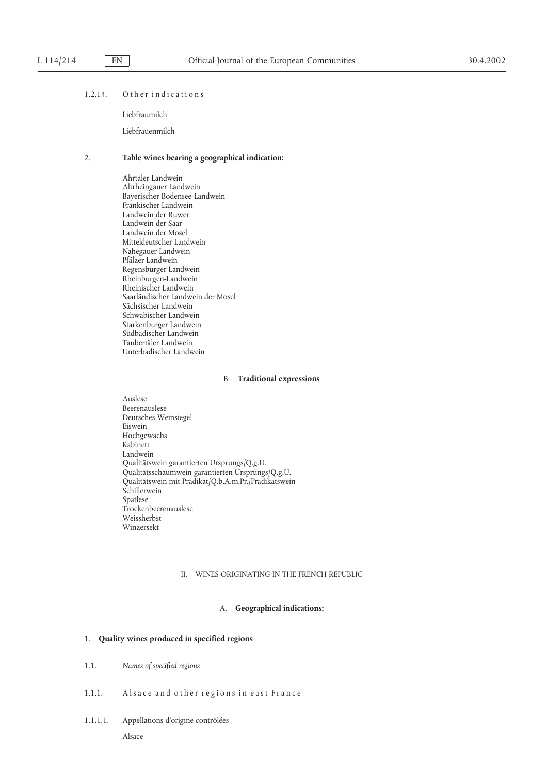## 1.2.14. Other indications

Liebfraumilch

Liebfrauenmilch

# 2. **Table wines bearing a geographical indication:**

Ahrtaler Landwein Altrheingauer Landwein Bayerischer Bodensee-Landwein Fränkischer Landwein Landwein der Ruwer Landwein der Saar Landwein der Mosel Mitteldeutscher Landwein Nahegauer Landwein Pfälzer Landwein Regensburger Landwein Rheinburgen-Landwein Rheinischer Landwein Saarländischer Landwein der Mosel Sächsischer Landwein Schwäbischer Landwein Starkenburger Landwein Südbadischer Landwein Taubertäler Landwein Unterbadischer Landwein

#### B. **Traditional expressions**

Auslese Beerenauslese Deutsches Weinsiegel Eiswein Hochgewächs Kabinett Landwein Qualitätswein garantierten Ursprungs/Q.g.U. Qualitätsschaumwein garantierten Ursprungs/Q.g.U. Qualitätswein mit Prädikat/Q.b.A.m.Pr./Prädikatswein Schillerwein Spätlese Trockenbeerenauslese Weissherbst Winzersekt

## II. WINES ORIGINATING IN THE FRENCH REPUBLIC

## A. **Geographical indications:**

## 1. **Quality wines produced in specified regions**

- 1.1. *Names of specified regions*
- 1.1.1. Alsace and other regions in east France
- 1.1.1.1. Appellations d'origine contrôlées Alsace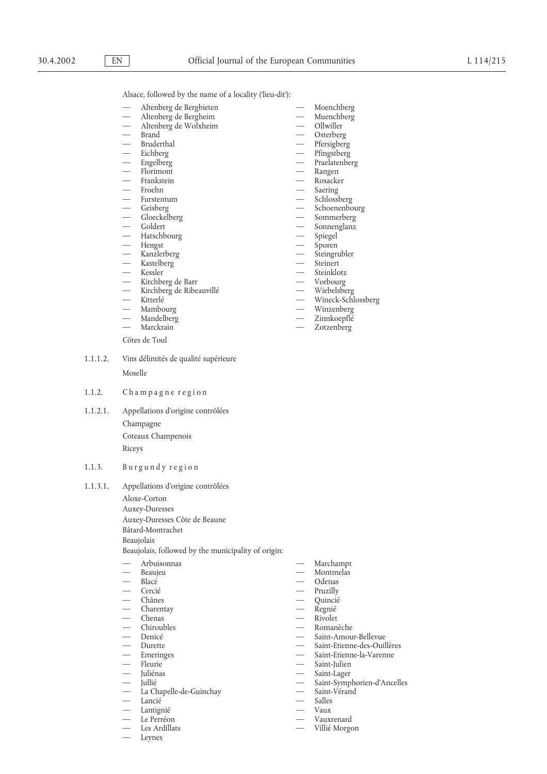Alsace, followed by the name of a locality ('lieu-dit'):

- — Altenberg de Bergbieten Moenchberg
- — Altenberg de Bergheim Muenchberg
- — Altenberg de Wolxheim Ollwiller
- 
- 
- 
- 
- 
- Frankstein<br>Froehn
- 
- Furstentum<br>— Geisberg
- 
- Gloeckelberg<br>Goldert
- 
- Hatschbourg
- — Hengst Sporen
- — Kanzlerberg Steingrubler
- Kastelberg
- 
- — Kirchberg de Barr Vorbourg
- Kirchberg de Ribeauvillé $\hskip1.6cm-\hskip.4cm$ Kitterlé
- 
- 
- — Mandelberg Zinnkoepflé
- 
- Côtes de Toul
- 1.1.1.2. Vins délimités de qualité supérieure

Moselle

- 1.1.2. Champagne region
- 1.1.2.1. Appellations d'origine contrôlées Champagne Coteaux Champenois Riceys

# 1.1.3. Burgundy region

1.1.3.1. Appellations d'origine contrôlées

Aloxe-Corton

Auxey-Duresses

- Auxey-Duresses Côte de Beaune
- Bâtard-Montrachet

Beaujolais

Beaujolais, followed by the municipality of origin:

- 
- 
- 
- 
- 
- 
- 
- 
- 
- 
- 
- 
- 
- 
- La Chapelle-de-Guinchay Saint-Vérandie Saint-Vérandie Saint-Vérandie Saint-Vérandie Saint-Vérandie Saint-Vérandie Saint-Vérandie Saint-Vérandie Saint-Vérandie Saint-Vérandie Saint-Vérandie Saint-V — — Lancié Salles
- Lantignié
- 
- — Le Perréon Vauxrenard
- 
- Leynes
- 
- 
- Osterberg
- 
- — Bruderthal Pfersigberg — — Eichberg Pfingstberg
	- Praelatenberg
- — Florimont Rangen
	-
	- Saering<br>— Schlossberg
	-
- — Geisberg Schoenenbourg
	-
	- Sonnenglanz<br>Spiegel
	-
	-
	-
	- $Kessler$   $-$  Steinklotz
		-
		-
		-
- Kitterlé Wineck-Schlossberg Wineck-Schlossberg Wineck-Schlossberg Wineck-Schlossberg Wineck-Schlossberg Wineck-Schlossberg Wineck-Schlossberg Wineck-Schlossberg Wineck-Schlossberg Wineck-Schlossberg W
	- — Mambourg Winzenberg
- Marckrain **Marckrain** Zotzenberg

- — Arbuisonnas Marchampt
- — Beaujeu Montmelas
- — Blacé Odenas
	- Cercié Pruzilly
	- Chânes Quincié<br>Charentay Regnié
	- Charentay Regnié<br>
	Chenas Rivolet
- Chenas Rivolet
	-
- Chiroubles Romanèche<br>— Denicé Saint-Amou — — Denicé Saint-Amour-Bellevue

Villié Morgon

- Saint-Etienne-des-Ouillères
- Emeringes Saint-Etienne-la-Varenne
- — Fleurie Saint-Julien
- — Juliénas Saint-Lager
	- Saint-Symphorien-d'Ancelles<br>Saint-Vérand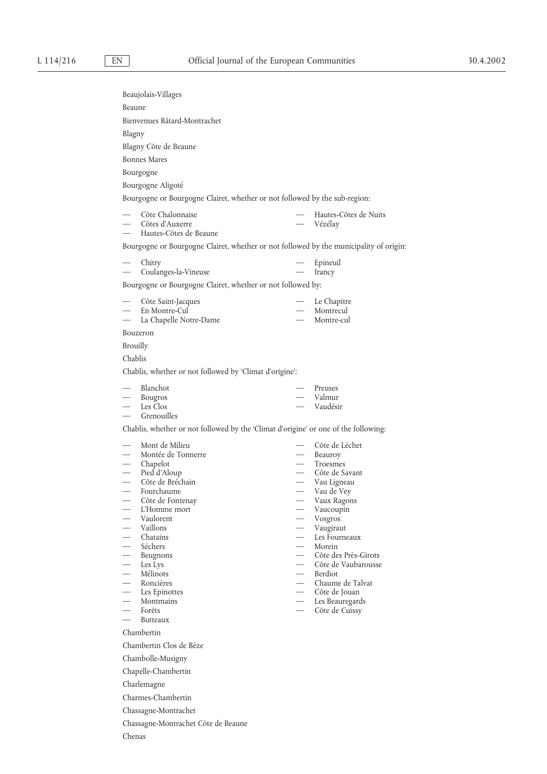|                                      | Beaujolais-Villages                                                                    |                          |                                      |
|--------------------------------------|----------------------------------------------------------------------------------------|--------------------------|--------------------------------------|
| Beaune                               |                                                                                        |                          |                                      |
|                                      | Bienvenues Bâtard-Montrachet                                                           |                          |                                      |
| Blagny                               |                                                                                        |                          |                                      |
|                                      | Blagny Côte de Beaune                                                                  |                          |                                      |
|                                      | <b>Bonnes Mares</b>                                                                    |                          |                                      |
|                                      | Bourgogne                                                                              |                          |                                      |
|                                      | Bourgogne Aligoté                                                                      |                          |                                      |
|                                      | Bourgogne or Bourgogne Clairet, whether or not followed by the sub-region:             |                          |                                      |
|                                      | Côte Chalonnaise<br>Côtes d'Auxerre<br>Hautes-Côtes de Beaune                          |                          | — Hautes-Côtes de Nuits<br>- Vézélay |
|                                      | Bourgogne or Bourgogne Clairet, whether or not followed by the municipality of origin: |                          |                                      |
|                                      | Chitry<br>Coulanges-la-Vineuse                                                         | $\overline{\phantom{0}}$ | Epineuil<br>Irancy                   |
|                                      | Bourgogne or Bourgogne Clairet, whether or not followed by:                            |                          |                                      |
|                                      | Côte Saint-Jacques                                                                     |                          | Le Chapitre                          |
| $\overline{\phantom{0}}$             | En Montre-Cul                                                                          |                          | Montrecul                            |
|                                      | La Chapelle Notre-Dame                                                                 |                          | Montre-cul                           |
|                                      | Bouzeron                                                                               |                          |                                      |
|                                      | <b>Brouilly</b>                                                                        |                          |                                      |
| Chablis                              |                                                                                        |                          |                                      |
|                                      | Chablis, whether or not followed by 'Climat d'origine':                                |                          |                                      |
|                                      | — Blanchot                                                                             |                          | — Preuses                            |
|                                      | - Bougros                                                                              |                          | - Valmur                             |
|                                      | Les Clos<br>Grenouilles                                                                |                          | — Vaudésir                           |
|                                      | Chablis, whether or not followed by the 'Climat d'origine' or one of the following:    |                          |                                      |
|                                      | Mont de Milieu                                                                         |                          | Côte de Léchet                       |
|                                      | Montée de Tonnerre                                                                     |                          | — Beauroy                            |
|                                      | — Montée d<br>— Chapelot                                                               | $\overline{\phantom{0}}$ | Troesmes                             |
|                                      | Pied d'Aloup<br>Côte de Bréchain                                                       |                          | - Côte de Savant<br>Vau Ligneau      |
|                                      | Fourchaume                                                                             |                          | Vau de Vey                           |
|                                      | Côte de Fontenay                                                                       |                          | Vaux Ragons                          |
| $\overline{\phantom{0}}$             | L'Homme mort                                                                           |                          | Vaucoupin                            |
| $\equiv$                             | Vaulorent<br>Vaillons                                                                  |                          | Vosgros                              |
| $\frac{1}{2}$                        | Chatains                                                                               |                          | Vaugiraut<br>Les Fourneaux           |
|                                      | Séchers                                                                                | $\overline{\phantom{0}}$ | Morein                               |
| $\frac{1}{2}$                        | Beugnons                                                                               | $\overline{\phantom{0}}$ | Côte des Près-Girots                 |
| $\frac{1}{2}$                        | Les Lys<br>Mélinots                                                                    | $\overline{\phantom{0}}$ | Côte de Vaubarousse<br>- Berdiot     |
| $\frac{1}{2}$                        | Roncières                                                                              |                          | - Chaume de Talvat                   |
| $\equiv$                             | Les Epinottes                                                                          |                          | - Côte de Jouan                      |
|                                      | Montmains                                                                              | $\overline{\phantom{0}}$ | Les Beauregards                      |
| $\equiv$<br>$\overline{\phantom{0}}$ | Forêts<br>Butteaux                                                                     | $\frac{1}{1}$            | Côte de Cuissy                       |
|                                      | Chambertin                                                                             |                          |                                      |
|                                      | Chambertin Clos de Bèze                                                                |                          |                                      |
|                                      | Chambolle-Musigny                                                                      |                          |                                      |
|                                      | Chapelle-Chambertin                                                                    |                          |                                      |
|                                      | Charlemagne                                                                            |                          |                                      |
|                                      | Charmes-Chambertin                                                                     |                          |                                      |
|                                      |                                                                                        |                          |                                      |
|                                      | Chassagne-Montrachet                                                                   |                          |                                      |

Chassagne-Montrachet Côte de Beaune

Chenas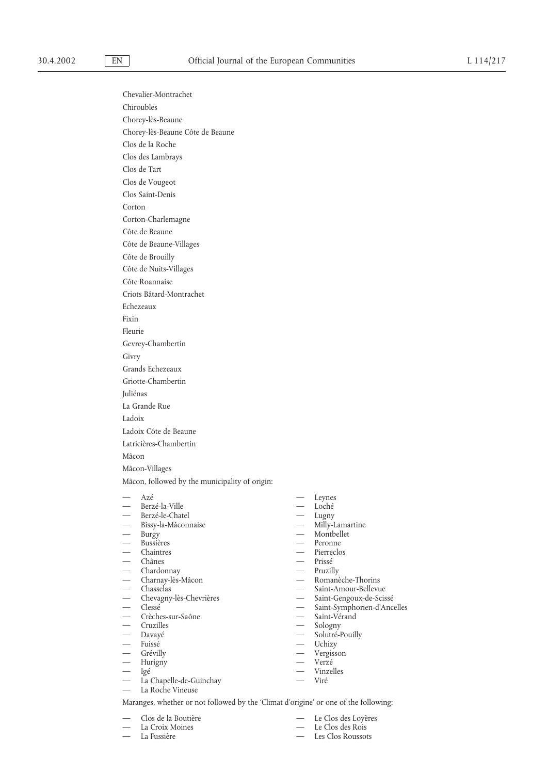Chevalier-Montrachet Chiroubles Chorey-lès-Beaune Chorey-lès-Beaune Côte de Beaune Clos de la Roche Clos des Lambrays Clos de Tart Clos de Vougeot Clos Saint-Denis Corton Corton-Charlemagne Côte de Beaune Côte de Beaune-Villages Côte de Brouilly Côte de Nuits-Villages Côte Roannaise Criots Bâtard-Montrachet Echezeaux Fixin Fleurie Gevrey-Chambertin Givry Grands Echezeaux Griotte-Chambertin Juliénas La Grande Rue Ladoix Ladoix Côte de Beaune Latricières-Chambertin Mâcon Mâcon-Villages Mâcon, followed by the municipality of origin: — — Azé Leynes Berzé-la-Ville — — Berzé-le-Chatel Lugny Bissy-la-Mâconnaise<br>Burgy

- 
- 
- 
- 
- 
- — Charnay-lès-Mâcon Romanèche-Thorins
- 
- Chevagny-lès-Chevrières<br>— Clessé
- 
- Crèches-sur-Saône Saint-Vérand
- 
- 
- — Fuissé Uchizy
- Grévilly
- Hurigny Verzé
- 
- 
- La Chapelle-de-Guinchay Viré<br>— La Roche Vineuse — La Roche Vineuse
- 

Maranges, whether or not followed by the 'Climat d'origine' or one of the following:

- 
- 
- 
- - Montbellet
- 
- Bussières Peronne<br>Chaintres Peronne<br>Pierreclo Pierreclos
- Chânes Prissé<br>Chardonnav Pruzillv<br>Pruzillv
	-
- — Chardonnay Pruzilly
	-
	- Saint-Amour-Bellevue<br>Saint-Gengoux-de-Scissé
	- Saint-Symphorien-d'Ancelles
	-
	-
- — Cruzilles Sologny Solutré-Pouilly
	-
	-
	-
	-
- Igé Vinzelles<br>— La Chanelle-de-Guinchay Vinzelles
	-
	- Clos de la Boutière  $-$  Le Clos des Loyères
	- La Croix Moines Le Clos des Rois
- La Fussière Les Clos Roussots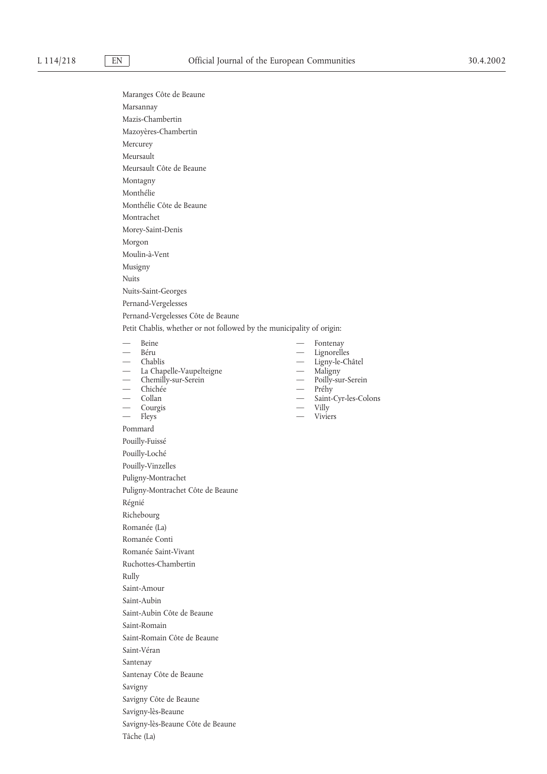|                          | Maranges Côte de Beaune                                               |                          |                                   |
|--------------------------|-----------------------------------------------------------------------|--------------------------|-----------------------------------|
|                          | Marsannay                                                             |                          |                                   |
|                          | Mazis-Chambertin                                                      |                          |                                   |
|                          | Mazoyères-Chambertin                                                  |                          |                                   |
|                          | Mercurey                                                              |                          |                                   |
|                          | Meursault                                                             |                          |                                   |
|                          | Meursault Côte de Beaune                                              |                          |                                   |
|                          | Montagny                                                              |                          |                                   |
|                          | Monthélie                                                             |                          |                                   |
|                          | Monthélie Côte de Beaune                                              |                          |                                   |
|                          | Montrachet                                                            |                          |                                   |
|                          | Morey-Saint-Denis                                                     |                          |                                   |
|                          | Morgon                                                                |                          |                                   |
|                          | Moulin-à-Vent                                                         |                          |                                   |
|                          | Musigny                                                               |                          |                                   |
| <b>Nuits</b>             |                                                                       |                          |                                   |
|                          | Nuits-Saint-Georges                                                   |                          |                                   |
|                          | Pernand-Vergelesses                                                   |                          |                                   |
|                          | Pernand-Vergelesses Côte de Beaune                                    |                          |                                   |
|                          | Petit Chablis, whether or not followed by the municipality of origin: |                          |                                   |
|                          | — Beine                                                               |                          | Fontenay                          |
|                          | — Béru                                                                |                          | Lignorelles                       |
|                          | — Chablis<br>— La Chapelle-Vaupelteigne<br>— Chemilly-sur-Serein      | $\equiv$                 | Ligny-le-Châtel<br>Maligny        |
|                          |                                                                       |                          | Poilly-sur-Serein                 |
|                          | — Chichée<br>— Collan                                                 | $\overline{\phantom{0}}$ | Préhy                             |
|                          | $-$ Courgis                                                           |                          | Saint-Cyr-les-Colons<br>$-$ Villy |
| $\overline{\phantom{0}}$ | Fleys                                                                 |                          | — Viviers                         |
|                          | Pommard                                                               |                          |                                   |
|                          | Pouilly-Fuissé                                                        |                          |                                   |
|                          | Pouilly-Loché                                                         |                          |                                   |
|                          | Pouilly-Vinzelles                                                     |                          |                                   |
|                          | Puligny-Montrachet                                                    |                          |                                   |
|                          | Puligny-Montrachet Côte de Beaune                                     |                          |                                   |
|                          | Régnié                                                                |                          |                                   |
|                          | Richebourg                                                            |                          |                                   |
|                          | Romanée (La)                                                          |                          |                                   |
|                          | Romanée Conti                                                         |                          |                                   |
|                          | Romanée Saint-Vivant                                                  |                          |                                   |
|                          | Ruchottes-Chambertin                                                  |                          |                                   |
| Rully                    |                                                                       |                          |                                   |
|                          | Saint-Amour                                                           |                          |                                   |
|                          | Saint-Aubin                                                           |                          |                                   |
|                          | Saint-Aubin Côte de Beaune                                            |                          |                                   |
|                          | Saint-Romain                                                          |                          |                                   |
|                          | Saint-Romain Côte de Beaune                                           |                          |                                   |
|                          | Saint-Véran                                                           |                          |                                   |
|                          |                                                                       |                          |                                   |
|                          | Santenay                                                              |                          |                                   |
|                          | Santenay Côte de Beaune                                               |                          |                                   |
|                          | Savigny                                                               |                          |                                   |
|                          | Savigny Côte de Beaune                                                |                          |                                   |
|                          | Savigny-lès-Beaune                                                    |                          |                                   |
|                          | Savigny-lès-Beaune Côte de Beaune                                     |                          |                                   |

Tâche (La)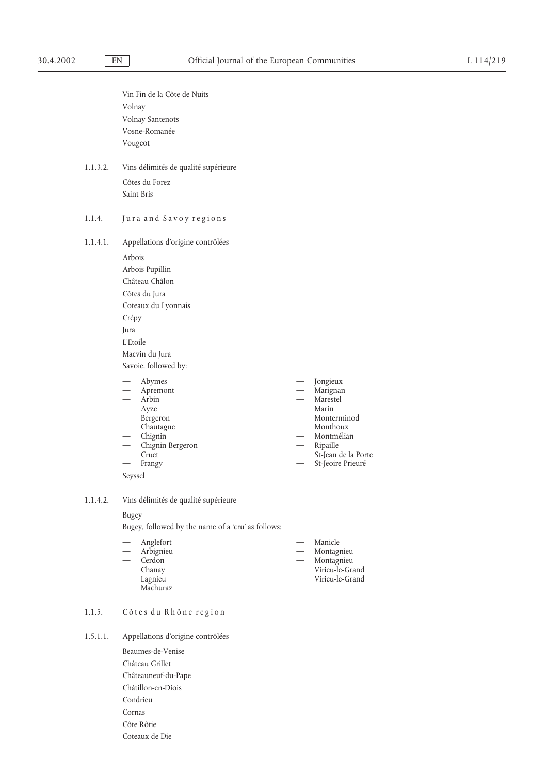|          | Vin Fin de la Côte de Nuits<br>Volnay<br>Volnay Santenots<br>Vosne-Romanée<br>Vougeot                                                                                                                                                                                                                                                                                                                                                |                                                                                                                                                               |                                                                                                                                            |
|----------|--------------------------------------------------------------------------------------------------------------------------------------------------------------------------------------------------------------------------------------------------------------------------------------------------------------------------------------------------------------------------------------------------------------------------------------|---------------------------------------------------------------------------------------------------------------------------------------------------------------|--------------------------------------------------------------------------------------------------------------------------------------------|
| 1.1.3.2. | Vins délimités de qualité supérieure<br>Côtes du Forez<br>Saint Bris                                                                                                                                                                                                                                                                                                                                                                 |                                                                                                                                                               |                                                                                                                                            |
| 1.1.4.   | Jura and Savoy regions                                                                                                                                                                                                                                                                                                                                                                                                               |                                                                                                                                                               |                                                                                                                                            |
| 1.1.4.1. | Appellations d'origine contrôlées<br>Arbois<br>Arbois Pupillin<br>Château Châlon<br>Côtes du Jura<br>Coteaux du Lyonnais<br>Crépy<br>Jura<br>L'Etoile<br>Macvin du Jura<br>Savoie, followed by:<br>Abymes<br>$\frac{1}{2}$<br>— Apremont<br>— Arbin<br>- Ayze<br>— Bergeron<br>- Chautagne<br>$-$ Chignin<br>$\overline{\phantom{0}}$<br>Chignin Bergeron<br>Cruet<br>$\overline{\phantom{0}}$<br>$\frac{1}{1}$<br>Frangy<br>Seyssel | $\overline{\phantom{0}}$<br>$\overline{\phantom{0}}$<br>$\overline{\phantom{0}}$<br>$\overline{\phantom{0}}$<br>$\overline{\phantom{0}}$<br>$\qquad \qquad -$ | Jongieux<br>Marignan<br>Marestel<br>Marin<br>Monterminod<br>Monthoux<br>Montmélian<br>Ripaille<br>St-Jean de la Porte<br>St-Jeoire Prieuré |
| 1.1.4.2. | Vins délimités de qualité supérieure                                                                                                                                                                                                                                                                                                                                                                                                 |                                                                                                                                                               |                                                                                                                                            |

## Bugey

Bugey, followed by the name of a 'cru' as follows:

| Anglefort | Manicle |  |
|-----------|---------|--|
|           |         |  |

- 
- 
- 
- Lagnieu Virieu-le-Grand
- Machuraz
- Arbignieu **Montagnieu** Montagnieu — — Cerdon Montagnieu
- Chanay Virieu-le-Grand<br>— Lagnieu Virieu-le-Grand<br>— Virieu-le-Grand
- 1.1.5. Côtes du Rhône region
- 1.5.1.1. Appellations d'origine contrôlées
	- Beaumes-de-Venise Château Grillet Châteauneuf-du-Pape Châtillon-en-Diois Condrieu Cornas Côte Rôtie Coteaux de Die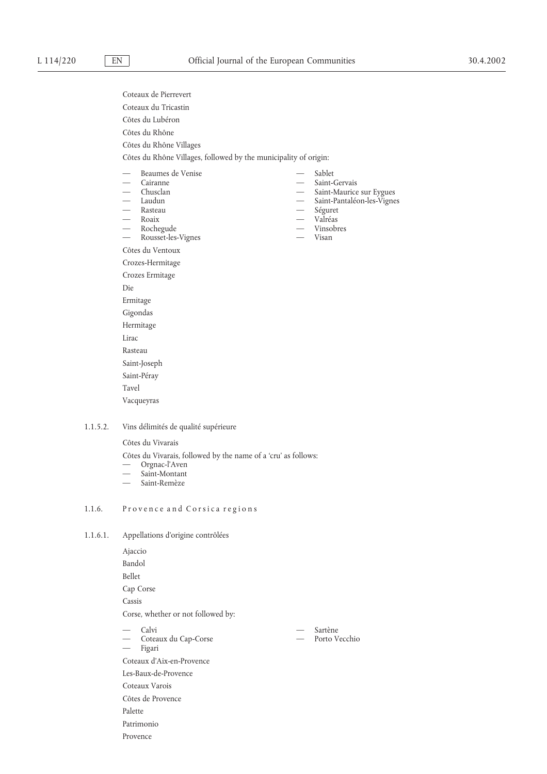- Coteaux de Pierrevert Coteaux du Tricastin Côtes du Lubéron Côtes du Rhône Côtes du Rhône Villages Côtes du Rhône Villages, followed by the municipality of origin: Beaumes de Venise  $\hspace{1cm}$  Sablet Cairanne — Saint-Gervais<br>
Chusclan — Saint-Maurice — Saint-Maurice sur Eygues Laudun **Manuel Saint-Pantaléon-les-Vignes** — — Rasteau Séguret — — Roaix Valréas — — Rochegude Vinsobres — Rousset-les-Vignes Côtes du Ventoux Crozes-Hermitage Crozes Ermitage Die Ermitage Gigondas Hermitage Lirac Rasteau Saint-Joseph Saint-Péray Tavel Vacqueyras
- 1.1.5.2. Vins délimités de qualité supérieure

Côtes du Vivarais

Côtes du Vivarais, followed by the name of a 'cru' as follows:

- Orgnac-l'Aven
- Saint-Montant
- Saint-Remèze

# 1.1.6. Provence and Corsica regions

1.1.6.1. Appellations d'origine contrôlées

Ajaccio Bandol Bellet Cap Corse Cassis Corse, whether or not followed by: — Calvi — Sartène Coteaux du Cap-Corse  $\qquad \qquad -$  Porto Vecchio — Figari Coteaux d'Aix-en-Provence Les-Baux-de-Provence Coteaux Varois Côtes de Provence Palette Patrimonio Provence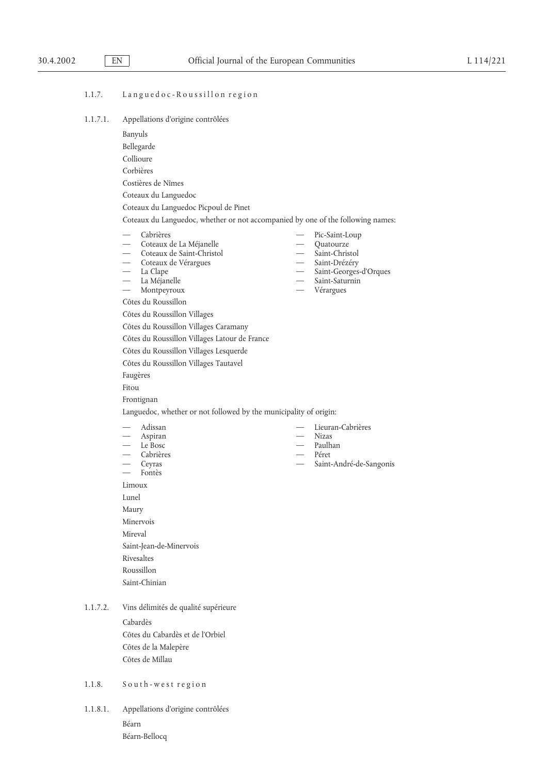## 1.1.7. Languedoc-Roussillon region

| 1.1.7.1. |  | Appellations d'origine contrôlées |
|----------|--|-----------------------------------|
|          |  |                                   |

- Banyuls
- Bellegarde
- Collioure
- Corbières
- Costières de Nîmes
- Coteaux du Languedoc
- Coteaux du Languedoc Picpoul de Pinet

Coteaux du Languedoc, whether or not accompanied by one of the following names:

- 
- 
- — Coteaux de Saint-Christol Saint-Christol
- 
- 
- 
- 
- Côtes du Roussillon

Côtes du Roussillon Villages

- Côtes du Roussillon Villages Caramany
- Côtes du Roussillon Villages Latour de France
- Côtes du Roussillon Villages Lesquerde
- Côtes du Roussillon Villages Tautavel
- Faugères
- Fitou
- Frontignan

Languedoc, whether or not followed by the municipality of origin:

- 
- Aspiran
- 
- Cabrières
- 
- Fontès
- Limoux
- Lunel

Maury

- Minervois Mireval Saint-Jean-de-Minervois
- Rivesaltes

Roussillon

- Saint-Chinian
- 1.1.7.2. Vins délimités de qualité supérieure

Cabardès Côtes du Cabardès et de l'Orbiel Côtes de la Malepère Côtes de Millau

# 1.1.8. South-west region

1.1.8.1. Appellations d'origine contrôlées Béarn Béarn-Bellocq

Cabrières — Pic-Saint-Loup — — Coteaux de La Méjanelle Quatourze — — Coteaux de Vérargues Saint-Drézéry — Saint-Georges-d'Orques La Méjanelle Saint-Saturnin — Montpeyroux — Vérargues — — Adissan Lieuran-Cabrières — — Le Bosc Paulhan Ceyras — Saint-André-de-Sangonis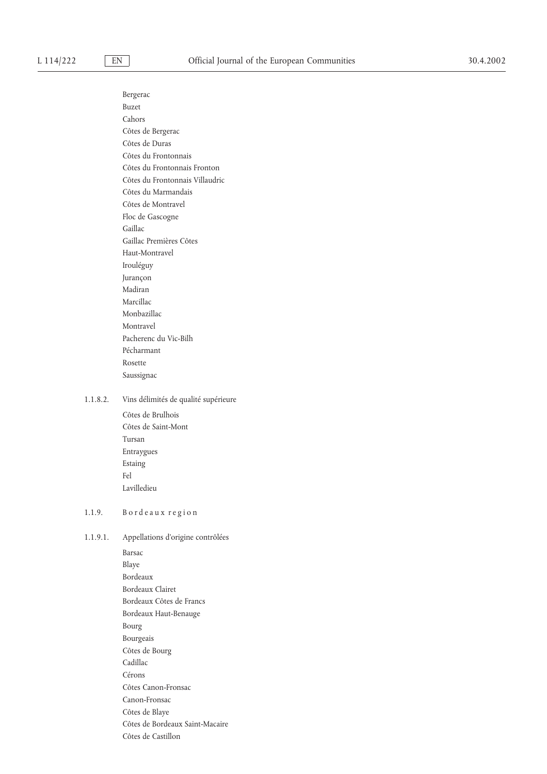Bergerac Buzet Cahors Côtes de Bergerac Côtes de Duras Côtes du Frontonnais Côtes du Frontonnais Fronton Côtes du Frontonnais Villaudric Côtes du Marmandais Côtes de Montravel Floc de Gascogne Gaillac Gaillac Premières Côtes Haut-Montravel Irouléguy Jurançon Madiran Marcillac Monbazillac Montravel Pacherenc du Vic-Bilh Pécharmant Rosette Saussignac 1.1.8.2. Vins délimités de qualité supérieure Côtes de Brulhois Côtes de Saint-Mont Tursan Entraygues Estaing Fel Lavilledieu 1.1.9. Bordeaux region 1.1.9.1. Appellations d'origine contrôlées Barsac Blaye

Bordeaux Bordeaux Clairet Bordeaux Côtes de Francs Bordeaux Haut-Benauge Bourg Bourgeais Côtes de Bourg Cadillac Cérons Côtes Canon-Fronsac Canon-Fronsac Côtes de Blaye Côtes de Bordeaux Saint-Macaire

Côtes de Castillon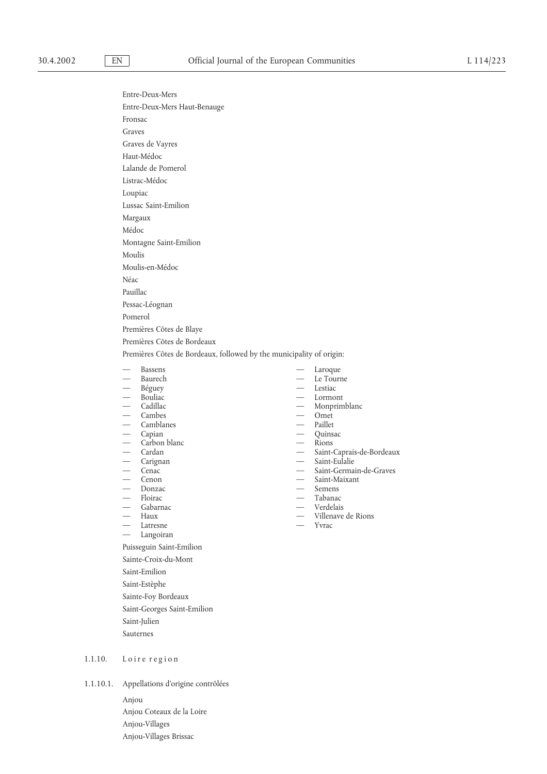Entre-Deux-Mers Entre-Deux-Mers Haut-Benauge Fronsac Graves Graves de Vayres Haut-Médoc Lalande de Pomerol Listrac-Médoc Loupiac Lussac Saint-Emilion Margaux Médoc Montagne Saint-Emilion Moulis Moulis-en-Médoc Néac Pauillac Pessac-Léognan Pomerol Premières Côtes de Blaye Premières Côtes de Bordeaux Premières Côtes de Bordeaux, followed by the municipality of origin: Bassens — Laroque — Laroque — Laroque — Le Touri

- 
- 
- 
- Bouliac<br>— Cadillac
- Cambes
- 
- 
- 
- 
- 
- 
- 
- 
- 
- Gabarnac<br>Haux
- 
- Latresne <del>Martin Carl 2002</del>
- Langoiran

Puisseguin Saint-Emilion

- Sainte-Croix-du-Mont
- Saint-Emilion
- Saint-Estèphe
- Sainte-Foy Bordeaux
- Saint-Georges Saint-Emilion
- Saint-Julien
- Sauternes
- 1.1.10. Loire region
- 1.1.10.1. Appellations d'origine contrôlées
	- Anjou Anjou Coteaux de la Loire Anjou-Villages Anjou-Villages Brissac
- 
- Le Tourne<br>Lestiac
- 
- — Béguey Lestiac
	- Monprimblanc<br>Omet
	-
- Camblanes Paillet
- — Capian Quinsac
- — Carbon blanc Rions
- Cardan **Saint-Caprais-de-Bordeaux** 
	-
- Carignan Saint-Eulalie Saint-Eulalie Saint-Eulalie Saint-Germa — — Cenac Saint-Germain-de-Graves
	- Saint-Maixant<br>Semens
- — Donzac Semens
- — Floirac Tabanac
	-
	- Villenave de Rions<br>Yvrac
	-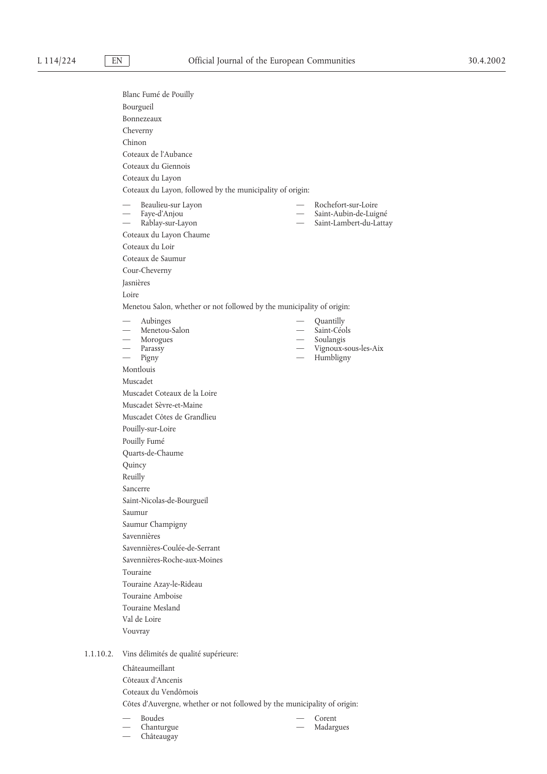|           | Blanc Fumé de Pouilly                                                    |                          |                                   |  |  |
|-----------|--------------------------------------------------------------------------|--------------------------|-----------------------------------|--|--|
|           | Bourgueil                                                                |                          |                                   |  |  |
|           | Bonnezeaux                                                               |                          |                                   |  |  |
|           | Cheverny                                                                 |                          |                                   |  |  |
|           | Chinon                                                                   |                          |                                   |  |  |
|           | Coteaux de l'Aubance                                                     |                          |                                   |  |  |
|           | Coteaux du Giennois                                                      |                          |                                   |  |  |
|           | Coteaux du Layon                                                         |                          |                                   |  |  |
|           | Coteaux du Layon, followed by the municipality of origin:                |                          |                                   |  |  |
|           | Beaulieu-sur Layon                                                       |                          | Rochefort-sur-Loire               |  |  |
|           | - Faye-d'Anjou                                                           | $\overline{\phantom{0}}$ | Saint-Aubin-de-Luigné             |  |  |
|           | Rablay-sur-Layon                                                         |                          | Saint-Lambert-du-Lattay           |  |  |
|           | Coteaux du Layon Chaume                                                  |                          |                                   |  |  |
|           | Coteaux du Loir                                                          |                          |                                   |  |  |
|           | Coteaux de Saumur                                                        |                          |                                   |  |  |
|           | Cour-Cheverny                                                            |                          |                                   |  |  |
|           | Jasnières                                                                |                          |                                   |  |  |
|           | Loire                                                                    |                          |                                   |  |  |
|           | Menetou Salon, whether or not followed by the municipality of origin:    |                          |                                   |  |  |
|           | Aubinges<br>$\overline{\phantom{0}}$                                     |                          | Quantilly                         |  |  |
|           | - Menetou-Salon                                                          |                          | Saint-Céols                       |  |  |
|           | — Morogues<br>— Parassy                                                  |                          | Soulangis<br>Vignoux-sous-les-Aix |  |  |
|           | $\overline{\phantom{0}}$<br>Pigny                                        | $\frac{1}{2}$            | Humbligny                         |  |  |
|           | Montlouis                                                                |                          |                                   |  |  |
|           | Muscadet                                                                 |                          |                                   |  |  |
|           | Muscadet Coteaux de la Loire                                             |                          |                                   |  |  |
|           | Muscadet Sèvre-et-Maine                                                  |                          |                                   |  |  |
|           | Muscadet Côtes de Grandlieu                                              |                          |                                   |  |  |
|           | Pouilly-sur-Loire                                                        |                          |                                   |  |  |
|           | Pouilly Fumé                                                             |                          |                                   |  |  |
|           | Quarts-de-Chaume                                                         |                          |                                   |  |  |
|           | Quincy                                                                   |                          |                                   |  |  |
|           | Reuilly                                                                  |                          |                                   |  |  |
|           | Sancerre                                                                 |                          |                                   |  |  |
|           | Saint-Nicolas-de-Bourgueil                                               |                          |                                   |  |  |
|           | Saumur                                                                   |                          |                                   |  |  |
|           | Saumur Champigny                                                         |                          |                                   |  |  |
|           | Savennières                                                              |                          |                                   |  |  |
|           | Savennières-Coulée-de-Serrant                                            |                          |                                   |  |  |
|           | Savennières-Roche-aux-Moines                                             |                          |                                   |  |  |
|           | Touraine                                                                 |                          |                                   |  |  |
|           | Touraine Azay-le-Rideau                                                  |                          |                                   |  |  |
|           | Touraine Amboise                                                         |                          |                                   |  |  |
|           | Touraine Mesland                                                         |                          |                                   |  |  |
|           | Val de Loire                                                             |                          |                                   |  |  |
|           | Vouvray                                                                  |                          |                                   |  |  |
| 1.1.10.2. | Vins délimités de qualité supérieure:                                    |                          |                                   |  |  |
|           | Châteaumeillant                                                          |                          |                                   |  |  |
|           | Côteaux d'Ancenis                                                        |                          |                                   |  |  |
|           | Coteaux du Vendômois                                                     |                          |                                   |  |  |
|           | Côtes d'Auvergne, whether or not followed by the municipality of origin: |                          |                                   |  |  |

— — Chanturgue Madargues

— Châteaugay

— Corent<br>— Madargues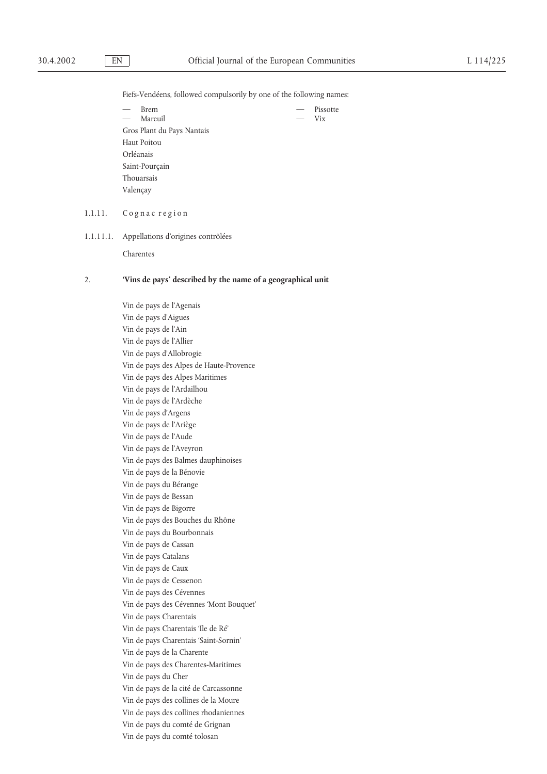Fiefs-Vendéens, followed compulsorily by one of the following names:

— Brem — Pissotte — — Mareuil Vix Gros Plant du Pays Nantais Haut Poitou Orléanais Saint-Pourçain Thouarsais Valençay

# 1.1.11. Cognac region

1.1.11.1. Appellations d'origines contrôlées

Charentes

## 2. **'Vins de pays' described by the name of a geographical unit**

Vin de pays de l'Agenais Vin de pays d'Aigues Vin de pays de l'Ain Vin de pays de l'Allier Vin de pays d'Allobrogie Vin de pays des Alpes de Haute-Provence Vin de pays des Alpes Maritimes Vin de pays de l'Ardailhou Vin de pays de l'Ardèche Vin de pays d'Argens Vin de pays de l'Ariège Vin de pays de l'Aude Vin de pays de l'Aveyron Vin de pays des Balmes dauphinoises Vin de pays de la Bénovie Vin de pays du Bérange Vin de pays de Bessan Vin de pays de Bigorre Vin de pays des Bouches du Rhône Vin de pays du Bourbonnais Vin de pays de Cassan Vin de pays Catalans Vin de pays de Caux Vin de pays de Cessenon Vin de pays des Cévennes Vin de pays des Cévennes 'Mont Bouquet' Vin de pays Charentais Vin de pays Charentais 'Ile de Ré' Vin de pays Charentais 'Saint-Sornin' Vin de pays de la Charente Vin de pays des Charentes-Maritimes Vin de pays du Cher Vin de pays de la cité de Carcassonne Vin de pays des collines de la Moure Vin de pays des collines rhodaniennes Vin de pays du comté de Grignan Vin de pays du comté tolosan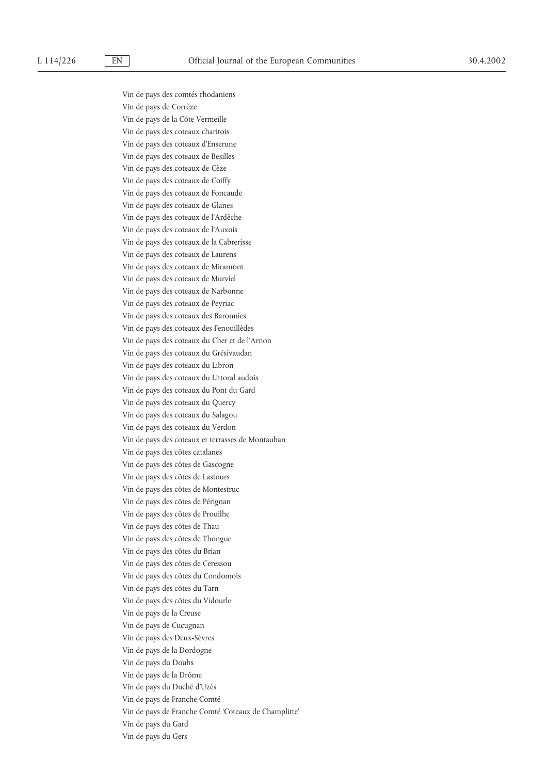Vin de pays des comtés rhodaniens Vin de pays de Corrèze Vin de pays de la Côte Vermeille Vin de pays des coteaux charitois Vin de pays des coteaux d'Enserune Vin de pays des coteaux de Besilles Vin de pays des coteaux de Cèze Vin de pays des coteaux de Coiffy Vin de pays des coteaux de Foncaude Vin de pays des coteaux de Glanes Vin de pays des coteaux de l'Ardèche Vin de pays des coteaux de l'Auxois Vin de pays des coteaux de la Cabrerisse Vin de pays des coteaux de Laurens Vin de pays des coteaux de Miramont Vin de pays des coteaux de Murviel Vin de pays des coteaux de Narbonne Vin de pays des coteaux de Peyriac Vin de pays des coteaux des Baronnies Vin de pays des coteaux des Fenouillèdes Vin de pays des coteaux du Cher et de l'Arnon Vin de pays des coteaux du Grésivaudan Vin de pays des coteaux du Libron Vin de pays des coteaux du Littoral audois Vin de pays des coteaux du Pont du Gard Vin de pays des coteaux du Quercy Vin de pays des coteaux du Salagou Vin de pays des coteaux du Verdon Vin de pays des coteaux et terrasses de Montauban Vin de pays des côtes catalanes Vin de pays des côtes de Gascogne Vin de pays des côtes de Lastours Vin de pays des côtes de Montestruc Vin de pays des côtes de Pérignan Vin de pays des côtes de Prouilhe Vin de pays des côtes de Thau Vin de pays des côtes de Thongue Vin de pays des côtes du Brian Vin de pays des côtes de Ceressou Vin de pays des côtes du Condomois Vin de pays des côtes du Tarn Vin de pays des côtes du Vidourle Vin de pays de la Creuse Vin de pays de Cucugnan Vin de pays des Deux-Sèvres Vin de pays de la Dordogne Vin de pays du Doubs Vin de pays de la Drôme Vin de pays du Duché d'Uzès Vin de pays de Franche Comté Vin de pays de Franche Comté 'Coteaux de Champlitte' Vin de pays du Gard Vin de pays du Gers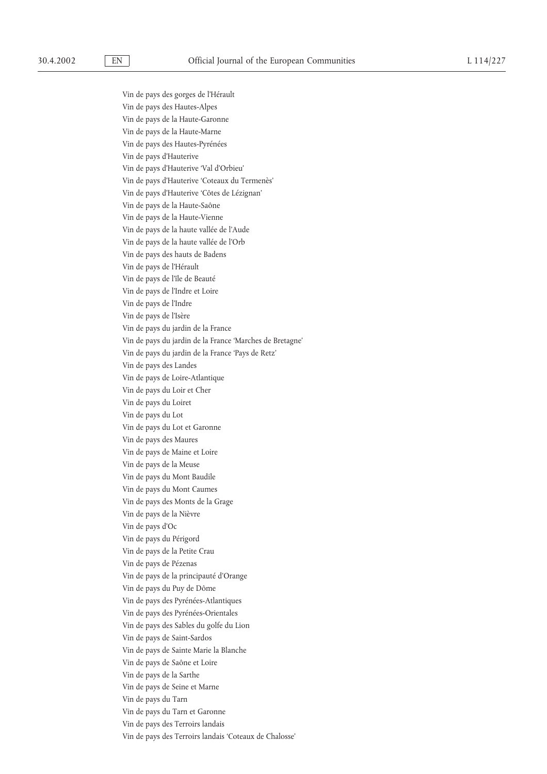Vin de pays des gorges de l'Hérault Vin de pays des Hautes-Alpes Vin de pays de la Haute-Garonne Vin de pays de la Haute-Marne Vin de pays des Hautes-Pyrénées Vin de pays d'Hauterive Vin de pays d'Hauterive 'Val d'Orbieu' Vin de pays d'Hauterive 'Coteaux du Termenès' Vin de pays d'Hauterive 'Côtes de Lézignan' Vin de pays de la Haute-Saône Vin de pays de la Haute-Vienne Vin de pays de la haute vallée de l'Aude Vin de pays de la haute vallée de l'Orb Vin de pays des hauts de Badens Vin de pays de l'Hérault Vin de pays de l'île de Beauté Vin de pays de l'Indre et Loire Vin de pays de l'Indre Vin de pays de l'Isère Vin de pays du jardin de la France Vin de pays du jardin de la France 'Marches de Bretagne' Vin de pays du jardin de la France 'Pays de Retz' Vin de pays des Landes Vin de pays de Loire-Atlantique Vin de pays du Loir et Cher Vin de pays du Loiret Vin de pays du Lot Vin de pays du Lot et Garonne Vin de pays des Maures Vin de pays de Maine et Loire Vin de pays de la Meuse Vin de pays du Mont Baudile Vin de pays du Mont Caumes Vin de pays des Monts de la Grage Vin de pays de la Nièvre Vin de pays d'Oc Vin de pays du Périgord Vin de pays de la Petite Crau Vin de pays de Pézenas Vin de pays de la principauté d'Orange Vin de pays du Puy de Dôme Vin de pays des Pyrénées-Atlantiques Vin de pays des Pyrénées-Orientales Vin de pays des Sables du golfe du Lion Vin de pays de Saint-Sardos Vin de pays de Sainte Marie la Blanche Vin de pays de Saône et Loire Vin de pays de la Sarthe Vin de pays de Seine et Marne Vin de pays du Tarn Vin de pays du Tarn et Garonne Vin de pays des Terroirs landais

Vin de pays des Terroirs landais 'Coteaux de Chalosse'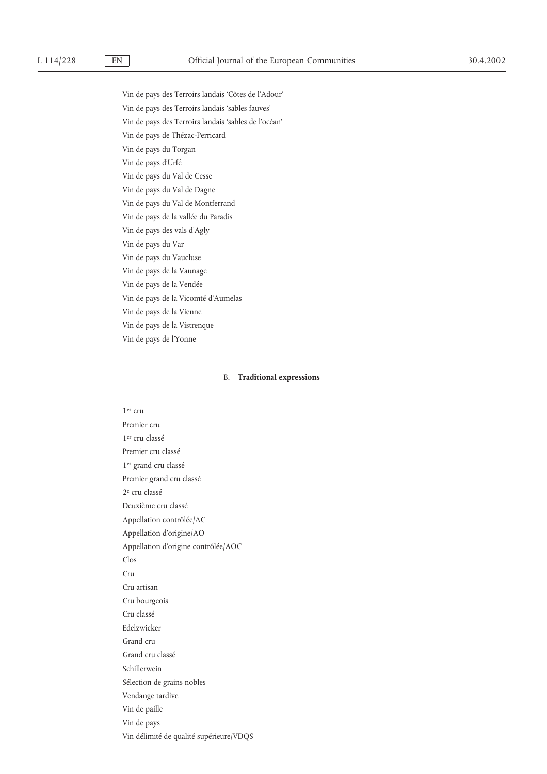Vin de pays des Terroirs landais 'Côtes de l'Adour' Vin de pays des Terroirs landais 'sables fauves' Vin de pays des Terroirs landais 'sables de l'océan' Vin de pays de Thézac-Perricard Vin de pays du Torgan Vin de pays d'Urfé Vin de pays du Val de Cesse Vin de pays du Val de Dagne Vin de pays du Val de Montferrand Vin de pays de la vallée du Paradis Vin de pays des vals d'Agly Vin de pays du Var Vin de pays du Vaucluse Vin de pays de la Vaunage Vin de pays de la Vendée Vin de pays de la Vicomté d'Aumelas Vin de pays de la Vienne Vin de pays de la Vistrenque Vin de pays de l'Yonne

# B. **Traditional expressions**

1er cru Premier cru 1er cru classé Premier cru classé 1er grand cru classé Premier grand cru classé 2e cru classé Deuxième cru classé Appellation contrôlée/AC Appellation d'origine/AO Appellation d'origine contrôlée/AOC Clos  $C_{T11}$ Cru artisan Cru bourgeois Cru classé Edelzwicker Grand cru Grand cru classé Schillerwein Sélection de grains nobles Vendange tardive Vin de paille Vin de pays Vin délimité de qualité supérieure/VDQS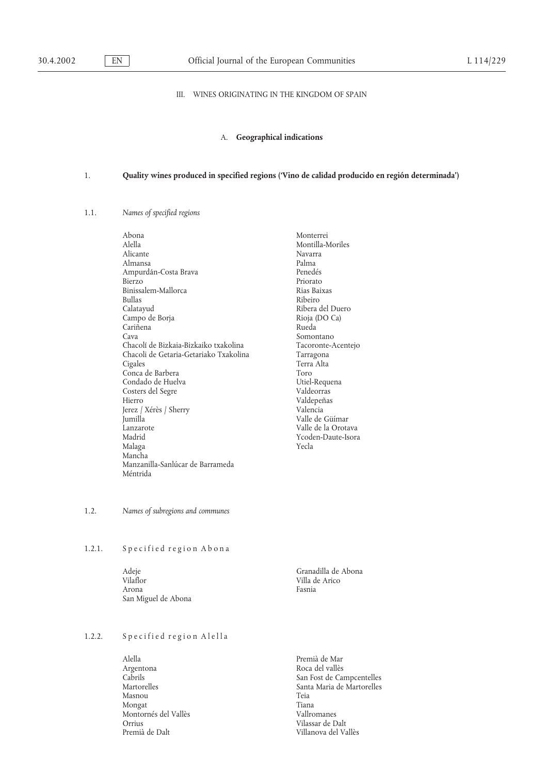# III. WINES ORIGINATING IN THE KINGDOM OF SPAIN

# A. **Geographical indications**

# 1. **Quality wines produced in specified regions ('Vino de calidad producido en región determinada')**

## 1.1. *Names of specified regions*

| Abona                                  | Monteri  |
|----------------------------------------|----------|
| Alella                                 | Montilla |
| Alicante                               | Navarra  |
| Almansa                                | Palma    |
| Ampurdán-Costa Brava                   | Penedés  |
| Bierzo                                 | Priorato |
| Binissalem-Mallorca                    | Rias Bai |
| <b>Bullas</b>                          | Ribeiro  |
| Calatayud                              | Ribera c |
| Campo de Borja                         | Rioja (D |
| Cariñena                               | Rueda    |
| Cava                                   | Somont   |
| Chacolí de Bizkaia-Bizkaiko txakolina  | Tacoror  |
| Chacoli de Getaria-Getariako Txakolina | Tarrago  |
| Cigales                                | Terra A  |
| Conca de Barbera                       | Toro     |
| Condado de Huelva                      | Utiel-Re |
| Costers del Segre                      | Valdeor  |
| Hierro                                 | Valdepe  |
| Jerez / Xérès / Sherry                 | Valencia |
| Jumilla                                | Valle de |
| Lanzarote                              | Valle de |
| Madrid                                 | Ycoden-  |
| Malaga                                 | Yecla    |
| Mancha                                 |          |
| Manzanilla-Sanlúcar de Barrameda       |          |
| Méntrida                               |          |

Monterrei Montilla-Moriles<br>Navarra Penedés Priorato Rias Baixas<br>Ribeiro Ribera del Duero Rioja (DO Ca) Rueda Somontano Tacoronte-Acentejo Tarragona Terra Alta Utiel-Requena Valdeorras Valdepeñas Valencia Valle de Güímar Valle de la Orotava Ycoden-Daute-Isora<br>Yecla

# 1.2. *Names of subregions and communes*

## 1.2.1. Specified region Abona

Adeje Granadilla de Abona Vilaflor Villa de Arico Arona **Fasnia** San Miguel de Abona

# 1.2.2. Specified region Alella

Alella Premià de Mar Argentona Roca del vallès Cabrils de l'allès Cabrils de l'allès San Fost de Car<br/>  $\,$ Masnou Teia Mongat<br>Montornés del Vallès<br>Montornés del Vallès Montornés del Vallès<br>Orrius Orrius Vilassar de Dalt

Cabrils (Cabrils San Fost de Campcentelles (Cabrils San Fost de Campcentelles )<br>Santa Maria de Martorelles Santa Maria de Martorelles Villanova del Vallès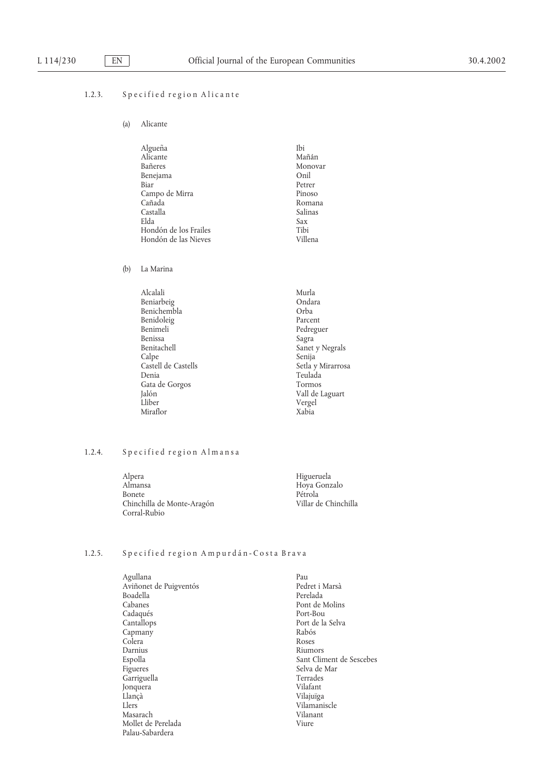# 1.2.3. Specified region Alicante

(a) Alicante

| Algueña               | Ibi     |
|-----------------------|---------|
| Alicante              | Mañán   |
| Bañeres               | Monovar |
| Benejama              | Onil    |
| Biar                  | Petrer  |
| Campo de Mirra        | Pinoso  |
| Cañada                | Romana  |
| Castalla              | Salinas |
| Elda                  | Sax     |
| Hondón de los Frailes | Tibi    |
| Hondón de las Nieves  | Villena |
|                       |         |

(b) La Marina

| Alcalali            | Murla             |
|---------------------|-------------------|
| Beniarbeig          | Ondara            |
| Benichembla         | Orba              |
| Benidoleig          | Parcent           |
| Benimeli            | Pedreguer         |
| Benissa             | Sagra             |
| Benitachell         | Sanet y Negrals   |
| Calpe               | Senija            |
| Castell de Castells | Setla y Mirarrosa |
| Denia               | Teulada           |
| Gata de Gorgos      | Tormos            |
| Jalón               | Vall de Laguart   |
| Lliber              | Vergel            |
| Miraflor            | Xabia             |
|                     |                   |

# 1.2.4. Specified region Almansa

| Alpera                     | Higueruela           |
|----------------------------|----------------------|
| Almansa                    | Hoya Gonzalo         |
| <b>Bonete</b>              | Pétrola              |
| Chinchilla de Monte-Aragón | Villar de Chinchilla |
| Corral-Rubio               |                      |

# 1.2.5. Specified region Ampurdán-Costa Brava

| Agullana               | Pau                      |
|------------------------|--------------------------|
| Aviñonet de Puigventós | Pedret i Marsà           |
| Boadella               | Perelada                 |
| Cabanes                | Pont de Molins           |
| Cadaqués               | Port-Bou                 |
| Cantallops             | Port de la Selva         |
| Capmany                | Rabós                    |
| Colera                 | Roses                    |
| Darnius                | Riumors                  |
| Espolla                | Sant Climent de Sescebes |
| Figueres               | Selva de Mar             |
| Garriguella            | Terrades                 |
| Jonquera               | Vilafant                 |
| Llançà                 | Vilajuïga                |
| Llers                  | Vilamaniscle             |
| Masarach               | Vilanant                 |
| Mollet de Perelada     | Viure                    |
| Palau-Sabardera        |                          |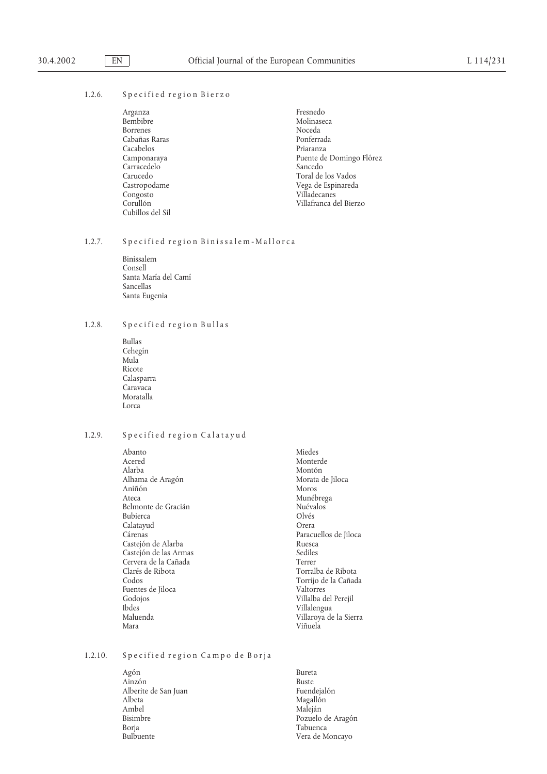# 1.2.6. Specified region Bierzo

| Fresnedo                 |
|--------------------------|
| Molinaseca               |
| Noceda                   |
| Ponferrada               |
| Priaranza                |
| Puente de Domingo Flórez |
| Sancedo                  |
| Toral de los Vados       |
| Vega de Espinareda       |
| Villadecanes             |
| Villafranca del Bierzo   |
|                          |
|                          |

## 1.2.7. Specified region Binissalem-Mallorca

Binissalem Consell Santa María del Camí Sancellas Santa Eugenia

# 1.2.8. Specified region Bullas

Bullas Cehegín Mula Ricote Calasparra Caravaca Moratalla Lorca

# 1.2.9. Specified region Calatayud

Abanto Miedes Monter Miedes Monter Monter Monter Monter Monter Monter Monter Monter Monter Monter Monter Monte<br>Monter Monter Monter Monter Monter Monter Monter Monter Monter Monte Monte Monte Monte Monte Monte Monte Monte Acered Monterde Monterde<br>Alarba Montón Alarba Montón Alhama de Aragón de Aragón de Aragón de Jiloca e Morata de Jiloca e Moros de Moros de Moros de Moros de Moros de Moros de Moros de Moros de Moros de Moros de Moros de Moros de Moros de Moros de Moros de Moros de Moros de M Aniñón<br>Ateca Belmonte de Gracián<br>Bubierca de Cracián de Colvés Bubierca Calatayud Orera Cárenas Paracuellos de Jiloca Castejón de Alarba<br>Casteión de las Armas de Sediles Castejón de las Armas Cervera de la Cañada de la Terrer Clarés de Ribota de la Cañada de la Cañada de la Terrer Clarés de Ribota de l Clarés de Ribota Torralba de Ribota Fuentes de Jiloca<br>Godojos Godojos Villalba del Perejil Ibdes Villalengua Mara Viñuela

Munébrega<br>Nuévalos Torrijo de la Cañada<br>Valtorres Villaroya de la Sierra

## 1.2.10. Specified region Campo de Borja

Agón **Bureta** Ainzón<br>Alberite de San Juan de Barcelona de San Juan de Barcelona de Puedejalón Alberite de San Juan<br>Albeta Albeta Magallón Magallón<br>Ambel Maleján Maleján Ambel Maleján<br>Bisimbre Pozuelo Bisimbre Pozuelo de Arago´n Borja Tabuenca

Vera de Moncayo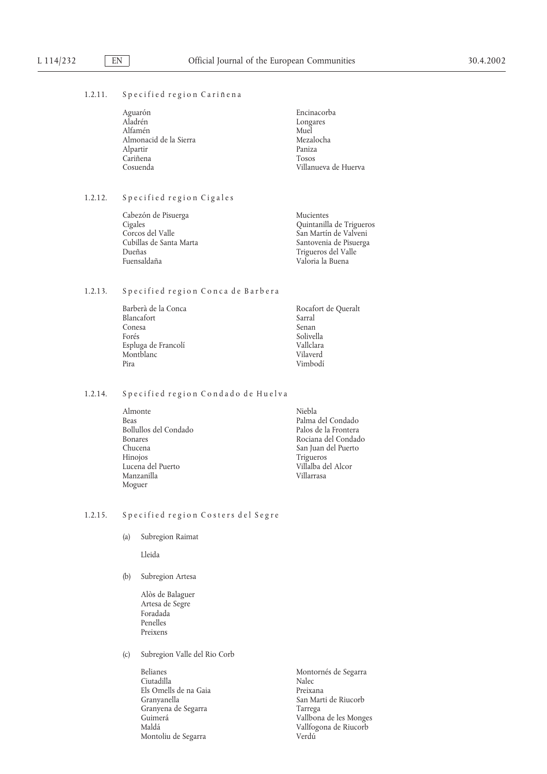# 1.2.11. Specified region Cariñena

| Aguarón                | Encinacorba          |
|------------------------|----------------------|
| Aladrén                | Longares             |
| Alfamén                | Muel                 |
| Almonacid de la Sierra | Mezalocha            |
| Alpartir               | Paniza               |
| Cariñena               | <b>Tosos</b>         |
| Cosuenda               | Villanueva de Huerva |

# 1.2.12. Specified region Cigales

| Cabezón de Pisuerga     | Mucientes                |
|-------------------------|--------------------------|
| Cigales                 | Quintanilla de Trigueros |
| Corcos del Valle        | San Martín de Valveni    |
| Cubillas de Santa Marta | Santovenia de Pisuerga   |
| Dueñas                  | Trigueros del Valle      |
| Fuensaldaña             | Valoria la Buena         |
|                         |                          |

# 1.2.13. Specified region Conca de Barbera

| Barberà de la Conca | Rocafort de Queralt |
|---------------------|---------------------|
| Blancafort          | Sarral              |
| Conesa              | Senan               |
| Forés               | Solivella           |
| Espluga de Francolí | Vallclara           |
| Montblanc           | Vilaverd            |
| Pira                | Vimbodí             |

# 1.2.14. Specified region Condado de Huelva

| Niebla               |
|----------------------|
| Palma del Condado    |
| Palos de la Frontera |
| Rociana del Condado  |
| San Juan del Puerto  |
| Trigueros            |
| Villalba del Alcor   |
| Villarrasa           |
|                      |
|                      |

# 1.2.15. Specified region Costers del Segre

(a) Subregion Raimat

Lleida

## (b) Subregion Artesa

- Alòs de Balaguer Artesa de Segre Foradada Penelles Preixens
- (c) Subregion Valle del Rio Corb

Belianes<br>Ciutadilla de Montornés de Segarra<br>Nalec Ciutadilla Nalec Els Omells de na Gaia<br>Granyanella Granyena de Segarra<br>Guimerá Montoliu de Segarra

San Marti de Riucorb<br>Tarrega Guimerá de la Vallbona de les Monges<br>Maldá de Vallfogona de Riucorb Vallfogona de Riucorb<br>Verdú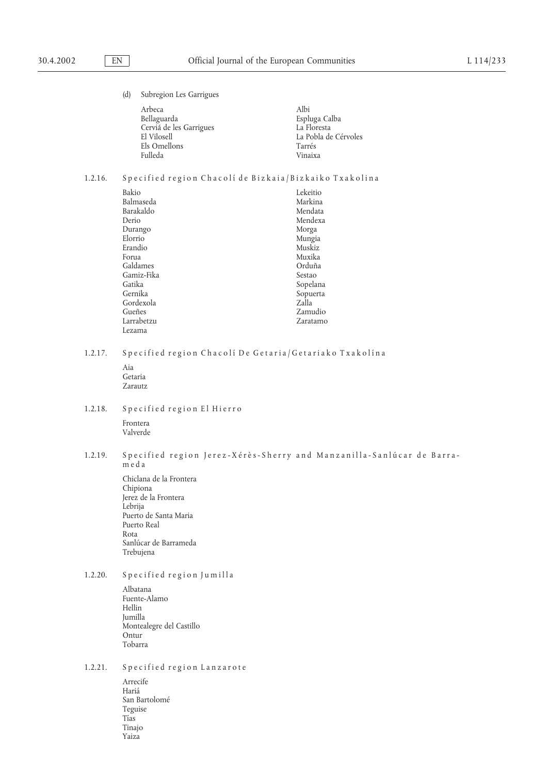(d) Subregion Les Garrigues

| Arbeca                  | Albi                 |
|-------------------------|----------------------|
| Bellaguarda             | Espluga Calba        |
| Cerviá de les Garrigues | La Floresta          |
| El Vilosell             | La Pobla de Cérvoles |
| Els Omellons            | Tarrés               |
| <b>Fulleda</b>          | Vinaixa              |

# 1.2.16. Specified region Chacolí de Bizkaia/Bizkaiko Txakolina

| Bakio      | Lekeitio |
|------------|----------|
| Balmaseda  | Markina  |
| Barakaldo  | Mendata  |
| Derio      | Mendexa  |
| Durango    | Morga    |
| Elorrio    | Mungia   |
| Erandio    | Muskiz   |
| Forua      | Muxika   |
| Galdames   | Orduña   |
| Gamiz-Fika | Sestao   |
| Gatika     | Sopelana |
| Gernika    | Sopuerta |
| Gordexola  | Zalla    |
| Gueñes     | Zamudio  |
| Larrabetzu | Zaratamo |
| Lezama     |          |

# 1.2.17. Specified region Chacolí De Getaria/Getariako Txakolína

- Aia Getaria Zarautz
- 1.2.18. Specified region El Hierro Frontera Valverde
- 1.2.19. Specified region Jerez-Xérès-Sherry and Manzanilla-Sanlúcar de Barrameda
	- Chiclana de la Frontera Chipiona Jerez de la Frontera Lebrija Puerto de Santa Maria Puerto Real Rota Sanlúcar de Barrameda Trebujena
- 1.2.20. Specified region Jumilla
	- Albatana Fuente-Alamo Hellin Jumilla Montealegre del Castillo Ontur Tobarra

# 1.2.21. Specified region Lanzarote

Arrecife Haria´ San Bartolomé Teguise Tı´as Tinajo Yaiza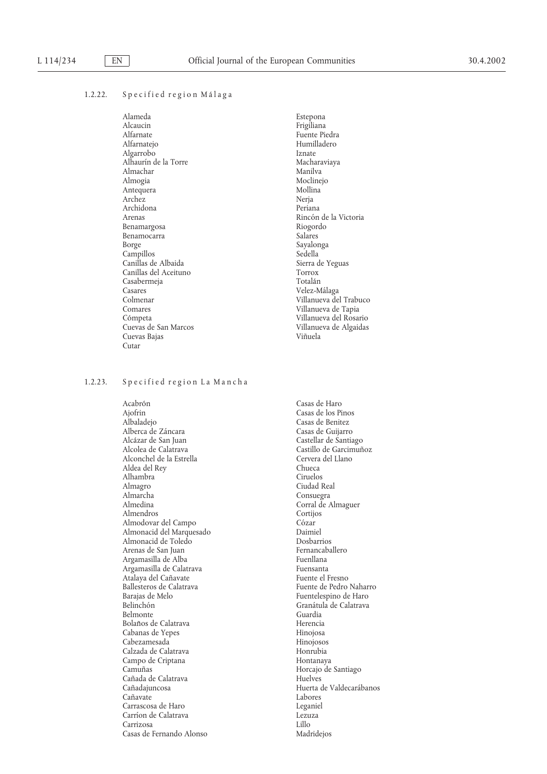## 1.2.22. Specified region Málaga

Alameda Estepona Alcaucin Frigiliana Alfarnatejo Humilladero Algarrobo Iznate<br>Alhaurín de la Torre de California de la Torre de Macharaviava Alhaurı´n de la Torre Macharaviaya Almachar<br>Almogia Antequera Mollin<br>Archez Neria Archez Archidona Periana Benamargosa Riogordo Benamocarra Borge Sayalonga Sayalonga Campillos (Campillos Sedella Canillas de Albaida de Sedella Canillas de Albaida de Sedella Canillas de Sedella Canillas de Albaida de Sedella Canillas de Albaida de Sedella Canillas de Sedella de Sedella de Sedella de Sede Canillas de Albaida<br>Canillas del Aceituno de Sierra de Sierra d Canillas del Aceituno Torrox Casabermeja<br>Casares Casares (Casares Casares Colmenar Colmenar Colmenar Colmenar Colmenar Colmenar Colmenar Colmenar Colmenary Colmenary Colmenary Colmenary Colmenary Colmenary Colmenary Colmenary Colmenary Colmenary Colmenary Colmenary Colme Comares Villanueva de Tapia Cuevas Bajas Cutar

#### 1.2.23. Specified region La Mancha

Acabro´ n Casas de Haro Ajofrin Casas de los Pinos<br>Albaladeio Casas de Benitez Alberca de Záncara<br>Alcázar de San Juan Alcázar de San Juan de Santiago de Santiago de Santiago de Calatrava de Santiago de Castellar de Santiago de Ca<br>Castillo de Galatrava de Calatrava de Castellar de Castillo de Garcimuñ Alconchel de la Estrella de la Estrella Cervera del Rev<br>Aldea del Rev Aldea del Rey Chueca<br>Alhambra Ciruelos Alhambra<br>Almagro Almagro Ciudad Real Almarcha Consuegra<br>
Almedina Corral de *A* Almendros Almodovar del Campo Co´ zar Almonacid del Marquesado Daimiel Almonacid de Toledo Dosbarrios Arenas de San Juan de San Arenancaballero e a fernancaballero e Fernancaballero e Eucaliana e Fuentilana de S<br>Fuentilana Argamasilla de Alba<br>Argamasilla de Calatrava de Barcelona de Fuensanta Argamasilla de Calatrava Fuensanta Atalaya del Cañavate<br>Ballesteros de Calatrava Ballesteros de Calatrava<br>
Barajas de Melo<br>
Fuentelespino de Haro Barajas de Melo<br>Belinchón de Haro Fuentelespino de Haro Fuentelespino de Haro Fuentelespino de Haro Fuentelespino de Haro Fuentelespino de Haro Fuentelespino de Haro Fuentelespino de Haro Fuentelespino de Haro Fuente de Ha Belmonte Bolaños de Calatrava<br>Cabanas de Yepes de Cabanas de Cepes Cabanas de Yepes Cabezamesada Hinojosos Calzada de Calatrava<br>
Campo de Criptana<br>
Hontanava Hontanava Campo de Criptana<br>Camuñas Cañada de Calatrava<br>Cañadajuncosa Cañavate Carrascosa de Haro Leganiel Carríon de Calatrava Carrizosa Lillo Casas de Fernando Alonso

Fuente Piedra Moclinejo<br>Mollina Rincón de la Victoria<br>Riogordo Villanueva del Trabuco Co´mpeta Villanueva del Rosario Villanueva de Algaidas<br>Viñuela

> Casas de Benitez<br>Casas de Guiiarro Castillo de Garcimuñoz<br>Cervera del Llano Corral de Almaguer<br>Cortijos Granátula de Calatrava<br>Guardia Horcajo de Santiago<br>Huelves Huerta de Valdecarábanos<br>Labores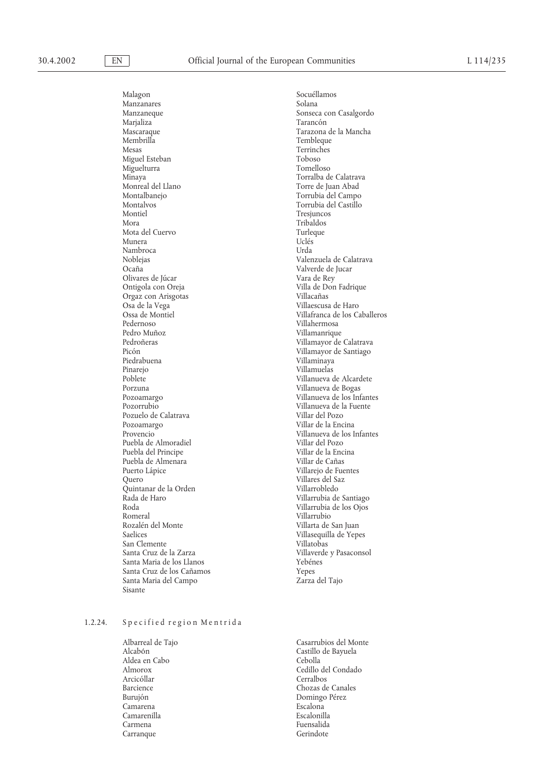Malagon Socuéllamos<br>Manzanares Solana Solana Manzanares Marjaliza<sup>1</sup><br>Mascaraque Mascaraque Tarazona de la Mancha Membrilla Tembleque<br>
Mesas Terrinches<br>
Terrinches Miguel Esteban Toboso Miguelturra Minaya<br>
Monreal del Llano<br>
Monreal del Llano<br>
Monreal del Llano<br>
Monreal del Llano Monreal del Llano del Torre de Juan Abad Montalbanejo del Torrubia del Campo del Torrubia del Campo del Torrubia del Campo del Torrubia del Campo del Torrubia del Campo del Torrubia del Campo del Torrubia del Campo del Tor Montalbanejo Torrubia del Campo Montiel Tresjuncos<br>Mora Tribaldos Mota del Cuervo Turleque Munera Uclés Nambroca Urda<br>Noblejas Valen Noblejas Valenzuela de Calatrava Olivares de Júcar<br>Ontigola con Oreja Orgaz con Arisgotas<br>Osa de la Vega Pedernoso Villahermosa Pedro Muñoz<br>Pedroñeras de la componente de la componente de la villamayor de la componente de la componente de la componen Pedron˜ eras Villamayor de Calatrava Piedrabuena Villaminaya Pinarejo Villamuelas<br>Poblete Villamueva d Poblete Villanueva de Alcardete Porzuna Villanueva de Bogas Pozuelo de Calatrava<br>Pozoamargo Pozoamargo Villar de la Encina Puebla de Almoradiel Villar del Pozo Puebla del Principe Villar de la Encina Puebla de Almenara<br>Puerto Lápice Puerto La´pice Villarejo de Fuentes Quintanar de la Orden<br>Rada de Haro Rada de Haro Villarrubia de Santiago Roda Villarrubia de los Ojos Romeral Villarrubio<br>
Rozalén del Monte de la Contra Villarta de Villarta de la Villarta de la Villarta de la Villarta de la Villarta de la Villarta de la Villarta de la Villarta de la Villarta de la Villarta de la Villarta Rozalén del Monte Villarta de San Juan San Clemente<br>Santa Cruz de la Zarza de la Villaverde Santa Maria de los Llanos Yebénes Santa Cruz de los Can˜ amos Yepes Santa Maria del Campo Sisante

# Manzaneque Sonseca con Casalgordo Terrinches<br>Toboso Torrubia del Castillo Tribaldos<br>Turleque Valverde de Jucar<br>Vara de Rev Villa de Don Fadrique<br>Villacañas Villaescusa de Haro Ossa de Montiel Villafranca de los Caballeros Villamayor de Santiago Pozoamargo Villanueva de los Infantes Villanueva de la Fuente<br>Villar del Pozo Villanueva de los Infantes<br>Villar del Pozo Villares del Saz<br>Villarrobledo Villasequilla de Yepes Villaverde y Pasaconsol

## 1.2.24. Specified region Mentrida

Albarreal de Tajo Casarrubios del Monte Castillo de Bayuela<br>Cebolla Aldea en Cabo<br>Almorox Cedillo del Condado<br>Cerralbos Arcicóllar<br>Barcience Barcience Chozas de Canales Domingo Pérez Camarena Escalona Camarenilla Carmena Fuensalida Carranque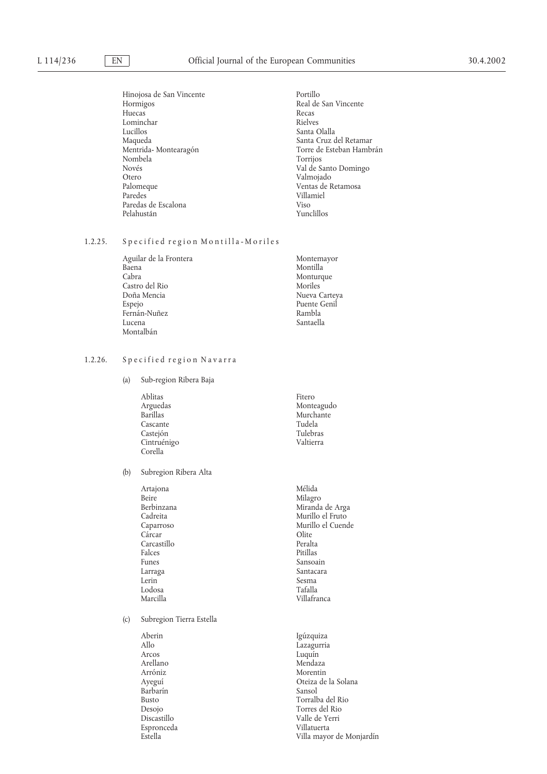Hinojosa de San Vincente Portillo Portillo Real de Portillo Real de Portillo Real de Portillo Real de Portillo Real de Portillo Real de Portillo Real de Portillo Real de Portillo Real de Portillo Real de Portier de la mate Huecas Recas Lominchar<br>Lucillos Lucillos Santa Olalla Maqueda Santa Cruz del Retamar Nombela<br>Novés Novés Val de Santo Domingo Otero Valmojado Palomeque Ventas de Retamosa Paredas de Escalona (1999).<br>Pelahustán (1999).<br>Pelahustán (1999). Pelahustán

Real de San Vincente Torre de Esteban Hambrán<br>Torrijos Villamiel<br>Viso

# 1.2.25. Specified region Montilla-Moriles

| Aguilar de la Frontera | Montemayor    |
|------------------------|---------------|
| Baena                  | Montilla      |
| Cabra                  | Monturque     |
| Castro del Rio         | Moriles       |
| Doña Mencia            | Nueva Carteya |
| Espejo                 | Puente Genil  |
| Fernán-Nuñez           | Rambla        |
| Lucena                 | Santaella     |
| Montalbán              |               |

# 1.2.26. Specified region Navarra

(a) Sub-region Ribera Baja

| Ablitas         | Fitero     |
|-----------------|------------|
| Arguedas        | Monteagudo |
| <b>Barillas</b> | Murchante  |
| Cascante        | Tudela     |
| Castejón        | Tulebras   |
| Cintruénigo     | Valtierra  |
| Corella         |            |

## (b) Subregion Ribera Alta

| Artajona     | Mélida            |
|--------------|-------------------|
| <b>Beire</b> | Milagro           |
| Berbinzana   | Miranda de Arga   |
| Cadreita     | Murillo el Fruto  |
| Caparroso    | Murillo el Cuende |
| Cárcar       | Olite             |
| Carcastillo  | Peralta           |
| Falces       | Pitillas          |
| Funes        | Sansoain          |
| Larraga      | Santacara         |
| Lerin        | Sesma             |
| Lodosa       | Tafalla           |
| Marcilla     | Villafranca       |

(c) Subregion Tierra Estella

| Aberin       | Igúzquiza                |
|--------------|--------------------------|
| Allo         | Lazagurria               |
| Arcos        | Luquín                   |
| Arellano     | Mendaza                  |
| Arróniz      | Morentin                 |
| Ayeguí       | Oteiza de la Solana      |
| Barbarín     | Sansol                   |
| <b>Busto</b> | Torralba del Rio         |
| Desojo       | Torres del Rio           |
| Discastillo  | Valle de Yerri           |
| Espronceda   | Villatuerta              |
| Estella      | Villa mayor de Monjardín |
|              |                          |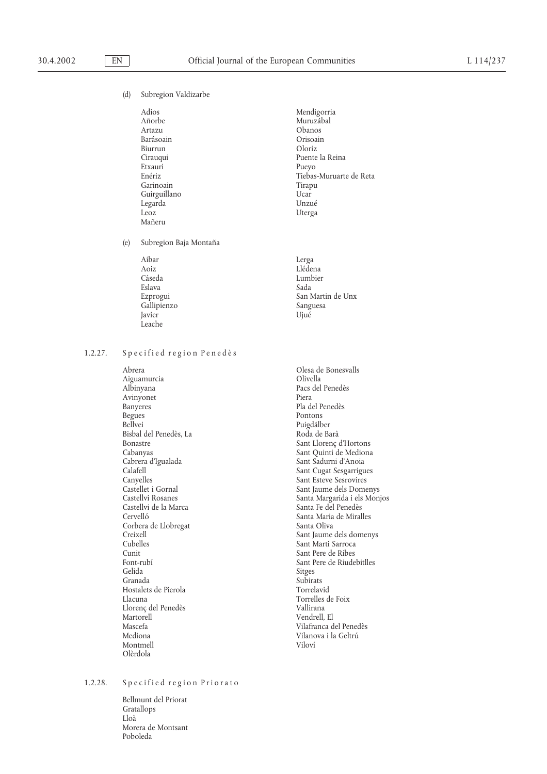## (d) Subregion Valdizarbe

| Mendigorria<br>Muruzábal |
|--------------------------|
|                          |
|                          |
| Obanos                   |
| Orisoain                 |
| Oloriz                   |
| Puente la Reina          |
| Pueyo                    |
| Tiebas-Muruarte de Reta  |
| Tirapu                   |
| Ucar                     |
| Unzué                    |
| Uterga                   |
|                          |
|                          |

(e) Subregion Baja Montaña

| Aibar       | Lerga             |
|-------------|-------------------|
| Aoiz        | Llédena           |
| Cáseda      | Lumbier           |
| Eslava      | Sada              |
| Ezprogui    | San Martin de Unx |
| Gallipienzo | Sanguesa          |
| Javier      | Ujué              |
| Leache      |                   |

## 1.2.27. Specified region Penedès

Abrera Olesa de Bonesvalls Aiguamurcia<br>Albinyana Avinyonet<br>Banyeres Banyeres Pla del Penedès<br>Begues Pontons Begues Pontons<br>Bellvei Puise Pontons<br>Puise Puise Puise Puise Puise Puise Puise Puise Puise Puise Puise Puise Puise Puise Puis Bisbal del Penedès, La Cabrera d'Igualada Sant Sadurni d'Anoia Canyelles Sant Esteve Sesrovires Castellvi de la Marca de la Marca de Santa Fe del Penedès<br>Cervelló de Santa Maria de Miral Corbera de Llobregat<br>Creixell Cunit Sant Pere de Ribes Gelida Sitges Granada Subirats Hostalets de Pierola<br>Llacuna Llorenç del Penedès<br>Martorell Mascefa Vilafranca del Penedès Montmell Vilovı´ Olèrdola

Pacs del Penedès<br>Piera Puigdálber<br>Roda de Barà Bonastre Sant Llorenç d'Hortons Cabanyas de Sant Llorenç d'Hortons Cabanyas de Sant Ouinti de Mediona Cabanyas Sant Quinti de Mediona Calafell Calafell Sant Cugat Sesgarrigues<br>
Canyelles Sant Esteve Sesrovires Castellet i Gornal Sant Jaume dels Domenys  $\begin{array}{lll} \text{Castellvi Rosanes} & \text{Santa Margarida i els Monjos} \\ \text{Castellvi de la Marca} & \text{Santa Fe del Penedès} \end{array}$ Santa Maria de Miralles<br>Santa Oliva Creixell Sant Jaume dels domenys<br>
Cubelles<br>
Sant Marti Sarroca Sant Marti Sarroca Font-rubí<br>
Sant Pere de Riudebitlles<br>
Sitges<br>
Sitges Torrelles de Foix<br>Vallirana Vendrell, El Vilanova i la Geltrú

# 1.2.28. Specified region Priorato

Bellmunt del Priorat Gratallops Lloà Morera de Montsant Poboleda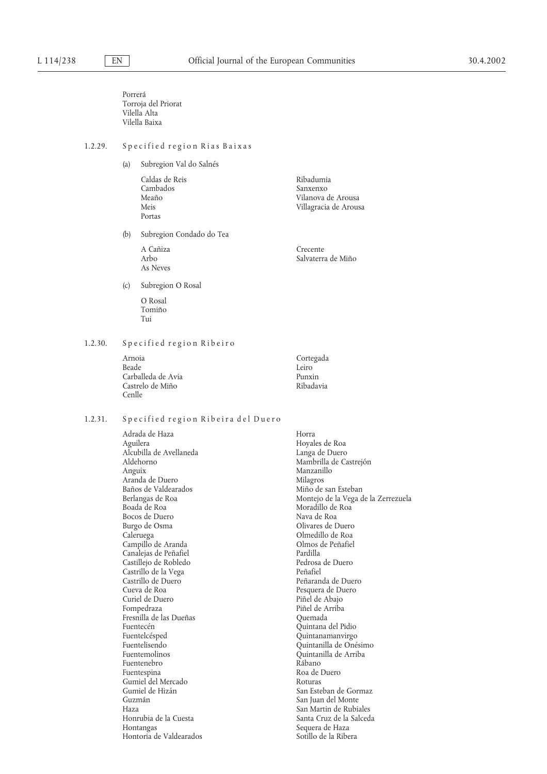Porrerá Torroja del Priorat Vilella Alta Vilella Baixa

# 1.2.29. Specified region Rias Baixas

(a) Subregion Val do Salnés

Caldas de Reis anno 1992.<br>Cambados de Campados de Sanxenxo Cambados<br>Meaño Portas

A Cañiza de Crecente de Crecente de la Crecente de la Crecente de la Crecente de la Crecente de la Crecente de<br>Salvaterra As Neves

(b) Subregion Condado do Tea

Meaño de Arousa de Arousa de Arousa de Arousa de Arousa de Arousa de Arousa de Arousa de Arousa de Arousa de A<br>Meis de Arousa de Arousa de Arousa de Arousa de Arousa de Arousa de Arousa de Arousa de Arousa de Arousa de A Villagracia de Arousa

Salvaterra de Miño

(c) Subregion O Rosal

O Rosal Tomiño Tui

### 1.2.30. Specified region Ribeiro

| Arnoia             | Cortegada |
|--------------------|-----------|
| Beade              | Leiro     |
| Carballeda de Avia | Punxin    |
| Castrelo de Miño   | Ribadavia |
| Cenlle             |           |

# 1.2.31. Specified region Ribeira del Duero

Adrada de Haza Horra Alcubilla de Avellaneda<br>Aldehorno Aldehorno Mambrilla de Castrejón<br>Anguix Manzanillo Manzanillo Aranda de Duero Milagros Milagros<br>Baños de Valdearados Miño de san Esteban Baños de Valdearados<br>Berlangas de Roa Bocos de Duero Burgo de Osma<br>Caleruega de Duero Caleruega de Olivares de Duero Caleruega de Po<br/>a $\,$ Olivares de Duero Caleruega de Po Campillo de Aranda de Olmos de Peñafiel de Aranda de Peñafiel de Santiagne de Pardilla de Pardilla de Pardilla<br>Canaleias de Peñafiel de Canaleira de Pardilla Canalejas de Pen˜ afiel Pardilla Castillejo de Robledo Pedrosa de Duero Castrillo de la Vega<br>Castrillo de Duero Castrillo de Duero **Peñaranda de Duero Pendido de Puero Pen**<br>Cueva de Roa **arabela de Puero Pesquera de Duero** Curiel de Duero<br>Fompedraza Fresnilla de las Dueñas Fuentecén Quintana del Pidio Fuentelcésped Quintanamanvirgo Fuentelisendo Quintanilla de Onésimo Fuentenebro<br>Fuentespina Gumiel del Mercado<br>Gumiel de Hizán Gumiel de Hizán de Gormaz (San Esteban de Gormaz (San Esteban de Gormaz (San Iuan del Monte de San Iuan del Monte de San Iuan del Monte de San Iuan del Monte de San Iuan del Monte de San Iuan del Monte de San Iuan del Mont Guzma´n San Juan del Monte Haza San Martin de Rubiales Hontangas Sequera de Haza Hontoria de Valdearados

Hoyales de Roa<br>Langa de Duero Manzanillo<br>Milagros Berlangas de Roa Montejo de la Vega de la Zerrezuela Moradillo de Roa<br>Nava de Roa Olmedillo de Roa<br>Olmos de Peñafiel Pesquera de Duero<br>Piñel de Abaio Piñel de Arriba<br>Quemada Quintanilla de Arriba<br>Rábano Roa de Duero<br>Roturas Santa Cruz de la Salceda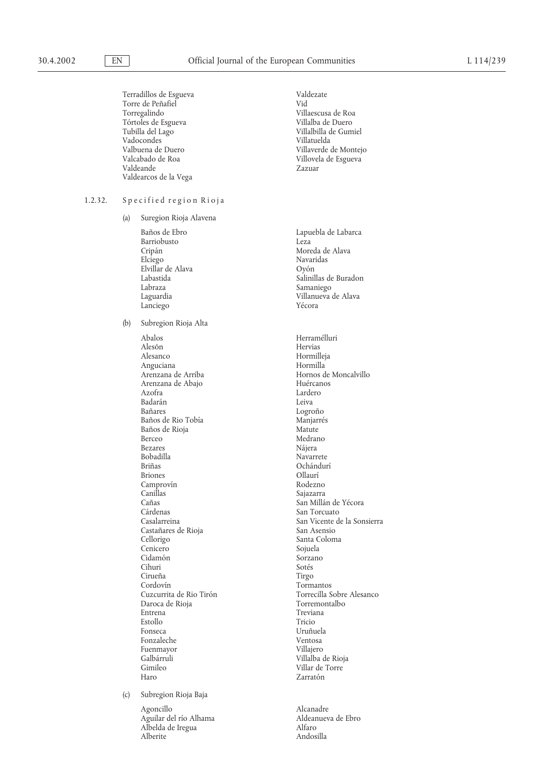|         |     | Terradillos de Esgueva<br>Torre de Peñafiel<br>Torregalindo<br>Tórtoles de Esgueva<br>Tubilla del Lago<br>Vadocondes<br>Valbuena de Duero<br>Valcabado de Roa<br>Valdeande<br>Valdearcos de la Vega                                                                                                                                                    | Valdezate<br>Vid<br>Villaescusa de Roa<br>Villalba de Duero<br>Villalbilla de Gumiel<br>Villatuelda<br>Villaverde de Montejo<br>Villovela de Esgueva<br>Zazuar                                                                                                                                                                                   |
|---------|-----|--------------------------------------------------------------------------------------------------------------------------------------------------------------------------------------------------------------------------------------------------------------------------------------------------------------------------------------------------------|--------------------------------------------------------------------------------------------------------------------------------------------------------------------------------------------------------------------------------------------------------------------------------------------------------------------------------------------------|
| 1.2.32. |     | Specified region Rioja                                                                                                                                                                                                                                                                                                                                 |                                                                                                                                                                                                                                                                                                                                                  |
|         | (a) | Suregion Rioja Alavena                                                                                                                                                                                                                                                                                                                                 |                                                                                                                                                                                                                                                                                                                                                  |
|         |     | Baños de Ebro<br>Barriobusto<br>Cripán<br>Elciego<br>Elvillar de Alava<br>Labastida<br>Labraza<br>Laguardia<br>Lanciego                                                                                                                                                                                                                                | Lapuebla de Labarca<br>Leza<br>Moreda de Alava<br>Navaridas<br>Oyón<br>Salinillas de Buradon<br>Samaniego<br>Villanueva de Alava<br>Yécora                                                                                                                                                                                                       |
|         | (b) | Subregion Rioja Alta                                                                                                                                                                                                                                                                                                                                   |                                                                                                                                                                                                                                                                                                                                                  |
|         |     | Abalos<br>Alesón<br>Alesanco<br>Anguciana<br>Arenzana de Arriba<br>Arenzana de Abajo<br>Azofra<br>Badarán<br>Bañares<br>Baños de Rio Tobía<br>Baños de Rioja<br>Berceo<br>Bezares<br><b>Bobadilla</b><br><b>Briñas</b><br><b>Briones</b><br>Camprovín<br>Canillas<br>Cañas<br>Cárdenas<br>Casalarreina<br>Castañares de Rioja<br>Cellorigo<br>Cenicero | Herramélluri<br>Hervias<br>Hormilleja<br>Hormilla<br>Hornos de Moncalvillo<br>Huércanos<br>Lardero<br>Leiva<br>Logroño<br>Manjarrés<br>Matute<br>Medrano<br>Nájera<br>Navarrete<br>Ochándurí<br>Ollaurí<br>Rodezno<br>Sajazarra<br>San Millán de Yécora<br>San Torcuato<br>San Vicente de la Sonsierra<br>San Asensio<br>Santa Coloma<br>Sojuela |
|         | (c) | Cidamón<br>Cihuri<br>Cirueña<br>Cordovín<br>Cuzcurrita de Rio Tirón<br>Daroca de Rioja<br>Entrena<br>Estollo<br>Fonseca<br>Fonzaleche<br>Fuenmayor<br>Galbárruli<br>Gimileo<br>Haro<br>Subregion Rioja Baja                                                                                                                                            | Sorzano<br>Sotés<br>Tirgo<br>Tormantos<br>Torrecilla Sobre Alesanco<br>Torremontalbo<br>Treviana<br>Tricio<br>Uruñuela<br>Ventosa<br>Villajero<br>Villalba de Rioja<br>Villar de Torre<br>Zarratón                                                                                                                                               |
|         |     | Agoncillo<br>Aguilar del río Alhama<br>Albelda de Iregua<br>Alberite                                                                                                                                                                                                                                                                                   | Alcanadre<br>Aldeanueva de Ebro<br>Alfaro<br>Andosilla                                                                                                                                                                                                                                                                                           |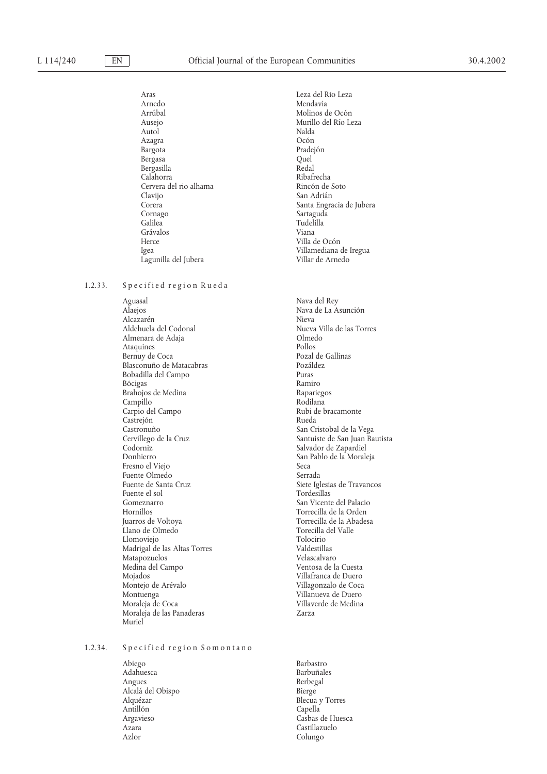Aras Leza del Rı´o Leza Arrúbal<br>Auseio de Auseio de Murillo del Río Le Ausejo Murillo del Rı´o Leza Autol Nalda Azagra Oco´ n Bergasa Quel Bergasilla Redal Calahorra Ribafrecha Cervera del rio alhama<br>Clavijo Clavijo San Adria´n Cornago Sartaguda<br>Calilea Calilea Calilea Grávalos Herce Villa de Ocón Lagunilla del Jubera

#### 1.2.33. Specified region Rueda

Aguasal Nava del Rey Alcazarén<br>Aldehuela del Codonal Almenara de Adaja Olmedo Ataquines<br>Bernuy de Coca Blasconuño de Matacabras Bobadilla del Campo **Puras** Bo´ cigas Ramiro Brahojos de Medina (Brahojos de Medina Rapariegos).<br>Campillo (Rodilana Rodilana Rodilana) Campillo Rodilana<br>Carpio del Campo del Rubi de bracamonte Carpio del Campo Rubi de Bracamonte Rubi de Bracamonte Rubi de Bracamonte Rueda Castrejón<br>Castronuño Castronuño<br>Castronuño de la Cruz de la Cruz de San Cristobal de la Vega<br>Cervillego de la Cruz de San Manuel de San Iuan Ba Cervillego de la Cruz de Santuiste de Santuiste de Santuista Codorniz de Santuiste de Santuiste de Santuiste de Santuiste de Santuiste de Santuiste de Santuiste de Santuiste de Santuiste de Santuiste de Santuiste de Santui Codorniz Salvador de Zapardiel Fresno el Viejo Necalista en Secalista de Secalista en Secalista en Secalista en Secalista en Secalista en Seca Fuente Olmedo Serrada Fuente el sol Gomeznarro San Vicente del Palacio Hornillos<br>
Juarros de Voltova<br>
Torrecilla de la Abades Llano de Olmedo de Torecilla de Valles de Valles de Valles de Valles de Valles de Valles de Valles de Valles d<br>Tolocitio Llomoviejo Tolocirio Madrigal de las Altas Torres Valdestillas Matapozuelos<br>Medina del Campo Medina del Campo Ventosa de la Cuesta Mojados Villafranca de Duero Montuenga Villanueva de Duero Moraleja de las Panaderas **Zarza** Muriel

## 1.2.34. Specified region Somontano

Abiego Barbastro Adahuesca Barbun˜ ales Alcala´ del Obispo Bierge Antillón<br>Argavieso Argavieso Casbas de Huesca Azara Castillazuelo

Mendavia Pradejón<br>Quel Santa Engracia de Jubera Tudelilla<br>Viana Igea Villamediana de Iregua

> Nava de La Ásunción<br>Nieva Nueva Villa de las Torres<br>Olmedo Pozal de Gallinas<br>Pozáldez San Pablo de la Moraleja Siete Iglesias de Travancos<br>Tordesillas Torrecilla de la Abadesa<br>Torecilla del Valle Villagonzalo de Coca Villaverde de Medina

**Berbegal** Blecua y Torres<br>Capella Colungo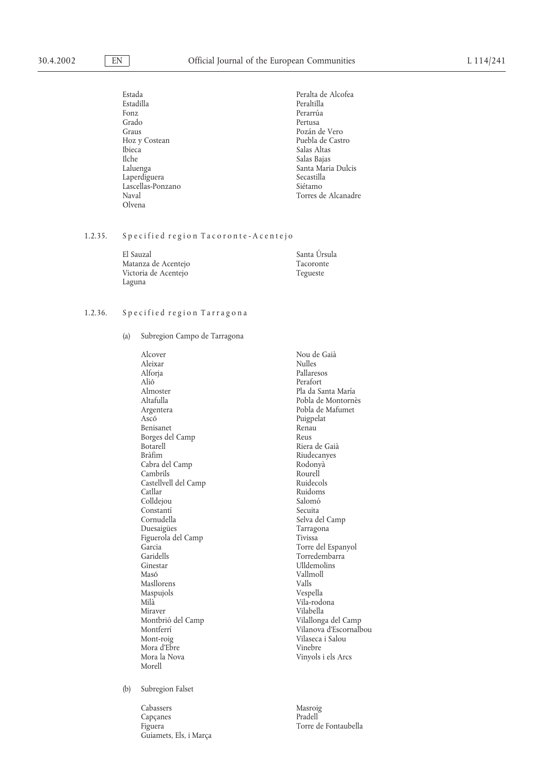| Estada            | Peralta de Alcofea  |
|-------------------|---------------------|
| Estadilla         | Peraltilla          |
| Fonz              | Perarrúa            |
| Grado             | Pertusa             |
| Graus             | Pozán de Vero       |
| Hoz y Costean     | Puebla de Castro    |
| <b>Ibieca</b>     | Salas Altas         |
| <b>Ilche</b>      | Salas Bajas         |
| Laluenga          | Santa Maria Dulcis  |
| Laperdiguera      | Secastilla          |
| Lascellas-Ponzano | Siétamo             |
| Naval             | Torres de Alcanadre |
| Olvena            |                     |

## 1.2.35. Specified region Tacoronte-Acentejo

| El Sauzal            | Santa Úrsula |
|----------------------|--------------|
| Matanza de Acentejo  | Tacoronte    |
| Victoria de Acentejo | Tegueste     |
| Laguna               |              |

#### 1.2.36. Specified region Tarragona

(a) Subregion Campo de Tarragona

Alcover Nou de Gaià<br>Aleixar Nulles Aleixar<br>Alforja Alforja Pallaresos Alió<sup>T</sup><br>Almoster Pla da Santa Carlo de Pla da Santa Carlo de Pla da Santa Carlo de Pla da Santa Carlo de Pla da Santa C Almoster Pla da Santa Marı´a Argentera Pobla de Mafumet<br>Ascó Puigpelat Benisanet Renau<br>Borges del Camp Reus Reus Borges del Camp<br>Botarell Botarell Riera de Gaià<br>Bràfim Riudecanyes Cabra del Camp Rodony<br>Cambrils Rourell Rourell Cambrils Camp<br>Castellvell del Camp<br>Ruidecols Ruidecols Castellvell del Camp<br>Catllar Colldejou Salomó<br>Constantí Secuita Constantí<br>Cornudella Duesaigües Tarragonal Expedition and Tarragonal Tarragonal Expedition and Tarragonal Tarragonal Tarragonal Tar<br>Tivissa Figuerola del Camp<br>Garcia Garcia and Carl Correlation of the Torre del Espanyol Garidells and Correlation of the Torre del Espanyol Garidells Garidells Torredembarra Masó Vallmoll Masllorens Vallmoll Masllorens Valls Masllorens Valls<br>Maspujols Vespella Maspujols<br>Milà Milà Vila-rodona Montbrió del Camp<br>Montferrí Mora d'Ebre<br>Mora la Nova Morell

Pobla de Montornès Puigpelat<br>Renau Riudecanyes<br>Rodonyà Ruidoms<br>Salomó Selva del Camp<br>Tarragona Ulldemolins Vilabella<br>Vilallonga del Camp Montferrí Vilanova d'Escornalbou<br>Mont-roig Vilaseca i Salou Vilaseca i Salou<br>Vinebre Vinyols i els Arcs

(b) Subregion Falset

Cabassers Masroig Capçanes Pradell Figuera Torre de Fontaubella Guiamets, Els, i Marça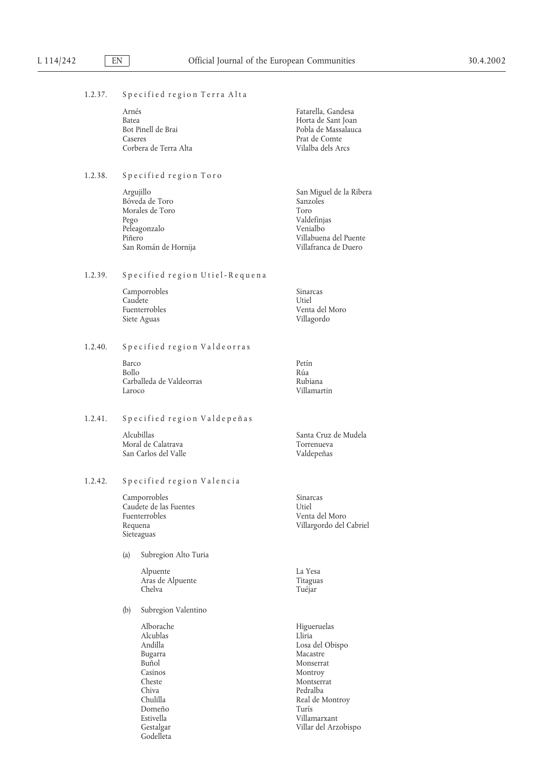#### 1.2.37. Specified region Terra Alta

| Arnés                 | Fatarella. Gandesa  |
|-----------------------|---------------------|
| Batea                 | Horta de Sant Joan  |
| Bot Pinell de Brai-   | Pobla de Massalauca |
| Caseres               | Prat de Comte       |
| Corbera de Terra Alta | Vilalba dels Arcs   |

## 1.2.38. Specified region Toro

Argujillo San Miguel de la Ribera<br>Bóveda de Toro Sanzoles Sanzoles Bóveda de Toro 531 - Sanzo Sanzo 1999 - Sanzo Sanzo 1999 - Sanzo 1999 - Sanzo 1999 - Sanzo 1999 - Sanzo 1999 - Sanzo 1999 - Sanzo 1999 - Sanzo 1999 - Sanzo 1999 - Sanzo 1999 - Sanzo 1999 - Sanzo 1999 - Sanzo 1999 - Sanzo 1 Morales de Toro<br>Pego Peleagonzalo<br>Piñero San Román de Hornija

#### 1.2.39. Specified region Utiel-Requena

| Camporrobles         | Sinarcas       |
|----------------------|----------------|
| Caudete              | Utiel          |
| <b>Fuenterrobles</b> | Venta del Moro |
| Siete Aguas          | Villagordo     |

## 1.2.40. Specified region Valdeorras

Barco Petín Bollo Rúa Carballeda de Valdeorras Rubiana<br>Laroco Rubianar

# 1.2.41. Specified region Valdepeñas

Moral de Calatrava **Torrenueva** San Carlos del Valle Valdepeñas

## 1.2.42. Specified region Valencia

Camporrobles Sinarcas<br>Caudete de las Fuentes de la componentat de la componentat de la componentat de la componentat de la component Caudete de las Fuentes<br>Fuenterrobles Requena Villargordo del Cabriel Sieteaguas

#### (a) Subregion Alto Turia

Alpuente La Yesa<br>Aras de Alpuente de Característica de Característica de Característica de Característica de La Yesa<br>Titaguas Aras de Alpuente<br>Chelva

## (b) Subregion Valentino

Alcublas<br>Andilla Bugarra Macastre Casinos Montroy Montroy<br>Cheste Montserr Chiva Pedralba<br>Chulilla Real de N Domeño<br>Estivella Godelleta

Valdefinjas<br>Venialbo Villabuena del Puente<br>Villafranca de Duero

Villamartin

Alcubillas Santa Cruz de Mudela

Venta del Moro

Tuéjar

Alborache Higueruelas Andilla Losa del Obispo Buñol Monserrat<br>Casinos Montroy Montroy Cheste Montserrat Real de Montroy<br>Turís Villamarxant Gestalgar Villar del Arzobispo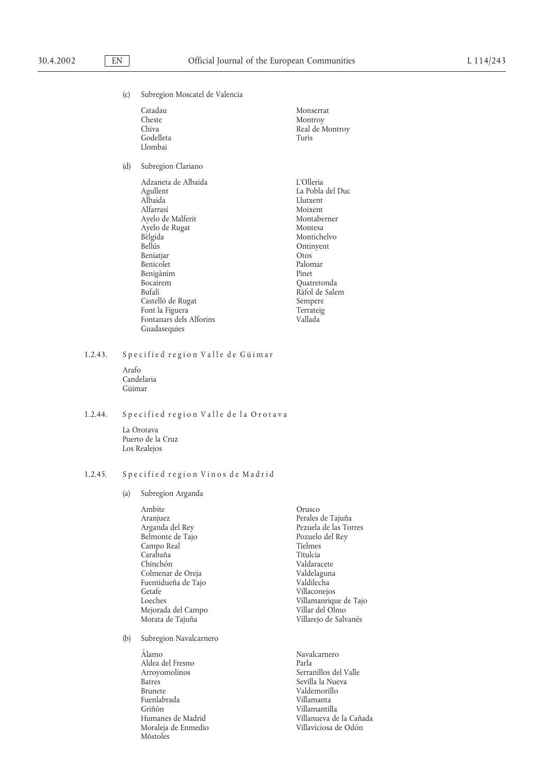$(d)$ 

(c) Subregion Moscatel de Valencia

| Catadau<br>Cheste<br>Chiva<br>Godelleta<br>Llombai                                                                                                                                                                                                                                | Monserrat<br>Montroy<br>Real de Montroy<br>Turis                                                                                                                                                           |
|-----------------------------------------------------------------------------------------------------------------------------------------------------------------------------------------------------------------------------------------------------------------------------------|------------------------------------------------------------------------------------------------------------------------------------------------------------------------------------------------------------|
| Subregion Clariano                                                                                                                                                                                                                                                                |                                                                                                                                                                                                            |
| Adzaneta de Albaida<br>Agullent<br>Albaida<br>Alfarrasí<br>Ayelo de Malferit<br>Ayelo de Rugat<br>Bèlgida<br><b>Bellús</b><br>Beniatjar<br>Benicolet<br>Benigànim<br><b>Bocairem</b><br>Bufalí<br>Castelló de Rugat<br>Font la Figuera<br>Fontanars dels Alforins<br>Guadasequies | L'Olleria<br>La Pobla del Duc<br>Llutxent<br>Moixent<br>Montaberner<br>Montesa<br>Montichelvo<br>Ontinyent<br>Otos<br>Palomar<br>Pinet<br>Quatretonda<br>Ràfol de Salem<br>Sempere<br>Terrateig<br>Vallada |

1.2.43. Specified region Valle de Güimar

Arafo Candelaria Güimar

## 1.2.44. Specified region Valle de la Orotava

La Orotava Puerto de la Cruz Los Realejos

#### 1.2.45. Specified region Vinos de Madrid

(a) Subregion Arganda

| Ambite              |
|---------------------|
| Aranjuez            |
| Arganda del Rey     |
| Belmonte de Tajo    |
| Campo Real          |
| Carabaña            |
| Chinchón            |
| Colmenar de Oreja   |
| Fuentidueña de Tajo |
| Getafe              |
| Loeches             |
| Mejorada del Campo  |
| Morata de Tajuña    |
|                     |

(b) Subregion Navalcarnero

A´ lamo Navalcarnero Aldea del Fresno<br>Arroyomolinos Arroyomolinos<br>
Arroyomolinos<br>
Batres<br>
Sevilla la Nueva Batres Sevilla la Nueva Brunete de la Sevilla la Nueva Brunete de la Sevilla la Nueva Brunete de la Sevilla de la Sevilla de la Sevilla de la Sevilla de la Sevilla de la Sevilla de la Sevilla de la Sevilla de la Sevilla de Fuenlabrada<br>Griñón Grin˜ o´ n Villamantilla Moraleja de Enmedio Móstoles

**Orusco** Perales de Tajuña Pezuela de las Torres Pozuelo del Rey Tielmes Titulcia Valdaracete Valdelaguna Valdilecha Villaconejos Villamanrique de Tajo Villar del Olmo Villarejo de Salvanés

Valdemorillo<br>Villamanta Villanueva de la Cañada<br>Villaviciosa de Odón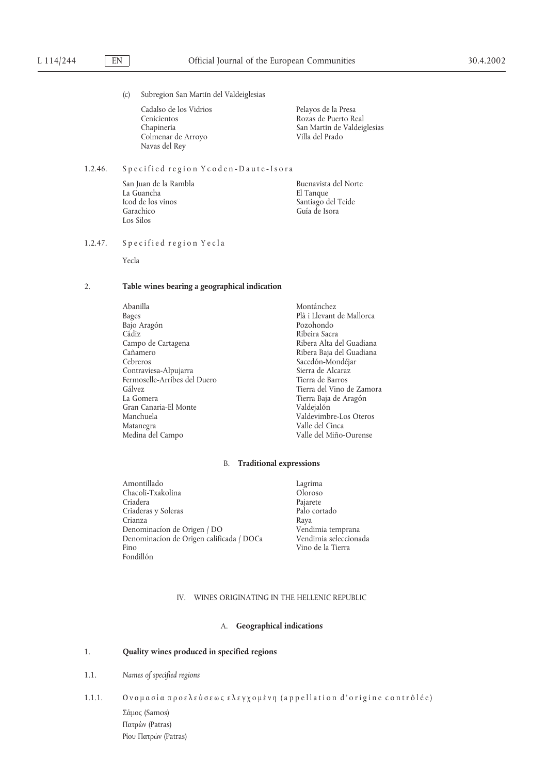(c) Subregion San Martín del Valdeiglesias

Cadalso de los Vidrios Pelayos de la Presa Cenicientos Rozas de Puerto Real Chapinería de Valeira de Valeira de Valeira de Valeira de Valeira de Valeira de Valeira de Valeira de Valeira de Valeira de Valeira de Valeira de Valeira de Valeira de Valeira de Valeira de Colmenar de Arroyo Navas del Rey

San Martín de Valdeiglesias<br>Villa del Prado

## 1.2.46. Specified region Y coden-Daute-Isora

La Guancha<br>
Icod de los vinos de composicións de la Santiago de Santiago de Santiago de Santiago de Santiago de Santiago d Garachico Guía de Isora Los Silos

San Juan de la Rambla Buenavista del Norte Santiago del Teide

## 1.2.47. Specified region Yecla

Yecla

### 2. **Table wines bearing a geographical indication**

Abanilla Montánchez Bages Plà i Llevant Bajo Arago´ n Pozohondo Ca´diz Ribeira Sacra Cañamero Ribera Baja del Guadiana<br>Cebreros Canadiana Canadiana Sacedón-Mondéiar Contraviesa-Alpujarra de Alcaraz Sierra de Alcaraz<br>Fermoselle-Arribes del Duero de Santos de Barros Fermoselle-Arribes del Duero Ga´lvez Tierra del Vino de Zamora Gran Canaria-El Monte<br>Manchuela Manchuela Valdevimbre-Los Oteros Medina del Campo Valle del Miño-Ourense

Plà i Llevant de Mallorca Ribera Alta del Guadiana Sacedón-Mondéjar<br>Sierra de Alcaraz Tierra Baja de Aragón<br>Valdejalón Valle del Cinca

### B. **Traditional expressions**

Amontillado Lagrima Chacoli-Txakolina Oloroso Criadera Pajarete Criaderas y Soleras Crianza Raya Denominacíon de Origen / DO Vendimia temprana<br>
Denominacíon de Origen calificada / DOCa Vendimia seleccionada Denominacion de Origen calificada / DOCa<br>Fino Fondillón

Vino de la Tierra

### IV. WINES ORIGINATING IN THE HELLENIC REPUBLIC

#### A. **Geographical indications**

### 1. **Quality wines produced in specified regions**

1.1. *Names of specified regions*

1.1.1. Ονομασία προελεύσεως ελεγχομένη (appellation d'origine contrôlée)

- Σάμος (Samos) Πατρω΄ν (Patras)
- Ρίου Πατρών (Patras)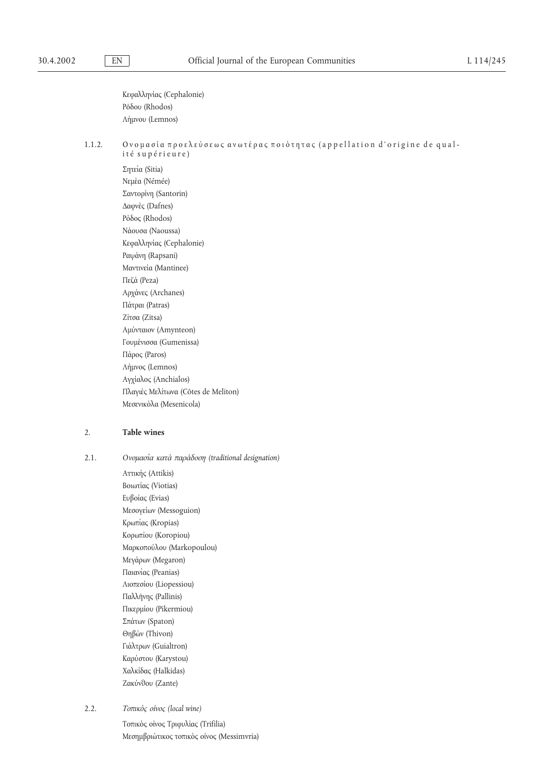Κεφαλληνίας (Cephalonie) Ρο΄δου (Rhodos) Λη΄µνου (Lemnos)

1.1.2. Ονομασία προελεύσεως ανωτέρας ποιότητας (appellation d'origine de qualité supérieure)

Σητεία (Sitia) Νεμέα (Némée) Σαντορίνη (Santorin) ∆αφνε΄ς (Dafnes) Ρο΄δος (Rhodos) Να΄ουσα (Naoussa) Κεφαλληνίας (Cephalonie) Ραψάνη (Rapsani) Μαντινεία (Mantinee) Πεζα΄ (Peza) Αρχάνες (Archanes) Πάτραι (Patras) Ζίτσα (Zitsa) Αµυ΄νταιον (Amynteon) Γουµε΄νισσα (Gumenissa) Πάρος (Paros) Λη΄µνος (Lemnos) Αγγίαλος (Anchialos) Πλαγιε΄ς Μελι΄τωνα (Côtes de Meliton) Μεσενικόλα (Mesenicola)

## 2. **Table wines**

2.1. *Oνοµασι΄α κατα΄ παρα΄δοση (traditional designation)*

Αττικη΄ς (Attikis) Βοιωτίας (Viotias) Ευβοίας (Evias) Μεσογείων (Messoguion) Κρωπίας (Kropias) Κορωπίου (Koropiou) Μαρκοπου΄λου (Markopoulou) Μεγάρων (Megaron) Παιανίας (Peanias) Λιοπεσίου (Liopessiou) Παλλη΄νης (Pallinis) Πικερµι΄ου (Pikermiou) Σπάτων (Spaton) Θηβω΄ν (Thivon) Γιάλτρων (Guialtron) Καρυ΄στου (Karystou) Χαλκίδας (Halkidas) Ζακυ΄νθου (Zante)

2.2. *Τοπικο΄ς οι΄νος (local wine)*

Τοπικός οίνος Τριφυλίας (Trifilia) Μεσημβριώτικος τοπικός οίνος (Messimvria)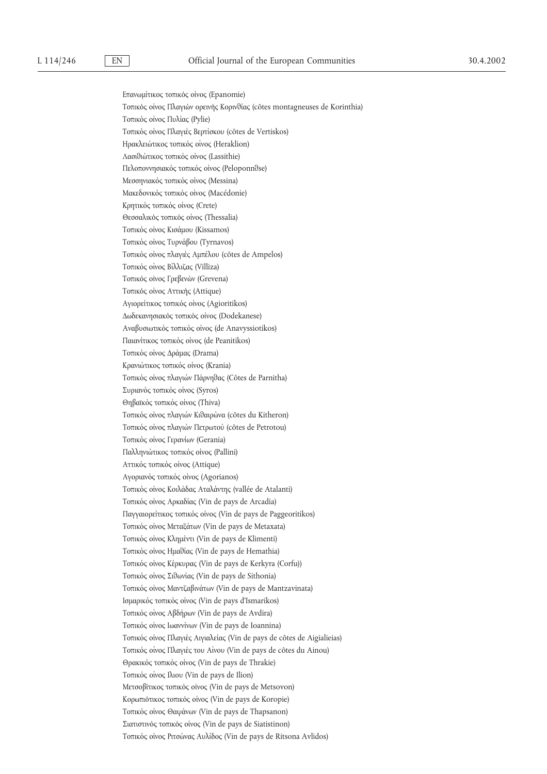Επανωμίτικος τοπικός οίνος (Epanomie) Τοπικός οίνος Πλαγιών ορεινής Κορινθίας (côtes montagneuses de Korinthia) Τοπικός οίνος Πυλίας (Pylie) Τοπικός οίνος Πλαγιές Βερτίσκου (côtes de Vertiskos) Ηρακλειώτικος τοπικός οίνος (Heraklion) Λασιθιώτικος τοπικός οίνος (Lassithie) Πελοποννησιακός τοπικός οίνος (Peloponnθse) Μεσσηνιακός τοπικός οίνος (Messina) Μακεδονικός τοπικός οίνος (Macédonie) Κρητικός τοπικός οίνος (Crete) Θεσσαλικός τοπικός οίνος (Thessalia) Τοπικός οίνος Κισάμου (Kissamos) Τοπικός οίνος Τυρνάβου (Tyrnavos) Τοπικο΄ς οι΄νος πλαγιε΄ς Αµπε΄λου (côtes de Ampelos) Τοπικός οίνος Βίλλιζας (Villiza) Τοπικός οίνος Γρεβενών (Grevena) Τοπικός οίνος Αττικής (Attique) Αγιορείτικος τοπικός οίνος (Agioritikos) Δωδεκανησιακός τοπικός οίνος (Dodekanese) Αναβυσιωτικός τοπικός οίνος (de Anavyssiotikos) Παιανίτικος τοπικός οίνος (de Peanitikos) Τοπικός οίνος Δράμας (Drama) Κρανιώτικος τοπικός οίνος (Krania) Τοπικός οίνος πλαγιών Πάρνηθας (Côtes de Parnitha) Συριανός τοπικός οίνος (Syros) Θηβαϊκός τοπικός οίνος (Thiva) Τοπικο΄ς οι΄νος πλαγιω΄ν Κιθαιρω΄να (côtes du Kitheron) Τοπικός οίνος πλαγιών Πετρωτού (côtes de Petrotou) Τοπικός οίνος Γερανίων (Gerania) Παλληνιώτικος τοπικός οίνος (Pallini) Αττικός τοπικός οίνος (Attique) Αγοριανός τοπικός οίνος (Agorianos) Τοπικός οίνος Κοιλάδας Αταλάντης (vallée de Atalanti) Τοπικός οίνος Αρκαδίας (Vin de pays de Arcadia) Παγγαιορείτικος τοπικός οίνος (Vin de pays de Paggeoritikos) Τοπικός οίνος Μεταξάτων (Vin de pays de Metaxata) Τοπικο΄ς οι΄νος Κληµε΄ντι (Vin de pays de Klimenti) Τοπικός οίνος Ημαθίας (Vin de pays de Hemathia) Τοπικός οίνος Κέρκυρας (Vin de pays de Kerkyra (Corfu)) Τοπικός οίνος Σιθωνίας (Vin de pays de Sithonia) Τοπικός οίνος Μαντζαβινάτων (Vin de pays de Mantzavinata) Ισµαρικο΄ς τοπικο΄ς οι΄νος (Vin de pays d'Ismarikos) Τοπικο΄ς οι΄νος Αβδη΄ρων (Vin de pays de Avdira) Τοπικός οίνος Ιωαννίνων (Vin de pays de Ioannina) Τοπικός οίνος Πλαγιές Αιγιαλείας (Vin de pays de côtes de Aigialieias) Τοπικός οίνος Πλαγιές του Αίνου (Vin de pays de côtes du Ainou) Θρακικός τοπικός οίνος (Vin de pays de Thrakie) Τοπικο΄ς οι΄νος Ιλιου (Vin de pays de Ilion) Μετσοβίτικος τοπικός οίνος (Vin de pays de Metsovon) Κορωπιο΄τικος τοπικο΄ς οι΄νος (Vin de pays de Koropie) Τοπικο΄ς οι΄νος Θαψα΄νων (Vin de pays de Thapsanon) Σιατιστινός τοπικός οίνος (Vin de pays de Siatistinon) Τοπικός οίνος Ριτσώνας Αυλίδος (Vin de pays de Ritsona Avlidos)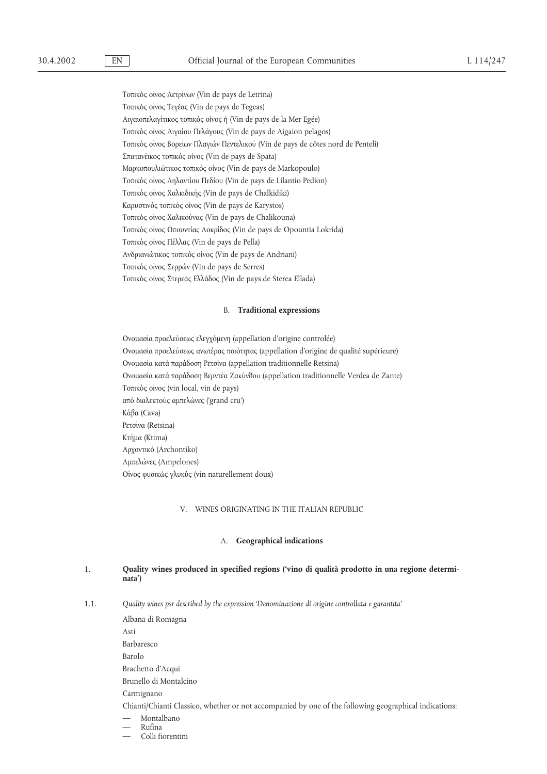Τοπικο΄ς οι΄νος Λετρι΄νων (Vin de pays de Letrina) Τοπικός οίνος Τεγέας (Vin de pays de Tegeas) Αιγαιοπελαγίτικος τοπικός οίνος ή (Vin de pays de la Mer Egée) Τοπικός οίνος Αιγαίου Πελάγους (Vin de pays de Aigaion pelagos) Τοπικός οίνος Βορείων Πλαγιών Πεντελικού (Vin de pays de côtes nord de Penteli) Σπατανέικος τοπικός οίνος (Vin de pays de Spata) Μαρκοπουλιώτικος τοπικός οίνος (Vin de pays de Markopoulo) Τοπικός οίνος Ληλαντίου Πεδίου (Vin de pays de Lilantio Pedion) Τοπικός οίνος Χαλκιδικής (Vin de pays de Chalkidiki) Καρυστινός τοπικός οίνος (Vin de pays de Karystos) Τοπικός οίνος Χαλικούνας (Vin de pays de Chalikouna) Τοπικός οίνος Οπουντίας Λοκρίδος (Vin de pays de Opountia Lokrida) Τοπικο΄ς οι΄νος Πε΄λλας (Vin de pays de Pella) Ανδριανιω΄τικος τοπικο΄ς οι΄νος (Vin de pays de Andriani) Τοπικο΄ς οι΄νος Σερρω΄ν (Vin de pays de Serres) Τοπικός οίνος Στερεάς Ελλάδος (Vin de pays de Sterea Ellada)

#### B. **Traditional expressions**

Ονομασία προελεύσεως ελεγχόμενη (appellation d'origine controlée) Ονομασία προελεύσεως ανωτέρας ποιότητας (appellation d'origine de qualité supérieure) Ονομασία κατά παράδοση Ρετσίνα (appellation traditionnelle Retsina) Ονομασία κατά παράδοση Βερντέα Ζακύνθου (appellation traditionnelle Verdea de Zante) Τοπικός οίνος (vin local, vin de pays) απο΄ διαλεκτου΄ς αµπελω΄νες ('grand cru') Κα΄βα (Cava) Ρετσίνα (Retsina) Κτη΄µα (Ktima) Αρχοντικό (Archontiko) Αµπελω΄νες (Ampelones) Οι΄νος φυσικω΄ς γλυκυ΄ς (vin naturellement doux)

### V. WINES ORIGINATING IN THE ITALIAN REPUBLIC

#### A. **Geographical indications**

## 1. **Quality wines produced in specified regions ('vino di qualità prodotto in una regione determinata')**

1.1. *Quality wines psr described by the expression 'Denominazione di origine controllata e garantita'*

Albana di Romagna Asti Barbaresco Barolo Brachetto d'Acqui Brunello di Montalcino Carmignano Chianti/Chianti Classico, whether or not accompanied by one of the following geographical indications: — Montalbano — Rufina

— Colli fiorentini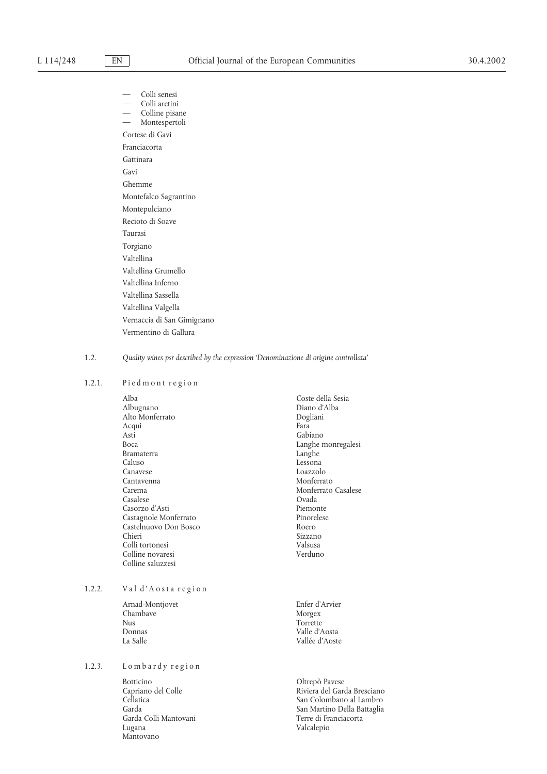Colli senesi — Colli aretini Colline pisane — Montespertoli Cortese di Gavi Franciacorta Gattinara Gavi Ghemme Montefalco Sagrantino Montepulciano Recioto di Soave Taurasi Torgiano Valtellina Valtellina Grumello Valtellina Inferno Valtellina Sassella Valtellina Valgella Vernaccia di San Gimignano Vermentino di Gallura

#### 1.2. *Quality wines psr described by the expression 'Denominazione di origine controllata'*

## 1.2.1. Piedmont region

Alba Coste della Sesia Alto Monferrato Dogliani Acqui Asti Gabiano (Gabiano - Gabiano - Gabiano - Gabiano - Gabiano - Gabiano - Gabiano - Gabiano - Gabiano - Gabiano - Gabiano - Gabiano - Gabiano - Gabiano - Gabiano - Gabiano - Gabiano - Gabiano - Gabiano - Gabiano - Gabiano Bramaterra<br>Caluso Canavese Loazzolo Cantavenna<br>Carema Casalese Ovada Casorzo d'Asti Piemonte Castagnole Monferrato Pinore<sup>l</sup><br>Castelnuovo Don Bosco Roero Castelnuovo Don Bosco<br>Chieri Colli tortonesi Colline novaresi Verduno Colline saluzzesi

## 1.2.2. Val d'Aosta region

Arnad-Montjovet Enfer d'Arvier Chambave Morgex Morgex<br>
Nus Correcte Nus Torrette<br>Donnas Valle d'A Donnas Valle d'Aosta

## 1.2.3. Lombardy region

Botticino <br/> Oltrepò Pavese Capriano del Colle Nivera del Garc Garda Colli Mantovani Lugana Valcalepio Mantovano

- Diano d'Alba<br>Dogliani Langhe monregalesi<br>Langhe Lessona Monferrato Casalese Sizzano<br>Valsusa
- Vallée d'Aoste

Capriano del Colle Riviera del Garda Bresciano Cellatica San Colombano al Lambro San Martino Della Battaglia<br>Terre di Franciacorta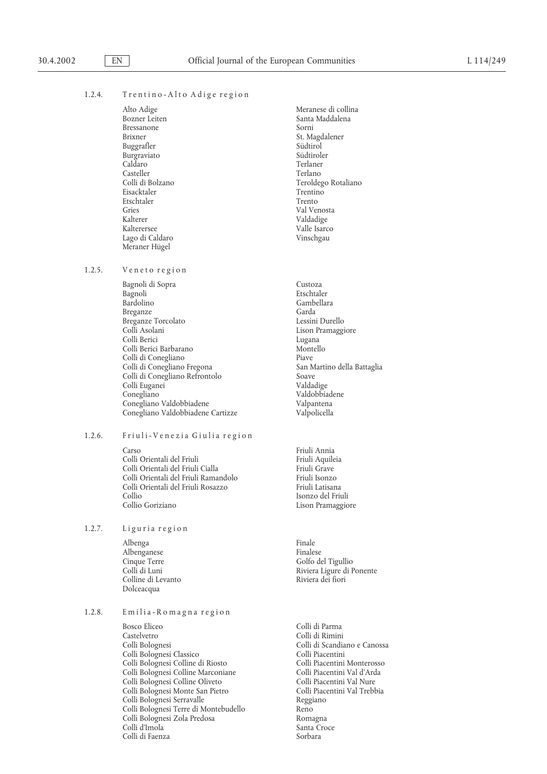### 1.2.4. Trentino-Alto Adige region

Bressanone<br>Brixner Buggrafler Südtirol Südtirol Südtirol Südtirol Südtirol Südtirol Südtirol Südtirol Südtirol Südtirol Südtirol Südtirol Südtirol Südtirol Südtirol Südtirol Südtirol Südtirol Südtirol Südtirol Südtirol Südtirol Südtirol Südt Burgraviato Caldaro Terlaner Casteller<br>Colli di Bolzano Eisacktaler Trentino Etschtaler<br>Gries Gries Val Venosta<br>Kalterer Val Venosta Kalterer Valdadige Lago di Caldaro Meraner Hügel

#### 1.2.5. Veneto region

Bagnoli di Sopra Custoza Bagnoli Etschtaler Breganze<br>
Breganze Torcolato<br>
Breganze Torcolato<br>
Breganze Torcolato Breganze Torcolato<br>Colli Asolani Colli Berici Lugana Colli Berici Barbarano Colli di Conegliano<br>
Colli di Conegliano Fregona<br>
Colli di Conegliano Fregona Colli di Conegliano Fregona San Martino della Battaglia Colli di Conegliano Refrontolo Soave Colli Euganei Conegliano Valdobbiadene Conegliano Valdobbiadene Valpantena Conegliano Valdobbiadene Cartizze

#### 1.2.6. Friuli-Venezia Giulia region

Carso Friuli Annia Colli Orientali del Friuli<br>Colli Orientali del Friuli Cialla internationale in Friuli Grave Colli Orientali del Friuli Cialla Friuli Grave<br>Colli Orientali del Friuli Ramandolo Friuli Isonzo Colli Orientali del Friuli Ramandolo Friuli Isonzo Colli Orientali del Friuli Rosazzo<br>Collio Collio Goriziano Lison Pramaggiore

#### 1.2.7. Liguria region

Albenga Finale Albenganese<br>Cinque Terre Colline di Levanto Dolceacqua

## 1.2.8. Emilia-Romagna region

Bosco Eliceo Colli di Parma Castelvetro Colli di Rimini Colli Bolognesi Classico Colli Piacentini Colli Bolognesi Colline di Riosto Colli Piacentini Monterosso Colli Bolognesi Colline Marconiane Colli Piacentini Val d'Arda Colli Bolognesi Colline Oliveto Colli Piacentini Val Nure Colli Bolognesi Monte San Pietro Colli Piacentini Val Trebbia Colli Bolognesi Serravalle<br>
Colli Bolognesi Terre di Montebudello<br>
Reno Colli Bolognesi Terre di Montebudello Reno Colli Bolognesi Zola Predosa Colli d'Imola Santa Croce Colli di Faenza anno 1992 - Sorbara

Alto Adige Meranese di collina Santa Maddalena<br>Sorni St. Magdalener<br>Südtirol Teroldego Rotaliano Valle Isarco<br>Vinschgau

> Gambellara Lison Pramaggiore

Isonzo del Friuli

Cinque Terre Golfo del Tigullio Riviera Ligure di Ponente<br>Riviera dei fiori

Colli di Scandiano e Canossa<br>Colli Piacentini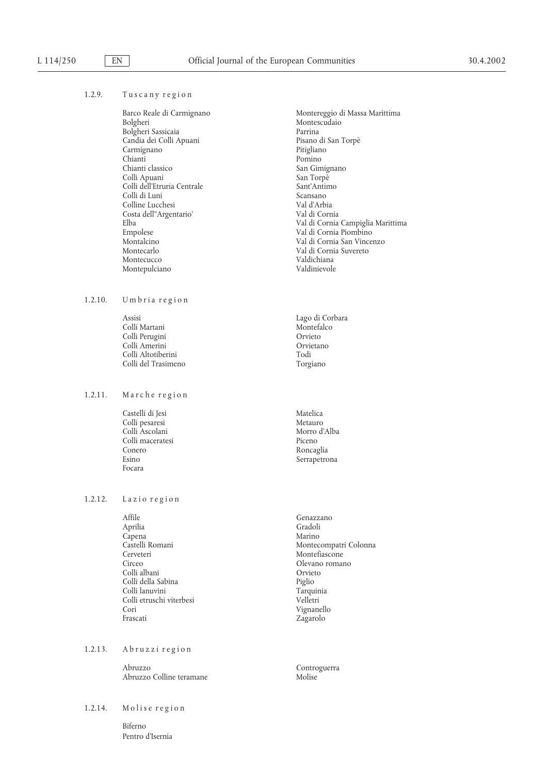| 1.2.9. | Tuscany region |  |
|--------|----------------|--|
|        |                |  |

Barco Reale di Carmignano Montereggio di Massa Marittima Bolgheri Nontescudaio Bolgheri Sassicaia Parrina Candia dei Colli Apuani Pisano di Pisano di San Torpès di Pisano di San Torpès di San Torpès di San Torpès di<br>Pitigliano di Pitigliano di Pitigliano di Pitigliano di Pitigliano di Pitigliano di Pitigliano di Pitigliano d Carmignano<br>Chianti Chianti<br>Chianti classico di Bonino San Gir Colli Apuani San Torpè Colli dell'Etruria Centrale Sant'Antii Colli di Luni Colli di Luni Scansano Colli di Luni Scansano Colline Lucchesi Costa dell''Argentario' Val di Cornia Empolese Val di Cornia Piombino Montecucco Valdichiana Montepulciano

 $1.2.10.$  Umbria region

Assisi Lago di Corbara Colli Martani Montefa<br>Colli Perugini Colli Colli Perugini Colli Perugini Orvieto Colli Amerini Colli Altotiberini Todi Colli del Trasimeno

1.2.11. Marche region

Castelli di Jesi Matelica Colli pesaresi alan merupakan merupakan merupakan merupakan merupakan merupakan merupakan merupakan merupakan <br>Merupakan merupakan merupakan merupakan merupakan merupakan merupakan merupakan merupakan merupakan merupakan <br> Colli Ascolani Colli maceratesi Piceno Conero Roncaglia<br>Esino Regionales de Serranetro Focara

1.2.12. Lazio region

Affile Genazzano<br>Aprilia Gradoli Gradoli Capena<br>Castelli Romani Cerveteri Montefiascone Circeo Olevano romano Colli albani Orvieto Colli della Sabina Piglio Colli lanuvini<br>
Colli etruschi viterbesi<br>
Colli etruschi viterbesi Colli etruschi viterbesi<br>Cori Cori Vignanello

1.2.13. Abruzzi region

Abruzzo Controguerra Abruzzo Colline teramane

1.2.14. Molise region

Biferno Pentro d'Isernia

Montescudaio<br>Parrina San Gimignano<br>San Torpè Elba Val di Cornia Campiglia Marittima Montalcino Val di Cornia San Vincenzo Val di Cornia Suvereto<br>Valdichiana

Serrapetrona

Gradoli<br>Marino Montecompatri Colonna Zagarolo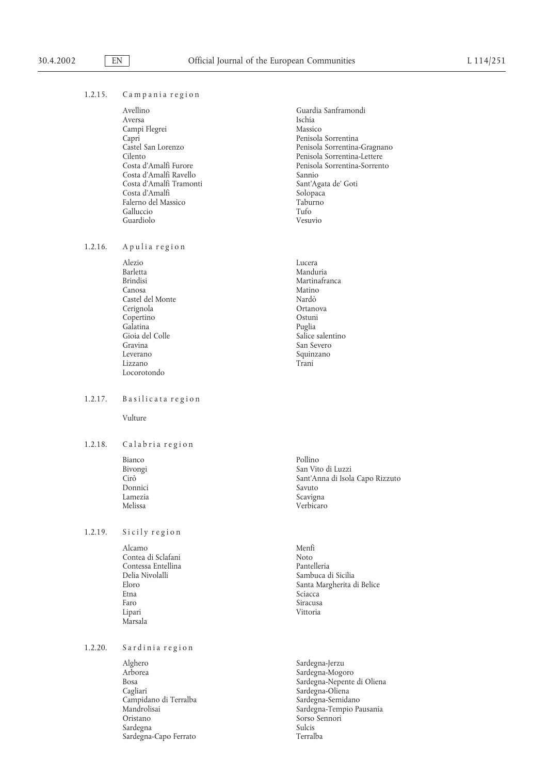#### 1.2.15. Campania region

| Avellino                | Guardia Sanframondi          |
|-------------------------|------------------------------|
| Aversa                  | Ischia                       |
| Campi Flegrei           | Massico                      |
| Capri                   | Penisola Sorrentina          |
| Castel San Lorenzo      | Penisola Sorrentina-Gragnano |
| Cilento                 | Penisola Sorrentina-Lettere  |
| Costa d'Amalfi Furore   | Penisola Sorrentina-Sorrento |
| Costa d'Amalfi Ravello  | Sannio                       |
| Costa d'Amalfi Tramonti | Sant'Agata de' Goti          |
| Costa d'Amalfi          | Solopaca                     |
| Falerno del Massico     | Taburno                      |
| Galluccio               | Tufo                         |
| Guardiolo               | Vesuvio                      |

 $1.2.16.$  A pulia region

Alezio Lucera Barletta Manduria Brindisi Martinafranca Martinafranca<br>Canosa Matino Martina Canosa **Matino** Castel del Monte<br>Cerignola del Norte Nardò<br>Crtanova del Norte Nardo Cerignola Ortanova Copertino Ostuni<br>Galatina Puglia Galatina<br>Gioia del Colle Gioia del Colle Salice salentino Gravina del Colle Salice salentino Salice salentino San Severo Salice salentino San Severo Salice salentino San Severo Salice salentino San Severo Salice salentino San Severo San Severo Sal Gravina San Severo Squinzano Lizzano Trani Locorotondo

### 1.2.17. Basilicata region

Vulture

1.2.18. Calabria region

Bianco Pollino Pollino Pollino Pollino Pollino Pollino Pollino Pollino Pollino Pollino Pollino Pollino Pollino<br>Pollino Pollino Pollino Pollino Pollino Pollino Pollino Pollino Pollino Pollino Pollino Pollino Pollino Pollin Donnici<br>Lamezia Lamezia Scavigna

1.2.19. Sicily region

Alcamo Menfi<br>Contea di Sclafani di Moto Noto Contea di Sclafani Noto Contessa Entellina<br>Delia Nivolalli Delia Nivolalli Sambuca di Sicilia Faro Siracusa Lipari Vittoria Marsala

1.2.20. Sardinia region

Alghero Sardegna-Jerzu Arborea Sardegna-Mogoro Campidano di Terralba<br>Mandrolisai Sardegna Sulcis Sardegna-Capo Ferrato

- Bivongi San Vito di Luzzi<br>Cirò Sant'Anna di Isola Sant'Anna di Isola Capo Rizzuto<br>Savuto Verbicaro
- Eloro Santa Margherita di Belice Sciacca
- Bosa Sardegna-Nepente di Oliena Sardegna-Oliena<br>Sardegna-Semidano Mandrolisai Sardegna-Tempio Pausania Sorso Sennori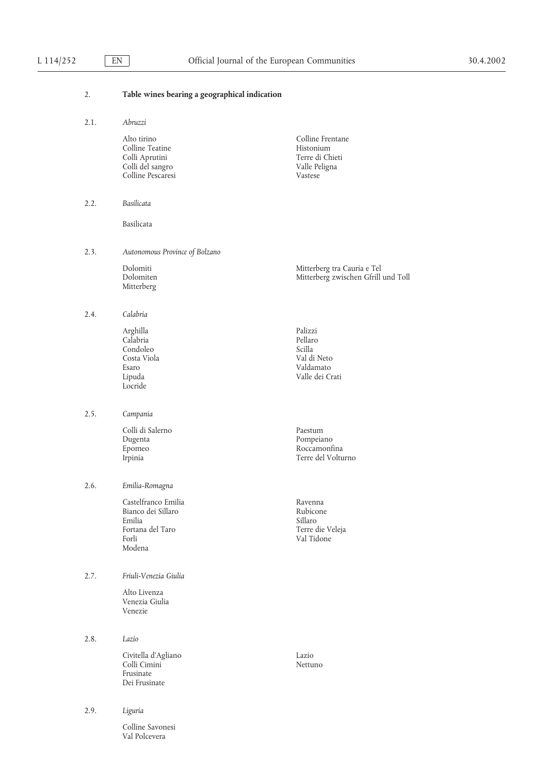## 2. **Table wines bearing a geographical indication**

| 2.1. | Abruzzi |
|------|---------|
|      |         |

Val Polcevera

|      | Alto tirino<br>Colline Teatine<br>Colli Aprutini<br>Colli del sangro<br>Colline Pescaresi  | Colline Frentane<br>Histonium<br>Terre di Chieti<br>Valle Peligna<br>Vastese |
|------|--------------------------------------------------------------------------------------------|------------------------------------------------------------------------------|
| 2.2. | Basilicata                                                                                 |                                                                              |
|      | Basilicata                                                                                 |                                                                              |
| 2.3. | Autonomous Province of Bolzano                                                             |                                                                              |
|      | Dolomiti<br>Dolomiten<br>Mitterberg                                                        | Mitterberg tra Cauria e Tel<br>Mitterberg zwischen Gfrill und Toll           |
| 2.4. | Calabria                                                                                   |                                                                              |
|      | Arghilla<br>Calabria<br>Condoleo<br>Costa Viola<br>Esaro<br>Lipuda<br>Locride              | Palizzi<br>Pellaro<br>Scilla<br>Val di Neto<br>Valdamato<br>Valle dei Crati  |
| 2.5. | Campania                                                                                   |                                                                              |
|      | Colli di Salerno<br>Dugenta<br>Epomeo<br>Irpinia                                           | Paestum<br>Pompeiano<br>Roccamonfina<br>Terre del Volturno                   |
| 2.6. | Emilia-Romagna                                                                             |                                                                              |
|      | Castelfranco Emilia<br>Bianco dei Sillaro<br>Emilia<br>Fortana del Taro<br>Forli<br>Modena | Ravenna<br>Rubicone<br>Sillaro<br>Terre die Veleja<br>Val Tidone             |
| 2.7. | Friuli-Venezia Giulia                                                                      |                                                                              |
|      | Alto Livenza<br>Venezia Giulia<br>Venezie                                                  |                                                                              |
| 2.8. | Lazio                                                                                      |                                                                              |
|      | Civitella d'Agliano<br>Colli Cimini<br>Frusinate<br>Dei Frusinate                          | Lazio<br>Nettuno                                                             |
| 2.9. | Liguria                                                                                    |                                                                              |
|      | Colline Savonesi                                                                           |                                                                              |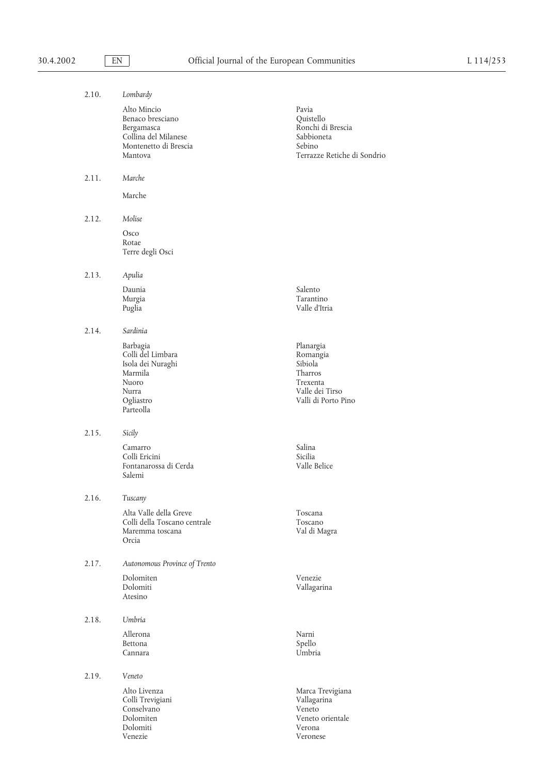| 2.10. | Lombardy                                                                                                  |                                                                                                   |
|-------|-----------------------------------------------------------------------------------------------------------|---------------------------------------------------------------------------------------------------|
|       | Alto Mincio<br>Benaco bresciano<br>Bergamasca<br>Collina del Milanese<br>Montenetto di Brescia<br>Mantova | Pavia<br>Quistello<br>Ronchi di Brescia<br>Sabbioneta<br>Sebino<br>Terrazze Retiche di Sondrio    |
| 2.11. | Marche                                                                                                    |                                                                                                   |
|       | Marche                                                                                                    |                                                                                                   |
| 2.12. | Molise                                                                                                    |                                                                                                   |
|       | Osco<br>Rotae<br>Terre degli Osci                                                                         |                                                                                                   |
| 2.13. | Apulia                                                                                                    |                                                                                                   |
|       | Daunia<br>Murgia<br>Puglia                                                                                | Salento<br>Tarantino<br>Valle d'Itria                                                             |
| 2.14. | Sardinia                                                                                                  |                                                                                                   |
|       | Barbagia<br>Colli del Limbara<br>Isola dei Nuraghi<br>Marmila<br>Nuoro<br>Nurra<br>Ogliastro<br>Parteolla | Planargia<br>Romangia<br>Sibiola<br>Tharros<br>Trexenta<br>Valle dei Tirso<br>Valli di Porto Pino |
| 2.15. | Sicily                                                                                                    |                                                                                                   |
|       | Camarro<br>Colli Ericini<br>Fontanarossa di Cerda<br>Salemi                                               | Salina<br>Sicilia<br>Valle Belice                                                                 |
| 2.16. | Tuscany                                                                                                   |                                                                                                   |
|       | Alta Valle della Greve<br>Colli della Toscano centrale<br>Maremma toscana<br>Orcia                        | Toscana<br>Toscano<br>Val di Magra                                                                |
| 2.17. | Autonomous Province of Trento                                                                             |                                                                                                   |
|       | Dolomiten<br>Dolomiti<br>Atesino                                                                          | Venezie<br>Vallagarina                                                                            |
| 2.18. | Umbria                                                                                                    |                                                                                                   |
|       | Allerona<br>Bettona<br>Cannara                                                                            | Narni<br>Spello<br>Umbria                                                                         |
| 2.19. | Veneto                                                                                                    |                                                                                                   |
|       | Alto Livenza<br>Colli Trevigiani<br>Conselvano<br>Dolomiten<br>Dolomiti                                   | Marca Trevigiana<br>Vallagarina<br>Veneto<br>Veneto orientale<br>Verona                           |

Venezie Veronese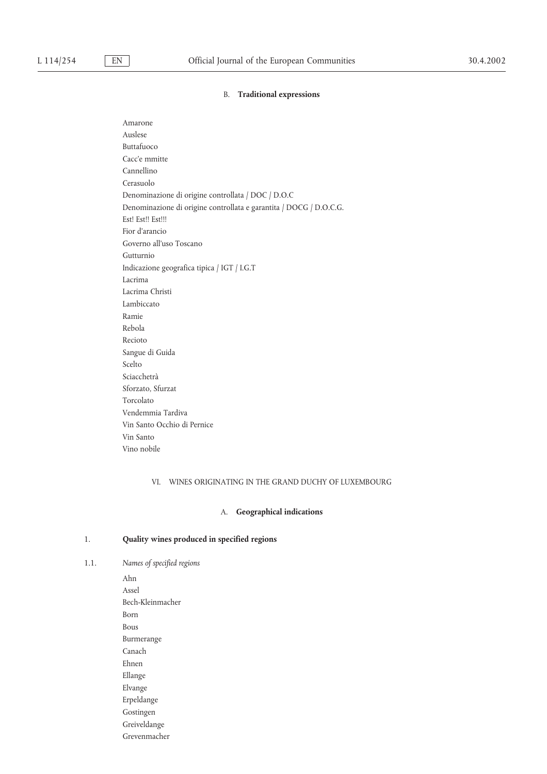#### B. **Traditional expressions**

Amarone Auslese Buttafuoco Cacc'e mmitte Cannellino Cerasuolo Denominazione di origine controllata / DOC / D.O.C Denominazione di origine controllata e garantita / DOCG / D.O.C.G. Est! Est!! Est!!! Fior d'arancio Governo all'uso Toscano Gutturnio Indicazione geografica tipica / IGT / I.G.T Lacrima Lacrima Christi Lambiccato Ramie Rebola Recioto Sangue di Guida Scelto Sciacchetrà Sforzato, Sfurzat Torcolato Vendemmia Tardiva Vin Santo Occhio di Pernice Vin Santo Vino nobile

### VI. WINES ORIGINATING IN THE GRAND DUCHY OF LUXEMBOURG

#### A. **Geographical indications**

## 1. **Quality wines produced in specified regions**

1.1. *Names of specified regions*

Ahn Assel Bech-Kleinmacher Born Bous Burmerange Canach Ehnen Ellange Elvange Erpeldange Gostingen Greiveldange Grevenmacher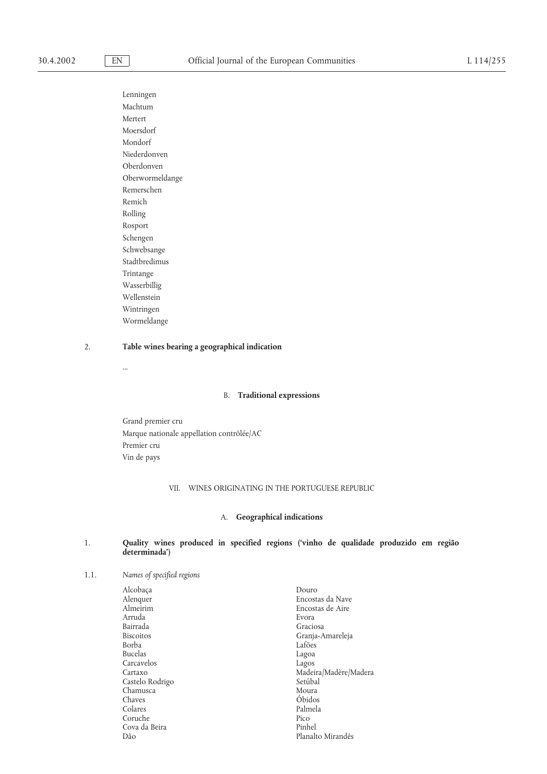Lenningen Machtum Mertert Moersdorf Mondorf Niederdonven Oberdonven Oberwormeldange Remerschen Remich Rolling Rosport Schengen Schwebsange Stadtbredimus Trintange Wasserbillig Wellenstein Wintringen Wormeldange

## 2. **Table wines bearing a geographical indication**

...

#### B. **Traditional expressions**

Grand premier cru Marque nationale appellation contrôlée/AC Premier cru Vin de pays

## VII. WINES ORIGINATING IN THE PORTUGUESE REPUBLIC

## A. **Geographical indications**

### 1. **Quality wines produced in specified regions ('vinho de qualidade produzido em região determinada')**

1.1. *Names of specified regions*

| Alcobaça         | Douro                 |
|------------------|-----------------------|
| Alenquer         | Encostas da Nave      |
| Almeirim         | Encostas de Aire      |
| Arruda           | Evora                 |
| Bairrada         | Graciosa              |
| <b>Biscoitos</b> | Granja-Amareleja      |
| <b>Borba</b>     | Lafões                |
| <b>Bucelas</b>   | Lagoa                 |
| Carcavelos       | Lagos                 |
| Cartaxo          | Madeira/Madère/Madera |
| Castelo Rodrigo  | Setúbal               |
| Chamusca         | Moura                 |
| Chaves           | Óbidos                |
| Colares          | Palmela               |
| Coruche          | Pico                  |
| Cova da Beira    | Pinhel                |
| Dão              | Planalto Mirandês     |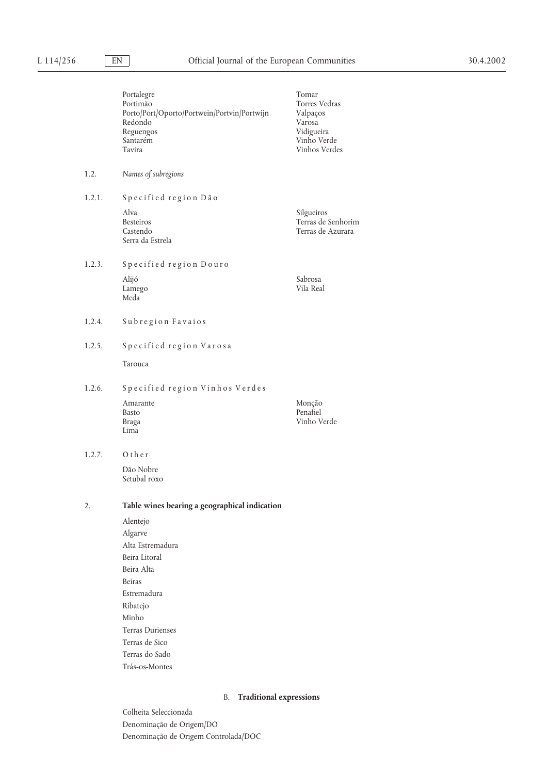| Names of subregions<br>Specified region Dão<br>Alva<br><b>Besteiros</b><br>Castendo<br>Serra da Estrela<br>Specified region Douro<br>Alijó                                                 | Silgueiros<br>Terras de Senhorim<br>Terras de Azurara |
|--------------------------------------------------------------------------------------------------------------------------------------------------------------------------------------------|-------------------------------------------------------|
|                                                                                                                                                                                            |                                                       |
|                                                                                                                                                                                            |                                                       |
|                                                                                                                                                                                            |                                                       |
|                                                                                                                                                                                            |                                                       |
| Lamego<br>Meda                                                                                                                                                                             | Sabrosa<br>Vila Real                                  |
| Subregion Favaios                                                                                                                                                                          |                                                       |
| Specified region Varosa                                                                                                                                                                    |                                                       |
| Tarouca                                                                                                                                                                                    |                                                       |
| Specified region Vinhos Verdes                                                                                                                                                             |                                                       |
| Amarante<br>Basto<br><b>Braga</b><br>Lima                                                                                                                                                  | Monção<br>Penafiel<br>Vinho Verde                     |
| Other                                                                                                                                                                                      |                                                       |
| Dão Nobre<br>Setubal roxo                                                                                                                                                                  |                                                       |
| Table wines bearing a geographical indication                                                                                                                                              |                                                       |
| Alentejo<br>Algarve<br>Alta Estremadura<br>Beira Litoral<br>Beira Alta<br><b>Beiras</b><br>Estremadura<br>Ribatejo<br>Minho<br><b>Terras Durienses</b><br>Terras de Sico<br>Terras do Sado |                                                       |
|                                                                                                                                                                                            | Trás-os-Montes                                        |

## B. **Traditional expressions**

Colheita Seleccionada Denominação de Origem/DO Denominação de Origem Controlada/DOC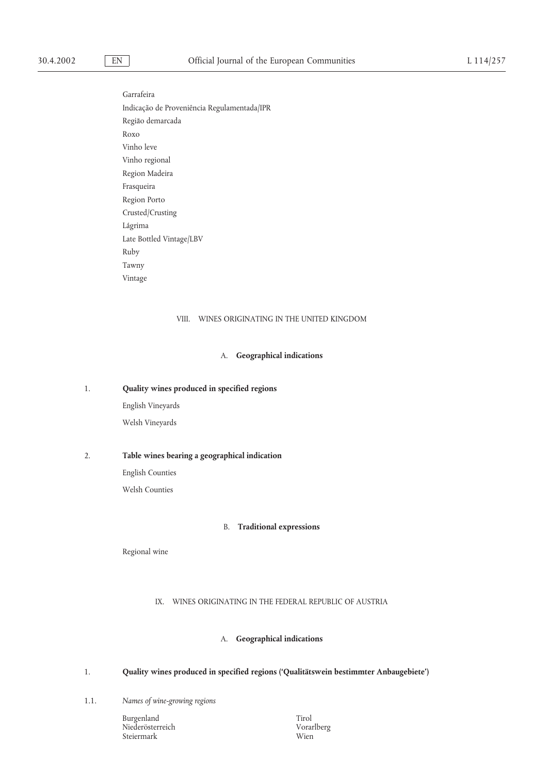Garrafeira Indicaça˜o de Proveniência Regulamentada/IPR Região demarcada Roxo Vinho leve Vinho regional Region Madeira Frasqueira Region Porto Crusted/Crusting Lágrima Late Bottled Vintage/LBV Ruby Tawny Vintage

## VIII. WINES ORIGINATING IN THE UNITED KINGDOM

#### A. **Geographical indications**

1. **Quality wines produced in specified regions**

English Vineyards Welsh Vineyards

#### 2. **Table wines bearing a geographical indication**

English Counties Welsh Counties

#### B. **Traditional expressions**

Regional wine

## IX. WINES ORIGINATING IN THE FEDERAL REPUBLIC OF AUSTRIA

### A. **Geographical indications**

## 1. **Quality wines produced in specified regions ('Qualitätswein bestimmter Anbaugebiete')**

1.1. *Names of wine-growing regions*

Burgenland Tirol Niederösterreich Vorarlberg Steiermark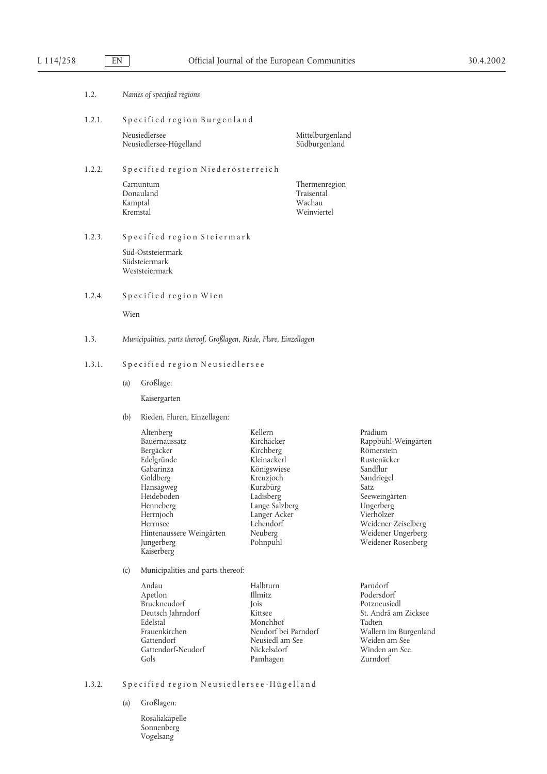| 1.2.   |      | Names of specified regions                                                                                                                                                                              |                                                                                                                                                                              |                                                                                                                                                                                                              |  |  |
|--------|------|---------------------------------------------------------------------------------------------------------------------------------------------------------------------------------------------------------|------------------------------------------------------------------------------------------------------------------------------------------------------------------------------|--------------------------------------------------------------------------------------------------------------------------------------------------------------------------------------------------------------|--|--|
|        |      |                                                                                                                                                                                                         |                                                                                                                                                                              |                                                                                                                                                                                                              |  |  |
| 1.2.1. |      | Specified region Burgenland                                                                                                                                                                             |                                                                                                                                                                              |                                                                                                                                                                                                              |  |  |
|        |      | Neusiedlersee<br>Neusiedlersee-Hügelland                                                                                                                                                                | Mittelburgenland<br>Südburgenland                                                                                                                                            |                                                                                                                                                                                                              |  |  |
| 1.2.2. |      | Specified region Niederösterreich                                                                                                                                                                       |                                                                                                                                                                              |                                                                                                                                                                                                              |  |  |
|        |      | Carnuntum<br>Donauland<br>Kamptal<br>Kremstal                                                                                                                                                           | Thermenregion<br>Traisental<br>Wachau<br>Weinviertel                                                                                                                         |                                                                                                                                                                                                              |  |  |
| 1.2.3. |      | Specified region Steiermark                                                                                                                                                                             |                                                                                                                                                                              |                                                                                                                                                                                                              |  |  |
|        |      | Süd-Oststeiermark<br>Südsteiermark<br>Weststeiermark                                                                                                                                                    |                                                                                                                                                                              |                                                                                                                                                                                                              |  |  |
| 1.2.4. |      | Specified region Wien                                                                                                                                                                                   |                                                                                                                                                                              |                                                                                                                                                                                                              |  |  |
|        | Wien |                                                                                                                                                                                                         |                                                                                                                                                                              |                                                                                                                                                                                                              |  |  |
| 1.3.   |      | Municipalities, parts thereof, Großlagen, Riede, Flure, Einzellagen                                                                                                                                     |                                                                                                                                                                              |                                                                                                                                                                                                              |  |  |
| 1.3.1. |      | Specified region Neusiedlersee                                                                                                                                                                          |                                                                                                                                                                              |                                                                                                                                                                                                              |  |  |
|        | (a)  | Großlage:                                                                                                                                                                                               |                                                                                                                                                                              |                                                                                                                                                                                                              |  |  |
|        |      | Kaisergarten                                                                                                                                                                                            |                                                                                                                                                                              |                                                                                                                                                                                                              |  |  |
|        | (b)  | Rieden, Fluren, Einzellagen:                                                                                                                                                                            |                                                                                                                                                                              |                                                                                                                                                                                                              |  |  |
|        |      | Altenberg<br>Bauernaussatz<br>Bergäcker<br>Edelgründe<br>Gabarinza<br>Goldberg<br>Hansagweg<br>Heideboden<br>Henneberg<br>Herrnjoch<br>Herrnsee<br>Hintenaussere Weingärten<br>Jungerberg<br>Kaiserberg | Kellern<br>Kirchäcker<br>Kirchberg<br>Kleinackerl<br>Königswiese<br>Kreuzjoch<br>Kurzbürg<br>Ladisberg<br>Lange Salzberg<br>Langer Acker<br>Lehendorf<br>Neuberg<br>Pohnpühl | Prädium<br>Rappbühl-Weingärten<br>Römerstein<br>Rustenäcker<br>Sandflur<br>Sandriegel<br>Satz<br>Seeweingärten<br>Ungerberg<br>Vierhölzer<br>Weidener Zeiselberg<br>Weidener Ungerberg<br>Weidener Rosenberg |  |  |
|        | (c)  | Municipalities and parts thereof:                                                                                                                                                                       |                                                                                                                                                                              |                                                                                                                                                                                                              |  |  |
|        |      | Andau<br>Apetlon<br>Bruckneudorf<br>Deutsch Jahrndorf<br>Edelstal<br>Frauenkirchen<br>Gattendorf<br>Gattendorf-Neudorf<br>Gols                                                                          | Halbturn<br>Illmitz<br>Jois<br>Kittsee<br>Mönchhof<br>Neudorf bei Parndorf<br>Neusiedl am See<br>Nickelsdorf<br>Pamhagen                                                     | Parndorf<br>Podersdorf<br>Potzneusiedl<br>St. Andrä am Zicksee<br>Tadten<br>Wallern im Burgenland<br>Weiden am See<br>Winden am See<br>Zurndorf                                                              |  |  |

## 1.3.2. Specified region Neusiedlersee-Hügelland

- (a) Großlagen:
	- Rosaliakapelle Sonnenberg Vogelsang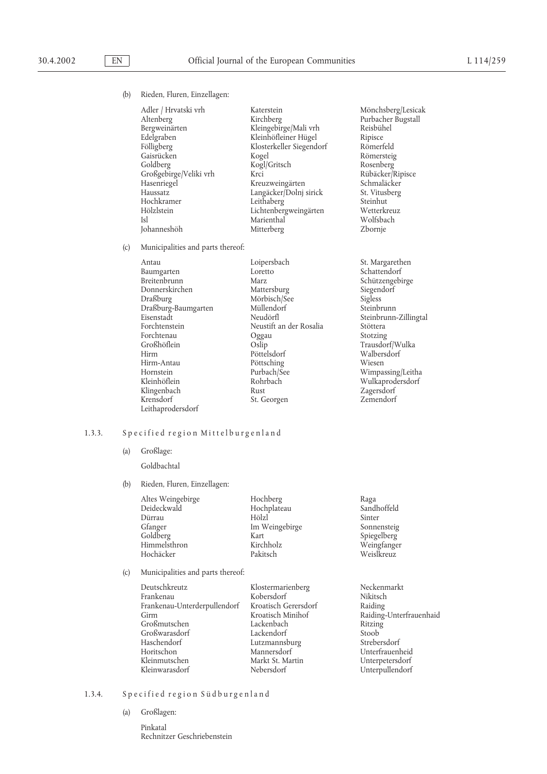(b) Rieden, Fluren, Einzellagen:

| Adler / Hrvatski vrh   |
|------------------------|
| Altenberg              |
| Bergweinärten          |
| Edelgraben             |
| Fölligberg             |
| Gaisrücken             |
| Goldberg               |
| Großgebirge/Veliki vrh |
| Hasenriegel            |
| Haussatz               |
| Hochkramer             |
| Hölzlstein             |
| Isl                    |
| Iohanneshöh            |

Kleingebirge/Mali vrh Reisbühel<br>Kleinhöfleiner Hügel Ripisce Kleinhöfleiner Hügel Ripisce<br>Klosterkeller Siegendorf Römerfeld Klosterkeller Siegendorf Kogel Römersteig<br>Kogl/Gritsch Rosenberg Kogl/Gritsch Großgebirge/Veliki vrh Krci Rübäcker/Ripisce Kreuzweingärten Langäcker/Dolnj sirick St. Vitusberg<br>Leithaberg Steinhut Leithaberg<br>
Lichtenberg weingärten Metterkreuz Lichtenbergweingärten Wetterkreu<br>Marienthal Wolfsbach Marienthal Mitterberg Zbornje

(c) Municipalities and parts thereof:

| Antau               | Loipersbach             | St. Margarethen    |
|---------------------|-------------------------|--------------------|
| Baumgarten          | Loretto                 | Schattendorf       |
| Breitenbrunn        | Marz                    | Schützengebirge    |
| Donnerskirchen      | Mattersburg             | Siegendorf         |
| Draßburg            | Mörbisch/See            | Sigless            |
| Draßburg-Baumgarten | Müllendorf              | Steinbrunn         |
| Eisenstadt          | Neudörfl                | Steinbrunn-Zilling |
| Forchtenstein       | Neustift an der Rosalia | Stöttera           |
| Forchtenau          | Oggau                   | Stotzing           |
| Großhöflein         | Oslip                   | Trausdorf/Wulka    |
| Hirm                | Pöttelsdorf             | Walbersdorf        |
| Hirm-Antau          | Pöttsching              | Wiesen             |
| Hornstein           | Purbach/See             | Wimpassing/Leitha  |
| Kleinhöflein        | Rohrbach                | Wulkaprodersdorf   |
| Klingenbach         | Rust                    | Zagersdorf         |
| Krensdorf           | St. Georgen             | Zemendorf          |
| Leithaprodersdorf   |                         |                    |

Katerstein Mönchsberg/Lesicak<br>Kirchberg – Purbacher Bugstall Purbacher Bugstall

> Siegendorf<br>Sigless Steinbrunn-Zillingtal Stotzing Walbersdorf Wimpassing/Leitha Zemendorf

## 1.3.3. Specified region Mittelburgenland

- (a) Großlage:
	- Goldbachtal
- (b) Rieden, Fluren, Einzellagen:

| Altes Weingebirge<br>Deideckwald<br>Dürrau<br>Gfanger<br>Goldberg<br>Himmelsthron | Hochberg<br>Hochplateau<br>Hölzl<br>Im Weingebirge<br>Kart<br>Kirchholz | Raga<br>Sandhoffeld<br>Sinter<br>Sonnensteig<br>Spiegelberg<br>Weingfanger |
|-----------------------------------------------------------------------------------|-------------------------------------------------------------------------|----------------------------------------------------------------------------|
| Hochäcker                                                                         | Pakitsch                                                                | Weislkreuz                                                                 |
|                                                                                   |                                                                         |                                                                            |

## (c) Municipalities and parts thereof:

| Deutschkreutz                | Klostermarienberg    | Necken        |
|------------------------------|----------------------|---------------|
| Frankenau                    | Kobersdorf           | Nikitsc.      |
| Frankenau-Unterderpullendorf | Kroatisch Gerersdorf | Raiding       |
| Girm                         | Kroatisch Minihof    | Raiding       |
| Großmutschen                 | Lackenbach           | Ritzing       |
| Großwarasdorf                | Lackendorf           | Stoob         |
| Haschendorf                  | Lutzmannsburg        | Streber       |
| Horitschon                   | Mannersdorf          | Unterfr       |
| Kleinmutschen                | Markt St. Martin     | Unterp        |
| Kleinwarasdorf               | Nebersdorf           | <b>Untern</b> |

Franken<br>Frankenau-Unterderpullendorf Raiding<br>Raiding annsburg Strebersdorf dorf Vnterpullendorf

marienberg Neckenmarkt<br>dorf Nikitsch Nikitsch ch Minihof Raiding-Unterfrauenhaid<br>bach Ritzing rsdorf Unterfrauenheid<br>St. Martin Unterpetersdorf Unterpetersdorf

## 1.3.4. Specified region Südburgenland

- (a) Großlagen:
	- Pinkatal Rechnitzer Geschriebenstein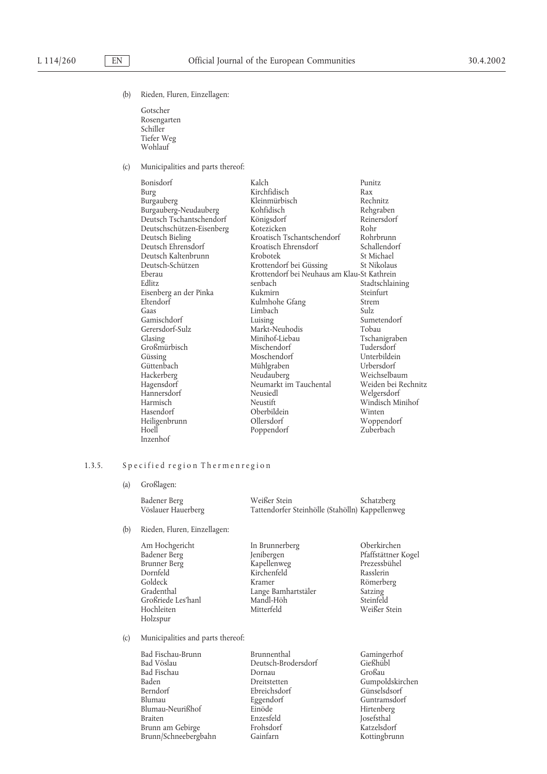(b) Rieden, Fluren, Einzellagen:

Gotscher Rosengarten Schiller Tiefer Weg Wohlauf

(c) Municipalities and parts thereof:

| Bonisdorf                 | Kalch                                       | Punitz              |
|---------------------------|---------------------------------------------|---------------------|
| Burg                      | Kirchfidisch                                | Rax                 |
| Burgauberg                | Kleinmürbisch                               | Rechnitz            |
| Burgauberg-Neudauberg     | Kohfidisch                                  | Rehgraben           |
| Deutsch Tschantschendorf  | Königsdorf                                  | Reinersdorf         |
| Deutschschützen-Eisenberg | Kotezicken                                  | Rohr                |
| Deutsch Bieling           | Kroatisch Tschantschendorf                  | Rohrbrunn           |
| Deutsch Ehrensdorf        | Kroatisch Ehrensdorf                        | Schallendorf        |
| Deutsch Kaltenbrunn       | Krobotek                                    | St Michael          |
| Deutsch-Schützen          | Krottendorf bei Güssing                     | St Nikolaus         |
| Eberau                    | Krottendorf bei Neuhaus am Klau-St Kathrein |                     |
| Edlitz                    | senbach                                     | Stadtschlaining     |
| Eisenberg an der Pinka    | Kukmirn                                     | Steinfurt           |
| Eltendorf                 | Kulmhohe Gfang                              | Strem               |
| Gaas                      | Limbach                                     | Sulz.               |
| Gamischdorf               | Luising                                     | Sumetendorf         |
| Gerersdorf-Sulz           | Markt-Neuhodis                              | Tobau               |
| Glasing                   | Minihof-Liebau                              | Tschanigraben       |
| Großmürbisch              | Mischendorf                                 | Tudersdorf          |
| Güssing                   | Moschendorf                                 | Unterbildein        |
| Güttenbach                | Mühlgraben                                  | Urbersdorf          |
| Hackerberg                | Neudauberg                                  | Weichselbaum        |
| Hagensdorf                | Neumarkt im Tauchental                      | Weiden bei Rechnitz |
| Hannersdorf               | Neusiedl                                    | Welgersdorf         |
| Harmisch                  | Neustift                                    | Windisch Minihof    |
| Hasendorf                 | Oberbildein                                 | Winten              |
| Heiligenbrunn             | Ollersdorf                                  | Woppendorf          |
| Hoell                     | Poppendorf                                  | Zuberbach           |
| Inzenhof                  |                                             |                     |

## 1.3.5. Specified region Thermenregion

(a) Großlagen:

Badener Berg Weißer Stein Schatzberg Tattendorfer Steinhölle (Stahölln) Kappellenweg

(b) Rieden, Fluren, Einzellagen:

Dornfeld Kirchenfeld<br>Goldeck Kramer Großriede Les'hanl Mandl-Hö<br>Hochleiten Mitterfeld Holzspur

Am Hochgericht In Brunnerberg Oberkirchen Badener Berg Jenibergen Pfaffstättner Kogel Brunner Berg Kapellenweg Prezessbühel Goldeck Kramer Römerberg<br>Gradenthal Lange Bamhartstäler Satzing<br>Großriede Les'hanl Mandl-Höh Steinfeld Lange Bamhartstäler<br>Mandl-Höh

Weißer Stein

(c) Municipalities and parts thereof:

| Bad Fischau-Brunn    | Brunnenthal         | Gamingerhof  |
|----------------------|---------------------|--------------|
| Bad Vöslau           | Deutsch-Brodersdorf | Gießhübl     |
| Bad Fischau          | Dornau              | Großau       |
| Baden                | Dreitstetten        | Gumpoldskird |
| Berndorf             | Ebreichsdorf        | Günselsdsorf |
| Blumau               | Eggendorf           | Guntramsdor  |
| Blumau-Neurißhof     | Einöde              | Hirtenberg   |
| <b>Braiten</b>       | Enzesfeld           | Josefsthal   |
| Brunn am Gebirge     | Frohsdorf           | Katzelsdorf  |
| Brunn/Schneebergbahn | Gainfarn            | Kottingbrunn |
|                      |                     |              |

Gießhübl<br>Großau Gumpoldskirchen Günselsdsorf Guntramsdorf Hirtenberg Josefsthal<sup>'</sup> Katzelsdorf Kottingbrunn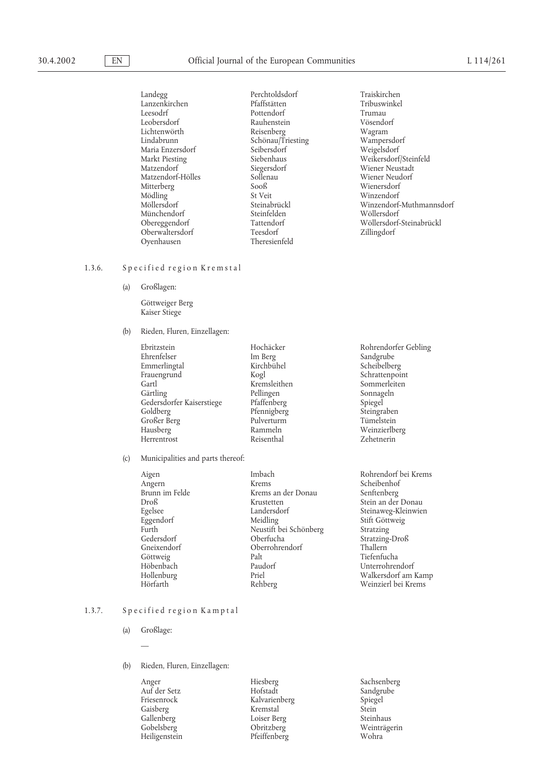Lanzenkirchen Maria Enzersdorf<br>Markt Piesting Siebenhaus Mitterberg Sooß<br>Mödling St Veit Oberwaltersdorf Teesdorf<br>
Ovenhausen Theresienfeld Oyenhausen

Landegg Perchtoldsdorf Traiskirchen Leesodrf Pottendorf Trumau Rauhenstein Vösendor<br>Reisenberg Wagram Lichtenwörth Reisenberg Wagram Schönau/Triesting Wampersdo<br>Seibersdorf Weigelsdorf Siegersdorf Miener Neustadt<br>
Sollenau Miener Neudorf Matzendorf-Hölles Sollenau Wiener Neudorf Mödling St Veit Steinabrückl<br>Möllersdorf Steinabrückl Winzendorf-Münchendorf Steinfelden Wöllersdorf

Markt Piesting Siebenhaus Weikersdorf/Steinfeld Winzendorf-Muthmannsdorf Tattendorf<br>Teesdorf Teesdorf Teesdorf Zillingdorf

#### 1.3.6. Specified region Kremstal

(a) Großlagen:

Göttweiger Berg Kaiser Stiege

(b) Rieden, Fluren, Einzellagen:

Ebritzstein Hochäcker Rohrendorfer Gebling Emmerlingtal Kirch<br>Frauengrund Kogl Frauengrund Kogl Kogl Schrattenpoint Gartl Kremsleithen Sommerleiten Gedersdorfer Kaiserstiege Pfaffenberg Spiegel Spiegel<br>Goldberg Pfennigberg Steingraben Großer Berg Pulverturn<br>Hausberg Pulverturn Rammeln Hausberg Rammeln Weinzierlberg Herrentrost

(c) Municipalities and parts thereof:

Pellingen Sonnageln<br>Pfaffenberg Spiegel Pfennigberg Steingraber<br>Pulverturm Tümelstein

Aigen Imbach Rohrendorf bei Krems Angern Krems Krems Scheibenhof<br>Brunn im Felde Krems an der Donau Senftenberg Krems an der Donau<br>Krustetten Droß Krustetten Stein an der Donau Egelsee Landersdorf Steinaweg-Kleinwien Eggendorf Meidling Stift Göttweig Furth Neustift bei Schönberg Stratzing Gedersdorf Oberfucha Stratzing-Droß Gneixendorf<br>Göttweig Palt<br>Palt Göttweig Palt Palt Tiefenfucha<br>Töbenbach Paudorf The Unterrohrer Höbenbach Paudorf Unterrohrendorf Priel Walkersdorf am Kamp Hörfarth Rehberg Weinzierl bei Krems

Im Berg Sandgrube<br>Kirchbühel Scheibelberg

#### 1.3.7. Specified region Kamptal

(a) Großlage:

—

- (b) Rieden, Fluren, Einzellagen:
	-

Anger Hiesberg Sachsenberg Auf der Setz Hofstadt Sandgrube Friesenrock Kalvarienberg Spiegel<br>Gaisberg Kremstal Stein Gaisberg Kremstal Stein Loiser Berg Gobelsberg Obritzberg Weinträgerin Heiligenstein Pfeiffenberg Wohra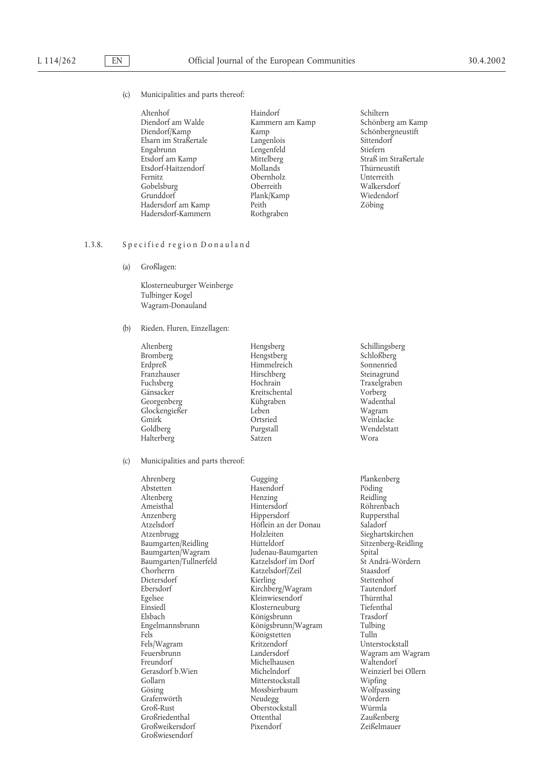#### (c) Municipalities and parts thereof:

| Altenhof              | Haindorf        | Schilter |
|-----------------------|-----------------|----------|
| Diendorf am Walde     | Kammern am Kamp | Schönb   |
| Diendorf/Kamp         | Kamp            | Schönb   |
| Elsarn im Straßertale | Langenlois      | Sittend  |
| Engabrunn             | Lengenfeld      | Stiefern |
| Etsdorf am Kamp       | Mittelberg      | Straß ir |
| Etsdorf-Haitzendorf   | Mollands        | Thürne   |
| Fernitz               | Obernholz       | Unterre  |
| Gobelsburg            | Oberreith       | Walker   |
| Grunddorf             | Plank/Kamp      | Wieder   |
| Hadersdorf am Kamp    | Peith           | Zöbing   |
| Hadersdorf-Kammern    | Rothoraben      |          |

Haindorf Schiltern Kammern am Kamp Schönberg am Kamp Kamp Schönbergneustift<br>
Langenlois Sittendorf Mittelberg Straß im Straßertale<br>Mollands Straßertale Mollands Thürneustift<br>Unterreith Walkersdorf<br>Wiedendorf

## 1.3.8. Specified region Donauland

(a) Großlagen:

Klosterneuburger Weinberge Tulbinger Kogel Wagram-Donauland

### (b) Rieden, Fluren, Einzellagen:

| Hengsberg     | Schill |
|---------------|--------|
| Hengstberg    | Schlo  |
| Himmelreich   | Sonne  |
| Hirschberg    | Steina |
| Hochrain      | Traxe  |
| Kreitschental | Vorbe  |
| Kühgraben     | Wade   |
| Leben         | Wagr   |
| Ortsried      | Wein   |
| Purgstall     | Wend   |
| Satzen        | Wora   |
|               |        |

(c) Municipalities and parts thereof:

Ahrenberg Gugging Plankenberg Altenberg Henzing<br>Ameisthal Hintersdorf Anzenberg Hippersdorf Ruppersthal Atzelsdorf Höflein an der Donau Saladorf Baumgarten/Reidling Hütteldorf Sitzenberg-Reidling Baumgarten/Wagram Judenau-Baumgarten Spital<br>Baumgarten/Tullnerfeld Katzelsdorf im Dorf St Andrä-Wördern Baumgarten/Tullnerfeld Katzelsdorf im Dorf St Andrä-<br>Chorherrn Katzelsdorf/Zeil Staasdorf Dietersdorf Kierling Stettenhof Ebersdorf Kirchberg/Wagram Tautendorf Egelsee Kleinwiesendorf Thürnthal Elsbach Mönigsbrunn Trasdorf<br>Engelmannsbrunn Königsbrunn/Wagram Tulbing Engelmannsbrunn Königsbrunn/Wagram Tulbing Fels<br>
Fels/Wagram<br>
Fels/Wagram<br>
Kritzendorf Fels/Wagram Kritzendorf Unterstockstall Feuersbrunn Landersdorf Wagram am Wagram Freundorf Michelhausen<br>Gerasdorf b. Wien Michelndorf Gollarn Mitterstockstall Mipfing<br>Gösing Mossbierbaum Mossbierbaum Wolfpassing Grafenwörth Neudegg Wördern Großriedenthal Großweikersdorf Pixendorf Pixendorf Zeißelmauer Großwiesendorf

Hasendorf Pöding<br>Henzing Reidling Holzleiten Sieghartskirchen<br>Hütteldorf Sitzenberg-Reidli Katzelsdorf/Zeil Staasdorf<br>Kierling Stettenhof Klosterneuburg Mossbierbaum Wolfpass<br>Neudegg Wördern Groß-Groß-Russel<br>Groß-Russel<br>Groß-Russel<br>Groß-Russel<br>Groß-Russel<br>Groß-Russel<br>Groß-Russel<br>Groß-Russel<br>Groß-Russel<br>Groß-Russel<br>Groß-Russel<br>Groß-Russel<br>Groß-Russel<br>Groß-Russel<br>Groß-Russel<br>Groß-Russel<br>Groß-Russel<br>Groß-Russel<br>G

Schillingsberg Schloßberg Sonnenried Steinagrund Traxelgraben Vorberg Wadenthal Wagram Weinlacke Wendelstatt<br>Wora

Röhrenbach Weinzierl bei Ollern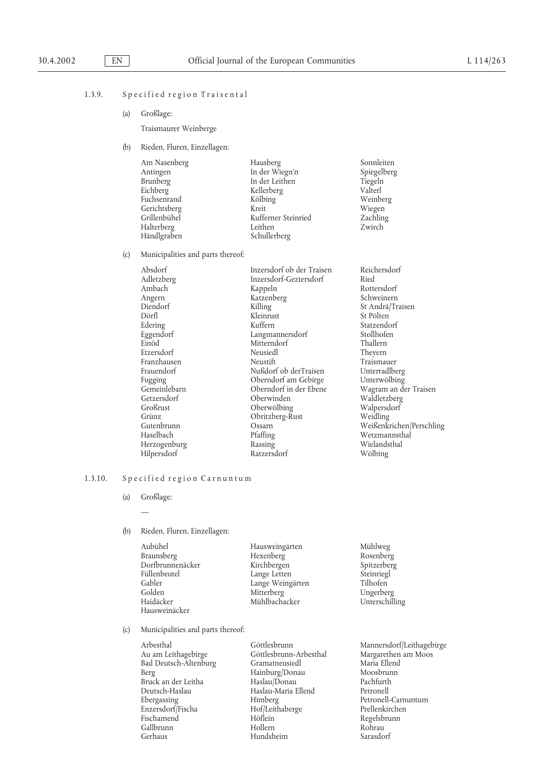## 1.3.9. Specified region Traisental

(a) Großlage:

Traismaurer Weinberge

(b) Rieden, Fluren, Einzellagen:

| Am Nasenberg | Hausberg            | Sonnleiten  |
|--------------|---------------------|-------------|
| Antingen     | In der Wiegn'n      | Spiegelberg |
| Brunberg     | In der Leithen      | Tiegeln     |
| Eichberg     | Kellerberg          | Valterl     |
| Fuchsenrand  | Kölbing             | Weinberg    |
| Gerichtsberg | Kreit               | Wiegen      |
| Grillenbühel | Kufferner Steinried | Zachling    |
| Halterberg   | Leithen             | Zwirch      |
| Händlgraben  | Schullerberg        |             |
|              |                     |             |

(c) Municipalities and parts thereof:

| Absdorf      | Inzersdorf ob der Traisen | Reichersdorf           |
|--------------|---------------------------|------------------------|
| Adletzberg   | Inzersdorf-Geztersdorf    | Ried                   |
| Ambach       | Kappeln                   | Rottersdorf            |
| Angern       | Katzenberg                | Schweinern             |
| Diendorf     | Killing                   | St Andrä/Traisen       |
| Dörfl        | Kleinrust                 | St Pölten              |
| Edering      | Kuffern                   | Statzendorf            |
| Eggendorf    | Langmannersdorf           | Stollhofen             |
| Einöd        | Mitterndorf               | Thallern               |
| Etzersdorf   | Neusiedl                  | Theyern                |
| Franzhausen  | Neustift                  | Traismauer             |
| Frauendorf   | Nußdorf ob derTraisen     | Unterradlberg          |
| Fugging      | Oberndorf am Gebirge      | Unterwölbing           |
| Gemeinlebarn | Oberndorf in der Ebene    | Wagram an der Traisen  |
| Getzersdorf  | Oberwinden                | Waldletzberg           |
| Großrust     | Oberwölbing               | Walpersdorf            |
| Grünz        | Obritzberg-Rust           | Weidling               |
| Gutenbrunn   | Ossarn                    | Weißenkrichen/Perschli |
| Haselbach    | Pfaffing                  | Wetzmannsthal          |
| Herzogenburg | Rassing                   | Wielandsthal           |
| Hilpersdorf  | Ratzersdorf               | Wölbing                |
|              |                           |                        |

## 1.3.10. Specified region Carnuntum

- (a) Großlage: —
- (b) Rieden, Fluren, Einzellagen:

| Aubühel          | Hausweingärten   | Mühlweg        |
|------------------|------------------|----------------|
| Braunsberg       | Hexenberg        | Rosenberg      |
| Dorfbrunnenäcker | Kirchbergen      | Spitzerberg    |
| Füllenbeutel     | Lange Letten     | Steinriegl     |
| Gabler           | Lange Weingärten | Tilhofen       |
| Golden           | Mitterberg       | Ungerberg      |
| Haidäcker        | Mühlbachacker    | Unterschilling |
| Hausweinäcker    |                  |                |

(c) Municipalities and parts thereof:

| Göttlesbrunn           | Mannersdorf/Leithagebirge |
|------------------------|---------------------------|
| Göttlesbrunn-Arbesthal | Margarethen am Moos       |
| Gramatneusiedl         | Maria Ellend              |
| Hainburg/Donau         | Moosbrunn                 |
| Haslau/Donau           | Pachfurth                 |
|                        | Petronell                 |
| Himberg                | Petronell-Carnuntum       |
| Hof/Leithaberge        | Prellenkirchen            |
| Höflein                | Regelsbrunn               |
| Hollern                | Rohrau                    |
| Hundsheim              | Sarasdorf                 |
|                        | Haslau-Maria Ellend       |

Weißenkrichen/Perschling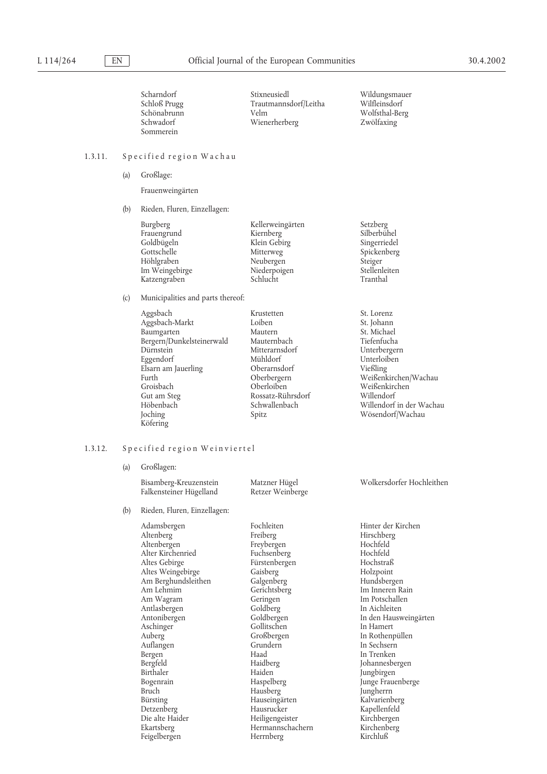| Scharndorf   |
|--------------|
| Schloß Prugg |
| Schönabrunn  |
| Schwadorf    |
| Sommerein    |

 $\begin{minipage}[c]{0.9\linewidth} \begin{tabular}{l} \multicolumn{2}{l}{{\small\bf \textbf{Stix}newised}}} \end{tabular} & \multicolumn{2}{l}{{\small\bf \textbf{Wildungsmauer}}} \end{minipage} \vspace{0.1in}$ Trautmannsdorf/Leitha<br>Velm Wienerherberg

Wolfsthal-Berg<br>Zwölfaxing

## 1.3.11. Specified region Wachau

(a) Großlage:

Frauenweingärten

(b) Rieden, Fluren, Einzellagen:

| Burgberg       | Kellerweingärten | Setzberg      |
|----------------|------------------|---------------|
| Frauengrund    | Kiernberg        | Silberbühel   |
| Goldbügeln     | Klein Gebirg     | Singerriedel  |
| Gottschelle    | Mitterweg        | Spickenberg   |
| Höhlgraben     | Neubergen        | Steiger       |
| Im Weingebirge | Niederpoigen     | Stellenleiten |
| Katzengraben   | Schlucht         | Tranthal      |
|                |                  |               |

(c) Municipalities and parts thereof:

| Aggsbach    |                           | Krustetten        | St. Lorenz               |
|-------------|---------------------------|-------------------|--------------------------|
|             | Aggsbach-Markt            | Loiben            | St. Johann               |
| Baumgarten  |                           | Mautern           | St. Michael              |
|             | Bergern/Dunkelsteinerwald | Mauternbach       | Tiefenfucha              |
| Dürnstein   |                           | Mitterarnsdorf    | Unterbergern             |
| Eggendorf   |                           | Mühldorf          | Unterloiben              |
|             | Elsarn am Jauerling       | Oberarnsdorf      | Vießling                 |
| Furth       |                           | Oberbergern       | Weißenkirchen/Wachau     |
| Groisbach   |                           | Oberloiben        | Weißenkirchen            |
| Gut am Steg |                           | Rossatz-Rührsdorf | Willendorf               |
| Höbenbach   |                           | Schwallenbach     | Willendorf in der Wachau |
| Joching     |                           | Spitz             | Wösendorf/Wachau         |
| Köfering    |                           |                   |                          |
|             |                           |                   |                          |

## 1.3.12. Specified region Weinviertel

(a) Großlagen:

|     | $\frac{1}{2}$                                                                                                                                                                                                                                                                                                                        |                                                                                                                                                                                                                                                                                                         |                                                                                                                                                                                                                                                                                                                                                                 |
|-----|--------------------------------------------------------------------------------------------------------------------------------------------------------------------------------------------------------------------------------------------------------------------------------------------------------------------------------------|---------------------------------------------------------------------------------------------------------------------------------------------------------------------------------------------------------------------------------------------------------------------------------------------------------|-----------------------------------------------------------------------------------------------------------------------------------------------------------------------------------------------------------------------------------------------------------------------------------------------------------------------------------------------------------------|
|     | Bisamberg-Kreuzenstein<br>Falkensteiner Hügelland                                                                                                                                                                                                                                                                                    | Matzner Hügel<br>Retzer Weinberge                                                                                                                                                                                                                                                                       | Wolkersdorfer Hochleithen                                                                                                                                                                                                                                                                                                                                       |
| (b) | Rieden, Fluren, Einzellagen:                                                                                                                                                                                                                                                                                                         |                                                                                                                                                                                                                                                                                                         |                                                                                                                                                                                                                                                                                                                                                                 |
|     | Adamsbergen<br>Altenberg<br>Altenbergen<br>Alter Kirchenried<br>Altes Gebirge<br>Altes Weingebirge<br>Am Berghundsleithen<br>Am Lehmim<br>Am Wagram<br>Antlasbergen<br>Antonibergen<br>Aschinger<br>Auberg<br>Auflangen<br>Bergen<br>Bergfeld<br>Birthaler<br>Bogenrain<br><b>Bruch</b><br>Bürsting<br>Detzenberg<br>Die alte Haider | Fochleiten<br>Freiberg<br>Freybergen<br>Fuchsenberg<br>Fürstenbergen<br>Gaisberg<br>Galgenberg<br>Gerichtsberg<br>Geringen<br>Goldberg<br>Goldbergen<br>Gollitschen<br>Großbergen<br>Grundern<br>Haad<br>Haidberg<br>Haiden<br>Haspelberg<br>Hausberg<br>Hauseingärten<br>Hausrucker<br>Heiligengeister | Hinter der Kirchen<br>Hirschberg<br>Hochfeld<br>Hochfeld<br>Hochstraß<br>Holzpoint<br>Hundsbergen<br>Im Inneren Rain<br>Im Potschallen<br>In Aichleiten<br>In den Hausweingärten<br>In Hamert<br>In Rothenpüllen<br>In Sechsern<br>In Trenken<br>Johannesbergen<br>Jungbirgen<br>Junge Frauenberge<br>Jungherrn<br>Kalvarienberg<br>Kapellenfeld<br>Kirchbergen |
|     | Ekartsberg<br>Feigelbergen                                                                                                                                                                                                                                                                                                           | Hermannschachern<br>Herrnberg                                                                                                                                                                                                                                                                           | Kirchenberg<br>Kirchluß                                                                                                                                                                                                                                                                                                                                         |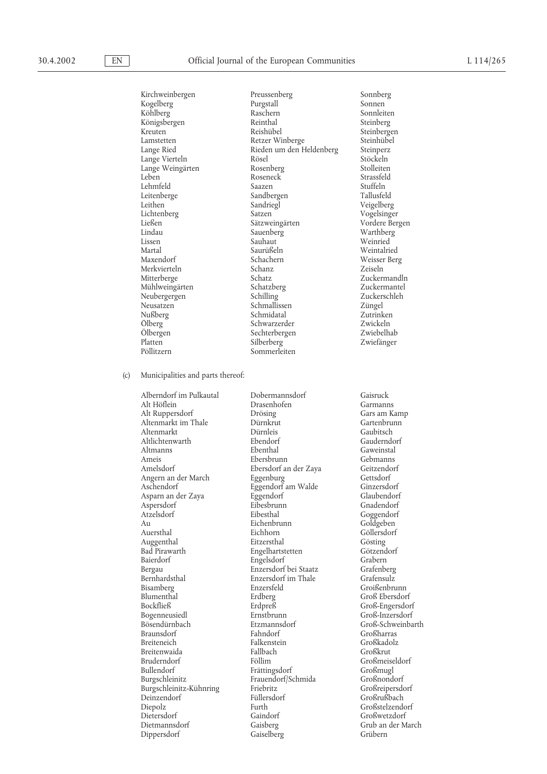|     | Kirchweinbergen                   | Preussenberg             | Sonnberg          |
|-----|-----------------------------------|--------------------------|-------------------|
|     |                                   |                          |                   |
|     | Kogelberg                         | Purgstall                | Sonnen            |
|     | Köhlberg                          | Raschern                 | Sonnleiten        |
|     | Königsbergen                      | Reinthal                 | Steinberg         |
|     | Kreuten                           | Reishübel                | Steinbergen       |
|     | Lamstetten                        | Retzer Winberge          | Steinhübel        |
|     | Lange Ried                        | Rieden um den Heldenberg | Steinperz         |
|     |                                   | Rösel                    | Stöckeln          |
|     | Lange Vierteln                    |                          |                   |
|     | Lange Weingärten                  | Rosenberg                | Stolleiten        |
|     | Leben                             | Roseneck                 | Strassfeld        |
|     | Lehmfeld                          | Saazen                   | Stuffeln          |
|     | Leitenberge                       | Sandbergen               | Tallusfeld        |
|     | Leithen                           | Sandriegl                | Veigelberg        |
|     |                                   |                          |                   |
|     | Lichtenberg                       | Satzen                   | Vogelsinger       |
|     | Ließen                            | Sätzweingärten           | Vordere Bergen    |
|     | Lindau                            | Sauenberg                | Warthberg         |
|     | Lissen                            | Sauhaut                  | Weinried          |
|     | Martal                            | Saurüßeln                | Weintalried       |
|     | Maxendorf                         | Schachern                | Weisser Berg      |
|     | Merkvierteln                      | Schanz                   | Zeiseln           |
|     |                                   |                          |                   |
|     | Mitterberge                       | Schatz                   | Zuckermandln      |
|     | Mühlweingärten                    | Schatzberg               | Zuckermantel      |
|     | Neubergergen                      | Schilling                | Zuckerschleh      |
|     | Neusatzen                         | Schmallissen             | Züngel            |
|     | Nußberg                           | Schmidatal               | Zutrinken         |
|     | Ölberg                            | Schwarzerder             | Zwickeln          |
|     |                                   |                          |                   |
|     | Ölbergen                          | Sechterbergen            | Zwiebelhab        |
|     | Platten                           | Silberberg               | Zwiefänger        |
|     | Pöllitzern                        | Sommerleiten             |                   |
|     |                                   |                          |                   |
| (c) | Municipalities and parts thereof: |                          |                   |
|     |                                   |                          |                   |
|     | Alberndorf im Pulkautal           | Dobermannsdorf           | Gaisruck          |
|     | Alt Höflein                       | Drasenhofen              | Garmanns          |
|     |                                   |                          |                   |
|     | Alt Ruppersdorf                   | Drösing                  | Gars am Kamp      |
|     | Altenmarkt im Thale               | Dürnkrut                 | Gartenbrunn       |
|     | Altenmarkt                        | Dürnleis                 | Gaubitsch         |
|     | Altlichtenwarth                   | Ebendorf                 | Gauderndorf       |
|     | Altmanns                          | Ebenthal                 | Gaweinstal        |
|     | Ameis                             | Ebersbrunn               | Gebmanns          |
|     |                                   |                          |                   |
|     | Amelsdorf                         | Ebersdorf an der Zaya    | Geitzendorf       |
|     | Angern an der March               | Eggenburg                | Gettsdorf         |
|     | Aschendorf                        | Eggendorf am Walde       | Ginzersdorf       |
|     | Asparn an der Zaya                | Eggendorf                | Glaubendorf       |
|     | Aspersdorf                        | Eibesbrunn               | Gnadendorf        |
|     | Atzelsdorf                        | Eibesthal                | Goggendorf        |
|     | Au                                | Eichenbrunn              |                   |
|     |                                   |                          | Goldgeben         |
|     | Auersthal                         | Eichhorn                 | Göllersdorf       |
|     | Auggenthal                        | Eitzersthal              | Gösting           |
|     | Bad Pirawarth                     | Engelhartstetten         | Götzendorf        |
|     | Baierdorf                         | Engelsdorf               | Grabern           |
|     | Bergau                            | Enzersdorf bei Staatz    | Grafenberg        |
|     | Bernhardsthal                     | Enzersdorf im Thale      | Grafensulz        |
|     |                                   |                          |                   |
|     | Bisamberg                         | Enzersfeld               | Groißenbrunn      |
|     | Blumenthal                        | Erdberg                  | Groß Ebersdorf    |
|     | Bockfließ                         | Erdpreß                  | Groß-Engersdorf   |
|     | Bogenneusiedl                     | Ernstbrunn               | Groß-Inzersdorf   |
|     | Bösendürnbach                     | Etzmannsdorf             | Groß-Schweinbarth |
|     | Braunsdorf                        | Fahndorf                 | Großharras        |
|     |                                   |                          |                   |
|     | <b>Breiteneich</b>                | Falkenstein              | Großkadolz        |
|     | Breitenwaida                      | Fallbach                 | Großkrut          |
|     | Bruderndorf                       | Föllim                   | Großmeiseldorf    |
|     | Bullendorf                        | Frättingsdorf            | Großmugl          |
|     | Burgschleinitz                    | Frauendorf/Schmida       | Großnondorf       |
|     | Burgschleinitz-Kühnring           | Friebritz                | Großreipersdorf   |
|     |                                   |                          |                   |
|     | Deinzendorf                       | Füllersdorf              | Großrußbach       |
|     | Diepolz                           | Furth                    | Großstelzendorf   |
|     | Dietersdorf                       | Gaindorf                 | Großwetzdorf      |
|     | Dietmannsdorf                     | Gaisberg                 | Grub an der March |
|     | Dippersdorf                       | Gaiselberg               | Grübern           |
|     |                                   |                          |                   |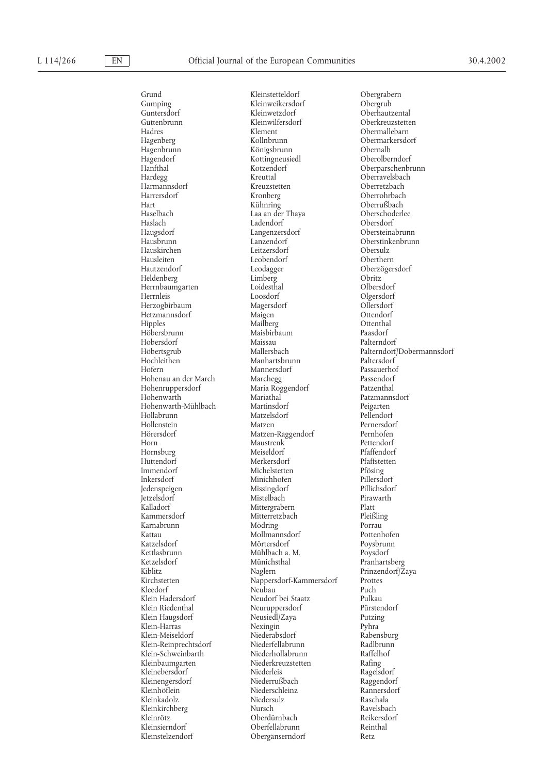Hagendorf Kottingneusiedl<br>
Hanfthal Kotzendorf Harmannsdorf Kreuzstett<br>Harrersdorf Kronberg Haslach Ladendorf<br>Haugsdorf Dangenzersdorf Herrnbaumgarten Loidestha<br>Herrnleis Loosdorf Herzogbirbaum Hobersdorf Maissau<br>Höbertsgrub Mallersbach Hohenruppersdorf Maria Roggendorf<br>Hohenwarth Mariathal Hollabrunn Matzelsdorf<br>Hollenstein Matzen Hornsburg Meiseldorf<br>Hüttendorf Merkersdor Kattau Mollmannsdorf<br>Katzelsdorf Pottersdorf Mörtersdorf Klein-Meiseldorf Niederabsdorf<br>Klein-Reinprechtsdorf Niederfellabrunn Klein-Schweinbarth<br>Kleinbaumgarten Kleinrötz Oberdürnbach<br>
Kleinsierndorf Oberfellabrunn

Grund Kleinstetteldorf Obergrabern<br>Gumping Kleinweikersdorf Obergrub Kleinweikersdorf Guntersdorf Kleinwetzdorf Oberhautzental Hadres Klement Obermallebarn Hagenberg Kollnbrunn Obermarkersdorf Hagenbrunn Königsbrunn Obernalb Hanfthal Kotzendorf Oberparschenbrunn Hardegg Kreuttal Oberravelsbach Harrersdorf Kronberg Oberrohrbach Haselbach Laa an der Thaya Oberschoderlee Haugsdorf Langenzersdorf Obersteinabrunn Hauskirchen Leitzersdorf Obersulz Hausleiten Leobendorf Oberthern Heldenberg Limberg Obritz Loosdorf Delgersdorf Olgersdorf Constanting Constanting Constanting Constanting Constanting Constanting Constanting Constanting Constanting Constanting Constanting Constanting Constanting Constanting Constanting Constantin Hetzmannsdorf Maigen Ottendorf Hipples Mailberg Ottenthal Maisbirbaum Paasdorf<br>Maissau Palterndorf Hochleithen Manhartsbrunn Paltersdorf<br>Hofern Mannersdorf Passauerhof Mannersdorf Passauerho<br>Marchegg Passendorf Hohenau an der March Marchegg Passendorf<br>Hohenruppersdorf Maria Roggendorf Patzenthal Mariathal Patzmannsdorf<br>Martinsdorf Peigarten Hohenwarth-Mühlbach Martinsdorf Peigarten Matzen Pernersdorf Hörersdorf Matzen-Raggendorf Pernhofen Horn Maustrenk Pettendorf<br>Hornsburg Meiseldorf Pfaffendorf Hüttendorf Merkersdorf Pfaffstetten Immendorf Michelstetten Pfösing Minichhofen Pillersdorf<br>Missingdorf Pillichsdorf Jedenspeigen Missingdorf Pillichsdorf Jetzelsdorf Mistelbach Pirawarth youth Mittergrabern<br>Kammersdorf Mitterretzbach Mitterretzbach Pleißling Mitterretzbach Karnabrunn Mödring Porrau Katzelsdorf Mörtersdorf Poysbrunn Mühlbach a. M. Ketzelsdorf Münichsthal Pranhartsberg Kiblitz Naglern Prinzendorf/Zaya Nappersdorf-Kammersdorf Kleedorf Neubau Puch Klein Hadersdorf Neudorf bei Staatz Pulkau Klein Riedenthal Neuruppersdorf Pürstendorf Neusiedl/Zaya Klein-Harras Nexingin Pyhra Klein-Reinprechtsdorf Niederfellabrunn Radlbrunn Niederkreuzstetten Rafing<br>Niederleis Ragelsdorf Kleinebersdorf Niederleis Ragelsdorf Kleinengersdorf Niederrußbach Raggendorf Niederschleinz Rannersd<br>Niedersulz Raschala Kleinkadolz Niedersulz Raschala Kleinkirchberg Mursch Nursch Ravelsbach<br>Kleinrötz Beikersdorf Reikersdorf Kleinsierndorf Oberfellabrunn Reinthal Obergänserndorf Retz

Oberkreuzstetten Oberrußbach Oberstinkenbrunn Oberzögersdorf Höbertsgrub Mallersbach Palterndorf/Dobermannsdorf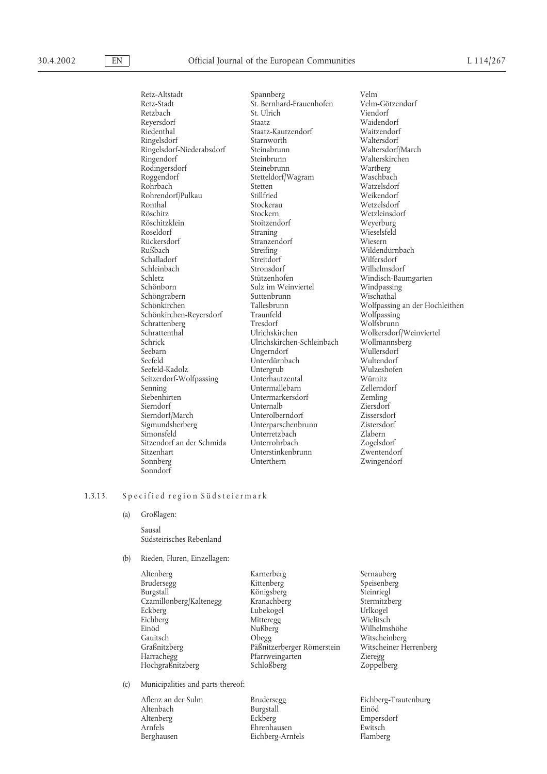Retz-Altstadt Spannberg Velm Retz-Stadt St. Bernhard-Frauenhofen Velm-Götzendorf Retzbach St. Ulrich<br>Reversdorf Staatz Reyersdorf Staatz Staatz<br>Riedenthal Staatz-Kautzendorf Waitzendorf Ringelsdorf Starnwörth Waltersdorf Ningelsdorf-Niederabsdorf Steinabrunn Waltersdorf/March Ringelsdorf-Niederabsdorf Steinabrunn<br>Ringendorf Steinbrunn Rodingersdorf Steinebrunn Wartberg<br>
Roggendorf Stetteldorf/Wagram Waschbach Roggendorf Stetteldorf/Wagram<br>Rohrbach Stetten Rohrendorf/Pulkau Stillfried<br>Ronthal Stockerau Röschitz Stockern Wetzleinsdorf Röschitzklein Stoitzendorf Weyerburg<br>Roseldorf Straning Wieselsfeld Roseldorf Straning Wieselsfeld Rückersdorf Stranzendorf<br>Rußbach Streifing Schalladorf Streitdorf Streitdorf Streitdorf Streitdorf Streitdorf Streitdorf Streitdorf Streitdorf Streitdorf Schleinbach Stronsdorf Milhelmsdorf Wilhelmsdorf Schletz<br>Schletz Stützenhofen Windisch-Bau Schletz Stützenhofen Windisch-Baumgarten Schönborn Sulz im Weinviertel Windpassing Schöngrabern Suttenbrunn Schönkirchen Suttenbrunn Wischen Suttenbrunn Wischen Suttenbrunn Schützer und Wischen Schönkirchen-Reyersdorf Traunfeld Wolfpassing Schrattenberg Tresdorf<br>
Schrattenthal<br>
Ulrichskirchen Schrattenthal Ulrichskirchen Wolkersdorf/Weinviertel Schrick Michskirchen-Schleinbach Wollmannsl<br>Seebarn Ungerndorf Wullersdorf Seebarn Ungerndorf Wullersdorf Seefeld-Kadolz Untergrub Wulzeshofen Seitzerdorf-Wolfpassing Unterhautzental Würnitz Senning Untermallebarn Zellerndorf Sierndorf Unternalb Ziersdorf Sigmundsherberg Unterparschenbrunn Simonsfeld Unterretzbach Zlabern Sitzendorf an der Schmida Unterrohrbach Zogelsdorf Sonnberg Unterthern Zwingendorf Sonndorf

Riedenthal Staatz-Kautzendorf Waitzendorf Steinbrunn Walterskirchen<br>
Steinebrunn Wartberg Stetten Watzelsdorf<br>
Stillfried Weikendorf Streifing Wildendürnbach Streitdorf Wilfersdorf Sulz im Weinviertel Windpassin<br>Suttenbrunn Wischathal Unterdürnbach Wultendorf<br>
Untergrub Wulzeshofen Untermarkersdorf Zemling<br>Unternalb Ziersdorf Vnterolberndorf Zissersdorf<br>Vnterparschenbrunn Zistersdorf Unterstinkenbrunn

Wetzelsdorf Wolfpassing an der Hochleithen

#### 1.3.13. Specified region Südsteiermark

(a) Großlagen:

Sausal Südsteirisches Rebenland

#### (b) Rieden, Fluren, Einzellagen:

| Altenberg               | Karnerberg                 | Sernauberg             |
|-------------------------|----------------------------|------------------------|
| Brudersegg              | Kittenberg                 | Speisenberg            |
| Burgstall               | Königsberg                 | Steinriegl             |
| Czamillonberg/Kaltenegg | Kranachberg                | Stermitzberg           |
| Eckberg                 | Lubekogel                  | Urlkogel               |
| Eichberg                | Mitteregg                  | Wielitsch              |
| Einöd                   | Nußberg                    | Wilhelmshöhe           |
| Gauitsch                | Obegg                      | Witscheinberg          |
| Graßnitzberg            | Päßnitzerberger Römerstein | Witscheiner Herrenberg |
| Harrachegg              | Pfarrweingarten            | Zieregg                |
| Hochgraßnitzberg        | Schloßberg                 | Zoppelberg             |
|                         |                            |                        |

- (c) Municipalities and parts thereof:
	- Altenbach Burgstall<br>Altenberg Eckberg

Arnfels Ehrenhausen Ewitsch Berghausen Eichberg-Arnfels Flamberg

Aflenz an der Sulm Brudersegg Bichberg-Trautenburg<br>Altenbach Burgstall Burgstall Einöd Empersdorf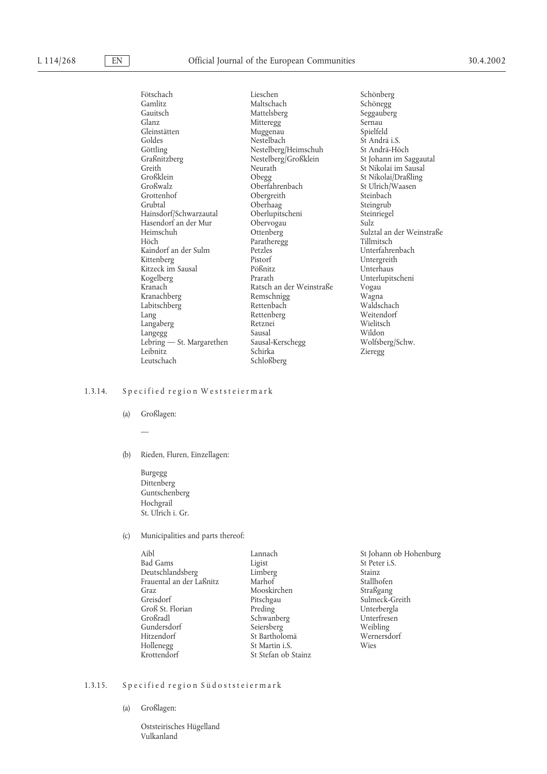Fötschach Lieschen Schönberg Gauitsch Mattelsberg Seggauberg<br>Glanz Mittereor Mittereor Sernau Glanz Mitteregg Sernau Sernau (Sernau Sernau Sernau Sernau Sernau Sernau Sernau Sernau Sernau Sernau Sernau Sernau Sernau Sernau Sernau Sernau Sernau Sernau Sernau Sernau Sernau Sernau Sernau Sernau Sernau Sernau Sernau Se Muggenau Spielfeld<br>Nestelbach St Andrä i.S. Goldes Nestelbach St Andrä i.S. Göttling Nestelberg/Heimschuh<br>Graßnitzberg Nestelberg/Großklein Graßnitzberg Nestelberg/Großklein St Johann im Saggautal Greith St Neurath St Nikolai im Sausal<br>
St Nikolai im Sausal<br>
St Nikolai/Draßling<br>
St Nikolai/Draßling Großklein Obegg St Nikolai/Draßling Großwalz Oberfahrenbach St Ulrich/Waasen Grottenhof Obergreith Steinbach Oberhaag<br>Oberlupitscheni Hainsdorf/Schwarzautal Oberlupitscheni Steinriegel Hasendorf an der Mur Obervogau Sulz Heimschuh Ottenberg Sulztal an der Weinstraße<br>Höch Parathereog Tillmitsch Paratheregg Tillmitsch<br>Petzles Unterfahrenbach Kaindorf an der Sulm Petzles<br>Kittenberg Pistorf Pistorf Untergreith<br>Pößnitz Unterhaus Kitzeck im Sausal Kogelberg Prarath Unterlupitscheni Ratsch an der Weinstraße Vogau<br>Remschnigg Wagna Kranachberg Remschnigg Wagna Labitschberg<br>Lang Rettenberg Weitendorf<br>Retznei Wielitsch Langaberg Retznei Wielitsch Langegg Sausal Sausal Wildon<br>
Lebring — St. Margarethen Sausal-Kerschegg Wolfsberg/Schw. Lebring — St. Margarethen Sausal-Kerschegg Schirka Leutschach Schloßberg

Schönegg Zieregg

#### 1.3.14. Specified region Weststeiermark

(a) Großlagen:

—

(b) Rieden, Fluren, Einzellagen:

Burgegg Dittenberg Guntschenberg Hochgrail St. Ulrich i. Gr.

#### (c) Municipalities and parts thereof:

| Aihl                     |
|--------------------------|
| Bad Gams                 |
| Deutschlandsberg         |
| Frauental an der Laßnitz |
| Graz                     |
| Greisdorf                |
| Groß St. Florian         |
| Großradl                 |
| Gundersdorf              |
| Hitzendorf               |
| Hollenegg                |
| Krottendorf              |

Limberg Stainz<br>Marhof Stallho Mooskirchen<br>Pitschgau Preding Unterbergla<br>Schwanberg Unterfresen Schwanberg Unterfres<br>Seiersberg Weibling Seiersberg Weibling<br>St Bartholomä Wernersdorf St Bartholomä Wern<br>St Martin i.S. Wies St Martin i.S. St Stefan ob Stainz

Lannach St Johann ob Hohenburg<br>
Ligist St Peter i.S. St Peter i.S. Stallhofen<br>Straßgang Sulmeck-Greith

## 1.3.15. Specified region Südoststeiermark

(a) Großlagen:

Oststeirisches Hügelland Vulkanland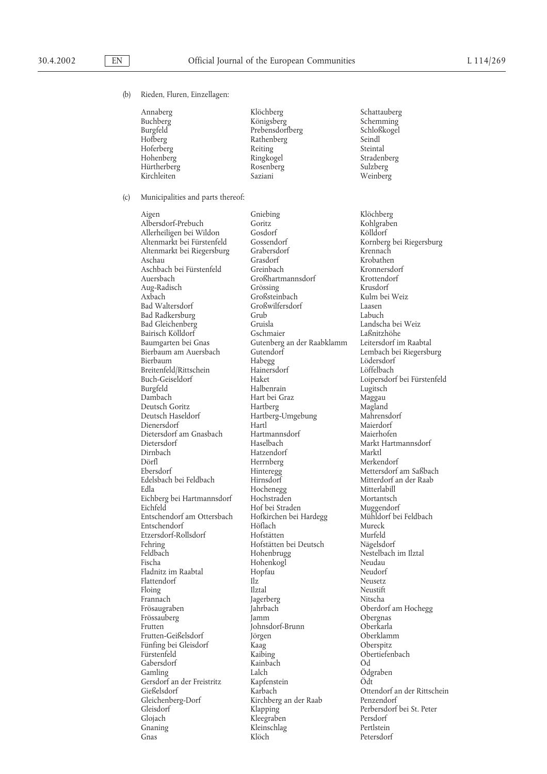(b) Rieden, Fluren, Einzellagen:

Kirchleiten

Annaberg Klöchberg Schattauberg Buchberg Königsberg Schemming Burgfeld Burgfeld Prebensdorfberg Schloß<br>Hofberg Seindl Rathenberg Hoferberg Reiting Reiting Steintal<br>
Hohenberg Ringkogel Straden Ringkogel Stradenberg<br>Rosenberg Sulzberg Hürtherberg Rosenberg Sulzberg

(c) Municipalities and parts thereof:

Aigen Gniebing Klöchberg Albersdorf-Prebuch Goritz Goritz Kohlgraben<br>Allerheiligen bei Wildon Gosdorf Kölldorf Allerheiligen bei Wildon Gosdorf Kölldorf Altenmarkt bei Fürstenfeld Gossendorf Kornberg bei Riegersburg Altenmarkt bei Riegersburg Aschau Grasdorf Krobathen Aschbach bei Fürstenfeld Greinbach Kronnersdorf Aug-Radisch Grössing Krusdorf Bad Waltersdorf Großwilfersdorf Laasen Bad Radkersburg Grub Labuch Bairisch Kölldorf Baumgarten bei Gnas Gutenberg an der Raabklamm Leitersdorf im Raabtal Bierbaum am Auersbach Gutendorf – Gutendorf – Lembach bei Riegersburg – Bierbaum – Habeger – Lödersdorf – Lembach bei Riegersburg – Richard – Lödersdorf – Lödersdorf – Lödersdorf – Lödersdorf – Lödersdorf – Lödersdorf – Lö Breitenfeld/Rittschein Hainer<br>Buch-Geiseldorf Haket Buch-Geiseldorf Haket Loipersdorf bei Fürstenfeld Burgfeld Halbenrain Lugitsch Deutsch Goritz Hartberg Magland Dienersdorf Hartl Maierdorf Dietersdorf am Gnasbach Dietersdorf Haselbach Markt Hartmannsdorf Dirnbach Hatzendorf Marktl Dörfl Herrnberg<br>Fhersdorf Hinteregg Ebersdorf Hinteregg Mettersdorf am Saßbach Edla Hochenegg Mitterlabill Eichberg bei Hartmannsdorf 11 Hochstraden 1986 Mortantsch Mortantsch<br>Eichfeld 11 Hof bei Straden Muggendorf Entschendorf am Ottersbach Entschendorf Höflach Mureck Etzersdorf-Rollsdorf Hofstätten Murfeld Fehring Hofstätten bei Deutsch<br>Feldbach Hohenbrugg Feldbach Hohenbrugg Nestelbach im Ilztal Fladnitz im Raabtal Hopfau Neudorf Flattendorf Ilz Ilz Neusetz<br>Floing Ilztal Neustift Floing 11ztal Neustift Frannach Mitscha (1999)<br>Frösaugraben – Freise Jahrbach (1999)<br>Gerdo Frössauberg Jamm Frutten Collection (School of Text of Text of Text of Text of Text of Text of Text of Text of Text of Text of Te<br>Frutten-Geißelsdorf (Text of Text of Text of Text of Text of Text of Text of Text of Text of Text of Text of Frutten-Geißelsdorf Jörgen 1988 Oberklammen (Die Schwarze Schwarze Schwarze Schwarze Schwarze Schwarze Schwarz<br>
Fünfing bei Gleisdorf – Kaag – Staatsmann (Die Schwarze Schwarze Schwarze Schwarze Schwarze Schwarze Schwarze Fünfing bei Gleisdorf<br>Fürstenfeld Gabersdorf Kainbach Od Gamling Lalch Lalch Odgraben<br>Gersdorf an der Freistritz Kapfenstein Dödt Gersdorf an der Freistritz<br>Gießelsdorf Gießelsdorf Karbach Karbach Ottendorf an der Rittschein<br>Gleichenberg-Dorf Kirchberg an der Raab Penzendorf Gleichenberg-Dorf Kirchberg an der Raab<br>Gleisdorf Klapping Glojach Kleegraben Gnaning Kleinschlag Pertlstein Gnas Klöch Petersdorf

Großhartmannsdorf Krottendorf<br>Grössing Krusdorf Großsteinbach<br>Großwilfersdorf Gruisla Landscha bei Weiz<br>Gschmaier Laßnitzhöhe Habegg Lödersdorf<br>Bainersdorf – Löffelbach Hart bei Graz Maggau<br>Hartberg Magland Hartberg-Umgebung Edelsbach bei Feldbach Hirnsdorf Mitterdorf an der Raab Hof bei Straden Muggendorf<br>Hofkirchen bei Hardegg Mühldorf bei Feldbach Hohenkogl Neudau<br>Hopfau Neudorf Kaibing Dertiefenbach<br>Kainbach Od

Oberdorf am Hochegg<br>Obergnas Perbersdorf bei St. Peter<br>Persdorf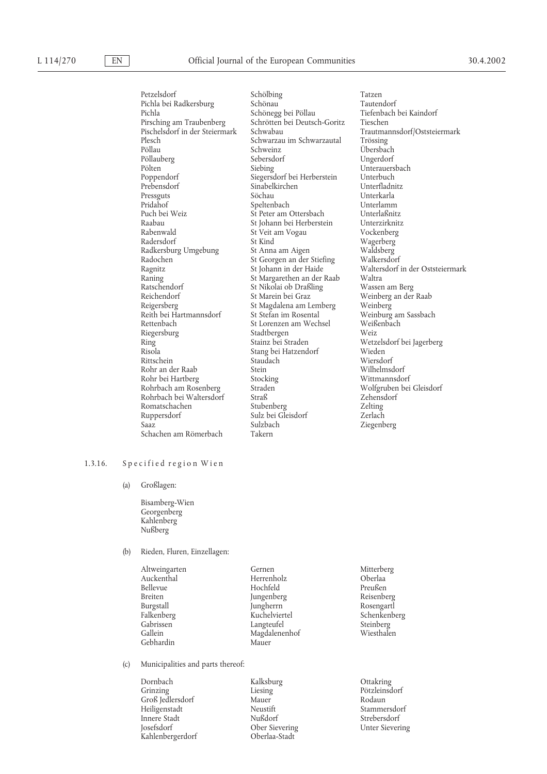Petzelsdorf Schölbing Tatzen Pichla bei Radkersburg Pichla Schönegg bei Pöllau Tiefenbach bei Kaindorf<br>Pirsching am Traubenberg Schrötten bei Deutsch-Goritz Tieschen Pirsching am Traubenberg Schrötten bei Deutsch-Goritz Tieschen Plesch Schwarzau im Schwarzautal Pöllau Schweinz Pöllauberg Sebersdorf Unger<br>
Pölten Siebing Pölten Markov Siebing Unterauersbach<br>
Poppendorf Siegersdorf bei Herberstein Unterbuch Poppendorf Siegersdorf bei Herberstein Unterbuch Prebensdorf Sinabelkirchen<br>Pressguts Söchau Pressguts Söchau Unterkarla Puch bei Weiz St Peter am Ottersbach Unterlaßnitz Raabau St Johann bei Herberstein Unterzirknitz<br>Rabenwald St Veit am Vogau Vockenberg Rabenwald St Veit am Vogau Radersdorf St Kind Radkersburg Umgebung St Anna am Aigen Waldsberg<br>Radochen St Georgen an der Stiefing Walkersdorf Radochen St Georgen an der Stiefing<br>Ragnitz St Johann in der Haide Raning St Margarethen an der Raab Waltra<br>
Ratschendorf St Nikolai ob Draßling Wassen am Berg Ratschendorf St Nikolai ob Draßling<br>
Reichendorf St Marein bei Graz Reichendorf St Marein bei Graz Weinberg an der Raab<br>
Reisersbers St Magdalena am Lemberg Weinberg Reith bei Hartmannsdorf St Stefan im Rosental Weinburg am Sassbach Rettenbach St Lorenzen am Wechsel Weißenbach<br>Riegersburg Stadtbergen Weiz Riegersburg Stadtbergen Weiz<br>
Ring Stainz bei Straden Wetz Ring Stainz bei Straden Wetzelsdorf bei Jagerberg<br>Risola Stang bei Hatzendorf Wieden Rittschein Staudach Niersdorf Wiersdorf<br>Rohr an der Raab Stein Stein Wilhelmsdorf Rohr an der Raab Stein Stein Wilhelmsdorf<br>
Rohr bei Hartberg Stocking Stocking Wittmannsdorf Rohr bei Hartberg Stocking<br>Rohrbach am Rosenberg Straden Rohrbach bei Waltersdorf Straß zehensdorf Straß Zehensdorf Zehensdorf Stubenberg Zehensdorf Zehensdorf Zehensdorf Zehensdorf Zehensdorf Zehensdorf Zehensdorf Zehensdorf Zehensdorf Zehensdorf Zehensdorf Zehensdorf Zehensdor Romatschachen Stubenberg Zelting<br>
Ruppersdorf Sulz bei Gleisdorf Zerlach<br>
Zerlach Saaz Sulzbach Ziegenberg Schachen am Römerbach Takern

Schweinz Übersbach<br>
Sebersdorf Ungerdorf Speltenbach St Kind<br>St Anna am Aigen<br>Waldsberg<br>Waldsberg St Magdalena am Lemberg Weinberg Stang bei Hatzendorf Wieden<br>Staudach Wiersdorf Straden Molfgruben bei Gleisdorf<br>Straß Molfgruben Zehensdorf Sulz bei Gleisdorf

Trautmannsdorf/Oststeiermark<br>Trössing Waltersdorf in der Oststeiermark

#### 1.3.16. Specified region Wien

(a) Großlagen:

Bisamberg-Wien Georgenberg Kahlenberg Nußberg

#### (b) Rieden, Fluren, Einzellagen:

| Gernen<br>Herrenholz | Mitterberg<br>Oberlaa |
|----------------------|-----------------------|
| Hochfeld             | Preußen               |
| Jungenberg           | Reisenberg            |
| Jungherrn            | Rosengartl            |
| Kuchelviertel        | Schenkenberg          |
| Langteufel           | Steinberg             |
| Magdalenenhof        | Wiesthalen            |
| Mauer                |                       |
|                      |                       |

(c) Municipalities and parts thereof:

Dornbach Kalksburg Ottakring Grinzing Liesing Liesing Pötzleinsdorf<br>Groß Iedlersdorf Mauer Rodaun Groß Jedlersdorf Mauer<br>Heiligenstadt Neustift Innere Stadt Josefsdorf Ober Sievering Unter Sievering Kahlenbergerdorf Oberlaa-Stadt

Neustift Stammersdorf<br>Nußdorf Strebersdorf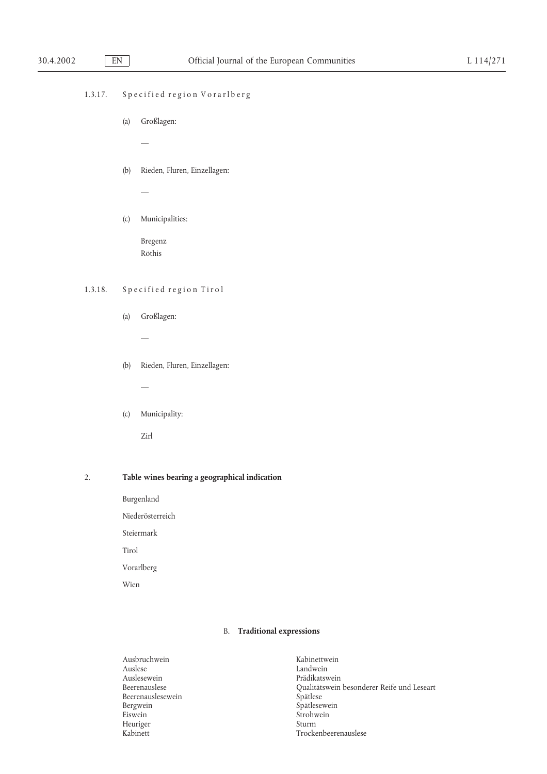## 1.3.17. Specified region Vorarlberg

(a) Großlagen:

—

—

(b) Rieden, Fluren, Einzellagen:

## (c) Municipalities:

Bregenz Röthis

## 1.3.18. Specified region Tirol

- (a) Großlagen:
	- —
- (b) Rieden, Fluren, Einzellagen:

—

(c) Municipality:

Zirl

## 2. **Table wines bearing a geographical indication**

Burgenland

Niederösterreich

Steiermark

Tirol

Vorarlberg

Wien

## B. **Traditional expressions**

| Ausbruchwein      | Kabinettwein                               |
|-------------------|--------------------------------------------|
| Auslese           | Landwein                                   |
| Auslesewein       | Prädikatswein                              |
| Beerenauslese     | Qualitätswein besonderer Reife und Leseart |
| Beerenauslesewein | Spätlese                                   |
| Bergwein          | Spätlesewein                               |
| Eiswein           | Strohwein                                  |
| Heuriger          | Sturm                                      |
| Kabinett          | Trockenbeerenauslese                       |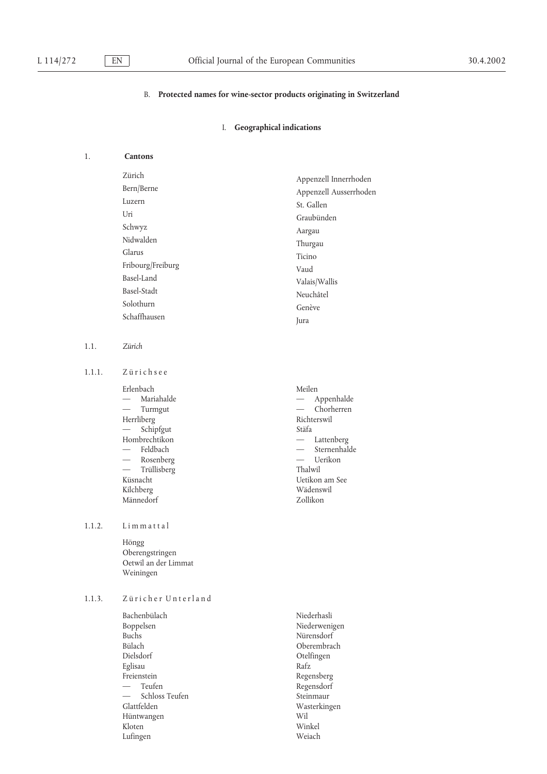#### B. **Protected names for wine-sector products originating in Switzerland**

### I. **Geographical indications**

## 1. **Cantons**

Zürich Appenzell Innerrhoden Bern/Berne Appenzell Ausserrhoden<br>Luzern Appenzell Ausserrhoden Luzern St. Gallen<br>Uri Craubiand Uri Graubünden<br>Schwyz Agrau Schwyz Aargau Nidwalden Thurgau Glarus Ticino Fribourg/Freiburg Vaud<br>Basel-Land Valsi: Valsi: Valsi: Valsi: Valsi: Valsi: Valsi: Valsi: Valsi: Valsi: Valsi: Valsi: Valsi: Valsi: V Basel-Land Valais/Wallis<br>
Basel-Stadt Number Number Basel-Stadt<br>
Solothurn Caraca (Caraca Caraca Caraca Caraca Caraca Caraca Caraca Caraca Caraca Caraca Caraca Caraca Caraca Caraca Caraca Caraca Caraca Caraca Caraca Caraca Caraca Caraca Caraca Caraca Caraca Caraca Caraca Ca Solothurn Genève Schaffhausen Jura

1.1. *Zürich*

1.1.1. Zürichsee

Erlenbach Meilen Herrliberg Richt<br>
— Schipfout Stäfa  $-$  Schipfgut Hombrechtikon — Lattenberg<br>
— Feldbach — Sternenhal — — Rosenberg Uerikon — Trüllisberg Küsnacht Uetikon am See Kilchberg Wädenswil<br>Männedorf – Wädenswil<br>Zollikon Männedorf

#### 1.1.2. Limmattal

Höngg Oberengstringen Oetwil an der Limmat Weiningen

## 1.1.3. Züricher Unterland

Bachenbülach Niederhasli Boppelsen Niederwenigen Buchs Nürensdorf<br>Bülach Oberembra Dielsdorf Otelfingen Eglisau Rafz Freienstein Regensberg Teufen auch der Regensdorf Schloss Teufen Steinmaur Glattfelden Wasterkingen Hüntwangen Wil Kloten Winkel Lufingen Weiach

— Mariahalde **Appenhalde** Appenhalde — — Turmgut Chorherren — — Feldbach Sternenhalde

Oberembrach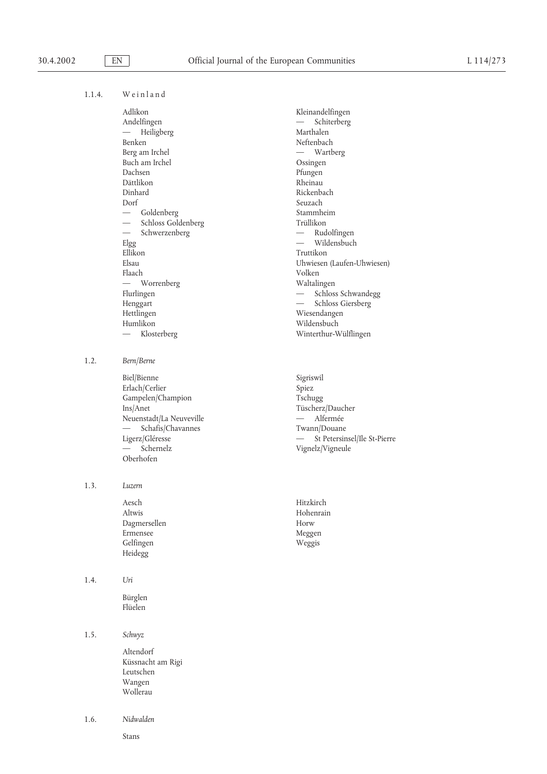1.1.4. Weinland

Adlikon Kleinandelfingen<br>Andelfingen — Schiterberg Andelfingen — Heiligberg Marthalen Benken Neftenbach Berg am Irchel — Wartberg — Wartberg Buch am Irchel Ossingen Dachsen Pfungen Dättlikon Rheinau Dorf Seuzach — Goldenberg Stammheim — — Schwerzenberg Rudolfingen Ellikon Truttikon Flaach Volken — Worrenberg Waltalingen Humlikon Wildensbuch

1.2. *Bern/Berne*

Biel/Bienne Sigriswil<br>Erlach/Cerlier Spiez Erlach/Cerlier Spiez<br>
Gampelen/Champion Tschugg Gampelen/Champion<br>Ins/Anet Neuenstadt/La Neuveville **Alfermée** — Alfermée — Schafis/Chavannes<br>
Ligerz/Gléresse — St Petersin<br>
— St Petersin — Schernelz Vignelz/Vigneule Oberhofen

1.3. *Luzern*

Aesch Hitzkirch Altwis Hohenrain Dagmersellen Horw Gelfingen Weggis Heidegg

1.4. *Uri*

Bürglen Flüelen

1.5. *Schwyz*

Altendorf Küssnacht am Rigi Leutschen Wangen Wollerau

1.6. *Nidwalden*

Stans

Rickenbach Schloss Goldenberg Trüllikon<br>
Schwerzenberg — Rudolfingen Wildensbuch Elsau Uhwiesen (Laufen-Uhwiesen) Flurlingen  $-$  Schloss Schwandegg Henggart — Schloss Giersberg<br>Hettlingen — Schloss Giersberg<br>Wiesendangen Wiesendangen — Klosterberg Winterthur-Wülflingen

> Tüscherz/Daucher — St Petersinsel/Ile St-Pierre

Meggen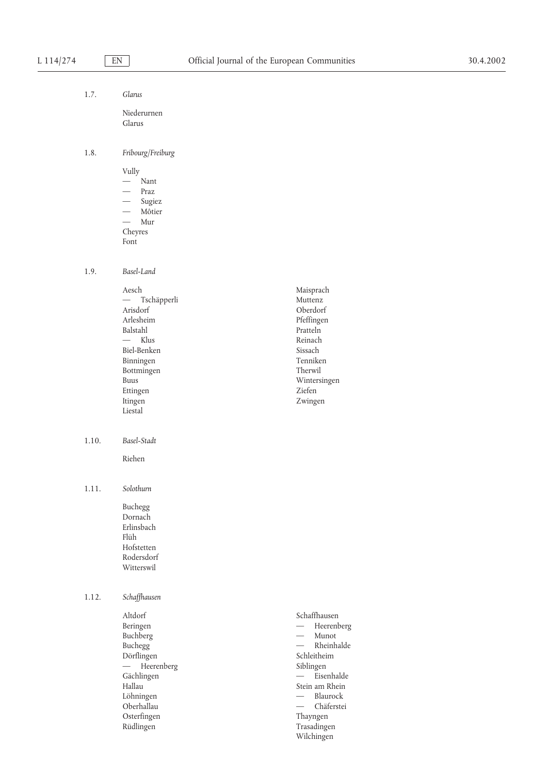## 1.7. *Glarus*

Niederurnen Glarus

## 1.8. *Fribourg/Freiburg*

Vully — Nant — Praz Sugiez — Môtier — Mur Cheyres Font

1.9. *Basel-Land*

Aesch Maisprach<br>
— Tschäpperli Muttenz — Tschäpperli<br>Arisdorf Arlesheim Pfeffingen Balstahl Pratteln — Klus Reinach Biel-Benken Sissach<br>Binningen Sissach<br>Tenniken Binningen Bottmingen Therwil Ettingen Ziefen Itingen Zwingen **Liestal** 

1.10. *Basel-Stadt*

Riehen

## 1.11. *Solothurn*

Buchegg Dornach Erlinsbach Flüh Hofstetten Rodersdorf Witterswil

## 1.12. *Schaffhausen*

Altdorf Schaffhausen Buchberg<br>Buchegg Dörflingen Schleitheim — Heerenberg Siblingen<br>Gächlingen — Fise Gächlingen **Eisenhalde** Hallau Stein am Rhein Löhningen Blaurock — Oberhallau Chäferstei — Osterfingen Thayngen<br>Rüdlingen Trasadinge

Wintersingen Beringen Heerenberg —  $-$  Rheinhalde

> Trasadingen Wilchingen

Oberdorf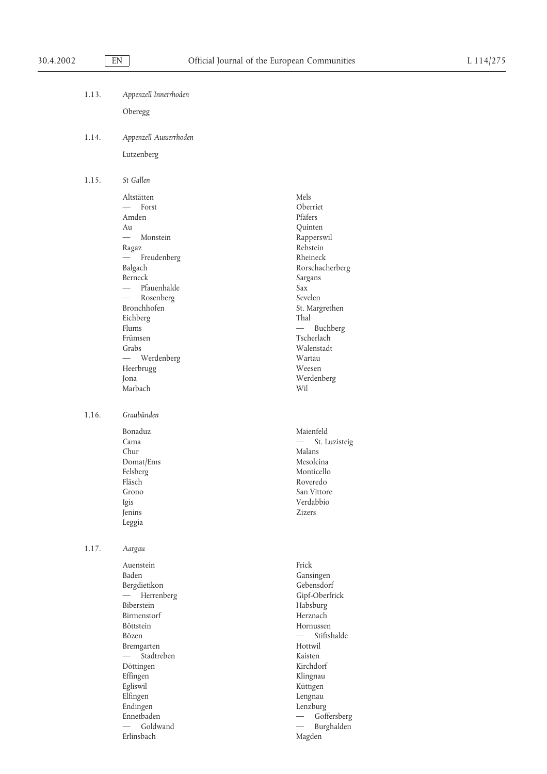| 1.13. | Appenzell Innerrhoden |
|-------|-----------------------|
|       | Oberegg               |

1.14. *Appenzell Ausserrhoden*

Lutzenberg

1.15. *St Gallen*

Altstätten Mels Mels (\* 1852)<br>18 Mei – Maria Schwerzer, Schwarzer ausgebiet (\* 1852)<br>18 Mei – Maria Schwarz, Schwarzer ausgebiet (\* 1852)<br>18 Mei – Maria Schwarz, Schwarzer ausgebiet (\* 1852) — Forst Deerriet Oberriet († 1818)<br>18 Maart – Amden Pfäfers Amden Au Quinten Monstein Rapperswil Ragaz Rebstein — Freudenberg Rheineck<br>
Balgach Rorschac Berneck Sargans — Pfauenhalde Sax Sax<br>— Rosenberg Sevelen — Rosenberg Bronchhofen St. Margrethen<br>Eichberg Thal Eichberg<br>Flums Frümsen Tscherlach Grabs Walenstadt — Werdenberg Wartau Heerbrugg Weesen Jona Werdenberg Marbach Wil

1.16. *Graubünden*

Bonaduz Maienfeld Chur Malans Domat/Ems Mesolcina Felsberg Monticello Fläsch Roveredo Grono San Vittore Igis Verdabbio News<br>
Igis Verdabbio Xizers<br>
Zizers Jenins Zizers Leggia

1.17. *Aargau*

Auenstein Frick Baden Gansingen Gansingen Bergdietikon Gebensdorf — Herrenberg Gipf-Oberfrick Biberstein Habsburg Birmenstorf Herznach Böttstein Hornussen Bözen **Stiftshalde** Bremgarten Hottwil — Stadtreben Kaisten Döttingen Kirchdorf Effingen Klingnau Egliswil Küttigen Elfingen Lengnau Endingen Lenzburg Ennetbaden — Goffersberg — Goffersberg — Goffersberg — Goffersberg — Goffersberg — Goffersberg — Goffersberg — Goffersberg — Goffersberg — Goffersberg — Goffersberg — Goffersberg — Goffersberg — Goffersberg — Goffersberg — Erlinsbach Magden

Rorschacherberg  $-$  Buchberg Cama St. Luzisteig — St. Luzisteig

— — Goldwand Burghalden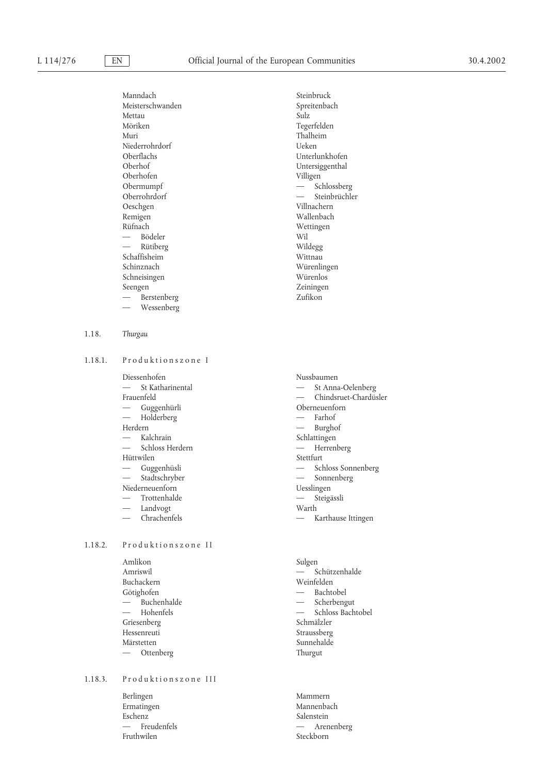Manndach Steinbruck Meisterschwanden Spreitenbach<br>Mettau Sulz Sulz Mettau Möriken Tegerfelden Muri Thalheim<br>Niederrohrdorf – Santa Charles (Leken Niederrohrdorf<br>Oberflachs Oberflachs Unterlunkhofen Oberhofen Villigen<br>Obermumpf — Sc Oberrohrdorf Oeschgen Villnachern Remigen Wallenbach<br>Rüfnach Wettingen Wettingen — Bödeler Wil — Rütiberg Wildegg Schaffisheim Schinznach Würenlingen<br>
Schneisingen<br>
Würenlos<br>
Würenlos Schneisingen Seengen Zeiningen Zeiningen Zeiningen Zeiningen Zufikon Berstenberg — Wessenberg 1.18. *Thurgau*

1.18.1. Produktionszone I

Diessenhofen<br>
-- St Katharinental<br>
-- St Anna-Oelenberg<br>
-- St Anna-Oelenberg — St Katharinental — Holderberg — Farhof — Farhof — Farhof — Farhof — Farhof — Farhof — Farhof — Farhof — Farhof — Farhof — Farhof — Farhof — Farhof — Farhof — Farhof — Farhof — Farhof — Farhof — Farhof — Farhof — Farhof Herdern — Burghof — Burghof — Kalchrain — Schlattingen — Kalchrain Schlattingen<br>— Schloss Herdern — Herren — — Schloss Herdern Herrenberg Hüttwilen

Niederneuenforn

- 
- Landvogt Warth
- 

# 1.18.2. Produktionszone II

Amlikon Sulgen Buchackern Weinfelden<br>
Götiehofen — Bachtobel<br>
— Bachtobel Götighofen — — Buchenhalde Scherbengut Griesenberg Hessenreuti Straussberg Märstetten Sunnehalde — Ottenberg Thurgut

# 1.18.3. Produktionszone III

Berlingen Mammern Ermatingen Mannenbach Eschenz Salenstein<br>
— Freudenfels<br>
— Aren Fruthwilen Steckborn

Untersiggenthal — Schlossberg<br>— Steinbrüchler Wettingen

Frauenfeld — Chindsruet-Chardüsler<br>
— Guggenhürli Dberneuenforn Oberneuenforn Guggenhüsli - Schloss Sonnenberg Stadtschryber — Sonnenberg — Sonnenberg — Sonnenberg — Sonnenberg — Sonnenberg — Sonnenberg — Sonnenberg — Sonnenberg — Sonnenberg — Sonnenberg — Sonnenberg — Sonnenberg — Sonnenberg — Sonnenberg — Sonnenberg — Sonnenberg Trottenhalde **Steigässli** 

— Chrachenfels — Karthause Ittingen

Amriswil 
and Schützenhalde — Schloss Bachtobel<br>Schmälzler

— Arenenberg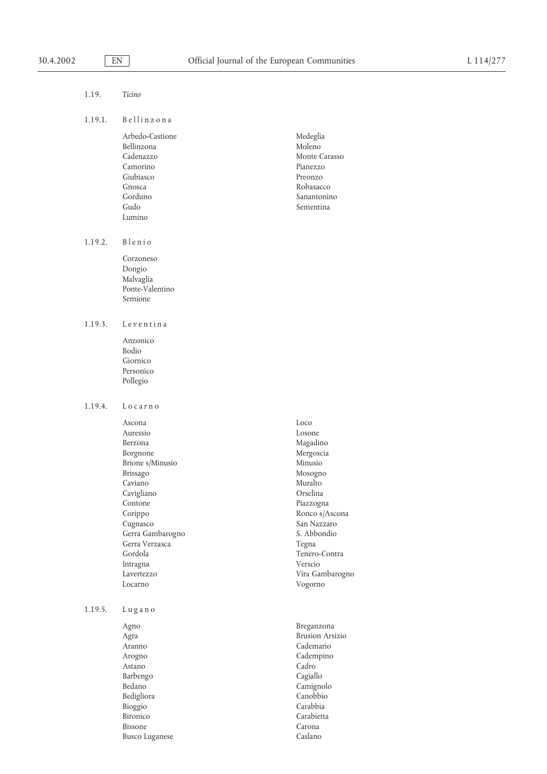| Arbedo-Castione | Medeglia      |
|-----------------|---------------|
| Bellinzona      | Moleno        |
| Cadenazzo       | Monte Carasso |
| Camorino        | Pianezzo      |
| Giubiasco       | Preonzo       |
| Gnosca          | Robasacco     |
| Gorduno         | Sanantonino   |
| Gudo            | Sementina     |
| Lumino          |               |

1.19.2. Blenio

Corzoneso Dongio Malvaglia Ponte-Valentino Semione

1.19.3. Leventina

Anzonico Bodio Giornico Personico Pollegio

1.19.4. L o c a r n o

Ascona Loco Auressio Losone Berzona Magadino Borgnone Mergoscia Brione s/Minusio Minusio Brissago Mosogno Mosogno Mosogno Muralto Cavigliano Orselina Contone Piazzogna Corippo Ronco s/Ascona Cugnasco San Nazzaro Gerra Gambarogno S. Abbondio Gerra Verzasca and a Tegna Tegna Gordola Tenero-Contra Intragna Verscio Lavertezzo Vira Gambarogno Locarno Vogorno

1.19.5. L u g a n o

Agno Breganzona Astano Cadro Barbengo Cagiallo Bedigliora Canobbio Bioggio Carabbia Bironico Carabietta Bissone Carona Busco Luganese Caslano

Muralto

Agra Brusion Arsizio Cademario Arogno Cadempino Bedano Camignolo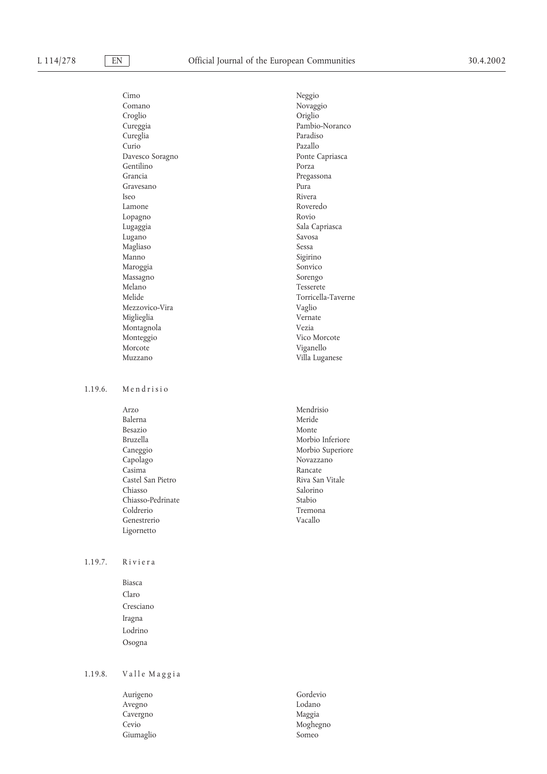Cimo Neggio Comano Novaggio Croglio Origlio Cureggia Pambio-Noranco Cureglia<br>Curio Davesco Soragno Ponte Capriasca Gentilino<br>Grancia Gravesano Pura Iseo Rivera Lamone Roveredo Lopagno Rovio Lugaggia Sala Capriasca Lugano Savosa Magliaso Sessa Manno Sigirino Maroggia Sonvico Massagno<br>Melano Melano Tesserete<br>Melide Torricella Mezzovico-Vira Miglieglia Vernate Montagnola Vezia Monteggio Vico Morcote Morcote Viganello

### 1.19.6. Mendrisio

Arzo Mendrisio Balerna Meride<br>Besazio Monte Besazio Monte Bruzella Morbio Inferiore Caneggio Morbio Superiore<br>Capolago Novazzano Novazzano Capolago Novazzano<br>Casima Rancate Novazzano Castel San Pietro **Riva San Vitale** Chiasso Salorino Salorino Chiasso-Pedrinate Stabio<br>Coldrerio Tremona Coldrerio Tremon<br>Genestrerio Vacallo Genestrerio Ligornetto

### 1.19.7. Riviera

Biasca Claro Cresciano Iragna Lodrino Osogna

# $1.19.8.$  Valle Maggia

Aurigeno Gordevio Avegno Lodano Cavergno Maggia Cevio Moghegno Giumaglio Someo

Pazallo Pregassona Torricella-Taverne<br>Vaglio Muzzano Villa Luganese

Rancate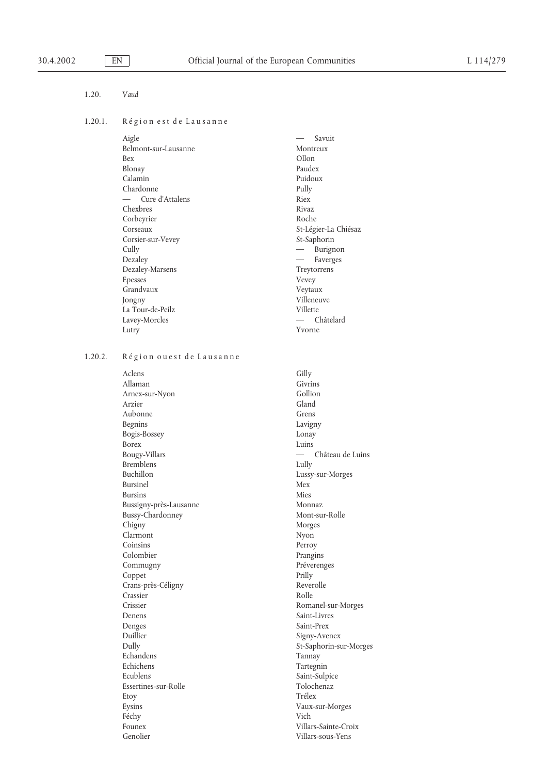### 1.20. *Vaud*

### 1.20.1. Région est de Lausanne

| Aigle                | Savuit                        |
|----------------------|-------------------------------|
| Belmont-sur-Lausanne | Montreux                      |
| <b>Bex</b>           | Ollon                         |
| Blonay               | Paudex                        |
| Calamin              | Puidoux                       |
| Chardonne            | Pully                         |
| Cure d'Attalens      | Riex                          |
| Chexbres             | Rivaz                         |
| Corbeyrier           | Roche                         |
| Corseaux             | St-Légier-La Chiésaz          |
| Corsier-sur-Vevey    | St-Saphorin                   |
| Cully                | Burignon<br>$\qquad \qquad -$ |
| Dezaley              | Faverges                      |
| Dezaley-Marsens      | Treytorrens                   |
| Epesses              | Vevey                         |
| Grandvaux            | Veytaux                       |
| Jongny               | Villeneuve                    |
| La Tour-de-Peilz     | Villette                      |
| Lavey-Morcles        | Châtelard                     |
| Lutry                | Yvorne                        |
|                      |                               |

# 1.20.2. Région ou est de Lausanne

Aclens Gilly Allaman Givrins Arnex-sur-Nyon Gollion Arzier Aubonne Grens<br>Begnins Lavigr Bogis-Bossey Lonay Borex Luins Bougy-Villars — Château de Luins Bremblens Lully Buchillon Lussy-sur-Morges Bursinel Mex Bursins Mies Bussigny-près-Lausanne Monnaz Bussy-Chardonney Mont-sur-Rolle Chigny Morges Clarmont Nyon Coinsins Perroy Colombier Prangins Commugny Préverenges Coppet Prilly Crans-près-Céligny Reverolle Crassier Rolle Crissier Romanel-sur-Morges Denens Saint-Livres Denges Saint-Prex Duillier Signy-Avenex Echandens Tannay Echichens Tartegnin Ecublens Saint-Sulpice Essertines-sur-Rolle Tolochenaz Etoy Trélex Eysins Vaux-sur-Morges Féchy Vich Founex Villars-Sainte-Croix Genolier Villars-sous-Yens

Lavigny St-Saphorin-sur-Morges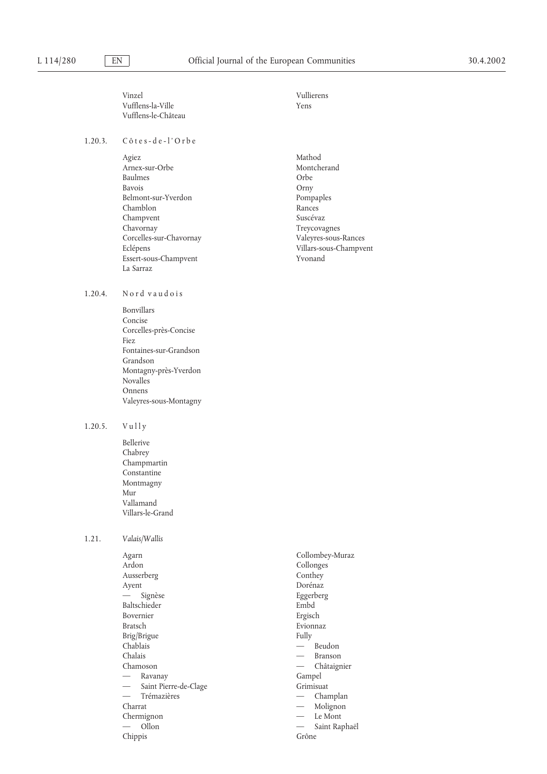Vinzel Vullierens Vufflens-la-Ville Yens Vufflens-le-Château

### 1.20.3. C ô t e s - d e - l ' O r b e

1.20.4. Nord vaudois Bonvillars Concise

Fiez

Grandson

Novalles Onnens

Agiez Mathod Arnex-sur-Orbe Montcherand Baulmes Orbe Bavois **Orny** Belmont-sur-Yverdon Pompaples Chamblon Rances<br>Champyent Suscévaz Champvent Chavornay Treycovagnes Corcelles-sur-Chavornay Valeyres-sous-Rances Essert-sous-Champvent Yvonand La Sarraz

Corcelles-près-Concise

Fontaines-sur-Grandson

Montagny-près-Yverdon

Valeyres-sous-Montagny

# Villars-sous-Champvent

# $1.20.5.$  Vully

Bellerive Chabrey Champmartin Constantine Montmagny Mur Vallamand Villars-le-Grand

### 1.21. *Valais/Wallis*

Agarn Collombey-Muraz Ardon Collonges Ausserberg Conthey Ayent Dorénaz — Signèse Eggerberg Baltschieder Embd Bovernier Ergisch Bratsch Evionnaz Brig/Brigue Fully Chablais — Beudon Chalais — Branson Chamoson — Châtaignier Ravanay **Gampel** Saint Pierre-de-Clage Grimisuat — Trémazières  $-$  Champlan Charrat — Molignon Chermignon — Le Mont — — Ollon Saint Raphaël Chippis Grône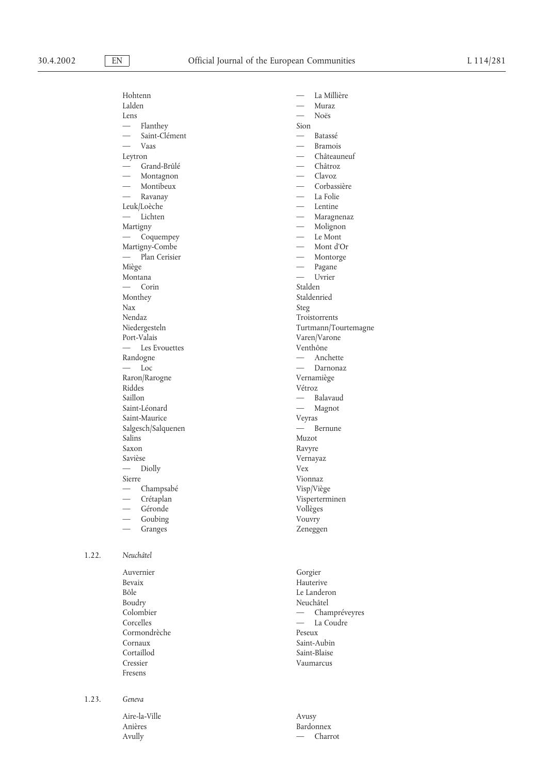|       | Hohtenn<br>Lalden<br>Lens<br>$\overline{\phantom{0}}$<br>Flanthey<br>Saint-Clément<br>Vaas<br>Leytron<br>Grand-Brûlé<br>$\qquad \qquad$<br>Montagnon<br>Montibeux<br>Ravanay<br>Leuk/Loèche<br>Lichten<br>Martigny<br>Coquempey<br>Martigny-Combe<br>- Plan Cerisier<br>Miège<br>Montana<br>Corin<br>Monthey<br>Nax<br>Nendaz<br>Niedergesteln | La Millière<br>Muraz<br>Noës<br>Sion<br>$\overline{\phantom{0}}$<br>Batassé<br><b>Bramois</b><br>Châteauneuf<br>Châtroz<br>Clavoz<br>Corbassière<br>La Folie<br>Lentine<br>Maragnenaz<br>Molignon<br>Le Mont<br>Mont d'Or<br>Montorge<br>Pagane<br>$\overline{\phantom{0}}$<br>Uvrier<br>Stalden<br>Staldenried<br>Steg<br>Troistorrents<br>Turtmann/Tourtemagne |
|-------|------------------------------------------------------------------------------------------------------------------------------------------------------------------------------------------------------------------------------------------------------------------------------------------------------------------------------------------------|------------------------------------------------------------------------------------------------------------------------------------------------------------------------------------------------------------------------------------------------------------------------------------------------------------------------------------------------------------------|
|       | Port-Valais                                                                                                                                                                                                                                                                                                                                    | Varen/Varone                                                                                                                                                                                                                                                                                                                                                     |
|       | Les Evouettes<br>Randogne<br>$-$ Loc<br>Raron/Rarogne<br>Riddes<br>Saillon<br>Saint-Léonard<br>Saint-Maurice<br>Salgesch/Salquenen<br>Salins<br>Saxon<br>Savièse<br>Diolly<br>Sierre<br>Champsabé                                                                                                                                              | Venthône<br>Anchette<br>Darnonaz<br>Vernamiège<br>Vétroz<br>Balavaud<br>$\qquad \qquad$<br>Magnot<br>Veyras<br>Bernune<br>Muzot<br>Ravyre<br>Vernayaz<br>Vex<br>Vionnaz<br>Visp/Viège                                                                                                                                                                            |
|       | Crétaplan<br>Géronde<br>Goubing<br>Granges                                                                                                                                                                                                                                                                                                     | Visperterminen<br>Vollèges<br>Vouvry<br>Zeneggen                                                                                                                                                                                                                                                                                                                 |
| 1.22. | Neuchâtel<br>Auvernier<br>Bevaix<br>Bôle<br>Boudry<br>Colombier<br>Corcelles<br>Cormondrèche<br>Cornaux<br>Cortaillod<br>Cressier<br>Fresens                                                                                                                                                                                                   | Gorgier<br>Hauterive<br>Le Landeron<br>Neuchâtel<br>Champréveyres<br>$\overline{\phantom{0}}$<br>La Coudre<br>$\qquad \qquad -$<br>Peseux<br>Saint-Aubin<br>Saint-Blaise<br>Vaumarcus                                                                                                                                                                            |
| 1.23. | Geneva<br>Aire-la-Ville                                                                                                                                                                                                                                                                                                                        | Avusy                                                                                                                                                                                                                                                                                                                                                            |

Anières Bardonnex<br>Avully — Charr

 $-$  Charrot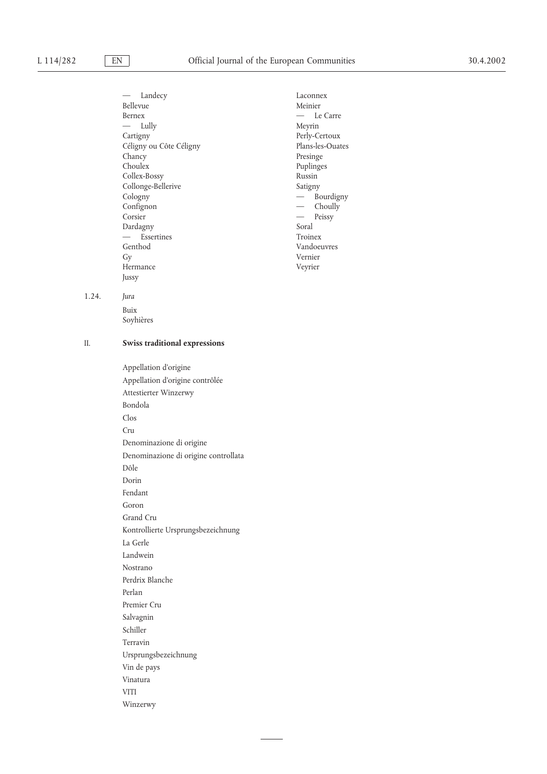— Landecy Laconnex Bellevue Meinier Bernex — Le Carre — Lully Meyrin Cartigny<br>
Céligny ou Côte Céligny<br>
Plans-les-Ouates Céligny ou Côte Céligny Chancy Presinge Presinge Presinge President President President President President President President President President President President President President President President President President President Presiden Collex-Bossy Russin Collonge-Bellerive Satigny <br>
Satigny — Bo Confignon — Choully Corsier — Peissy Dardagny Soral — Essertines Troinex Gy Vernier Hermance Veyrier Jussy

Puplinges  $-\frac{6}{5}$ Bourdigny Vandoeuvres

1.24. *Jura*

Buix Soyhières

### II. **Swiss traditional expressions**

Appellation d'origine Appellation d'origine contrôlée Attestierter Winzerwy Bondola Clos Cru Denominazione di origine Denominazione di origine controllata Dôle Dorin Fendant Goron Grand Cru Kontrollierte Ursprungsbezeichnung La Gerle Landwein Nostrano Perdrix Blanche Perlan Premier Cru Salvagnin Schiller Terravin Ursprungsbezeichnung Vin de pays Vinatura VITI Winzerwy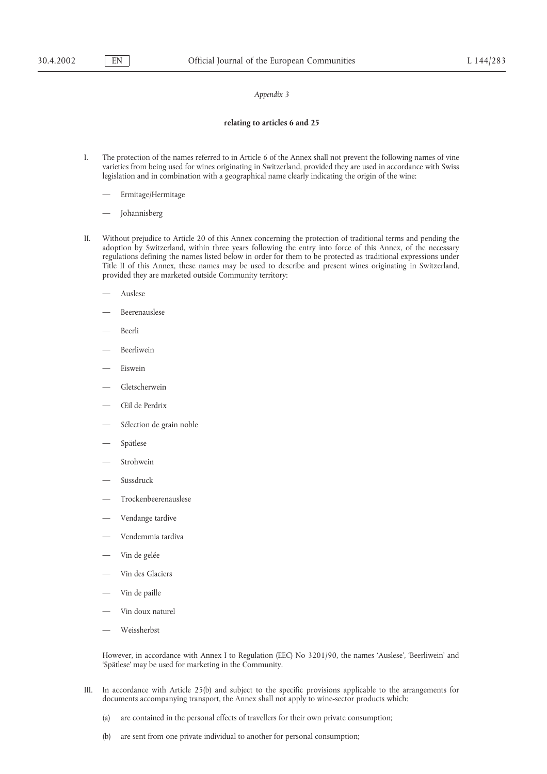### **relating to articles 6 and 25**

- I. The protection of the names referred to in Article 6 of the Annex shall not prevent the following names of vine varieties from being used for wines originating in Switzerland, provided they are used in accordance with Swiss legislation and in combination with a geographical name clearly indicating the origin of the wine:
	- Ermitage/Hermitage
	- Johannisberg
- II. Without prejudice to Article 20 of this Annex concerning the protection of traditional terms and pending the adoption by Switzerland, within three years following the entry into force of this Annex, of the necessary regulations defining the names listed below in order for them to be protected as traditional expressions under Title II of this Annex, these names may be used to describe and present wines originating in Switzerland, provided they are marketed outside Community territory:
	- Auslese
	- Beerenauslese
	- Beerli
	- Beerliwein
	- Eiswein
	- Gletscherwein
	- Œil de Perdrix
	- Sélection de grain noble
	- Spätlese
	- Strohwein
	- Süssdruck
	- Trockenbeerenauslese
	- Vendange tardive
	- Vendemmia tardiva
	- Vin de gelée
	- Vin des Glaciers
	- Vin de paille
	- Vin doux naturel
	- Weissherbst

However, in accordance with Annex I to Regulation (EEC) No 3201/90, the names 'Auslese', 'Beerliwein' and 'Spätlese' may be used for marketing in the Community.

- III. In accordance with Article 25(b) and subject to the specific provisions applicable to the arrangements for documents accompanying transport, the Annex shall not apply to wine-sector products which:
	- (a) are contained in the personal effects of travellers for their own private consumption;
	- (b) are sent from one private individual to another for personal consumption;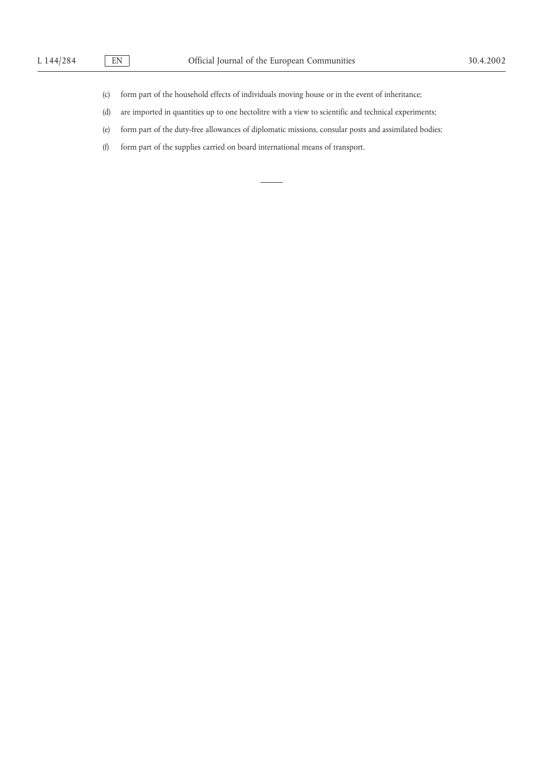- (c) form part of the household effects of individuals moving house or in the event of inheritance;
- (d) are imported in quantities up to one hectolitre with a view to scientific and technical experiments;
- (e) form part of the duty-free allowances of diplomatic missions, consular posts and assimilated bodies;
- (f) form part of the supplies carried on board international means of transport.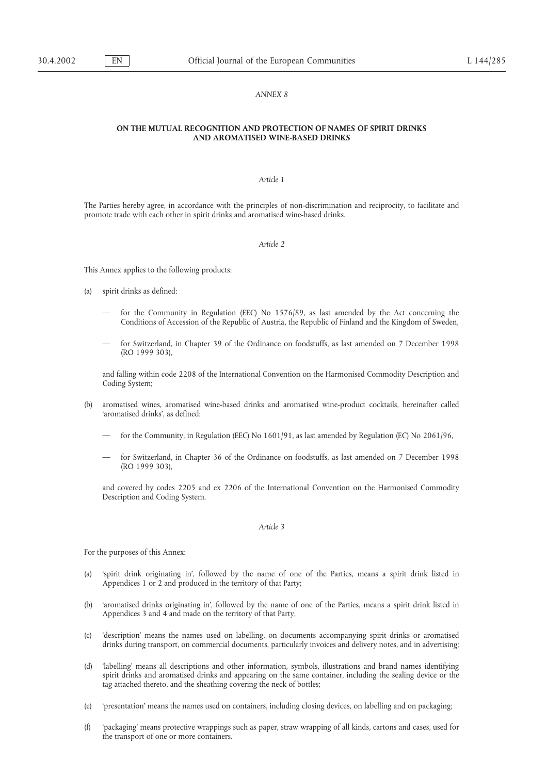### *ANNEX 8*

### **ON THE MUTUAL RECOGNITION AND PROTECTION OF NAMES OF SPIRIT DRINKS AND AROMATISED WINE-BASED DRINKS**

### *Article 1*

The Parties hereby agree, in accordance with the principles of non-discrimination and reciprocity, to facilitate and promote trade with each other in spirit drinks and aromatised wine-based drinks.

### *Article 2*

This Annex applies to the following products:

- (a) spirit drinks as defined:
	- for the Community in Regulation (EEC) No 1576/89, as last amended by the Act concerning the Conditions of Accession of the Republic of Austria, the Republic of Finland and the Kingdom of Sweden,
	- for Switzerland, in Chapter 39 of the Ordinance on foodstuffs, as last amended on 7 December 1998 (RO 1999 303),

and falling within code 2208 of the International Convention on the Harmonised Commodity Description and Coding System;

- (b) aromatised wines, aromatised wine-based drinks and aromatised wine-product cocktails, hereinafter called 'aromatised drinks', as defined:
	- for the Community, in Regulation (EEC) No 1601/91, as last amended by Regulation (EC) No 2061/96,
	- for Switzerland, in Chapter 36 of the Ordinance on foodstuffs, as last amended on 7 December 1998 (RO 1999 303),

and covered by codes 2205 and ex 2206 of the International Convention on the Harmonised Commodity Description and Coding System.

### *Article 3*

For the purposes of this Annex:

- (a) 'spirit drink originating in', followed by the name of one of the Parties, means a spirit drink listed in Appendices 1 or 2 and produced in the territory of that Party;
- (b) 'aromatised drinks originating in', followed by the name of one of the Parties, means a spirit drink listed in Appendices 3 and 4 and made on the territory of that Party,
- (c) 'description' means the names used on labelling, on documents accompanying spirit drinks or aromatised drinks during transport, on commercial documents, particularly invoices and delivery notes, and in advertising;
- (d) 'labelling' means all descriptions and other information, symbols, illustrations and brand names identifying spirit drinks and aromatised drinks and appearing on the same container, including the sealing device or the tag attached thereto, and the sheathing covering the neck of bottles;
- (e) 'presentation' means the names used on containers, including closing devices, on labelling and on packaging;
- (f) 'packaging' means protective wrappings such as paper, straw wrapping of all kinds, cartons and cases, used for the transport of one or more containers.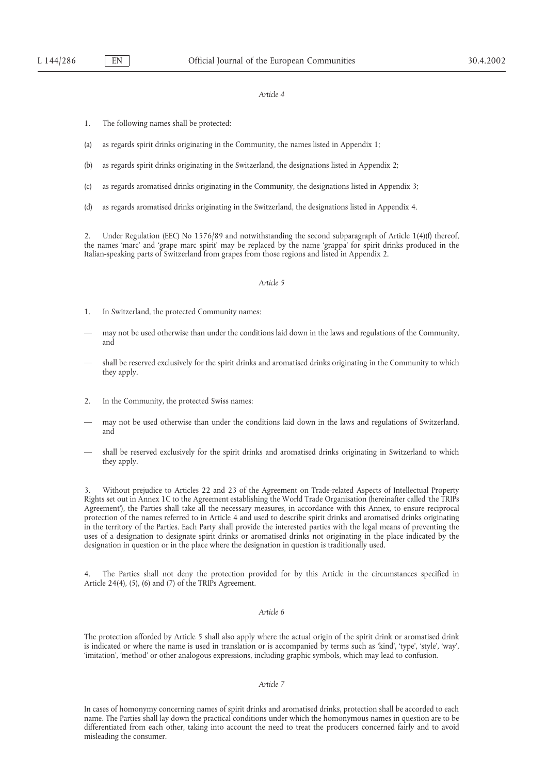- 1. The following names shall be protected:
- (a) as regards spirit drinks originating in the Community, the names listed in Appendix 1;
- (b) as regards spirit drinks originating in the Switzerland, the designations listed in Appendix 2;
- (c) as regards aromatised drinks originating in the Community, the designations listed in Appendix 3;
- (d) as regards aromatised drinks originating in the Switzerland, the designations listed in Appendix 4.

2. Under Regulation (EEC) No 1576/89 and notwithstanding the second subparagraph of Article 1(4)(f) thereof, the names 'marc' and 'grape marc spirit' may be replaced by the name 'grappa' for spirit drinks produced in the Italian-speaking parts of Switzerland from grapes from those regions and listed in Appendix 2.

### *Article 5*

- 1. In Switzerland, the protected Community names:
- may not be used otherwise than under the conditions laid down in the laws and regulations of the Community, and
- shall be reserved exclusively for the spirit drinks and aromatised drinks originating in the Community to which they apply.
- 2. In the Community, the protected Swiss names:
- may not be used otherwise than under the conditions laid down in the laws and regulations of Switzerland, and
- shall be reserved exclusively for the spirit drinks and aromatised drinks originating in Switzerland to which they apply.

3. Without prejudice to Articles 22 and 23 of the Agreement on Trade-related Aspects of Intellectual Property Rights set out in Annex 1C to the Agreement establishing the World Trade Organisation (hereinafter called 'the TRIPs Agreement'), the Parties shall take all the necessary measures, in accordance with this Annex, to ensure reciprocal protection of the names referred to in Article 4 and used to describe spirit drinks and aromatised drinks originating in the territory of the Parties. Each Party shall provide the interested parties with the legal means of preventing the uses of a designation to designate spirit drinks or aromatised drinks not originating in the place indicated by the designation in question or in the place where the designation in question is traditionally used.

4. The Parties shall not deny the protection provided for by this Article in the circumstances specified in Article 24(4), (5), (6) and (7) of the TRIPs Agreement.

### *Article 6*

The protection afforded by Article 5 shall also apply where the actual origin of the spirit drink or aromatised drink is indicated or where the name is used in translation or is accompanied by terms such as 'kind', 'type', 'style', 'way', 'imitation', 'method' or other analogous expressions, including graphic symbols, which may lead to confusion.

### *Article 7*

In cases of homonymy concerning names of spirit drinks and aromatised drinks, protection shall be accorded to each name. The Parties shall lay down the practical conditions under which the homonymous names in question are to be differentiated from each other, taking into account the need to treat the producers concerned fairly and to avoid misleading the consumer.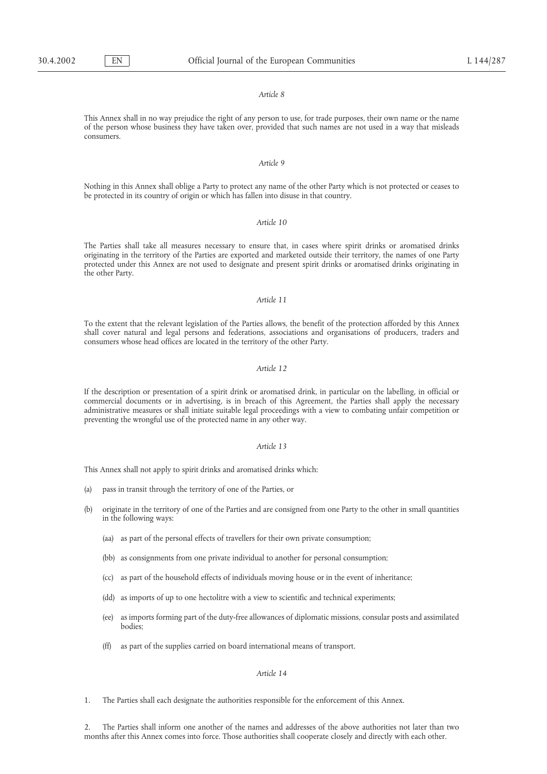This Annex shall in no way prejudice the right of any person to use, for trade purposes, their own name or the name of the person whose business they have taken over, provided that such names are not used in a way that misleads consumers.

### *Article 9*

Nothing in this Annex shall oblige a Party to protect any name of the other Party which is not protected or ceases to be protected in its country of origin or which has fallen into disuse in that country.

### *Article 10*

The Parties shall take all measures necessary to ensure that, in cases where spirit drinks or aromatised drinks originating in the territory of the Parties are exported and marketed outside their territory, the names of one Party protected under this Annex are not used to designate and present spirit drinks or aromatised drinks originating in the other Party.

### *Article 11*

To the extent that the relevant legislation of the Parties allows, the benefit of the protection afforded by this Annex shall cover natural and legal persons and federations, associations and organisations of producers, traders and consumers whose head offices are located in the territory of the other Party.

### *Article 12*

If the description or presentation of a spirit drink or aromatised drink, in particular on the labelling, in official or commercial documents or in advertising, is in breach of this Agreement, the Parties shall apply the necessary administrative measures or shall initiate suitable legal proceedings with a view to combating unfair competition or preventing the wrongful use of the protected name in any other way.

### *Article 13*

This Annex shall not apply to spirit drinks and aromatised drinks which:

- (a) pass in transit through the territory of one of the Parties, or
- (b) originate in the territory of one of the Parties and are consigned from one Party to the other in small quantities in the following ways:
	- (aa) as part of the personal effects of travellers for their own private consumption;
	- (bb) as consignments from one private individual to another for personal consumption;
	- (cc) as part of the household effects of individuals moving house or in the event of inheritance;
	- (dd) as imports of up to one hectolitre with a view to scientific and technical experiments;
	- (ee) as imports forming part of the duty-free allowances of diplomatic missions, consular posts and assimilated bodies;
	- (ff) as part of the supplies carried on board international means of transport.

### *Article 14*

1. The Parties shall each designate the authorities responsible for the enforcement of this Annex.

2. The Parties shall inform one another of the names and addresses of the above authorities not later than two months after this Annex comes into force. Those authorities shall cooperate closely and directly with each other.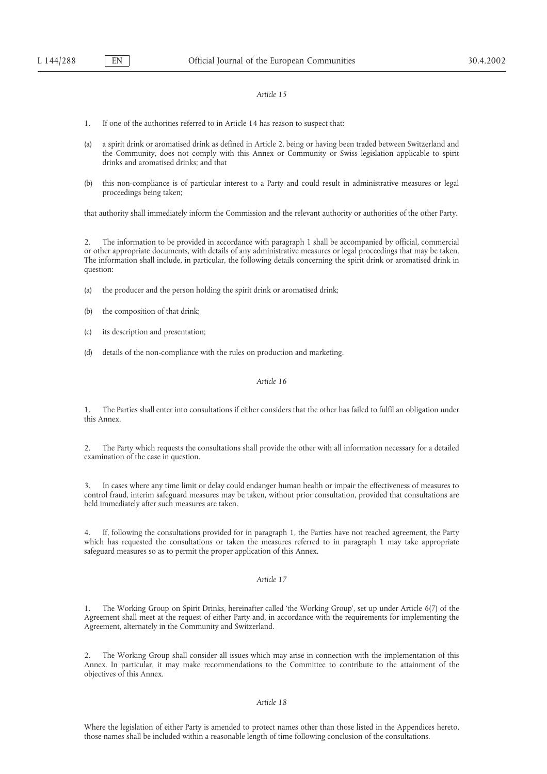- 1. If one of the authorities referred to in Article 14 has reason to suspect that:
- (a) a spirit drink or aromatised drink as defined in Article 2, being or having been traded between Switzerland and the Community, does not comply with this Annex or Community or Swiss legislation applicable to spirit drinks and aromatised drinks; and that
- (b) this non-compliance is of particular interest to a Party and could result in administrative measures or legal proceedings being taken;

that authority shall immediately inform the Commission and the relevant authority or authorities of the other Party.

2. The information to be provided in accordance with paragraph 1 shall be accompanied by official, commercial or other appropriate documents, with details of any administrative measures or legal proceedings that may be taken. The information shall include, in particular, the following details concerning the spirit drink or aromatised drink in question:

- (a) the producer and the person holding the spirit drink or aromatised drink;
- (b) the composition of that drink;
- (c) its description and presentation;
- (d) details of the non-compliance with the rules on production and marketing.

### *Article 16*

1. The Parties shall enter into consultations if either considers that the other has failed to fulfil an obligation under this Annex.

2. The Party which requests the consultations shall provide the other with all information necessary for a detailed examination of the case in question.

3. In cases where any time limit or delay could endanger human health or impair the effectiveness of measures to control fraud, interim safeguard measures may be taken, without prior consultation, provided that consultations are held immediately after such measures are taken.

4. If, following the consultations provided for in paragraph 1, the Parties have not reached agreement, the Party which has requested the consultations or taken the measures referred to in paragraph 1 may take appropriate safeguard measures so as to permit the proper application of this Annex.

### *Article 17*

1. The Working Group on Spirit Drinks, hereinafter called 'the Working Group', set up under Article 6(7) of the Agreement shall meet at the request of either Party and, in accordance with the requirements for implementing the Agreement, alternately in the Community and Switzerland.

2. The Working Group shall consider all issues which may arise in connection with the implementation of this Annex. In particular, it may make recommendations to the Committee to contribute to the attainment of the objectives of this Annex.

### *Article 18*

Where the legislation of either Party is amended to protect names other than those listed in the Appendices hereto, those names shall be included within a reasonable length of time following conclusion of the consultations.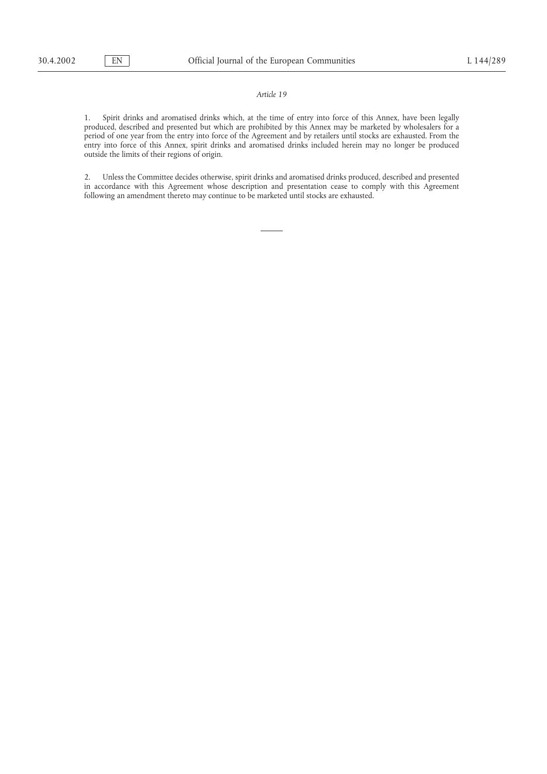1. Spirit drinks and aromatised drinks which, at the time of entry into force of this Annex, have been legally produced, described and presented but which are prohibited by this Annex may be marketed by wholesalers for a period of one year from the entry into force of the Agreement and by retailers until stocks are exhausted. From the entry into force of this Annex, spirit drinks and aromatised drinks included herein may no longer be produced outside the limits of their regions of origin.

2. Unless the Committee decides otherwise, spirit drinks and aromatised drinks produced, described and presented in accordance with this Agreement whose description and presentation cease to comply with this Agreement following an amendment thereto may continue to be marketed until stocks are exhausted.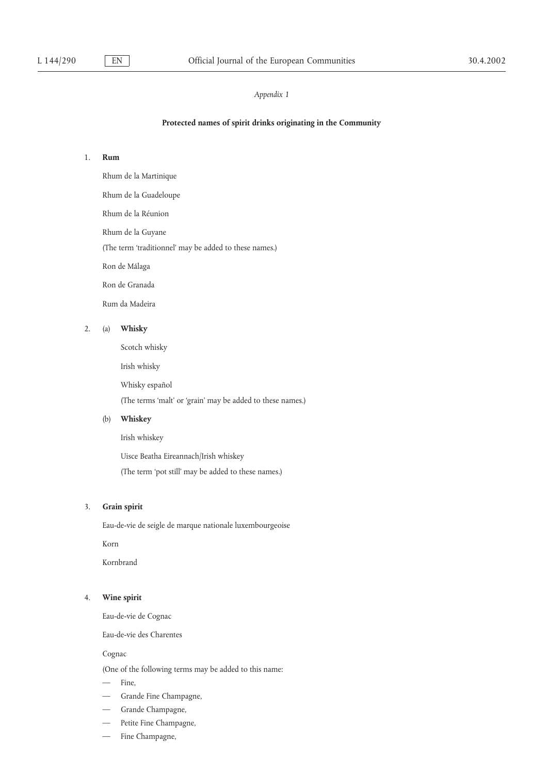### **Protected names of spirit drinks originating in the Community**

# 1. **Rum**

Rhum de la Martinique

Rhum de la Guadeloupe

Rhum de la Réunion

Rhum de la Guyane

(The term 'traditionnel' may be added to these names.)

Ron de Málaga

Ron de Granada

Rum da Madeira

# 2. (a) **Whisky**

Scotch whisky

Irish whisky

Whisky español

(The terms 'malt' or 'grain' may be added to these names.)

### (b) **Whiskey**

Irish whiskey

Uisce Beatha Eireannach/Irish whiskey

(The term 'pot still' may be added to these names.)

### 3. **Grain spirit**

Eau-de-vie de seigle de marque nationale luxembourgeoise

Korn

Kornbrand

# 4. **Wine spirit**

Eau-de-vie de Cognac

Eau-de-vie des Charentes

Cognac

(One of the following terms may be added to this name:

- Fine,
- Grande Fine Champagne,
- Grande Champagne,
- Petite Fine Champagne,
- Fine Champagne,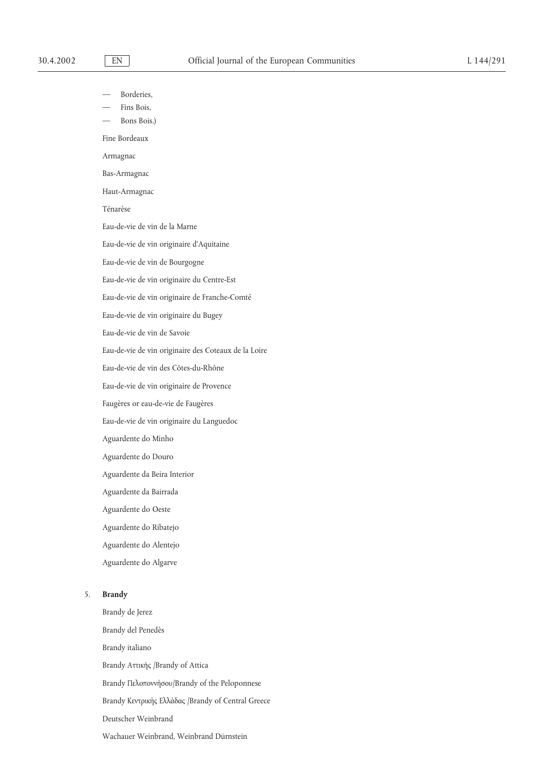Borderies,

Fins Bois,

Bons Bois.)

Fine Bordeaux

Armagnac

Bas-Armagnac

Haut-Armagnac

Ténarèse

Eau-de-vie de vin de la Marne

Eau-de-vie de vin originaire d'Aquitaine

Eau-de-vie de vin de Bourgogne

Eau-de-vie de vin originaire du Centre-Est

Eau-de-vie de vin originaire de Franche-Comté

Eau-de-vie de vin originaire du Bugey

Eau-de-vie de vin de Savoie

Eau-de-vie de vin originaire des Coteaux de la Loire

Eau-de-vie de vin des Côtes-du-Rhône

Eau-de-vie de vin originaire de Provence

Faugères or eau-de-vie de Faugères

Eau-de-vie de vin originaire du Languedoc

Aguardente do Minho

Aguardente do Douro

Aguardente da Beira Interior

Aguardente da Bairrada

Aguardente do Oeste

Aguardente do Ribatejo

Aguardente do Alentejo

Aguardente do Algarve

### 5. **Brandy**

Brandy de Jerez Brandy del Penedès Brandy italiano Brandy Αττικη΄ς /Brandy of Attica Brandy Πελοποννη΄σου/Brandy of the Peloponnese Brandy Κεντρικη΄ς Ελλα΄δας /Brandy of Central Greece Deutscher Weinbrand Wachauer Weinbrand, Weinbrand Dürnstein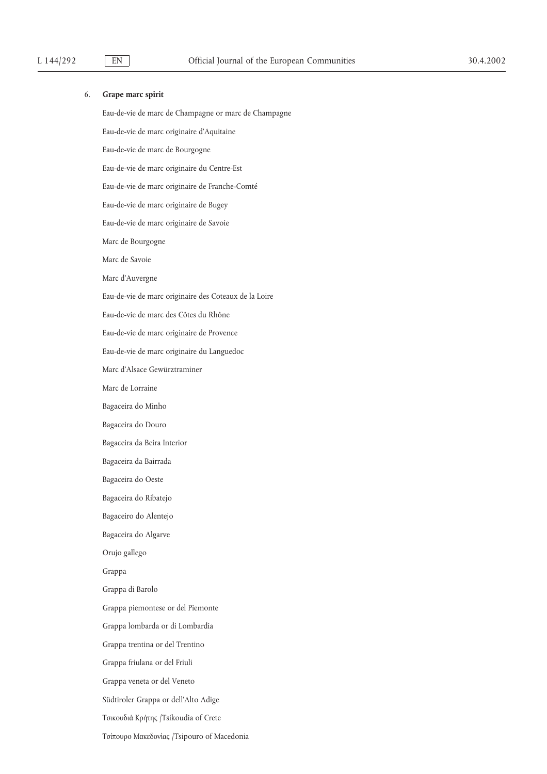### 6. **Grape marc spirit**

Eau-de-vie de marc de Champagne or marc de Champagne Eau-de-vie de marc originaire d'Aquitaine Eau-de-vie de marc de Bourgogne Eau-de-vie de marc originaire du Centre-Est Eau-de-vie de marc originaire de Franche-Comté Eau-de-vie de marc originaire de Bugey Eau-de-vie de marc originaire de Savoie Marc de Bourgogne Marc de Savoie Marc d'Auvergne Eau-de-vie de marc originaire des Coteaux de la Loire Eau-de-vie de marc des Côtes du Rhône Eau-de-vie de marc originaire de Provence Eau-de-vie de marc originaire du Languedoc Marc d'Alsace Gewürztraminer Marc de Lorraine Bagaceira do Minho Bagaceira do Douro Bagaceira da Beira Interior Bagaceira da Bairrada Bagaceira do Oeste Bagaceira do Ribatejo Bagaceiro do Alentejo Bagaceira do Algarve Orujo gallego Grappa Grappa di Barolo Grappa piemontese or del Piemonte Grappa lombarda or di Lombardia Grappa trentina or del Trentino Grappa friulana or del Friuli Grappa veneta or del Veneto Südtiroler Grappa or dell'Alto Adige Τσικουδια΄ Κρη΄της /Tsikoudia of Crete Τσίπουρο Μακεδονίας /Tsipouro of Macedonia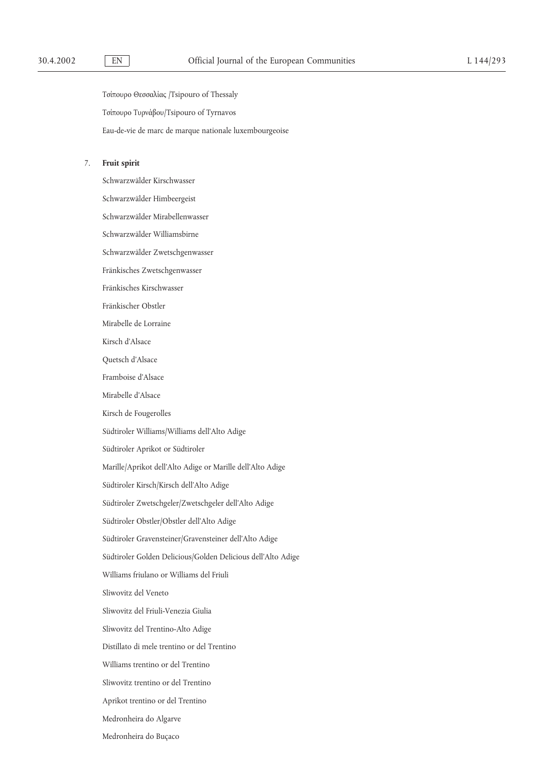Τσίπουρο Θεσσαλίας /Tsipouro of Thessaly Τσι΄πουρο Τυρνα΄βου/Tsipouro of Tyrnavos Eau-de-vie de marc de marque nationale luxembourgeoise

### 7. **Fruit spirit**

Schwarzwälder Kirschwasser Schwarzwälder Himbeergeist Schwarzwälder Mirabellenwasser Schwarzwälder Williamsbirne Schwarzwälder Zwetschgenwasser Fränkisches Zwetschgenwasser Fränkisches Kirschwasser Fränkischer Obstler Mirabelle de Lorraine Kirsch d'Alsace Quetsch d'Alsace Framboise d'Alsace Mirabelle d'Alsace Kirsch de Fougerolles Südtiroler Williams/Williams dell'Alto Adige Südtiroler Aprikot or Südtiroler Marille/Aprikot dell'Alto Adige or Marille dell'Alto Adige Südtiroler Kirsch/Kirsch dell'Alto Adige Südtiroler Zwetschgeler/Zwetschgeler dell'Alto Adige Südtiroler Obstler/Obstler dell'Alto Adige Südtiroler Gravensteiner/Gravensteiner dell'Alto Adige Südtiroler Golden Delicious/Golden Delicious dell'Alto Adige Williams friulano or Williams del Friuli Sliwovitz del Veneto Sliwovitz del Friuli-Venezia Giulia Sliwovitz del Trentino-Alto Adige Distillato di mele trentino or del Trentino Williams trentino or del Trentino Sliwovitz trentino or del Trentino Aprikot trentino or del Trentino Medronheira do Algarve Medronheira do Buçaco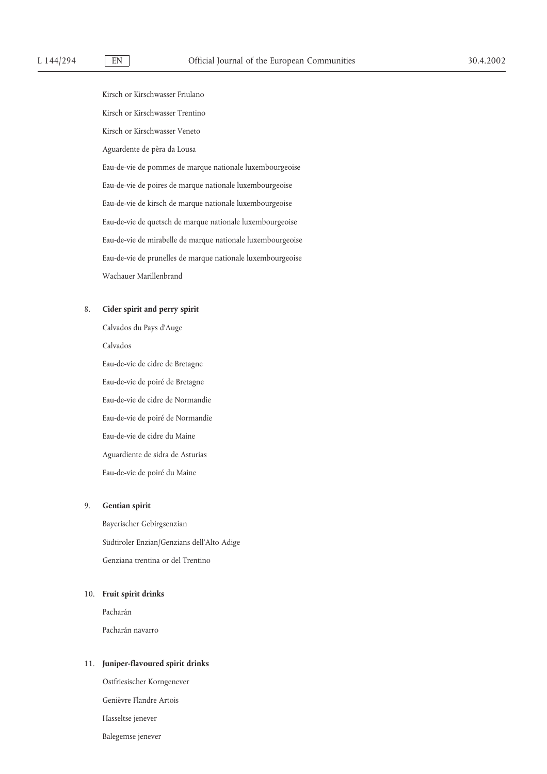Kirsch or Kirschwasser Friulano Kirsch or Kirschwasser Trentino Kirsch or Kirschwasser Veneto Aguardente de pèra da Lousa Eau-de-vie de pommes de marque nationale luxembourgeoise Eau-de-vie de poires de marque nationale luxembourgeoise Eau-de-vie de kirsch de marque nationale luxembourgeoise Eau-de-vie de quetsch de marque nationale luxembourgeoise Eau-de-vie de mirabelle de marque nationale luxembourgeoise Eau-de-vie de prunelles de marque nationale luxembourgeoise Wachauer Marillenbrand

### 8. **Cider spirit and perry spirit**

Calvados du Pays d'Auge Calvados Eau-de-vie de cidre de Bretagne Eau-de-vie de poiré de Bretagne Eau-de-vie de cidre de Normandie Eau-de-vie de poiré de Normandie Eau-de-vie de cidre du Maine Aguardiente de sidra de Asturias Eau-de-vie de poiré du Maine

### 9. **Gentian spirit**

Bayerischer Gebirgsenzian Südtiroler Enzian/Genzians dell'Alto Adige Genziana trentina or del Trentino

# 10. **Fruit spirit drinks**

Pacharán Pacharán navarro

### 11. **Juniper-flavoured spirit drinks**

Ostfriesischer Korngenever Genièvre Flandre Artois Hasseltse jenever Balegemse jenever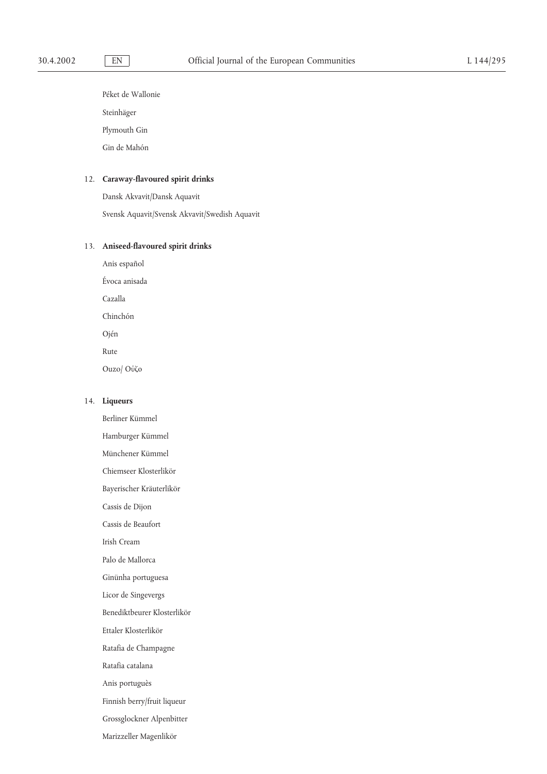Péket de Wallonie

Steinhäger

Plymouth Gin

Gin de Mahón

# 12. **Caraway-flavoured spirit drinks**

Dansk Akvavit/Dansk Aquavit Svensk Aquavit/Svensk Akvavit/Swedish Aquavit

# 13. **Aniseed-flavoured spirit drinks**

Anis español Évoca anisada Cazalla Chinchón Ojén Rute Ouzo/ Oυ΄ζο

Berliner Kümmel

# 14. **Liqueurs**

Hamburger Kümmel Münchener Kümmel Chiemseer Klosterlikör Bayerischer Kräuterlikör Cassis de Dijon Cassis de Beaufort Irish Cream Palo de Mallorca Ginünha portuguesa Licor de Singevergs Benediktbeurer Klosterlikör Ettaler Klosterlikör Ratafia de Champagne Ratafia catalana Anis portuguès Finnish berry/fruit liqueur Grossglockner Alpenbitter Marizzeller Magenlikör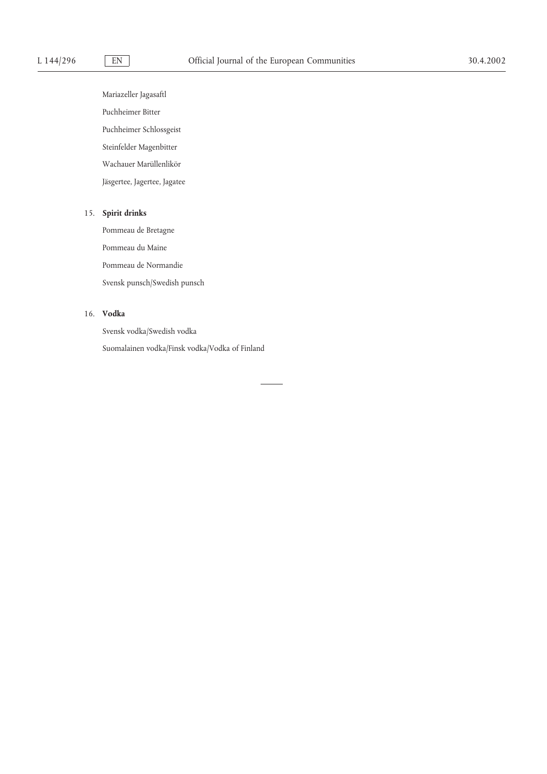Mariazeller Jagasaftl Puchheimer Bitter Puchheimer Schlossgeist Steinfelder Magenbitter Wachauer Marüllenlikör Jäsgertee, Jagertee, Jagatee

# 15. **Spirit drinks**

Pommeau de Bretagne Pommeau du Maine Pommeau de Normandie Svensk punsch/Swedish punsch

# 16. **Vodka**

Svensk vodka/Swedish vodka Suomalainen vodka/Finsk vodka/Vodka of Finland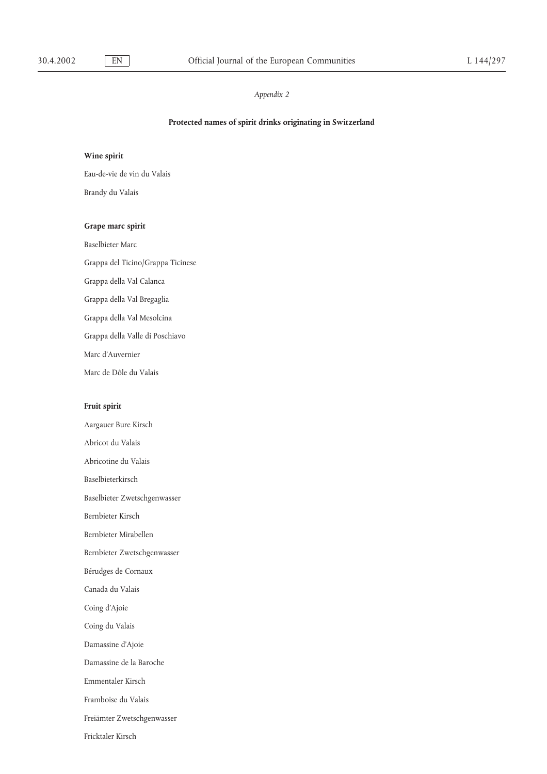# **Protected names of spirit drinks originating in Switzerland**

# **Wine spirit**

Eau-de-vie de vin du Valais

Brandy du Valais

### **Grape marc spirit**

Baselbieter Marc

Grappa del Ticino/Grappa Ticinese

Grappa della Val Calanca

Grappa della Val Bregaglia

Grappa della Val Mesolcina

Grappa della Valle di Poschiavo

Marc d'Auvernier

Marc de Dôle du Valais

# **Fruit spirit**

Aargauer Bure Kirsch Abricot du Valais Abricotine du Valais Baselbieterkirsch Baselbieter Zwetschgenwasser Bernbieter Kirsch Bernbieter Mirabellen Bernbieter Zwetschgenwasser Bérudges de Cornaux Canada du Valais Coing d'Ajoie Coing du Valais Damassine d'Ajoie Damassine de la Baroche Emmentaler Kirsch Framboise du Valais Freiämter Zwetschgenwasser Fricktaler Kirsch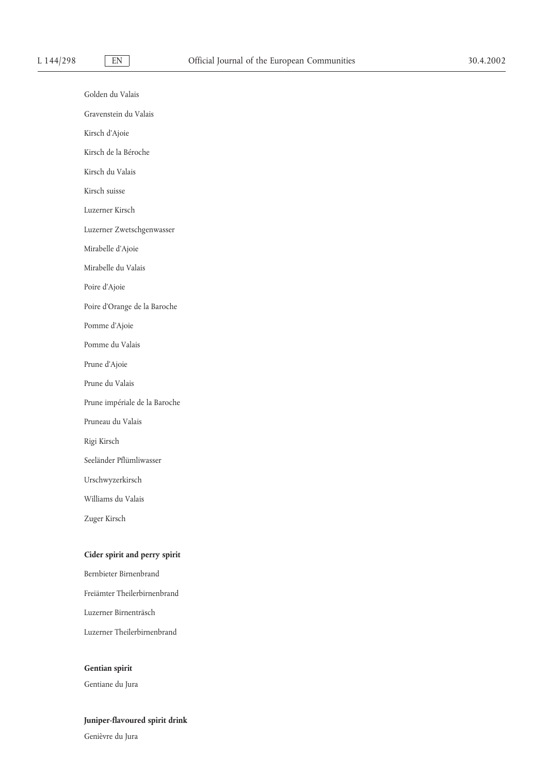Golden du Valais Gravenstein du Valais Kirsch d'Ajoie Kirsch de la Béroche Kirsch du Valais Kirsch suisse Luzerner Kirsch Luzerner Zwetschgenwasser Mirabelle d'Ajoie Mirabelle du Valais Poire d'Ajoie Poire d'Orange de la Baroche Pomme d'Ajoie Pomme du Valais Prune d'Ajoie Prune du Valais Prune impériale de la Baroche Pruneau du Valais Rigi Kirsch Seeländer Pflümliwasser Urschwyzerkirsch Williams du Valais Zuger Kirsch

# **Cider spirit and perry spirit**

Bernbieter Birnenbrand Freiämter Theilerbirnenbrand Luzerner Birnenträsch Luzerner Theilerbirnenbrand

# **Gentian spirit**

Gentiane du Jura

# **Juniper-flavoured spirit drink**

Genièvre du Jura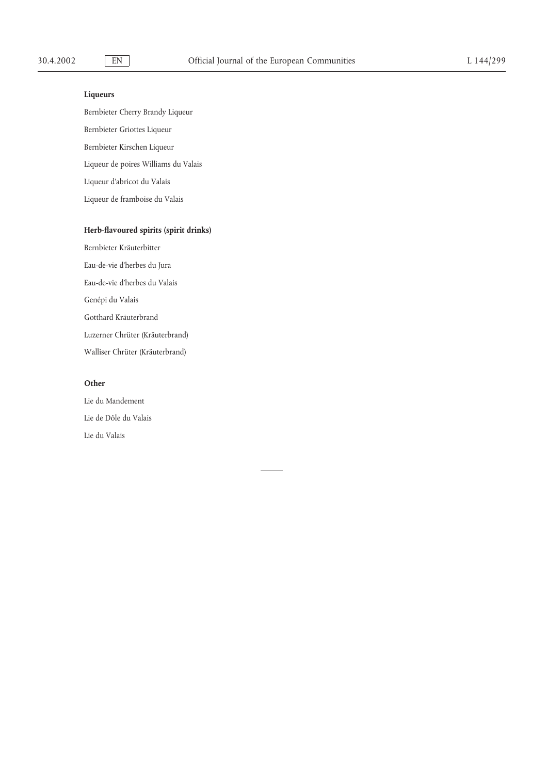# **Liqueurs**

Bernbieter Cherry Brandy Liqueur Bernbieter Griottes Liqueur Bernbieter Kirschen Liqueur Liqueur de poires Williams du Valais Liqueur d'abricot du Valais Liqueur de framboise du Valais

# **Herb-flavoured spirits (spirit drinks)**

Bernbieter Kräuterbitter Eau-de-vie d'herbes du Jura Eau-de-vie d'herbes du Valais Genépi du Valais Gotthard Kräuterbrand Luzerner Chrüter (Kräuterbrand) Walliser Chrüter (Kräuterbrand)

# **Other**

Lie du Mandement Lie de Dôle du Valais Lie du Valais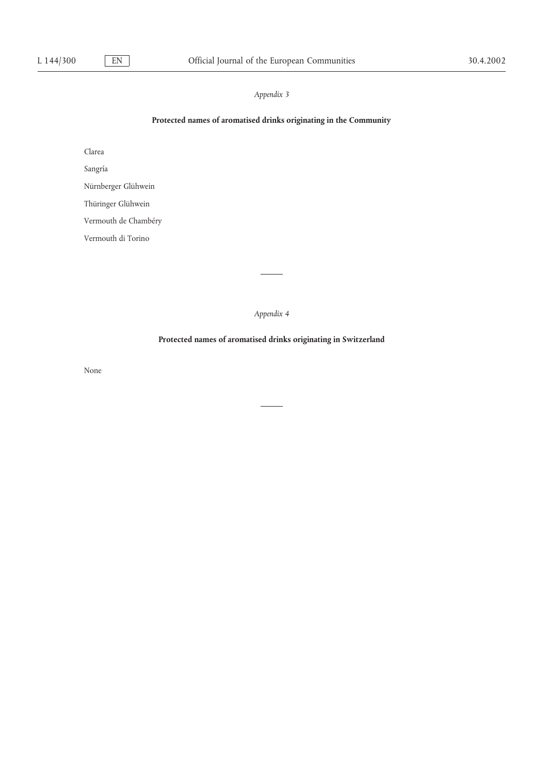# **Protected names of aromatised drinks originating in the Community**

Clarea

Sangría

Nürnberger Glühwein

Thüringer Glühwein

Vermouth de Chambéry

Vermouth di Torino

*Appendix 4*

# **Protected names of aromatised drinks originating in Switzerland**

None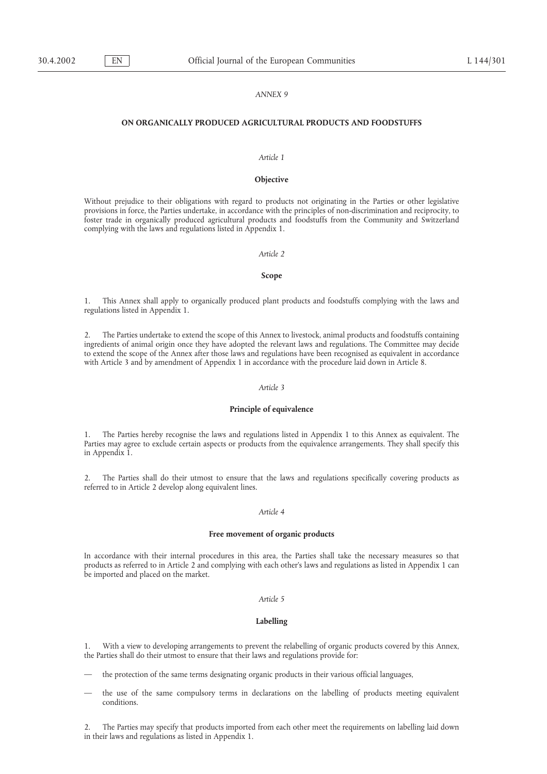### *ANNEX 9*

### **ON ORGANICALLY PRODUCED AGRICULTURAL PRODUCTS AND FOODSTUFFS**

### *Article 1*

### **Objective**

Without prejudice to their obligations with regard to products not originating in the Parties or other legislative provisions in force, the Parties undertake, in accordance with the principles of non-discrimination and reciprocity, to foster trade in organically produced agricultural products and foodstuffs from the Community and Switzerland complying with the laws and regulations listed in Appendix 1.

### *Article 2*

### **Scope**

1. This Annex shall apply to organically produced plant products and foodstuffs complying with the laws and regulations listed in Appendix 1.

2. The Parties undertake to extend the scope of this Annex to livestock, animal products and foodstuffs containing ingredients of animal origin once they have adopted the relevant laws and regulations. The Committee may decide to extend the scope of the Annex after those laws and regulations have been recognised as equivalent in accordance with Article 3 and by amendment of Appendix 1 in accordance with the procedure laid down in Article 8.

### *Article 3*

### **Principle of equivalence**

1. The Parties hereby recognise the laws and regulations listed in Appendix 1 to this Annex as equivalent. The Parties may agree to exclude certain aspects or products from the equivalence arrangements. They shall specify this in Appendix 1.

2. The Parties shall do their utmost to ensure that the laws and regulations specifically covering products as referred to in Article 2 develop along equivalent lines.

### *Article 4*

### **Free movement of organic products**

In accordance with their internal procedures in this area, the Parties shall take the necessary measures so that products as referred to in Article 2 and complying with each other's laws and regulations as listed in Appendix 1 can be imported and placed on the market.

### *Article 5*

### **Labelling**

1. With a view to developing arrangements to prevent the relabelling of organic products covered by this Annex, the Parties shall do their utmost to ensure that their laws and regulations provide for:

- the protection of the same terms designating organic products in their various official languages,
- the use of the same compulsory terms in declarations on the labelling of products meeting equivalent conditions.

2. The Parties may specify that products imported from each other meet the requirements on labelling laid down in their laws and regulations as listed in Appendix 1.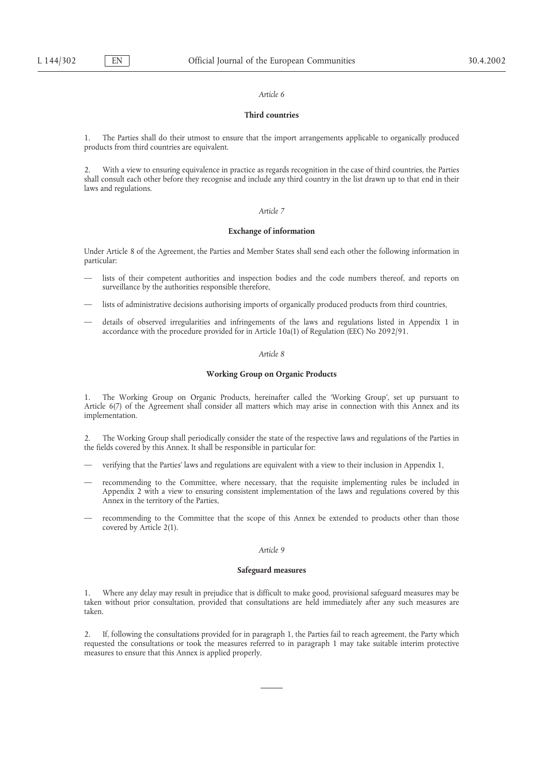### **Third countries**

1. The Parties shall do their utmost to ensure that the import arrangements applicable to organically produced products from third countries are equivalent.

2. With a view to ensuring equivalence in practice as regards recognition in the case of third countries, the Parties shall consult each other before they recognise and include any third country in the list drawn up to that end in their laws and regulations.

### *Article 7*

### **Exchange of information**

Under Article 8 of the Agreement, the Parties and Member States shall send each other the following information in particular:

- lists of their competent authorities and inspection bodies and the code numbers thereof, and reports on surveillance by the authorities responsible therefore,
- lists of administrative decisions authorising imports of organically produced products from third countries,
- details of observed irregularities and infringements of the laws and regulations listed in Appendix 1 in accordance with the procedure provided for in Article 10a(1) of Regulation (EEC) No 2092/91.

### *Article 8*

### **Working Group on Organic Products**

1. The Working Group on Organic Products, hereinafter called the 'Working Group', set up pursuant to Article 6(7) of the Agreement shall consider all matters which may arise in connection with this Annex and its implementation.

2. The Working Group shall periodically consider the state of the respective laws and regulations of the Parties in the fields covered by this Annex. It shall be responsible in particular for:

- verifying that the Parties' laws and regulations are equivalent with a view to their inclusion in Appendix 1,
- recommending to the Committee, where necessary, that the requisite implementing rules be included in Appendix 2 with a view to ensuring consistent implementation of the laws and regulations covered by this Annex in the territory of the Parties,
- recommending to the Committee that the scope of this Annex be extended to products other than those covered by Article 2(1).

### *Article 9*

### **Safeguard measures**

1. Where any delay may result in prejudice that is difficult to make good, provisional safeguard measures may be taken without prior consultation, provided that consultations are held immediately after any such measures are taken.

2. If, following the consultations provided for in paragraph 1, the Parties fail to reach agreement, the Party which requested the consultations or took the measures referred to in paragraph 1 may take suitable interim protective measures to ensure that this Annex is applied properly.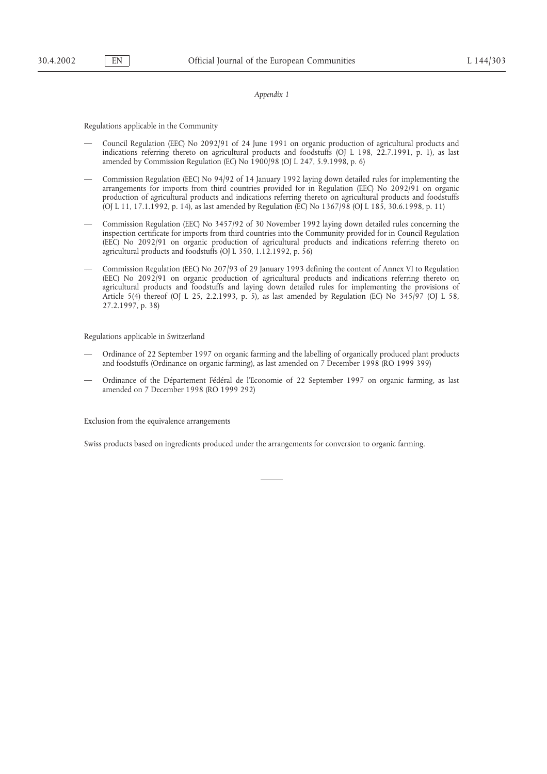Regulations applicable in the Community

- Council Regulation (EEC) No 2092/91 of 24 June 1991 on organic production of agricultural products and indications referring thereto on agricultural products and foodstuffs (OJ L 198, 22.7.1991, p. 1), as last amended by Commission Regulation (EC) No 1900/98 (OJ L 247, 5.9.1998, p. 6)
- Commission Regulation (EEC) No 94/92 of 14 January 1992 laying down detailed rules for implementing the arrangements for imports from third countries provided for in Regulation (EEC) No 2092/91 on organic production of agricultural products and indications referring thereto on agricultural products and foodstuffs (OJ L 11, 17.1.1992, p. 14), as last amended by Regulation (EC) No 1367/98 (OJ L 185, 30.6.1998, p. 11)
- Commission Regulation (EEC) No 3457/92 of 30 November 1992 laying down detailed rules concerning the inspection certificate for imports from third countries into the Community provided for in Council Regulation (EEC) No 2092/91 on organic production of agricultural products and indications referring thereto on agricultural products and foodstuffs (OJ L 350, 1.12.1992, p. 56)
- Commission Regulation (EEC) No 207/93 of 29 January 1993 defining the content of Annex VI to Regulation (EEC) No 2092/91 on organic production of agricultural products and indications referring thereto on agricultural products and foodstuffs and laying down detailed rules for implementing the provisions of Article 5(4) thereof (OJ L 25, 2.2.1993, p. 5), as last amended by Regulation (EC) No 345/97 (OJ L 58, 27.2.1997, p. 38)

Regulations applicable in Switzerland

- Ordinance of 22 September 1997 on organic farming and the labelling of organically produced plant products and foodstuffs (Ordinance on organic farming), as last amended on 7 December 1998 (RO 1999 399)
- Ordinance of the Département Fédéral de l'Economie of 22 September 1997 on organic farming, as last amended on 7 December 1998 (RO 1999 292)

Exclusion from the equivalence arrangements

Swiss products based on ingredients produced under the arrangements for conversion to organic farming.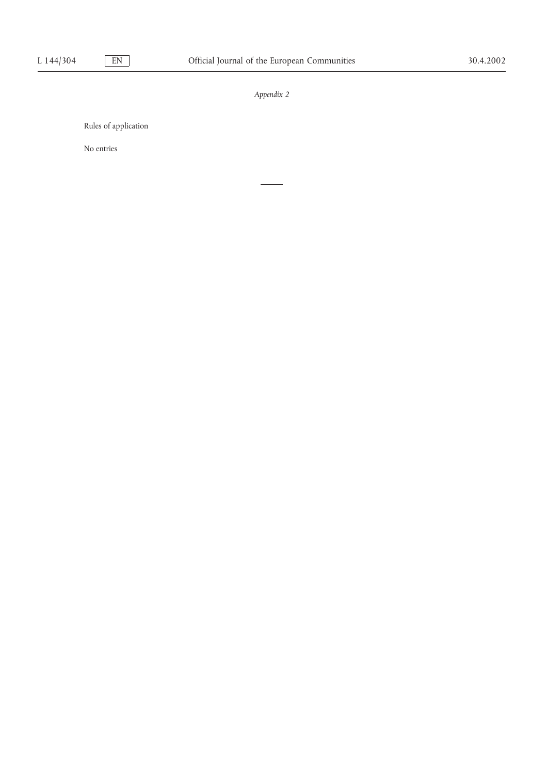Rules of application

No entries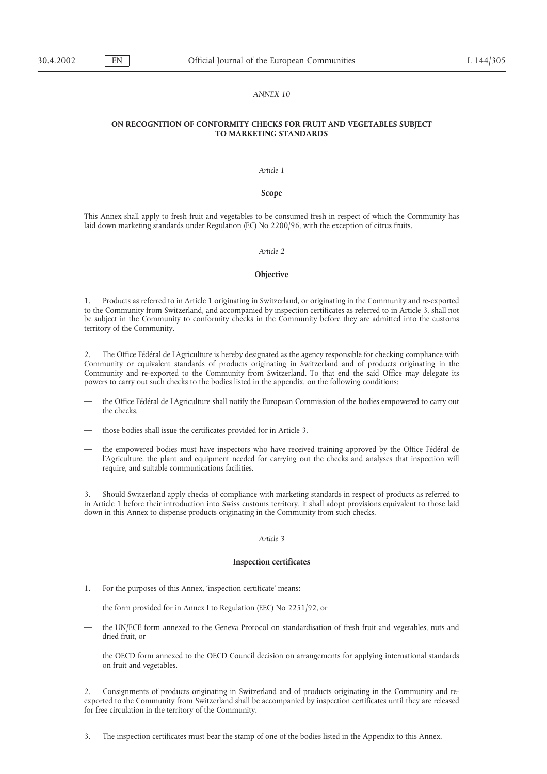### *ANNEX 10*

### **ON RECOGNITION OF CONFORMITY CHECKS FOR FRUIT AND VEGETABLES SUBJECT TO MARKETING STANDARDS**

### *Article 1*

### **Scope**

This Annex shall apply to fresh fruit and vegetables to be consumed fresh in respect of which the Community has laid down marketing standards under Regulation (EC) No 2200/96, with the exception of citrus fruits.

### *Article 2*

### **Objective**

1. Products as referred to in Article 1 originating in Switzerland, or originating in the Community and re-exported to the Community from Switzerland, and accompanied by inspection certificates as referred to in Article 3, shall not be subject in the Community to conformity checks in the Community before they are admitted into the customs territory of the Community.

2. The Office Fédéral de l'Agriculture is hereby designated as the agency responsible for checking compliance with Community or equivalent standards of products originating in Switzerland and of products originating in the Community and re-exported to the Community from Switzerland. To that end the said Office may delegate its powers to carry out such checks to the bodies listed in the appendix, on the following conditions:

- the Office Fédéral de l'Agriculture shall notify the European Commission of the bodies empowered to carry out the checks,
- those bodies shall issue the certificates provided for in Article 3,
- the empowered bodies must have inspectors who have received training approved by the Office Fédéral de l'Agriculture, the plant and equipment needed for carrying out the checks and analyses that inspection will require, and suitable communications facilities.

3. Should Switzerland apply checks of compliance with marketing standards in respect of products as referred to in Article 1 before their introduction into Swiss customs territory, it shall adopt provisions equivalent to those laid down in this Annex to dispense products originating in the Community from such checks.

### *Article 3*

### **Inspection certificates**

- 1. For the purposes of this Annex, 'inspection certificate' means:
- the form provided for in Annex I to Regulation (EEC) No 2251/92, or
- the UN/ECE form annexed to the Geneva Protocol on standardisation of fresh fruit and vegetables, nuts and dried fruit, or
- the OECD form annexed to the OECD Council decision on arrangements for applying international standards on fruit and vegetables.

2. Consignments of products originating in Switzerland and of products originating in the Community and reexported to the Community from Switzerland shall be accompanied by inspection certificates until they are released for free circulation in the territory of the Community.

3. The inspection certificates must bear the stamp of one of the bodies listed in the Appendix to this Annex.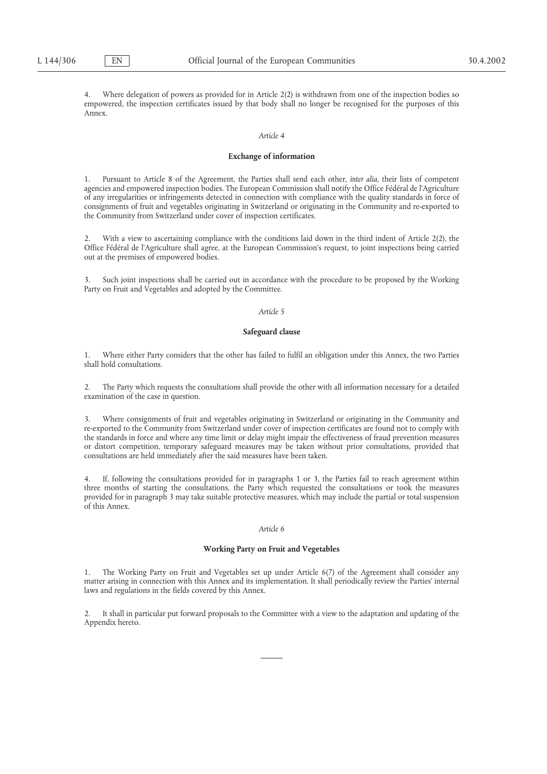4. Where delegation of powers as provided for in Article 2(2) is withdrawn from one of the inspection bodies so empowered, the inspection certificates issued by that body shall no longer be recognised for the purposes of this Annex.

### *Article 4*

### **Exchange of information**

1. Pursuant to Article 8 of the Agreement, the Parties shall send each other, *inter alia*, their lists of competent agencies and empowered inspection bodies. The European Commission shall notify the Office Fédéral de l'Agriculture of any irregularities or infringements detected in connection with compliance with the quality standards in force of consignments of fruit and vegetables originating in Switzerland or originating in the Community and re-exported to the Community from Switzerland under cover of inspection certificates.

2. With a view to ascertaining compliance with the conditions laid down in the third indent of Article 2(2), the Office Fédéral de l'Agriculture shall agree, at the European Commission's request, to joint inspections being carried out at the premises of empowered bodies.

3. Such joint inspections shall be carried out in accordance with the procedure to be proposed by the Working Party on Fruit and Vegetables and adopted by the Committee.

### *Article 5*

### **Safeguard clause**

1. Where either Party considers that the other has failed to fulfil an obligation under this Annex, the two Parties shall hold consultations.

2. The Party which requests the consultations shall provide the other with all information necessary for a detailed examination of the case in question.

3. Where consignments of fruit and vegetables originating in Switzerland or originating in the Community and re-exported to the Community from Switzerland under cover of inspection certificates are found not to comply with the standards in force and where any time limit or delay might impair the effectiveness of fraud prevention measures or distort competition, temporary safeguard measures may be taken without prior consultations, provided that consultations are held immediately after the said measures have been taken.

4. If, following the consultations provided for in paragraphs 1 or 3, the Parties fail to reach agreement within three months of starting the consultations, the Party which requested the consultations or took the measures provided for in paragraph 3 may take suitable protective measures, which may include the partial or total suspension of this Annex.

### *Article 6*

### **Working Party on Fruit and Vegetables**

1. The Working Party on Fruit and Vegetables set up under Article 6(7) of the Agreement shall consider any matter arising in connection with this Annex and its implementation. It shall periodically review the Parties' internal laws and regulations in the fields covered by this Annex.

2. It shall in particular put forward proposals to the Committee with a view to the adaptation and updating of the Appendix hereto.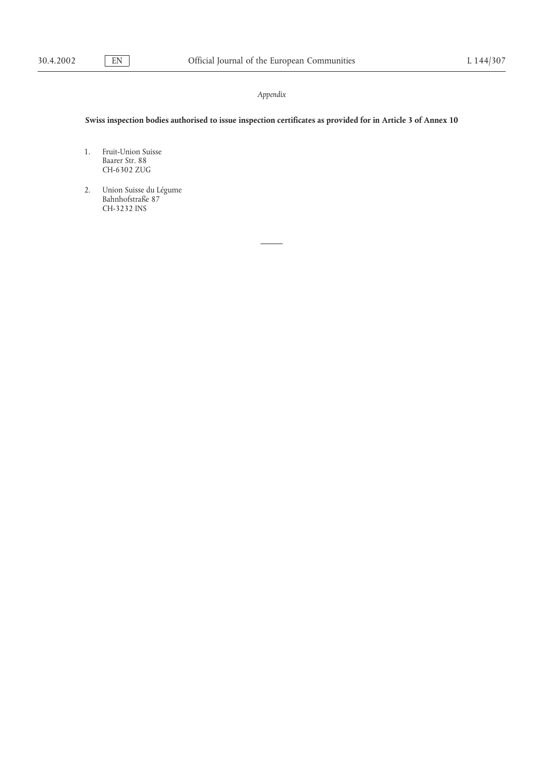# **Swiss inspection bodies authorised to issue inspection certificates as provided for in Article 3 of Annex 10**

- 1. Fruit-Union Suisse Baarer Str. 88 CH-6302 ZUG
- 2. Union Suisse du Légume Bahnhofstraße 87 CH-3232 INS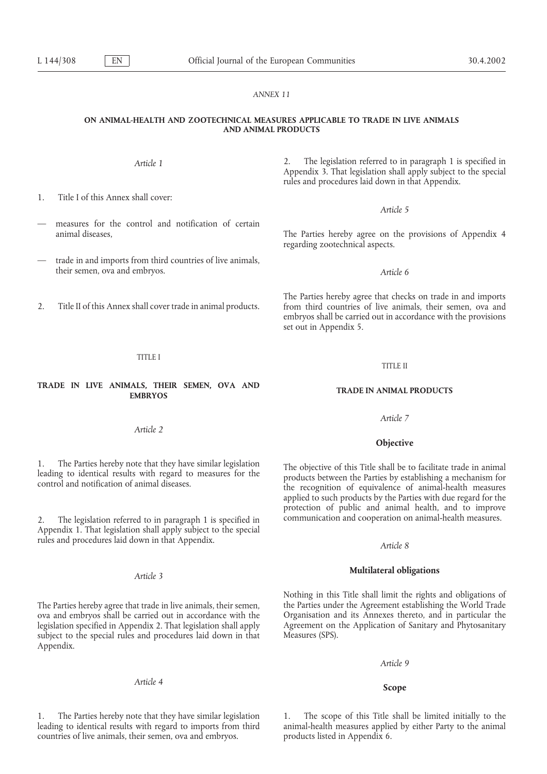### *ANNEX 11*

### **ON ANIMAL-HEALTH AND ZOOTECHNICAL MEASURES APPLICABLE TO TRADE IN LIVE ANIMALS AND ANIMAL PRODUCTS**

1. Title I of this Annex shall cover:

- measures for the control and notification of certain
- trade in and imports from third countries of live animals, their semen, ova and embryos. *Article 6*
- 

TITLE I

# **TRADE IN LIVE ANIMALS, THEIR SEMEN, OVA AND TRADE IN ANIMAL PRODUCTS EMBRYOS**

*Article 2*

2. The legislation referred to in paragraph 1 is specified in communication and cooperation on animal-health measures. Appendix 1. That legislation shall apply subject to the special rules and procedures laid down in that Appendix. *Article 8*

ova and embryos shall be carried out in accordance with the Organisation and its Annexes thereto, and in particular the legislation specified in Appendix 2. That legislation shall apply Agreement on the Application of Sani legislation specified in Appendix 2. That legislation shall apply subject to the special rules and procedures laid down in that Measures (SPS). Appendix.

# *Article 4* **Scope**

leading to identical results with regard to imports from third animal-health measures applied by either Party to the animal countries of live animals, their semen, ova and embryos. products listed in Appendix 6.

*Article 1* 2. The legislation referred to in paragraph 1 is specified in Appendix 3. That legislation shall apply subject to the special rules and procedures laid down in that Appendix.

### *Article 5*

animal diseases, The Parties hereby agree on the provisions of Appendix 4 regarding zootechnical aspects.

The Parties hereby agree that checks on trade in and imports 2. Title II of this Annex shall cover trade in animal products. from third countries of live animals, their semen, ova and embryos shall be carried out in accordance with the provisions set out in Appendix 5.

### TITLE II

*Article 7*

### **Objective**

1. The Parties hereby note that they have similar legislation<br>leading to identical results with regard to measures for the products between the Parties by establishing a mechanism for<br>control and notification of animal dis applied to such products by the Parties with due regard for the protection of public and animal health, and to improve

# **Multilateral obligations** *Article 3*

Nothing in this Title shall limit the rights and obligations of The Parties hereby agree that trade in live animals, their semen, the Parties under the Agreement establishing the World Trade

### *Article 9*

1. The Parties hereby note that they have similar legislation 1. The scope of this Title shall be limited initially to the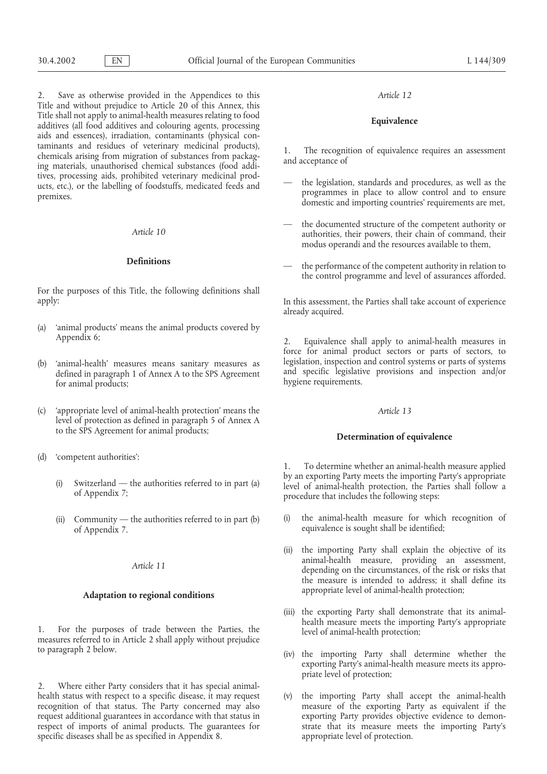2. Save as otherwise provided in the Appendices to this *Article 12* Title and without prejudice to Article 20 of this Annex, this Title shall not apply to animal-health measures relating to food **Equivalence** additives (all food additives and colouring agents, processing aids and essences), irradiation, contaminants (physical conchannel and residues of veterinary ineutinial products),<br>chemicals arising from migration of substances from packag-<br>ing materials, unauthorised chemical substances (food addi-<br>tives, processing aids, prohibited veterinary

For the purposes of this Title, the following definitions shall apply: In this assessment, the Parties shall take account of experience

- (a) 'animal products' means the animal products covered by Appendix 6; 2. Equivalence shall apply to animal-health measures in
- (b) 'animal-health' measures means sanitary measures as legislation, inspection and control systems or parts of systems defined in paragraph 1 of Annex A to the SPS Agreement and specific legislative provisions and inspect
- (c) 'appropriate level of animal-health protection' means the *Article 13* level of protection as defined in paragraph 5 of Annex A to the SPS Agreement for animal products; **Determination of equivalence**
- (d) 'competent authorities':
	-
	-

1. For the purposes of trade between the Parties, the level of animal-health protection; measures referred to in Article 2 shall apply without prejudice to paragraph 2 below. (iv) the importing Party shall determine whether the

2. Where either Party considers that it has special animalhealth status with respect to a specific disease, it may request (v) the importing Party shall accept the animal-health respect of imports of animal products. The guarantees for specific diseases shall be as specified in Appendix 8.  $appropriate level of protection.$ 

- the legislation, standards and procedures, as well as the ucts, etc.), or the labelling of foodstuffs, medicated feeds and programmes in place to allow control and to ensure domestic and importing countries' requirements a
	- the documented structure of the competent authority or *Article 10* authorities, their powers, their chain of command, their modus operandi and the resources available to them,
	- **Definitions** the performance of the competent authority in relation to the control programme and level of assurances afforded.

already acquired.

force for animal product sectors or parts of sectors, to legislation, inspection and control systems or parts of systems

1. To determine whether an animal-health measure applied (i) Switzerland — the authorities referred to in part (a) by an exporting Party meets the importing Party's appropriate of Appendix 7;<br>of Appendix 7;

- (ii) Community the authorities referred to in part (b)  $\qquad$  (i) the animal-health measure for which recognition of of Appendix 7. equivalence is sought shall be identified;
	- (ii) the importing Party shall explain the objective of its animal-health measure, providing an assessment, animal-health measure, providing an assessment, *Article 11* depending on the circumstances, of the risk or risks that the measure is intended to address; it shall define its appropriate level of animal-health protection; **Adaptation to regional conditions**
		- (iii) the exporting Party shall demonstrate that its animal-<br>health measure meets the importing Party's appropriate
		- exporting Party's animal-health measure meets its appropriate level of protection;
- recognition of that status. The Party concerned may also measure of the exporting Party as equivalent if the request additional guarantees in accordance with that status in exporting Party provides objective evidence to demon-<br>respect of imports of animal products. The guarantees for strate that its measure meets the importing Pa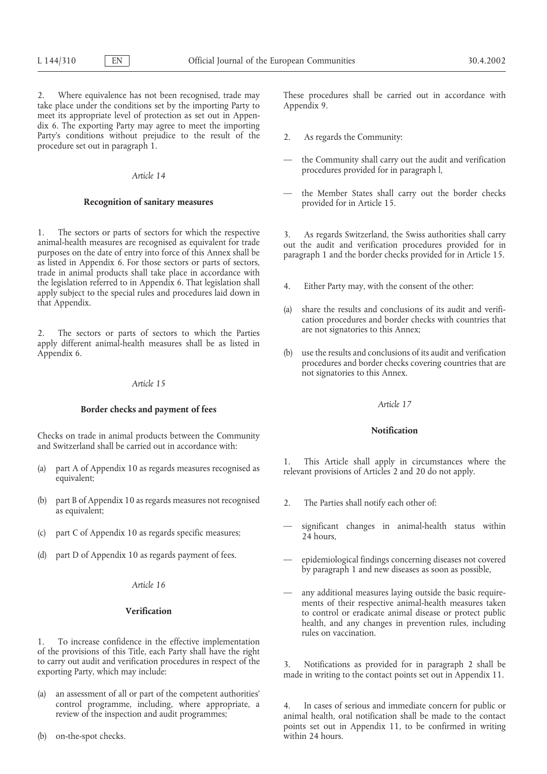2. Where equivalence has not been recognised, trade may These procedures shall be carried out in accordance with take place under the conditions set by the importing Party to Appendix 9. meet its appropriate level of protection as set out in Appendix 6. The exporting Party may agree to meet the importing Party's conditions without prejudice to the result of the 2. As regards the Community: procedure set out in paragraph 1.

1. The sectors or parts of sectors for which the respective animal-health measures are recognised as equivalent for trade animal-health measures are recognised as equivalent for trade purposes on the date of entry into for trade in animal products shall take place in accordance with the legislation referred to in Appendix 6. That legislation shall 4. Either Party may, with the consent of the other: apply subject to the special rules and procedures laid down in that Appendix. (a) share the results and conclusions of its audit and verifi-

are not signatories to this Annex; 2. The sectors or parts of sectors to which the Parties apply different animal-health measures shall be as listed in Appendix 6. (b) use the results and conclusions of its audit and verification

### *Article 15*

# *Article 17* **Border checks and payment of fees**

**Notification** Checks on trade in animal products between the Community and Switzerland shall be carried out in accordance with:

- 
- (b) part B of Appendix 10 as regards measures not recognised 2. The Parties shall notify each other of: as equivalent;
- 
- (d) part D of Appendix 10 as regards payment of fees. epidemiological findings concerning diseases not covered

### *Article 16*

1. To increase confidence in the effective implementation of the provisions of this Title, each Party shall have the right

- (a) an assessment of all or part of the competent authorities'
- (b) on-the-spot checks. within 24 hours.

- 
- the Community shall carry out the audit and verification procedures provided for in paragraph l, *Article 14*
- **Recognition of sanitary measures**  $\qquad -$  the Member States shall carry out the border checks provided for in Article 15.

- 
- cation procedures and border checks with countries that
- procedures and border checks covering countries that are not signatories to this Annex.

(a) part A of Appendix 10 as regards measures recognised as  $\begin{array}{c} 1. \\$  This Article shall apply in circumstances where the relevant provisions of Articles 2 and 20 do not apply.

- 
- significant changes in animal-health status within (c) part C of Appendix 10 as regards specific measures; 24 hours,
	- by paragraph 1 and new diseases as soon as possible,
	- any additional measures laying outside the basic requirements of their respective animal-health measures taken **Verification Verification** measures to control or eradicate animal-disease or protect public health, and any changes in prevention rules, including rules on vaccination.

to carry out audit and verification procedures in respect of the 3. Notifications as provided for in paragraph 2 shall be exporting Party, which may include: made in writing to the contact points set out in Appendix 11.

control programme, including, where appropriate, a 4. In cases of serious and immediate concern for public or review of the inspection and audit programmes; animal health, oral notification shall be made to the contact points set out in Appendix 11, to be confirmed in writing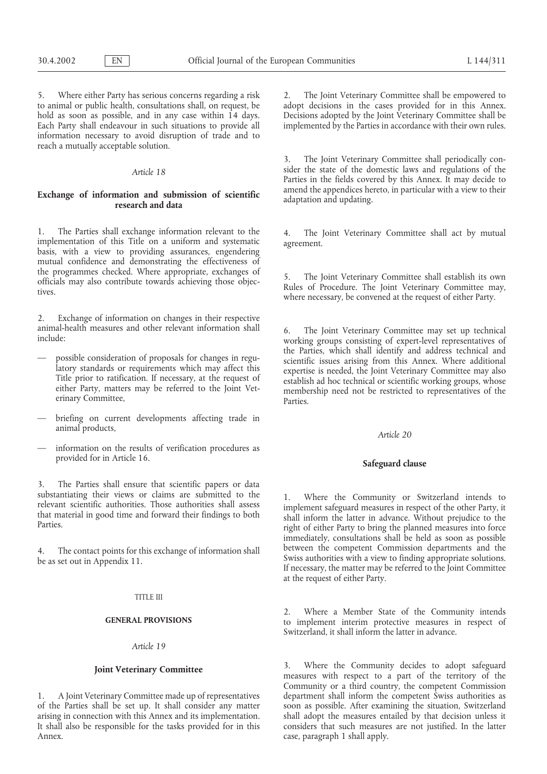5. Where either Party has serious concerns regarding a risk 2. The Joint Veterinary Committee shall be empowered to to animal or public health, consultations shall, on request, be adopt decisions in the cases provided for in this Annex.<br>hold as soon as possible, and in any case within 14 days. Decisions adopted by the Joint Veterinary C hold as soon as possible, and in any case within 14 days. Decisions adopted by the Joint Veterinary Committee shall be Each Party shall endeavour in such situations to provide all implemented by the Parties in accordance w Each Party shall endeavour in such situations to provide all information necessary to avoid disruption of trade and to reach a mutually acceptable solution.

# Exchange of information and submission of scientific and the appendices here adaptation and updating.

1. The Parties shall exchange information relevant to the the state of the Soint Veterinary Committee shall act by mutual implementation of this Title on a uniform and systematic basis, with a view to providing assurances, mutual confidence and demonstrating the effectiveness of the programmes checked. Where appropriate, exchanges of the Joint Veterinary Committee shall establish its own<br>officials may also contribute towards achieving those objec-<br>tives.<br>where necessary, be convened at the request

2. Exchange of information on changes in their respective

- 
- briefing on current developments affecting trade in animal products. animal products, *Article 20*
- information on the results of verification procedures as provided for in Article 16. **Safeguard clause**

3. The Parties shall ensure that scientific papers or data

### TITLE III

# *Article 19*

arising in connection with this Annex and its implementation. Annex. **case, paragraph 1 shall apply.** 

The Joint Veterinary Committee shall periodically con-*Article 18* sider the state of the domestic laws and regulations of the Parties in the fields covered by this Annex. It may decide to amend the appendices hereto, in particular with a view to their

animal-health measures and other relevant information shall 6. The Joint Veterinary Committee may set up technical include:<br>working groups consisting of expert-level representatives of<br>the Parties, which shall identify and - possible consideration of proposals for changes in regu-<br>latory standards or requirements which may affect this<br>Title prior to ratification. If necessary, at the request of<br>either Party, matters may be referred to the Jo

substantiating their views or claims are submitted to the<br>relevant scientific authorities. Those authorities shall assess<br>that material in good time and forward their findings to both<br>Parties.<br>Those authorities shall asses immediately, consultations shall be held as soon as possible between the competent Commission departments and the 4. The contact points for this exchange of information shall between the competent Commission departments and the be as set out in Appendix 11.<br>If necessary, the matter may be referred to the Joint Committee at the request of either Party.

> 2. Where a Member State of the Community intends **GENERAL PROVISIONS** to implement interim protective measures in respect of Switzerland, it shall inform the latter in advance.

**Joint Veterinary Committee** 3. Where the Community decides to adopt safeguard measures with respect to a part of the territory of the Community or a third country, the competent Commission 1. A Joint Veterinary Committee made up of representatives department shall inform the competent Swiss authorities as of the Parties shall be set up. It shall consider any matter soon as possible. After examining the situation, Switzerland It shall also be responsible for the tasks provided for in this considers that such measures are not justified. In the latter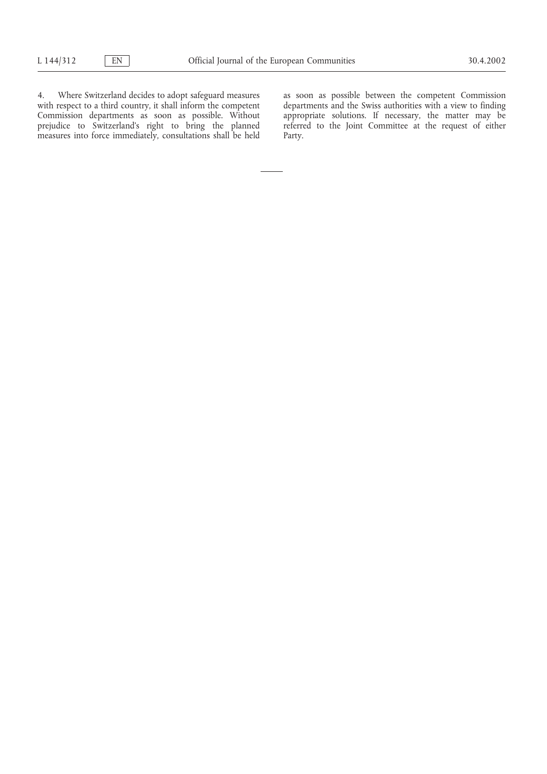4. Where Switzerland decides to adopt safeguard measures as soon as possible between the competent Commission with respect to a third country, it shall inform the competent departments and the Swiss authorities with a view with respect to a third country, it shall inform the competent departments and the Swiss authorities with a view to finding Commission departments as soon as possible. Without appropriate solutions. If necessary, the matte Commission departments as soon as possible. Without appropriate solutions. If necessary, the matter may be prejudice to Switzerland's right to bring the planned referred to the Joint Committee at the request of either measures into force immediately, consultations shall be held Party.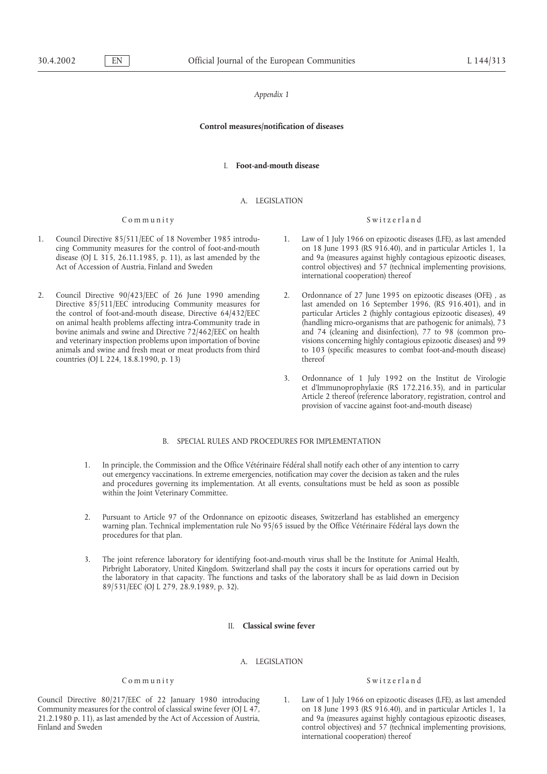## **Control measures/notification of diseases**

## I. **Foot-and-mouth disease**

## A. LEGISLATION

### Community Switzerland

- 1. Council Directive 85/511/EEC of 18 November 1985 introdu-<br>
ing Community measures for the control of foot-and-mouth<br>
on 18 June 1993 (RS 916.40), and in particular Articles 1, 1a
- countries (OJ L 224, 18.8.1990, p. 13)

- on 18 June 1993 (RS 916.40), and in particular Articles 1, 1a disease (OJ L 315, 26.11.1985, p. 11), as last amended by the and 9a (measures against highly contagious epizootic diseases,<br>Act of Accession of Austria, Finland and Sweden control objectives) and 57 (technical implementin control objectives) and 57 (technical implementing provisions, international cooperation) thereof
- 2. Council Directive 90/423/EEC of 26 June 1990 amending 2. Ordonnance of 27 June 1995 on epizootic diseases (OFE) , as Directive 85/511/EEC introducing Community measures for last amended on 16 September 1996, (RS 916.401), and in the control of foot-and-mouth disease, Directive 64/432/EEC particular Articles 2 (highly contagious epizootic diseases), 49 on animal health problems affecting intra-Community trade in (handling micro-organisms that are pathogenic for animals), 73 bovine animals and swine and Directive 72/462/EEC on health and 74 (cleaning and disinfection), 77 to 98 (common proand veterinary inspection problems upon importation of bovine visions concerning highly contagious epizootic diseases) and 99 animals and swine and fresh meat or meat products from third to 103 (specific measures to combat foot-and-mouth disease)<br>
thereof<br>
thereof
	- 3. Ordonnance of 1 July 1992 on the Institut de Virologie et d'Immunoprophylaxie (RS 172.216.35), and in particular Article 2 thereof (reference laboratory, registration, control and provision of vaccine against foot-and-mouth disease)

## B. SPECIAL RULES AND PROCEDURES FOR IMPLEMENTATION

- 1. In principle, the Commission and the Office Vétérinaire Fédéral shall notify each other of any intention to carry out emergency vaccinations. In extreme emergencies, notification may cover the decision as taken and the rules and procedures governing its implementation. At all events, consultations must be held as soon as possible within the Joint Veterinary Committee.
- 2. Pursuant to Article 97 of the Ordonnance on epizootic diseases, Switzerland has established an emergency warning plan. Technical implementation rule No 95/65 issued by the Office Vétérinaire Fédéral lays down the procedures for that plan.
- 3. The joint reference laboratory for identifying foot-and-mouth virus shall be the Institute for Animal Health, Pirbright Laboratory, United Kingdom. Switzerland shall pay the costs it incurs for operations carried out by the laboratory in that capacity. The functions and tasks of the laboratory shall be as laid down in Decision 89/531/EEC (OJ L 279, 28.9.1989, p. 32).

## II. **Classical swine fever**

## A. LEGISLATION

Council Directive 80/217/EEC of 22 January 1980 introducing 1. Law of 1 July 1966 on epizootic diseases (LFE), as last amended<br>Community measures for the control of classical swine fever (OJ L 47, on 18 June 1993 (RS 916.4 Community measures for the control of classical swine fever (OJ L 47, on 18 June 1993 (RS 916.40), and in particular Articles 1, 1a 21.2.1980 p. 11), as last amended by the Act of Accession of Austria, and 9a (measures aga 21.2.1980 p. 11), as last amended by the Act of Accession of Austria, Finland and Sweden control objectives) and 57 (technical implementing provisions,

## Community Switzerland

international cooperation) thereof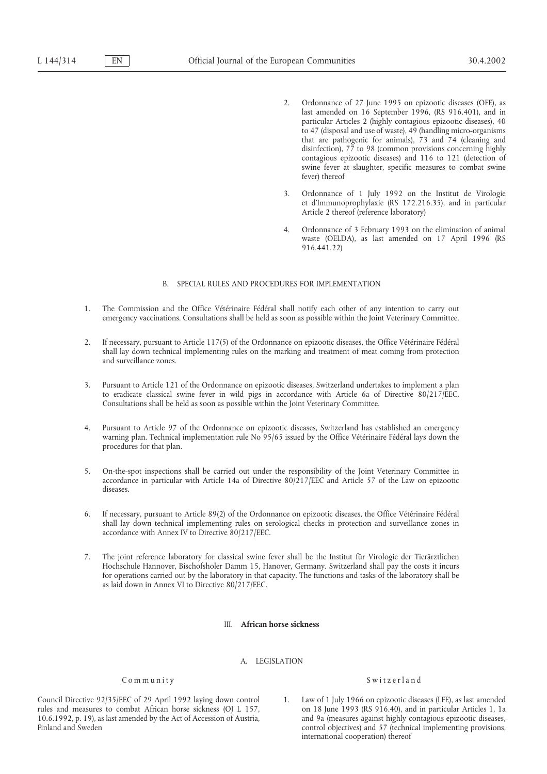- 2. Ordonnance of 27 June 1995 on epizootic diseases (OFE), as last amended on 16 September 1996, (RS 916.401), and in particular Articles 2 (highly contagious epizootic diseases), 40 to 47 (disposal and use of waste), 49 (handling micro-organisms that are pathogenic for animals), 73 and 74 (cleaning and disinfection), 77 to 98 (common provisions concerning highly contagious epizootic diseases) and 116 to 121 (detection of swine fever at slaughter, specific measures to combat swine fever) thereof
- 3. Ordonnance of 1 July 1992 on the Institut de Virologie et d'Immunoprophylaxie (RS 172.216.35), and in particular Article 2 thereof (reference laboratory)
- 4. Ordonnance of 3 February 1993 on the elimination of animal waste (OELDA), as last amended on 17 April 1996 (RS 916.441.22)

## B. SPECIAL RULES AND PROCEDURES FOR IMPLEMENTATION

- 1. The Commission and the Office Vétérinaire Fédéral shall notify each other of any intention to carry out emergency vaccinations. Consultations shall be held as soon as possible within the Joint Veterinary Committee.
- 2. If necessary, pursuant to Article 117(5) of the Ordonnance on epizootic diseases, the Office Vétérinaire Fédéral shall lay down technical implementing rules on the marking and treatment of meat coming from protection and surveillance zones.
- 3. Pursuant to Article 121 of the Ordonnance on epizootic diseases, Switzerland undertakes to implement a plan to eradicate classical swine fever in wild pigs in accordance with Article 6a of Directive 80/217/EEC. Consultations shall be held as soon as possible within the Joint Veterinary Committee.
- 4. Pursuant to Article 97 of the Ordonnance on epizootic diseases, Switzerland has established an emergency warning plan. Technical implementation rule No 95/65 issued by the Office Vétérinaire Fédéral lays down the procedures for that plan.
- 5. On-the-spot inspections shall be carried out under the responsibility of the Joint Veterinary Committee in accordance in particular with Article 14a of Directive 80/217/EEC and Article 57 of the Law on epizootic diseases.
- 6. If necessary, pursuant to Article 89(2) of the Ordonnance on epizootic diseases, the Office Vétérinaire Fédéral shall lay down technical implementing rules on serological checks in protection and surveillance zones in accordance with Annex IV to Directive 80/217/EEC.
- 7. The joint reference laboratory for classical swine fever shall be the Institut für Virologie der Tierärztlichen Hochschule Hannover, Bischofsholer Damm 15, Hanover, Germany. Switzerland shall pay the costs it incurs for operations carried out by the laboratory in that capacity. The functions and tasks of the laboratory shall be as laid down in Annex VI to Directive 80/217/EEC.

## III. **African horse sickness**

## A. LEGISLATION

Council Directive 92/35/EEC of 29 April 1992 laying down control 1. Law of 1 July 1966 on epizootic diseases (LFE), as last amended rules and measures to combat African horse sickness (OJ L 157, 00 18 June 1993 (RS 916.40) rules and measures to combat African horse sickness (OJ L 157, on 18 June 1993 (RS 916.40), and in particular Articles 1, 1a 10.6.1992, p. 19), as last amended by the Act of Accession of Austria, and 9a (measures against h 10.6.1992, p. 19), as last amended by the Act of Accession of Austria, Finland and Sweden control objectives) and 57 (technical implementing provisions,

## Community Switzerland

international cooperation) thereof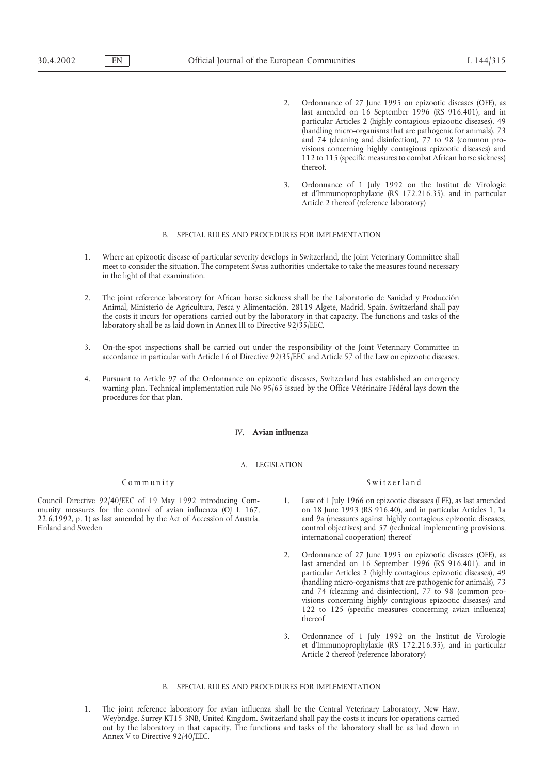- 2. Ordonnance of 27 June 1995 on epizootic diseases (OFE), as last amended on 16 September 1996 (RS 916.401), and in particular Articles 2 (highly contagious epizootic diseases), 49 (handling micro-organisms that are pathogenic for animals), 73 and 74 (cleaning and disinfection), 77 to 98 (common provisions concerning highly contagious epizootic diseases) and 112 to 115 (specific measures to combat African horse sickness) thereof.
- 3. Ordonnance of 1 July 1992 on the Institut de Virologie et d'Immunoprophylaxie (RS 172.216.35), and in particular Article 2 thereof (reference laboratory)

## B. SPECIAL RULES AND PROCEDURES FOR IMPLEMENTATION

- 1. Where an epizootic disease of particular severity develops in Switzerland, the Joint Veterinary Committee shall meet to consider the situation. The competent Swiss authorities undertake to take the measures found necessary in the light of that examination.
- 2. The joint reference laboratory for African horse sickness shall be the Laboratorio de Sanidad y Producción Animal, Ministerio de Agricultura, Pesca y Alimentación, 28119 Algete, Madrid, Spain. Switzerland shall pay the costs it incurs for operations carried out by the laboratory in that capacity. The functions and tasks of the laboratory shall be as laid down in Annex III to Directive 92/35/EEC.
- 3. On-the-spot inspections shall be carried out under the responsibility of the Joint Veterinary Committee in accordance in particular with Article 16 of Directive 92/35/EEC and Article 57 of the Law on epizootic diseases.
- 4. Pursuant to Article 97 of the Ordonnance on epizootic diseases, Switzerland has established an emergency warning plan. Technical implementation rule No 95/65 issued by the Office Vétérinaire Fédéral lays down the procedures for that plan.

### IV. **Avian influenza**

#### A. LEGISLATION

 $22.6.1992$ , p. 1) as last amended by the Act of Accession of Austria,

## Community Switzerland

- Council Directive 92/40/EEC of 19 May 1992 introducing Com- 1. Law of 1 July 1966 on epizootic diseases (LFE), as last amended munity measures for the control of avian influenza (OJ L 167, on 18 June 1993 (RS 916.40), and in particular Articles 1, 1a<br>22.6.1992, p. 1) as last amended by the Act of Accession of Austria, and 9a (measures against high Finland and Sweden control objectives) and 57 (technical implementing provisions, international cooperation) thereof
	- 2. Ordonnance of 27 June 1995 on epizootic diseases (OFE), as last amended on 16 September 1996 (RS 916.401), and in particular Articles 2 (highly contagious epizootic diseases), 49 (handling micro-organisms that are pathogenic for animals), 73 and 74 (cleaning and disinfection), 77 to 98 (common provisions concerning highly contagious epizootic diseases) and 122 to 125 (specific measures concerning avian influenza) thereof
	- 3. Ordonnance of 1 July 1992 on the Institut de Virologie et d'Immunoprophylaxie (RS 172.216.35), and in particular Article 2 thereof (reference laboratory)

### B. SPECIAL RULES AND PROCEDURES FOR IMPLEMENTATION

1. The joint reference laboratory for avian influenza shall be the Central Veterinary Laboratory, New Haw, Weybridge, Surrey KT15 3NB, United Kingdom. Switzerland shall pay the costs it incurs for operations carried out by the laboratory in that capacity. The functions and tasks of the laboratory shall be as laid down in Annex V to Directive 92/40/EEC.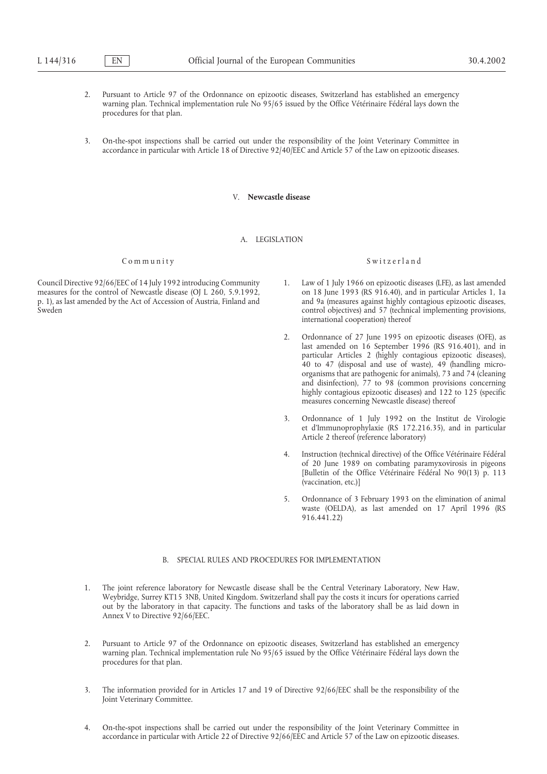- 2. Pursuant to Article 97 of the Ordonnance on epizootic diseases, Switzerland has established an emergency warning plan. Technical implementation rule No 95/65 issued by the Office Vétérinaire Fédéral lays down the procedures for that plan.
- 3. On-the-spot inspections shall be carried out under the responsibility of the Joint Veterinary Committee in accordance in particular with Article 18 of Directive 92/40/EEC and Article 57 of the Law on epizootic diseases.

# V. **Newcastle disease**

## A. LEGISLATION

## Community Switzerland

measures for the control of Newcastle disease (OJ L  $260$ , 5.9.1992,

- Council Directive 92/66/EEC of 14 July 1992 introducing Community 1. Law of 1 July 1966 on epizootic diseases (LFE), as last amended measures for the control of Newcastle disease (OJ L 260, 5.9.1992, on 18 June 1993 (RS 91 p. 1), as last amended by the Act of Accession of Austria, Finland and and and 9a (measures against highly contagious epizootic diseases, control objectives) and 57 (technical implementing provisions. control objectives) and 57 (technical implementing provisions, international cooperation) thereof
	- 2. Ordonnance of 27 June 1995 on epizootic diseases (OFE), as last amended on 16 September 1996 (RS 916.401), and in particular Articles 2 (highly contagious epizootic diseases), 40 to 47 (disposal and use of waste), 49 (handling microorganisms that are pathogenic for animals), 73 and 74 (cleaning and disinfection), 77 to 98 (common provisions concerning highly contagious epizootic diseases) and 122 to 125 (specific measures concerning Newcastle disease) thereof
	- 3. Ordonnance of 1 July 1992 on the Institut de Virologie et d'Immunoprophylaxie (RS 172.216.35), and in particular Article 2 thereof (reference laboratory)
	- 4. Instruction (technical directive) of the Office Vétérinaire Fédéral of 20 June 1989 on combating paramyxovirosis in pigeons [Bulletin of the Office Vétérinaire Fédéral No 90(13) p. 113 (vaccination, etc.)]
	- 5. Ordonnance of 3 February 1993 on the elimination of animal waste (OELDA), as last amended on 17 April 1996 (RS 916.441.22)

# B. SPECIAL RULES AND PROCEDURES FOR IMPLEMENTATION

- 1. The joint reference laboratory for Newcastle disease shall be the Central Veterinary Laboratory, New Haw, Weybridge, Surrey KT15 3NB, United Kingdom. Switzerland shall pay the costs it incurs for operations carried out by the laboratory in that capacity. The functions and tasks of the laboratory shall be as laid down in Annex V to Directive 92/66/EEC.
- 2. Pursuant to Article 97 of the Ordonnance on epizootic diseases, Switzerland has established an emergency warning plan. Technical implementation rule No 95/65 issued by the Office Vétérinaire Fédéral lays down the procedures for that plan.
- 3. The information provided for in Articles 17 and 19 of Directive 92/66/EEC shall be the responsibility of the Joint Veterinary Committee.
- 4. On-the-spot inspections shall be carried out under the responsibility of the Joint Veterinary Committee in accordance in particular with Article 22 of Directive 92/66/EEC and Article 57 of the Law on epizootic diseases.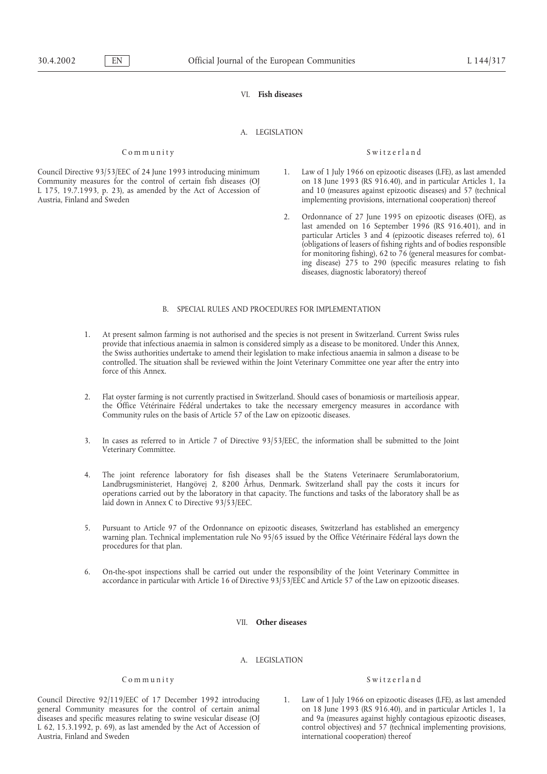# VI. **Fish diseases**

### A. LEGISLATION

#### Community Switzerland

- Council Directive 93/53/EEC of 24 June 1993 introducing minimum 1. Law of 1 July 1966 on epizootic diseases (LFE), as last amended<br>Community measures for the control of certain fish diseases (OJ on 18 June 1993 (RS 916.40) L 175, 19.7.1993, p. 23), as amended by the Act of Accession of and 10 (measures against epizootic diseases) and 57 (technical implementing provisions, international cooperation) thereof
	- 2. Ordonnance of 27 June 1995 on epizootic diseases (OFE), as last amended on 16 September 1996 (RS 916.401), and in particular Articles 3 and 4 (epizootic diseases referred to), 61 (obligations of leasers of fishing rights and of bodies responsible for monitoring fishing), 62 to 76 (general measures for combating disease) 275 to 290 (specific measures relating to fish diseases, diagnostic laboratory) thereof

## B. SPECIAL RULES AND PROCEDURES FOR IMPLEMENTATION

- 1. At present salmon farming is not authorised and the species is not present in Switzerland. Current Swiss rules provide that infectious anaemia in salmon is considered simply as a disease to be monitored. Under this Annex, the Swiss authorities undertake to amend their legislation to make infectious anaemia in salmon a disease to be controlled. The situation shall be reviewed within the Joint Veterinary Committee one year after the entry into force of this Annex.
- 2. Flat oyster farming is not currently practised in Switzerland. Should cases of bonamiosis or marteiliosis appear, the Office Vétérinaire Fédéral undertakes to take the necessary emergency measures in accordance with Community rules on the basis of Article 57 of the Law on epizootic diseases.
- 3. In cases as referred to in Article 7 of Directive 93/53/EEC, the information shall be submitted to the Joint Veterinary Committee.
- 4. The joint reference laboratory for fish diseases shall be the Statens Veterinaere Serumlaboratorium, Landbrugsministeriet, Hangövej 2, 8200 Århus, Denmark. Switzerland shall pay the costs it incurs for operations carried out by the laboratory in that capacity. The functions and tasks of the laboratory shall be as laid down in Annex C to Directive 93/53/EEC.
- 5. Pursuant to Article 97 of the Ordonnance on epizootic diseases, Switzerland has established an emergency warning plan. Technical implementation rule No<sup>5</sup>95/65 issued by the Office Vétérinaire Fédéral lays down the procedures for that plan.
- 6. On-the-spot inspections shall be carried out under the responsibility of the Joint Veterinary Committee in accordance in particular with Article 16 of Directive 93/53/EEC and Article 57 of the Law on epizootic diseases.

#### VII. **Other diseases**

## A. LEGISLATION

general Community measures for the control of certain animal on 18 June 1993 (RS 916.40), and in particular Articles 1, 1a diseases and specific measures relating to swine vesicular disease (OJ and 9a (measures against hig diseases and specific measures relating to swine vesicular disease (OJ L 62, 15.3.1992, p. 69), as last amended by the Act of Accession of control objectives) and 57 (technical implementing provisions, Austria, Finland and Sweden international cooperation) thereof

### Community Switzerland

Council Directive 92/119/EEC of 17 December 1992 introducing 1. Law of 1 July 1966 on epizootic diseases (LFE), as last amended general Community measures for the control of certain animal on 18 June 1993 (RS 916.40), and

Community measures for the control of certain fish diseases (OJ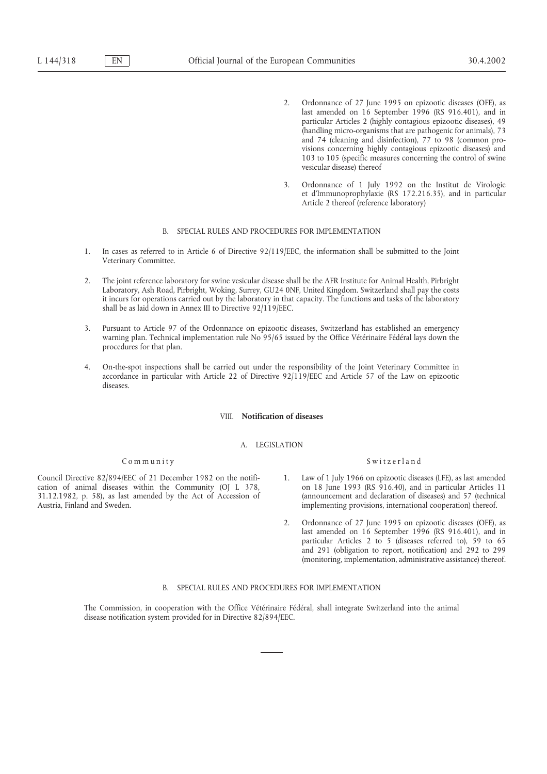- 2. Ordonnance of 27 June 1995 on epizootic diseases (OFE), as last amended on 16 September 1996 (RS 916.401), and in particular Articles 2 (highly contagious epizootic diseases), 49 (handling micro-organisms that are pathogenic for animals), 73 and 74 (cleaning and disinfection), 77 to 98 (common provisions concerning highly contagious epizootic diseases) and 103 to 105 (specific measures concerning the control of swine vesicular disease) thereof
- 3. Ordonnance of 1 July 1992 on the Institut de Virologie et d'Immunoprophylaxie (RS 172.216.35), and in particular Article 2 thereof (reference laboratory)

#### B. SPECIAL RULES AND PROCEDURES FOR IMPLEMENTATION

- 1. In cases as referred to in Article 6 of Directive 92/119/EEC, the information shall be submitted to the Joint Veterinary Committee.
- 2. The joint reference laboratory for swine vesicular disease shall be the AFR Institute for Animal Health, Pirbright Laboratory, Ash Road, Pirbright, Woking, Surrey, GU24 0NF, United Kingdom. Switzerland shall pay the costs it incurs for operations carried out by the laboratory in that capacity. The functions and tasks of the laboratory shall be as laid down in Annex III to Directive 92/119/EEC.
- 3. Pursuant to Article 97 of the Ordonnance on epizootic diseases, Switzerland has established an emergency warning plan. Technical implementation rule No 95/65 issued by the Office Vétérinaire Fédéral lays down the procedures for that plan.
- 4. On-the-spot inspections shall be carried out under the responsibility of the Joint Veterinary Committee in accordance in particular with Article 22 of Directive 92/119/EEC and Article 57 of the Law on epizootic diseases.

# VIII. **Notification of diseases**

### A. LEGISLATION

## Community Switzerland

Council Directive 82/894/EEC of 21 December 1982 on the notifi-<br>
1. Law of 1 July 1966 on epizootic diseases (LFE), as last amended 31.12.1982, p. 58), as last amended by the Act of Accession of

- cation of animal diseases within the Community (OJ L 378, on 18 June 1993 (RS 916.40), and in particular Articles 11<br>31.12.1982, p. 58), as last amended by the Act of Accession of (announcement and declaration of diseases) Austria, Finland and Sweden. implementing provisions, international cooperation) thereof.
	- 2. Ordonnance of 27 June 1995 on epizootic diseases (OFE), as last amended on 16 September 1996 (RS 916.401), and in particular Articles 2 to 5 (diseases referred to), 59 to 65 and 291 (obligation to report, notification) and 292 to 299 (monitoring, implementation, administrative assistance) thereof.

## B. SPECIAL RULES AND PROCEDURES FOR IMPLEMENTATION

The Commission, in cooperation with the Office Vétérinaire Fédéral, shall integrate Switzerland into the animal disease notification system provided for in Directive 82/894/EEC.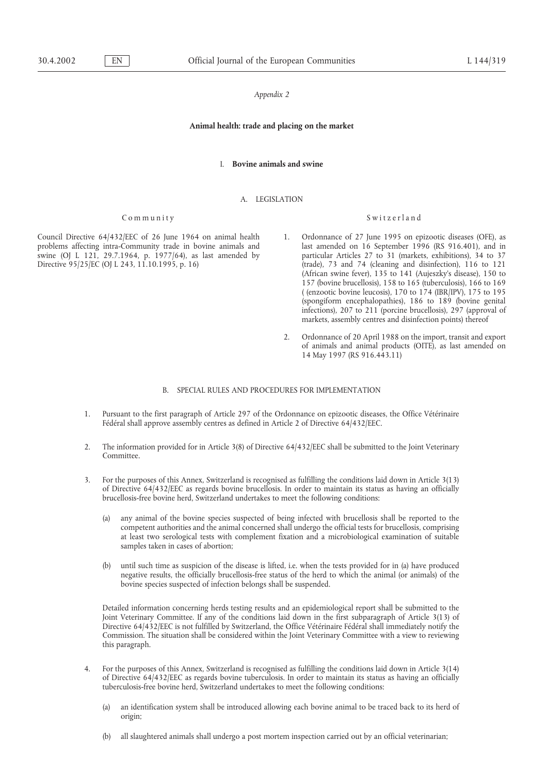### **Animal health: trade and placing on the market**

#### I. **Bovine animals and swine**

## A. LEGISLATION

problems affecting intra-Community trade in bovine animals and last amended on 16 September 1996 (RS 916.401), and in swine (OJ L 121, 29.7.1964, p. 1977/64), as last amended by particular Articles 27 to 31 (markets, exhib swine (OJ L 121, 29.7.1964, p. 1977/64), as last amended by

# Community Switzerland

- Council Directive 64/432/EEC of 26 June 1964 on animal health 1. Ordonnance of 27 June 1995 on epizootic diseases (OFE), as problems affecting intra-Community trade in bovine animals and last amended on 16 September 1996 ( Directive 95/25/EC (OJ L 243, 11.10.1995, p. 16) (trade), 73 and 74 (cleaning and disinfection), 116 to 121 (African swine fever), 135 to 141 (Aujeszky's disease), 150 to 157 (bovine brucellosis), 158 to 165 (tuberculosis), 166 to 169 ( (enzootic bovine leucosis), 170 to 174 (IBR/IPV), 175 to 195 (spongiform encephalopathies), 186 to 189 (bovine genital infections), 207 to 211 (porcine brucellosis), 297 (approval of markets, assembly centres and disinfection points) thereof
	- 2. Ordonnance of 20 April 1988 on the import, transit and export of animals and animal products (OITE), as last amended on 14 May 1997 (RS 916.443.11)

## B. SPECIAL RULES AND PROCEDURES FOR IMPLEMENTATION

- 1. Pursuant to the first paragraph of Article 297 of the Ordonnance on epizootic diseases, the Office Vétérinaire Fédéral shall approve assembly centres as defined in Article 2 of Directive 64/432/EEC.
- 2. The information provided for in Article 3(8) of Directive 64/432/EEC shall be submitted to the Joint Veterinary Committee.
- 3. For the purposes of this Annex, Switzerland is recognised as fulfilling the conditions laid down in Article 3(13) of Directive 64/432/EEC as regards bovine brucellosis. In order to maintain its status as having an officially brucellosis-free bovine herd, Switzerland undertakes to meet the following conditions:
	- (a) any animal of the bovine species suspected of being infected with brucellosis shall be reported to the competent authorities and the animal concerned shall undergo the official tests for brucellosis, comprising at least two serological tests with complement fixation and a microbiological examination of suitable samples taken in cases of abortion;
	- (b) until such time as suspicion of the disease is lifted, i.e. when the tests provided for in (a) have produced negative results, the officially brucellosis-free status of the herd to which the animal (or animals) of the bovine species suspected of infection belongs shall be suspended.

Detailed information concerning herds testing results and an epidemiological report shall be submitted to the Joint Veterinary Committee. If any of the conditions laid down in the first subparagraph of Article 3(13) of Directive 64/432/EEC is not fulfilled by Switzerland, the Office Vétérinaire Fédéral shall immediately notify the Commission. The situation shall be considered within the Joint Veterinary Committee with a view to reviewing this paragraph.

- 4. For the purposes of this Annex, Switzerland is recognised as fulfilling the conditions laid down in Article 3(14) of Directive 64/432/EEC as regards bovine tuberculosis. In order to maintain its status as having an officially tuberculosis-free bovine herd, Switzerland undertakes to meet the following conditions:
	- (a) an identification system shall be introduced allowing each bovine animal to be traced back to its herd of origin;
	- (b) all slaughtered animals shall undergo a post mortem inspection carried out by an official veterinarian;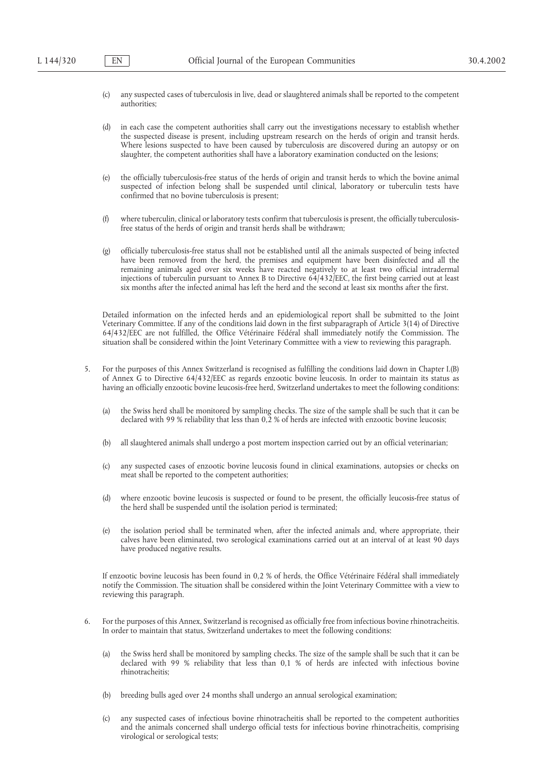- (c) any suspected cases of tuberculosis in live, dead or slaughtered animals shall be reported to the competent authorities;
- (d) in each case the competent authorities shall carry out the investigations necessary to establish whether the suspected disease is present, including upstream research on the herds of origin and transit herds. Where lesions suspected to have been caused by tuberculosis are discovered during an autopsy or on slaughter, the competent authorities shall have a laboratory examination conducted on the lesions;
- (e) the officially tuberculosis-free status of the herds of origin and transit herds to which the bovine animal suspected of infection belong shall be suspended until clinical, laboratory or tuberculin tests have confirmed that no bovine tuberculosis is present;
- (f) where tuberculin, clinical or laboratory tests confirm that tuberculosis is present, the officially tuberculosisfree status of the herds of origin and transit herds shall be withdrawn;
- (g) officially tuberculosis-free status shall not be established until all the animals suspected of being infected have been removed from the herd, the premises and equipment have been disinfected and all the remaining animals aged over six weeks have reacted negatively to at least two official intradermal injections of tuberculin pursuant to Annex B to Directive 64/432/EEC, the first being carried out at least six months after the infected animal has left the herd and the second at least six months after the first.

Detailed information on the infected herds and an epidemiological report shall be submitted to the Joint Veterinary Committee. If any of the conditions laid down in the first subparagraph of Article 3(14) of Directive 64/432/EEC are not fulfilled, the Office Vétérinaire Fédéral shall immediately notify the Commission. The situation shall be considered within the Joint Veterinary Committee with a view to reviewing this paragraph.

- 5. For the purposes of this Annex Switzerland is recognised as fulfilling the conditions laid down in Chapter I.(B) of Annex G to Directive 64/432/EEC as regards enzootic bovine leucosis. In order to maintain its status as having an officially enzootic bovine leucosis-free herd, Switzerland undertakes to meet the following conditions:
	- (a) the Swiss herd shall be monitored by sampling checks. The size of the sample shall be such that it can be declared with 99 % reliability that less than 0,2 % of herds are infected with enzootic bovine leucosis;
	- (b) all slaughtered animals shall undergo a post mortem inspection carried out by an official veterinarian;
	- (c) any suspected cases of enzootic bovine leucosis found in clinical examinations, autopsies or checks on meat shall be reported to the competent authorities;
	- (d) where enzootic bovine leucosis is suspected or found to be present, the officially leucosis-free status of the herd shall be suspended until the isolation period is terminated;
	- (e) the isolation period shall be terminated when, after the infected animals and, where appropriate, their calves have been eliminated, two serological examinations carried out at an interval of at least 90 days have produced negative results.

If enzootic bovine leucosis has been found in 0,2 % of herds, the Office Vétérinaire Fédéral shall immediately notify the Commission. The situation shall be considered within the Joint Veterinary Committee with a view to reviewing this paragraph.

- 6. For the purposes of this Annex, Switzerland is recognised as officially free from infectious bovine rhinotracheitis. In order to maintain that status, Switzerland undertakes to meet the following conditions:
	- (a) the Swiss herd shall be monitored by sampling checks. The size of the sample shall be such that it can be declared with 99 % reliability that less than 0,1 % of herds are infected with infectious bovine rhinotracheitis;
	- (b) breeding bulls aged over 24 months shall undergo an annual serological examination;
	- (c) any suspected cases of infectious bovine rhinotracheitis shall be reported to the competent authorities and the animals concerned shall undergo official tests for infectious bovine rhinotracheitis, comprising virological or serological tests;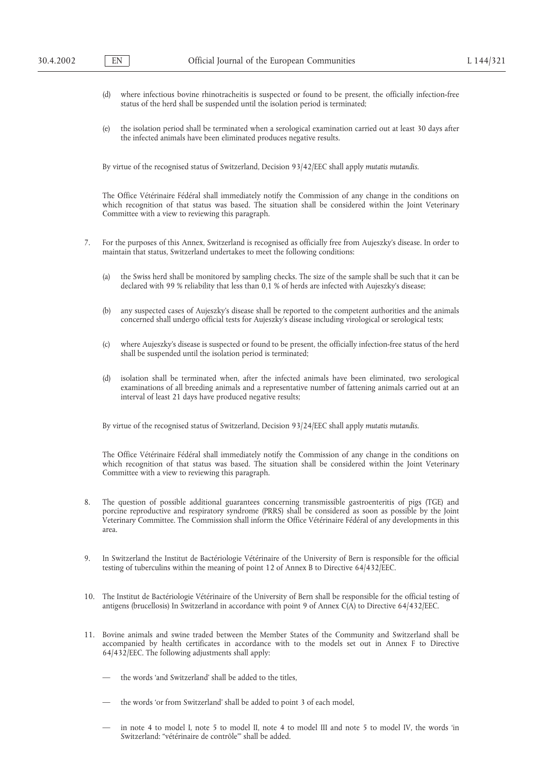- (d) where infectious bovine rhinotracheitis is suspected or found to be present, the officially infection-free status of the herd shall be suspended until the isolation period is terminated;
- (e) the isolation period shall be terminated when a serological examination carried out at least 30 days after the infected animals have been eliminated produces negative results.

By virtue of the recognised status of Switzerland, Decision 93/42/EEC shall apply *mutatis mutandis*.

The Office Vétérinaire Fédéral shall immediately notify the Commission of any change in the conditions on which recognition of that status was based. The situation shall be considered within the Joint Veterinary Committee with a view to reviewing this paragraph.

- 7. For the purposes of this Annex, Switzerland is recognised as officially free from Aujeszky's disease. In order to maintain that status, Switzerland undertakes to meet the following conditions:
	- (a) the Swiss herd shall be monitored by sampling checks. The size of the sample shall be such that it can be declared with 99 % reliability that less than 0,1 % of herds are infected with Aujeszky's disease;
	- (b) any suspected cases of Aujeszky's disease shall be reported to the competent authorities and the animals concerned shall undergo official tests for Aujeszky's disease including virological or serological tests;
	- (c) where Aujeszky's disease is suspected or found to be present, the officially infection-free status of the herd shall be suspended until the isolation period is terminated;
	- (d) isolation shall be terminated when, after the infected animals have been eliminated, two serological examinations of all breeding animals and a representative number of fattening animals carried out at an interval of least 21 days have produced negative results;

By virtue of the recognised status of Switzerland, Decision 93/24/EEC shall apply *mutatis mutandis*.

The Office Vétérinaire Fédéral shall immediately notify the Commission of any change in the conditions on which recognition of that status was based. The situation shall be considered within the Joint Veterinary Committee with a view to reviewing this paragraph.

- 8. The question of possible additional guarantees concerning transmissible gastroenteritis of pigs (TGE) and porcine reproductive and respiratory syndrome (PRRS) shall be considered as soon as possible by the Joint Veterinary Committee. The Commission shall inform the Office Vétérinaire Fédéral of any developments in this area.
- 9. In Switzerland the Institut de Bactériologie Vétérinaire of the University of Bern is responsible for the official testing of tuberculins within the meaning of point 12 of Annex B to Directive 64/432/EEC.
- 10. The Institut de Bactériologie Vétérinaire of the University of Bern shall be responsible for the official testing of antigens (brucellosis) In Switzerland in accordance with point 9 of Annex C(A) to Directive 64/432/EEC.
- 11. Bovine animals and swine traded between the Member States of the Community and Switzerland shall be accompanied by health certificates in accordance with to the models set out in Annex F to Directive 64/432/EEC. The following adjustments shall apply:
	- the words 'and Switzerland' shall be added to the titles.
	- the words 'or from Switzerland' shall be added to point 3 of each model.
	- in note 4 to model I, note 5 to model II, note 4 to model III and note 5 to model IV, the words 'in Switzerland: "vétérinaire de contrôle"' shall be added.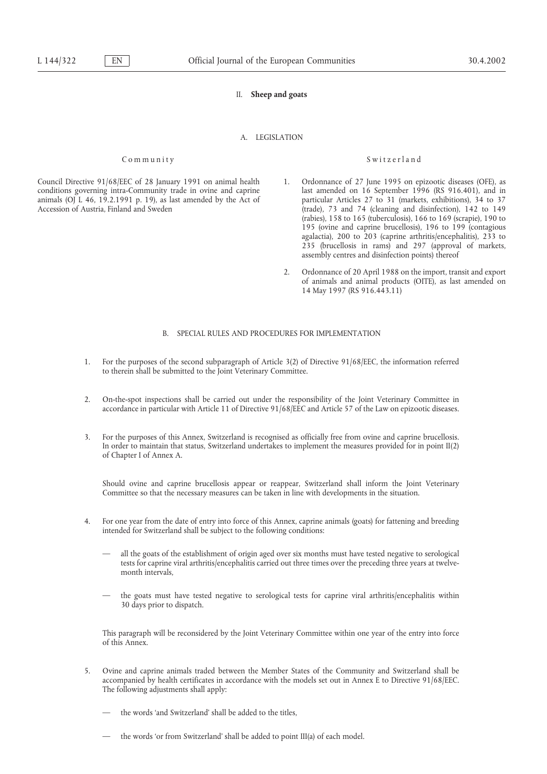## II. **Sheep and goats**

# A. LEGISLATION

## Community Switzerland

- $($ trade), 73 and 74 (cleaning and disinfection), 142 to 149 (rabies), 158 to 165 (tuberculosis), 166 to 169 (scrapie), 190 to 195 (ovine and caprine brucellosis), 196 to 199 (contagious agalactia), 200 to 203 (caprine arthritis/encephalitis), 233 to 235 (brucellosis in rams) and 297 (approval of markets, assembly centres and disinfection points) thereof
- 2. Ordonnance of 20 April 1988 on the import, transit and export of animals and animal products (OITE), as last amended on 14 May 1997 (RS 916.443.11)

## B. SPECIAL RULES AND PROCEDURES FOR IMPLEMENTATION

- 1. For the purposes of the second subparagraph of Article 3(2) of Directive 91/68/EEC, the information referred to therein shall be submitted to the Joint Veterinary Committee.
- 2. On-the-spot inspections shall be carried out under the responsibility of the Joint Veterinary Committee in accordance in particular with Article 11 of Directive 91/68/EEC and Article 57 of the Law on epizootic diseases.
- 3. For the purposes of this Annex, Switzerland is recognised as officially free from ovine and caprine brucellosis. In order to maintain that status, Switzerland undertakes to implement the measures provided for in point II(2) of Chapter I of Annex A.

Should ovine and caprine brucellosis appear or reappear, Switzerland shall inform the Joint Veterinary Committee so that the necessary measures can be taken in line with developments in the situation.

- 4. For one year from the date of entry into force of this Annex, caprine animals (goats) for fattening and breeding intended for Switzerland shall be subject to the following conditions:
	- all the goats of the establishment of origin aged over six months must have tested negative to serological tests for caprine viral arthritis/encephalitis carried out three times over the preceding three years at twelvemonth intervals
	- the goats must have tested negative to serological tests for caprine viral arthritis/encephalitis within 30 days prior to dispatch.

This paragraph will be reconsidered by the Joint Veterinary Committee within one year of the entry into force of this Annex.

- 5. Ovine and caprine animals traded between the Member States of the Community and Switzerland shall be accompanied by health certificates in accordance with the models set out in Annex E to Directive 91/68/EEC. The following adjustments shall apply:
	- the words 'and Switzerland' shall be added to the titles.
	- the words 'or from Switzerland' shall be added to point III(a) of each model.

Council Directive 91/68/EEC of 28 January 1991 on animal health 1. Ordonnance of 27 June 1995 on epizootic diseases (OFE), as conditions governing intra-Community trade in ovine and caprine last amended on 16 September 199 conditions governing intra-Community trade in ovine and caprine last amended on 16 September 1996 (RS 916.401), and in animals (OJ L 46, 19.2.1991 p. 19), as last amended by the Act of particular Articles 27 to 31 (markets animals (OJ L 46, 19.2.1991 p. 19), as last amended by the Act of Accession of Austria. Finland and Sweden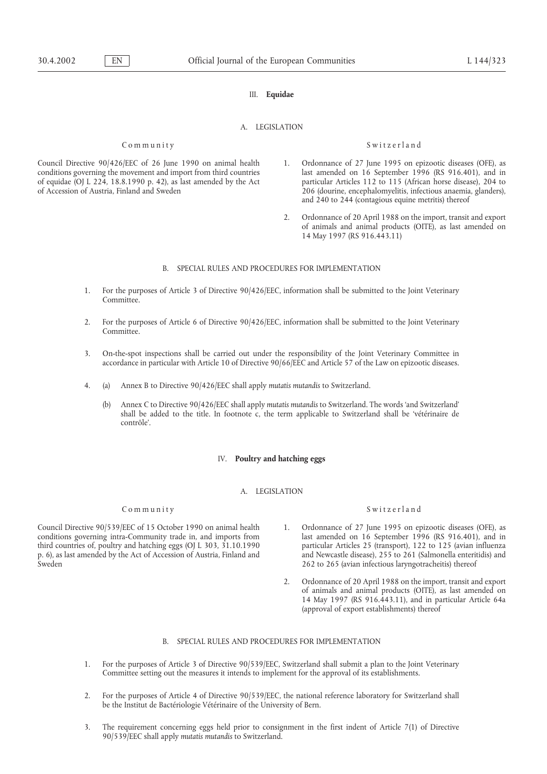## III. **Equidae**

# A. LEGISLATION

## Community Switzerland

- Council Directive 90/426/EEC of 26 June 1990 on animal health 1. Ordonnance of 27 June 1995 on epizootic diseases (OFE), as conditions governing the movement and import from third countries last amended on 16 September 1996 (RS 916.401), and in of equidae (OJ L 224, 18.8.1990 p. 42), as last amended by the Act particular Articles 112 to 115 (African horse disease), 204 to <sup>2</sup>06 (dourine, encephalomyelitis, infectious anaemia, glanders), and 240 to 244 (contagious equine metritis) thereof
	- 2. Ordonnance of 20 April 1988 on the import, transit and export of animals and animal products (OITE), as last amended on 14 May 1997 (RS 916.443.11)

## B. SPECIAL RULES AND PROCEDURES FOR IMPLEMENTATION

- 1. For the purposes of Article 3 of Directive 90/426/EEC, information shall be submitted to the Joint Veterinary Committee.
- 2. For the purposes of Article 6 of Directive 90/426/EEC, information shall be submitted to the Joint Veterinary Committee.
- 3. On-the-spot inspections shall be carried out under the responsibility of the Joint Veterinary Committee in accordance in particular with Article 10 of Directive 90/66/EEC and Article 57 of the Law on epizootic diseases.
- 4. (a) Annex B to Directive 90/426/EEC shall apply *mutatis mutandis* to Switzerland.
	- (b) Annex C to Directive 90/426/EEC shall apply *mutatis mutandis* to Switzerland. The words 'and Switzerland' shall be added to the title. In footnote c, the term applicable to Switzerland shall be 'vétérinaire de contrôle'.

#### IV. **Poultry and hatching eggs**

### A. LEGISLATION

# Community Switzerland

Council Directive 90/539/EEC of 15 October 1990 on animal health 1. Ordonnance of 27 June 1995 on epizootic diseases (OFE), as conditions governing intra-Community trade in, and imports from last amended on 16 September 19 conditions governing intra-Community trade in, and imports from p. 6), as last amended by the Act of Accession of Austria, Finland and Sweden 262 to 265 (avian infectious laryngotracheitis) thereof

- third countries of, poultry and hatching eggs (OJ L 303, 31.10.1990 particular Articles 25 (transport), 122 to 125 (avian influenza<br>p. 6), as last amended by the Act of Accession of Austria, Finland and and Newcastle disea
	- 2. Ordonnance of 20 April 1988 on the import, transit and export of animals and animal products (OITE), as last amended on 14 May 1997 (RS 916.443.11), and in particular Article 64a (approval of export establishments) thereof

# B. SPECIAL RULES AND PROCEDURES FOR IMPLEMENTATION

- 1. For the purposes of Article 3 of Directive 90/539/EEC, Switzerland shall submit a plan to the Joint Veterinary Committee setting out the measures it intends to implement for the approval of its establishments.
- 2. For the purposes of Article 4 of Directive 90/539/EEC, the national reference laboratory for Switzerland shall be the Institut de Bactériologie Vétérinaire of the University of Bern.
- 3. The requirement concerning eggs held prior to consignment in the first indent of Article 7(1) of Directive 90/539/EEC shall apply *mutatis mutandis* to Switzerland.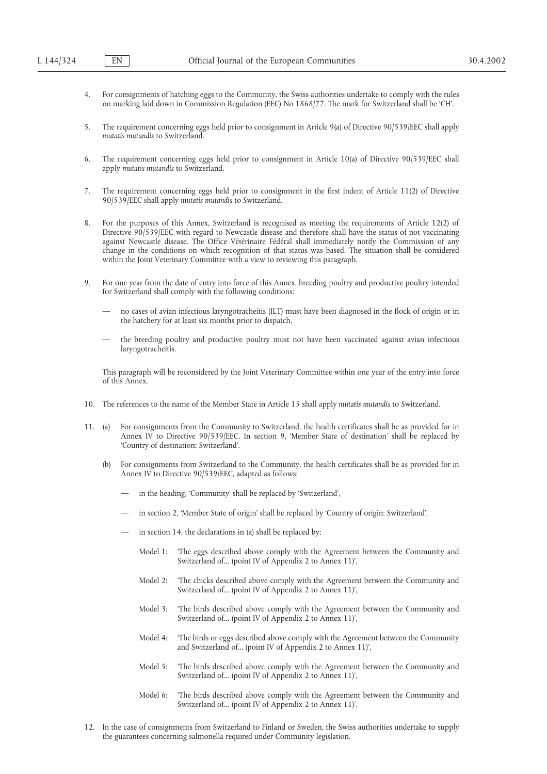- 4. For consignments of hatching eggs to the Community, the Swiss authorities undertake to comply with the rules on marking laid down in Commission Regulation (EEC) No 1868/77. The mark for Switzerland shall be 'CH'.
- 5. The requirement concerning eggs held prior to consignment in Article 9(a) of Directive 90/539/EEC shall apply *mutatis mutandis* to Switzerland.
- 6. The requirement concerning eggs held prior to consignment in Article 10(a) of Directive 90/539/EEC shall apply *mutatis mutandis* to Switzerland.
- 7. The requirement concerning eggs held prior to consignment in the first indent of Article 11(2) of Directive 90/539/EEC shall apply *mutatis mutandis* to Switzerland.
- 8. For the purposes of this Annex, Switzerland is recognised as meeting the requirements of Article 12(2) of Directive 90/539/EEC with regard to Newcastle disease and therefore shall have the status of not vaccinating against Newcastle disease. The Office Vétérinaire Fédéral shall immediately notify the Commission of any change in the conditions on which recognition of that status was based. The situation shall be considered within the Joint Veterinary Committee with a view to reviewing this paragraph.
- 9. For one year from the date of entry into force of this Annex, breeding poultry and productive poultry intended for Switzerland shall comply with the following conditions:
	- no cases of avian infectious laryngotracheitis (ILT) must have been diagnosed in the flock of origin or in the hatchery for at least six months prior to dispatch,
	- the breeding poultry and productive poultry must not have been vaccinated against avian infectious laryngotracheitis.

This paragraph will be reconsidered by the Joint Veterinary Committee within one year of the entry into force of this Annex.

- 10. The references to the name of the Member State in Article 15 shall apply *mutatis mutandis* to Switzerland.
- 11. (a) For consignments from the Community to Switzerland, the health certificates shall be as provided for in Annex IV to Directive 90/539/EEC. In section 9, 'Member State of destination' shall be replaced by 'Country of destination: Switzerland'.
	- (b) For consignments from Switzerland to the Community, the health certificates shall be as provided for in Annex IV to Directive 90/539/EEC, adapted as follows:
		- in the heading, 'Community' shall be replaced by 'Switzerland',
		- in section 2, 'Member State of origin' shall be replaced by 'Country of origin: Switzerland',
		- in section 14, the declarations in (a) shall be replaced by:
			- Model 1: 'The eggs described above comply with the Agreement between the Community and Switzerland of... (point IV of Appendix 2 to Annex 11)',
			- Model 2: 'The chicks described above comply with the Agreement between the Community and Switzerland of... (point IV of Appendix 2 to Annex 11)',
			- Model 3: 'The birds described above comply with the Agreement between the Community and Switzerland of... (point IV of Appendix 2 to Annex 11)',
			- Model 4: 'The birds or eggs described above comply with the Agreement between the Community and Switzerland of... (point IV of Appendix 2 to Annex 11)',
			- Model 5: 'The birds described above comply with the Agreement between the Community and Switzerland of... (point IV of Appendix 2 to Annex 11)',
			- Model 6: 'The birds described above comply with the Agreement between the Community and Switzerland of... (point IV of Appendix 2 to Annex 11)'.
- 12. In the case of consignments from Switzerland to Finland or Sweden, the Swiss authorities undertake to supply the guarantees concerning salmonella required under Community legislation.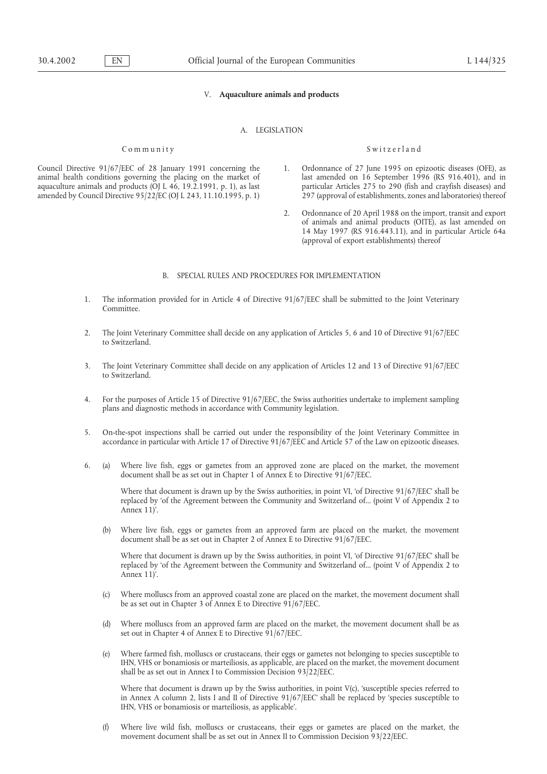## V. **Aquaculture animals and products**

## A. LEGISLATION

Council Directive 91/67/EEC of 28 January 1991 concerning the 1. Ordonnance of 27 June 1995 on epizootic diseases (OFE), as animal health conditions governing the placing on the market of last amended on 16 September 1996 (RS 916.401), and in aquaculture animals and products (OJ L 46, 19.2.1991, p. 1), as last particular Articles 275 to 290 (fi amended by Council Directive  $95/22/EC$  (OJ L 243, 11.10.1995, p. 1)

### Community Switzerland

- aquaculture animals and products (OJ L 46, 19.2.1991, p. 1), as last particular Articles 275 to 290 (fish and crayfish diseases) and amended by Council Directive 95/22/EC (OJ L 243, 11.10.1995, p. 1) 297 (approval of estab
	- 2. Ordonnance of 20 April 1988 on the import, transit and export of animals and animal products (OITE), as last amended on 14 May 1997 (RS 916.443.11), and in particular Article 64a (approval of export establishments) thereof

## B. SPECIAL RULES AND PROCEDURES FOR IMPLEMENTATION

- 1. The information provided for in Article 4 of Directive 91/67/EEC shall be submitted to the Joint Veterinary Committee.
- 2. The Joint Veterinary Committee shall decide on any application of Articles 5, 6 and 10 of Directive 91/67/EEC to Switzerland.
- 3. The Joint Veterinary Committee shall decide on any application of Articles 12 and 13 of Directive 91/67/EEC to Switzerland.
- 4. For the purposes of Article 15 of Directive 91/67/EEC, the Swiss authorities undertake to implement sampling plans and diagnostic methods in accordance with Community legislation.
- 5. On-the-spot inspections shall be carried out under the responsibility of the Joint Veterinary Committee in accordance in particular with Article 17 of Directive 91/67/EEC and Article 57 of the Law on epizootic diseases.
- 6. (a) Where live fish, eggs or gametes from an approved zone are placed on the market, the movement document shall be as set out in Chapter 1 of Annex E to Directive 91/67/EEC.

Where that document is drawn up by the Swiss authorities, in point VI, 'of Directive 91/67/EEC' shall be replaced by 'of the Agreement between the Community and Switzerland of... (point V of Appendix 2 to Annex 11)'.

(b) Where live fish, eggs or gametes from an approved farm are placed on the market, the movement document shall be as set out in Chapter 2 of Annex E to Directive 91/67/EEC.

Where that document is drawn up by the Swiss authorities, in point VI, 'of Directive 91/67/EEC' shall be replaced by 'of the Agreement between the Community and Switzerland of... (point V of Appendix 2 to Annex 11)'.

- (c) Where molluscs from an approved coastal zone are placed on the market, the movement document shall be as set out in Chapter 3 of Annex E to Directive 91/67/EEC.
- (d) Where molluscs from an approved farm are placed on the market, the movement document shall be as set out in Chapter 4 of Annex E to Directive 91/67/EEC.
- (e) Where farmed fish, molluscs or crustaceans, their eggs or gametes not belonging to species susceptible to IHN, VHS or bonamiosis or marteiliosis, as applicable, are placed on the market, the movement document shall be as set out in Annex I to Commission Decision 93/22/EEC.

Where that document is drawn up by the Swiss authorities, in point  $V(c)$ , 'susceptible species referred to in Annex A column 2, lists I and II of Directive 91/67/EEC' shall be replaced by 'species susceptible to IHN, VHS or bonamiosis or marteiliosis, as applicable'.

(f) Where live wild fish, molluscs or crustaceans, their eggs or gametes are placed on the market, the movement document shall be as set out in Annex II to Commission Decision 93/22/EEC.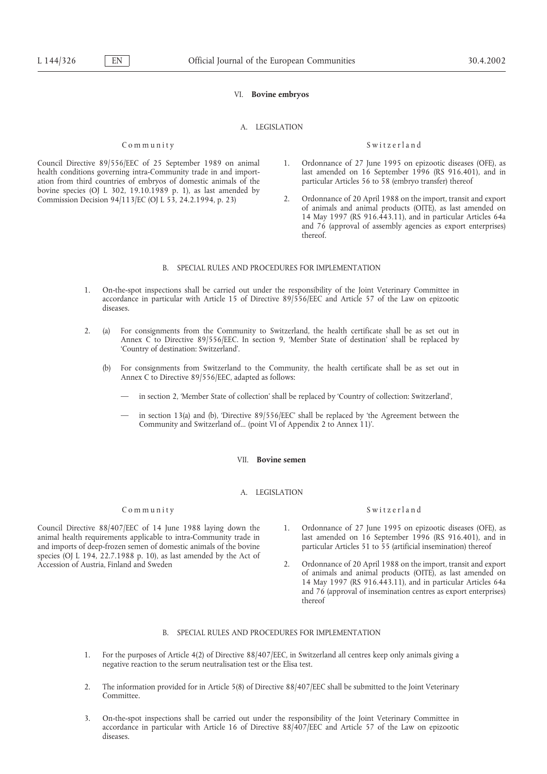## VI. **Bovine embryos**

# A. LEGISLATION

### Community Switzerland

- Council Directive 89/556/EEC of 25 September 1989 on animal 1. Ordonnance of 27 June 1995 on epizootic diseases (OFE), as ation from third countries of embryos of domestic animals of the bovine species (OJ L 302, 19.10.1989 p. 1), as last amended by
- health conditions governing intra-Community trade in and import-<br>
ation from third countries of embryos of domestic animals of the particular Articles 56 to 58 (embryo transfer) thereof
- Commission Decision 94/113/EC (OJ L 53, 24.2.1994, p. 23) 2. Ordonnance of 20 April 1988 on the import, transit and export of animals and animal products (OITE), as last amended on 14 May 1997 (RS 916.443.11), and in particular Articles 64a and 76 (approval of assembly agencies as export enterprises) thereof.

## B. SPECIAL RULES AND PROCEDURES FOR IMPLEMENTATION

- 1. On-the-spot inspections shall be carried out under the responsibility of the Joint Veterinary Committee in accordance in particular with Article 15 of Directive 89/556/EEC and Article 57 of the Law on epizootic diseases.
- 2. (a) For consignments from the Community to Switzerland, the health certificate shall be as set out in Annex C to Directive 89/556/EEC. In section 9, 'Member State of destination' shall be replaced by 'Country of destination: Switzerland'.
	- (b) For consignments from Switzerland to the Community, the health certificate shall be as set out in Annex C to Directive 89/556/EEC, adapted as follows:
		- in section 2, 'Member State of collection' shall be replaced by 'Country of collection: Switzerland',
		- in section 13(a) and (b), 'Directive  $89/556/EEC$ ' shall be replaced by 'the Agreement between the Community and Switzerland of... (point VI of Appendix 2 to Annex 11)'.

#### VII. **Bovine semen**

#### A. LEGISLATION

# Community Switzerland

animal health requirements applicable to intra-Community trade in last amended on 16 September 1996 (RS 916.401), and imports of deep-frozen semen of domestic animals of the bovine particular Articles 51 to 55 (artificial and imports of deep-frozen semen of domestic animals of the bovine species (OJ L 194, 22.7.1988 p. 10), as last amended by the Act of Accession of Austria, Finland and Sweden 2. Ordonnance of 20 April 1988 on the import, transit and export

- Council Directive 88/407/EEC of 14 June 1988 laying down the 1. Ordonnance of 27 June 1995 on epizootic diseases (OFE), as animal health requirements applicable to intra-Community trade in last amended on 16 September 1996
	- of animals and animal products (OITE), as last amended on 14 May 1997 (RS 916.443.11), and in particular Articles 64a and 76 (approval of insemination centres as export enterprises) thereof

## B. SPECIAL RULES AND PROCEDURES FOR IMPLEMENTATION

- 1. For the purposes of Article 4(2) of Directive 88/407/EEC, in Switzerland all centres keep only animals giving a negative reaction to the serum neutralisation test or the Elisa test.
- 2. The information provided for in Article 5(8) of Directive 88/407/EEC shall be submitted to the Joint Veterinary Committee.
- 3. On-the-spot inspections shall be carried out under the responsibility of the Joint Veterinary Committee in accordance in particular with Article 16 of Directive 88/407/EEC and Article 57 of the Law on epizootic diseases.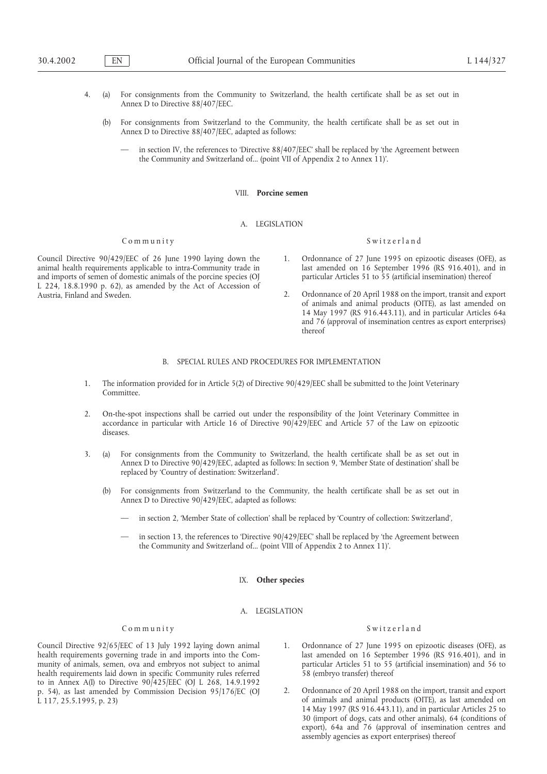- 4. (a) For consignments from the Community to Switzerland, the health certificate shall be as set out in Annex D to Directive 88/407/EEC.
	- (b) For consignments from Switzerland to the Community, the health certificate shall be as set out in Annex D to Directive 88/407/EEC, adapted as follows:
		- in section IV, the references to 'Directive 88/407/EEC' shall be replaced by 'the Agreement between the Community and Switzerland of... (point VII of Appendix 2 to Annex 11)'.

#### VIII. **Porcine semen**

#### A. LEGISLATION

## Community Switzerland

animal health requirements applicable to intra-Community trade in last amended on 16 September 1996 (RS 916.401), and and imports of semen of domestic animals of the porcine species (OJ particular Articles 51 to 55 (artifi and imports of semen of domestic animals of the porcine species (OJ L 224, 18.8.1990 p. 62), as amended by the Act of Accession of

- Council Directive 90/429/EEC of 26 June 1990 laying down the 1. Ordonnance of 27 June 1995 on epizootic diseases (OFE), as animal health requirements applicable to intra-Community trade in last amended on 16 September 1996
	- 2. Ordonnance of 20 April 1988 on the import, transit and export of animals and animal products (OITE), as last amended on 14 May 1997 (RS 916.443.11), and in particular Articles 64a and 76 (approval of insemination centres as export enterprises) thereof

# B. SPECIAL RULES AND PROCEDURES FOR IMPLEMENTATION

- 1. The information provided for in Article 5(2) of Directive 90/429/EEC shall be submitted to the Joint Veterinary Committee.
- 2. On-the-spot inspections shall be carried out under the responsibility of the Joint Veterinary Committee in accordance in particular with Article 16 of Directive 90/429/EEC and Article 57 of the Law on epizootic diseases.
- 3. (a) For consignments from the Community to Switzerland, the health certificate shall be as set out in Annex D to Directive 90/429/EEC, adapted as follows: In section 9, 'Member State of destination' shall be replaced by 'Country of destination: Switzerland'.
	- (b) For consignments from Switzerland to the Community, the health certificate shall be as set out in Annex D to Directive 90/429/EEC, adapted as follows:
		- in section 2, 'Member State of collection' shall be replaced by 'Country of collection: Switzerland',
		- in section 13, the references to 'Directive 90/429/EEC' shall be replaced by 'the Agreement between the Community and Switzerland of... (point VIII of Appendix 2 to Annex 11)'.

## IX. **Other species**

## A. LEGISLATION

Council Directive 92/65/EEC of 13 July 1992 laying down animal 1. Ordonnance of 27 June 1995 on epizootic diseases (OFE), as health requirements governing trade in and imports into the Com- last amended on 16 September 1996 (RS 916.401), and in munity of animals, semen, ova and embryos not subject to animal particular Articles 51 to 55 (artificial insemination) and 56 to health requirements laid down in specific Community rules referred 58 (embryo transfer) thereof to in Annex A(I) to Directive 90/425/EEC (OJ L 268, 14.9.1992 p. 54), as last amended by Commission Decision 95/176/EC (OJ 2. Ordonnance of 20 April 1988 on the import, transit and export L 117, 25.5.1995, p. 23) COMPACTED 117, 25.5.1995, p. 23) of animals and animal products (OITE), as last amended on

## Community Switzerland

- 
- 14 May 1997 (RS 916.443.11), and in particular Articles 25 to 30 (import of dogs, cats and other animals), 64 (conditions of export), 64a and 76 (approval of insemination centres and assembly agencies as export enterprises) thereof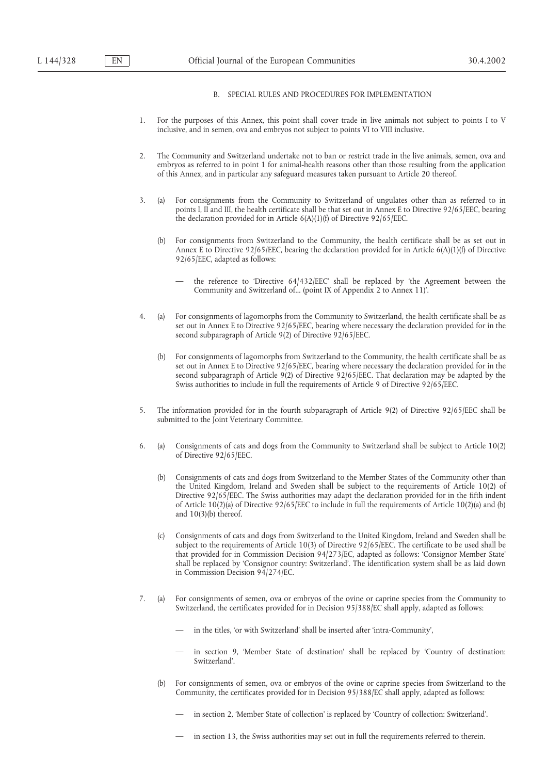## B. SPECIAL RULES AND PROCEDURES FOR IMPLEMENTATION

- 1. For the purposes of this Annex, this point shall cover trade in live animals not subject to points I to V inclusive, and in semen, ova and embryos not subject to points VI to VIII inclusive.
- 2. The Community and Switzerland undertake not to ban or restrict trade in the live animals, semen, ova and embryos as referred to in point 1 for animal-health reasons other than those resulting from the application of this Annex, and in particular any safeguard measures taken pursuant to Article 20 thereof.
- 3. (a) For consignments from the Community to Switzerland of ungulates other than as referred to in points I, II and III, the health certificate shall be that set out in Annex E to Directive 92/65/EEC, bearing the declaration provided for in Article 6(A)(1)(f) of Directive 92/65/EEC.
	- (b) For consignments from Switzerland to the Community, the health certificate shall be as set out in Annex E to Directive 92/65/EEC, bearing the declaration provided for in Article  $6(A)(1)(f)$  of Directive 92/65/EEC, adapted as follows:
		- the reference to 'Directive 64/432/EEC' shall be replaced by 'the Agreement between the Community and Switzerland of... (point IX of Appendix 2 to Annex 11)'.
- 4. (a) For consignments of lagomorphs from the Community to Switzerland, the health certificate shall be as set out in Annex E to Directive 92/65/EEC, bearing where necessary the declaration provided for in the second subparagraph of Article 9(2) of Directive 92/65/EEC.
	- (b) For consignments of lagomorphs from Switzerland to the Community, the health certificate shall be as set out in Annex E to Directive 92/65/EEC, bearing where necessary the declaration provided for in the second subparagraph of Article 9(2) of Directive 92/65/EEC. That declaration may be adapted by the Swiss authorities to include in full the requirements of Article 9 of Directive 92/65/EEC.
- 5. The information provided for in the fourth subparagraph of Article 9(2) of Directive 92/65/EEC shall be submitted to the Joint Veterinary Committee.
- 6. (a) Consignments of cats and dogs from the Community to Switzerland shall be subject to Article 10(2) of Directive 92/65/EEC.
	- (b) Consignments of cats and dogs from Switzerland to the Member States of the Community other than the United Kingdom, Ireland and Sweden shall be subject to the requirements of Article 10(2) of Directive 92/65/EEC. The Swiss authorities may adapt the declaration provided for in the fifth indent of Article 10(2)(a) of Directive 92/65/EEC to include in full the requirements of Article 10(2)(a) and (b) and 10(3)(b) thereof.
	- (c) Consignments of cats and dogs from Switzerland to the United Kingdom, Ireland and Sweden shall be subject to the requirements of Article 10(3) of Directive 92/65/EEC. The certificate to be used shall be that provided for in Commission Decision 94/273/EC, adapted as follows: 'Consignor Member State' shall be replaced by 'Consignor country: Switzerland'. The identification system shall be as laid down in Commission Decision 94/274/EC.
- 7. (a) For consignments of semen, ova or embryos of the ovine or caprine species from the Community to Switzerland, the certificates provided for in Decision 95/388/EC shall apply, adapted as follows:
	- in the titles, 'or with Switzerland' shall be inserted after 'intra-Community',
	- in section 9, 'Member State of destination' shall be replaced by 'Country of destination: Switzerland'.
	- (b) For consignments of semen, ova or embryos of the ovine or caprine species from Switzerland to the Community, the certificates provided for in Decision 95/388/EC shall apply, adapted as follows:
		- in section 2, 'Member State of collection' is replaced by 'Country of collection: Switzerland'.
		- in section 13, the Swiss authorities may set out in full the requirements referred to therein.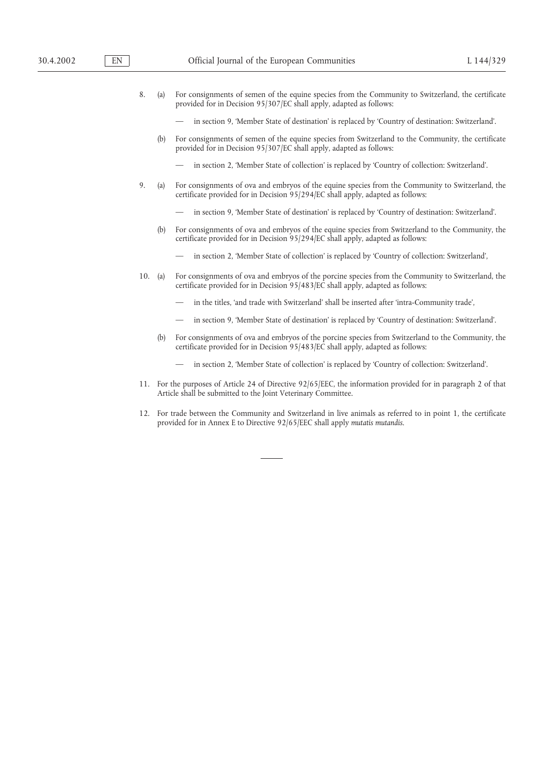- 8. (a) For consignments of semen of the equine species from the Community to Switzerland, the certificate provided for in Decision 95/307/EC shall apply, adapted as follows:
	- in section 9, 'Member State of destination' is replaced by 'Country of destination: Switzerland'.
	- (b) For consignments of semen of the equine species from Switzerland to the Community, the certificate provided for in Decision 95/307/EC shall apply, adapted as follows:
		- in section 2, 'Member State of collection' is replaced by 'Country of collection: Switzerland'.
- 9. (a) For consignments of ova and embryos of the equine species from the Community to Switzerland, the certificate provided for in Decision 95/294/EC shall apply, adapted as follows:
	- in section 9, 'Member State of destination' is replaced by 'Country of destination: Switzerland'.
	- (b) For consignments of ova and embryos of the equine species from Switzerland to the Community, the certificate provided for in Decision 95/294/EC shall apply, adapted as follows:
		- in section 2, 'Member State of collection' is replaced by 'Country of collection: Switzerland',
- 10. (a) For consignments of ova and embryos of the porcine species from the Community to Switzerland, the certificate provided for in Decision 95/483/EC shall apply, adapted as follows:
	- in the titles, 'and trade with Switzerland' shall be inserted after 'intra-Community trade',
	- in section 9, 'Member State of destination' is replaced by 'Country of destination: Switzerland'.
	- (b) For consignments of ova and embryos of the porcine species from Switzerland to the Community, the certificate provided for in Decision 95/483/EC shall apply, adapted as follows:
		- in section 2, 'Member State of collection' is replaced by 'Country of collection: Switzerland'.
- 11. For the purposes of Article 24 of Directive 92/65/EEC, the information provided for in paragraph 2 of that Article shall be submitted to the Joint Veterinary Committee.
- 12. For trade between the Community and Switzerland in live animals as referred to in point 1, the certificate provided for in Annex E to Directive 92/65/EEC shall apply *mutatis mutandis*.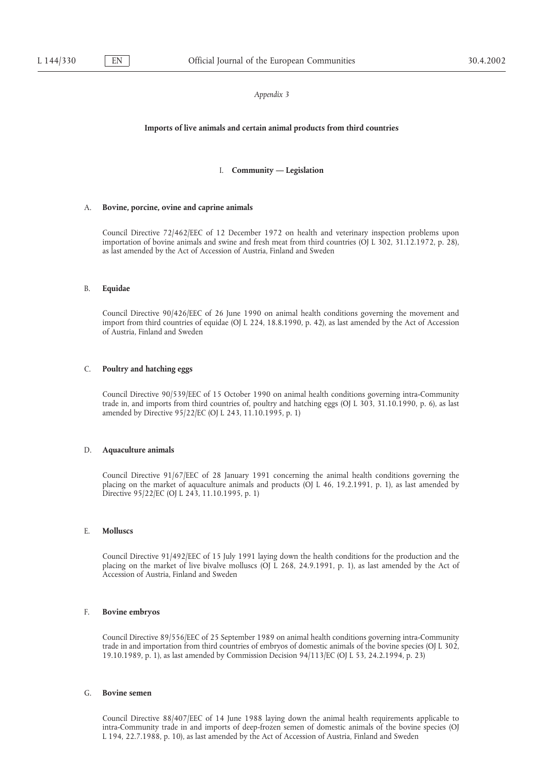#### **Imports of live animals and certain animal products from third countries**

## I. **Community — Legislation**

## A. **Bovine, porcine, ovine and caprine animals**

Council Directive 72/462/EEC of 12 December 1972 on health and veterinary inspection problems upon importation of bovine animals and swine and fresh meat from third countries (OJ L 302, 31.12.1972, p. 28), as last amended by the Act of Accession of Austria, Finland and Sweden

### B. **Equidae**

Council Directive 90/426/EEC of 26 June 1990 on animal health conditions governing the movement and import from third countries of equidae (OJ L 224, 18.8.1990, p. 42), as last amended by the Act of Accession of Austria, Finland and Sweden

## C. **Poultry and hatching eggs**

Council Directive 90/539/EEC of 15 October 1990 on animal health conditions governing intra-Community trade in, and imports from third countries of, poultry and hatching eggs (OJ L 303, 31.10.1990, p. 6), as last amended by Directive 95/22/EC (OJ L 243, 11.10.1995, p. 1)

## D. **Aquaculture animals**

Council Directive 91/67/EEC of 28 January 1991 concerning the animal health conditions governing the placing on the market of aquaculture animals and products (OJ L 46, 19.2.1991, p. 1), as last amended by Directive 95/22/EC (OJ L 243, 11.10.1995, p. 1)

### E. **Molluscs**

Council Directive 91/492/EEC of 15 July 1991 laying down the health conditions for the production and the placing on the market of live bivalve molluscs (OJ L 268, 24.9.1991, p. 1), as last amended by the Act of Accession of Austria, Finland and Sweden

## F. **Bovine embryos**

Council Directive 89/556/EEC of 25 September 1989 on animal health conditions governing intra-Community trade in and importation from third countries of embryos of domestic animals of the bovine species (OJ L 302, 19.10.1989, p. 1), as last amended by Commission Decision 94/113/EC (OJ L 53, 24.2.1994, p. 23)

#### G. **Bovine semen**

Council Directive 88/407/EEC of 14 June 1988 laying down the animal health requirements applicable to intra-Community trade in and imports of deep-frozen semen of domestic animals of the bovine species (OJ L 194, 22.7.1988, p. 10), as last amended by the Act of Accession of Austria, Finland and Sweden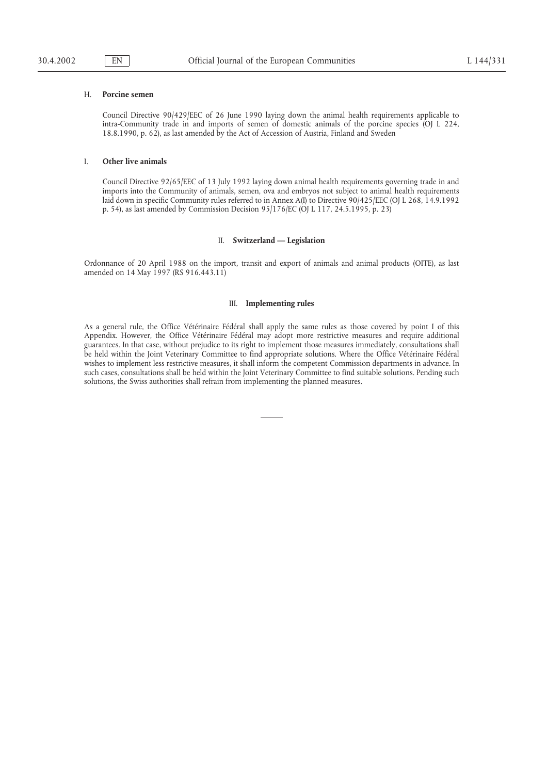#### H. **Porcine semen**

Council Directive 90/429/EEC of 26 June 1990 laying down the animal health requirements applicable to intra-Community trade in and imports of semen of domestic animals of the porcine species (OJ L 224, 18.8.1990, p. 62), as last amended by the Act of Accession of Austria, Finland and Sweden

#### I. **Other live animals**

Council Directive 92/65/EEC of 13 July 1992 laying down animal health requirements governing trade in and imports into the Community of animals, semen, ova and embryos not subject to animal health requirements laid down in specific Community rules referred to in Annex A(I) to Directive 90/425/EEC (OJ L 268, 14.9.1992 p. 54), as last amended by Commission Decision 95/176/EC (OJ L 117, 24.5.1995, p. 23)

## II. **Switzerland — Legislation**

Ordonnance of 20 April 1988 on the import, transit and export of animals and animal products (OITE), as last amended on 14 May 1997 (RS 916.443.11)

#### III. **Implementing rules**

As a general rule, the Office Vétérinaire Fédéral shall apply the same rules as those covered by point I of this Appendix. However, the Office Vétérinaire Fédéral may adopt more restrictive measures and require additional guarantees. In that case, without prejudice to its right to implement those measures immediately, consultations shall be held within the Joint Veterinary Committee to find appropriate solutions. Where the Office Vétérinaire Fédéral wishes to implement less restrictive measures, it shall inform the competent Commission departments in advance. In such cases, consultations shall be held within the Joint Veterinary Committee to find suitable solutions. Pending such solutions, the Swiss authorities shall refrain from implementing the planned measures.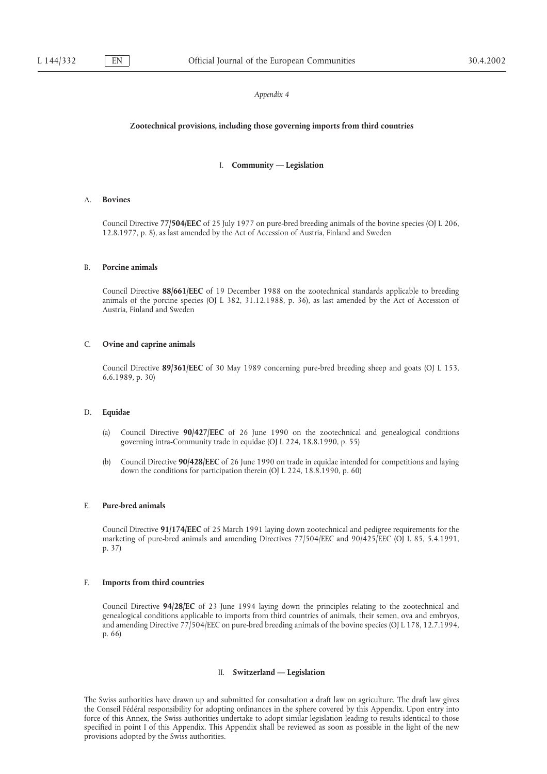### **Zootechnical provisions, including those governing imports from third countries**

## I. **Community — Legislation**

### A. **Bovines**

Council Directive **77/504/EEC** of 25 July 1977 on pure-bred breeding animals of the bovine species (OJ L 206, 12.8.1977, p. 8), as last amended by the Act of Accession of Austria, Finland and Sweden

#### B. **Porcine animals**

Council Directive **88/661/EEC** of 19 December 1988 on the zootechnical standards applicable to breeding animals of the porcine species (OJ L 382, 31.12.1988, p. 36), as last amended by the Act of Accession of Austria, Finland and Sweden

#### C. **Ovine and caprine animals**

Council Directive **89/361/EEC** of 30 May 1989 concerning pure-bred breeding sheep and goats (OJ L 153, 6.6.1989, p. 30)

#### D. **Equidae**

- (a) Council Directive **90/427/EEC** of 26 June 1990 on the zootechnical and genealogical conditions governing intra-Community trade in equidae (OJ L 224, 18.8.1990, p. 55)
- (b) Council Directive **90/428/EEC** of 26 June 1990 on trade in equidae intended for competitions and laying down the conditions for participation therein (OJ L 224, 18.8.1990, p. 60)

#### E. **Pure-bred animals**

Council Directive **91/174/EEC** of 25 March 1991 laying down zootechnical and pedigree requirements for the marketing of pure-bred animals and amending Directives 77/504/EEC and 90/425/EEC (OJ L 85, 5.4.1991, p. 37)

## F. **Imports from third countries**

Council Directive **94/28/EC** of 23 June 1994 laying down the principles relating to the zootechnical and genealogical conditions applicable to imports from third countries of animals, their semen, ova and embryos, and amending Directive 77/504/EEC on pure-bred breeding animals of the bovine species (OJ L 178, 12.7.1994, p. 66)

#### II. **Switzerland — Legislation**

The Swiss authorities have drawn up and submitted for consultation a draft law on agriculture. The draft law gives the Conseil Fédéral responsibility for adopting ordinances in the sphere covered by this Appendix. Upon entry into force of this Annex, the Swiss authorities undertake to adopt similar legislation leading to results identical to those specified in point I of this Appendix. This Appendix shall be reviewed as soon as possible in the light of the new provisions adopted by the Swiss authorities.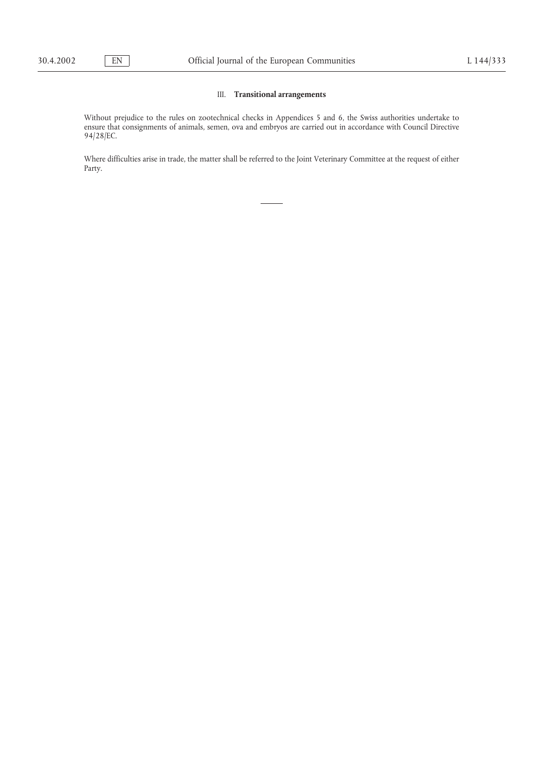## III. **Transitional arrangements**

Without prejudice to the rules on zootechnical checks in Appendices 5 and 6, the Swiss authorities undertake to ensure that consignments of animals, semen, ova and embryos are carried out in accordance with Council Directive 94/28/EC.

Where difficulties arise in trade, the matter shall be referred to the Joint Veterinary Committee at the request of either Party.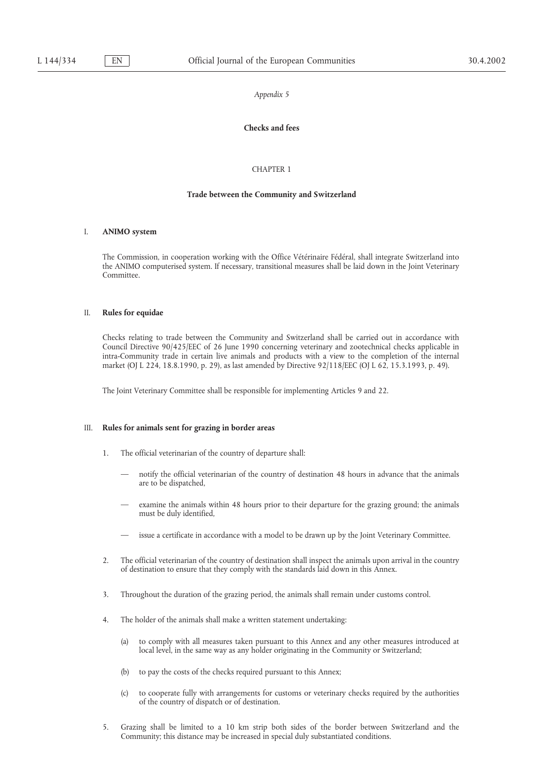# **Checks and fees**

## CHAPTER 1

#### **Trade between the Community and Switzerland**

### I. **ANIMO system**

The Commission, in cooperation working with the Office Vétérinaire Fédéral, shall integrate Switzerland into the ANIMO computerised system. If necessary, transitional measures shall be laid down in the Joint Veterinary Committee.

## II. **Rules for equidae**

Checks relating to trade between the Community and Switzerland shall be carried out in accordance with Council Directive 90/425/EEC of 26 June 1990 concerning veterinary and zootechnical checks applicable in intra-Community trade in certain live animals and products with a view to the completion of the internal market (OJ L 224, 18.8.1990, p. 29), as last amended by Directive 92/118/EEC (OJ L 62, 15.3.1993, p. 49).

The Joint Veterinary Committee shall be responsible for implementing Articles 9 and 22.

## III. **Rules for animals sent for grazing in border areas**

- 1. The official veterinarian of the country of departure shall:
	- notify the official veterinarian of the country of destination 48 hours in advance that the animals are to be dispatched,
	- examine the animals within 48 hours prior to their departure for the grazing ground; the animals must be duly identified,
	- issue a certificate in accordance with a model to be drawn up by the Joint Veterinary Committee.
- 2. The official veterinarian of the country of destination shall inspect the animals upon arrival in the country of destination to ensure that they comply with the standards laid down in this Annex.
- 3. Throughout the duration of the grazing period, the animals shall remain under customs control.
- 4. The holder of the animals shall make a written statement undertaking:
	- (a) to comply with all measures taken pursuant to this Annex and any other measures introduced at local level, in the same way as any holder originating in the Community or Switzerland;
	- (b) to pay the costs of the checks required pursuant to this Annex;
	- (c) to cooperate fully with arrangements for customs or veterinary checks required by the authorities of the country of dispatch or of destination.
- 5. Grazing shall be limited to a 10 km strip both sides of the border between Switzerland and the Community; this distance may be increased in special duly substantiated conditions.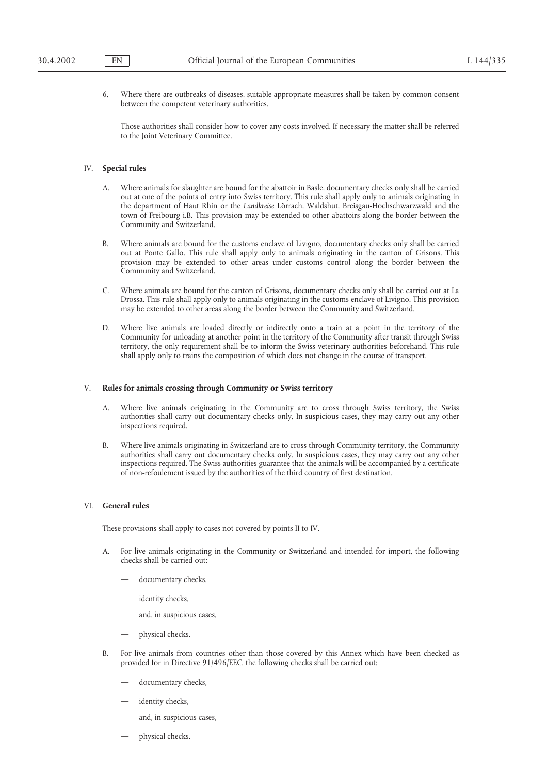6. Where there are outbreaks of diseases, suitable appropriate measures shall be taken by common consent between the competent veterinary authorities.

Those authorities shall consider how to cover any costs involved. If necessary the matter shall be referred to the Joint Veterinary Committee.

### IV. **Special rules**

- A. Where animals for slaughter are bound for the abattoir in Basle, documentary checks only shall be carried out at one of the points of entry into Swiss territory. This rule shall apply only to animals originating in the department of Haut Rhin or the *Landkreise* Lörrach, Waldshut, Breisgau-Hochschwarzwald and the town of Freibourg i.B. This provision may be extended to other abattoirs along the border between the Community and Switzerland.
- B. Where animals are bound for the customs enclave of Livigno, documentary checks only shall be carried out at Ponte Gallo. This rule shall apply only to animals originating in the canton of Grisons. This provision may be extended to other areas under customs control along the border between the Community and Switzerland.
- C. Where animals are bound for the canton of Grisons, documentary checks only shall be carried out at La Drossa. This rule shall apply only to animals originating in the customs enclave of Livigno. This provision may be extended to other areas along the border between the Community and Switzerland.
- D. Where live animals are loaded directly or indirectly onto a train at a point in the territory of the Community for unloading at another point in the territory of the Community after transit through Swiss territory, the only requirement shall be to inform the Swiss veterinary authorities beforehand. This rule shall apply only to trains the composition of which does not change in the course of transport.

## V. **Rules for animals crossing through Community or Swiss territory**

- A. Where live animals originating in the Community are to cross through Swiss territory, the Swiss authorities shall carry out documentary checks only. In suspicious cases, they may carry out any other inspections required.
- B. Where live animals originating in Switzerland are to cross through Community territory, the Community authorities shall carry out documentary checks only. In suspicious cases, they may carry out any other inspections required. The Swiss authorities guarantee that the animals will be accompanied by a certificate of non-refoulement issued by the authorities of the third country of first destination.

#### VI. **General rules**

These provisions shall apply to cases not covered by points II to IV.

- A. For live animals originating in the Community or Switzerland and intended for import, the following checks shall be carried out:
	- documentary checks,
	- identity checks,

and, in suspicious cases,

- physical checks.
- B. For live animals from countries other than those covered by this Annex which have been checked as provided for in Directive 91/496/EEC, the following checks shall be carried out:
	- documentary checks,
	- identity checks,

and, in suspicious cases,

— physical checks.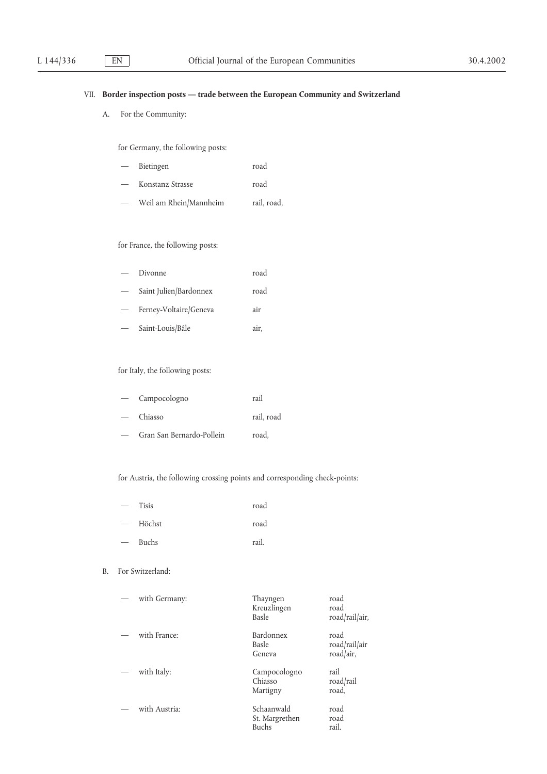# VII. **Border inspection posts — trade between the European Community and Switzerland**

A. For the Community:

for Germany, the following posts:

| $\overline{\phantom{m}}$ | Bietingen              | road        |
|--------------------------|------------------------|-------------|
|                          | Konstanz Strasse       | road        |
|                          | Weil am Rhein/Mannheim | rail, road, |

# for France, the following posts:

| Divonne                | road |
|------------------------|------|
| Saint Julien/Bardonnex | road |
| Ferney-Voltaire/Geneva | air  |
| Saint-Louis/Bâle       | air. |

# for Italy, the following posts:

| Campocologno              | rail       |
|---------------------------|------------|
| Chiasso                   | rail, road |
| Gran San Bernardo-Pollein | road.      |

for Austria, the following crossing points and corresponding check-points:

- Tisis road
- Höchst road
- Buchs rail.

# B. For Switzerland:

| with Germany: | Thayngen<br>Kreuzlingen<br>Basle             | road<br>road<br>road/rail/air,     |
|---------------|----------------------------------------------|------------------------------------|
| with France:  | <b>Bardonnex</b><br>Basle<br>Geneva          | road<br>road/rail/air<br>road/air, |
| with Italy:   | Campocologno<br>Chiasso<br>Martigny          | rail<br>road/rail<br>road,         |
| with Austria: | Schaanwald<br>St. Margrethen<br><b>Buchs</b> | road<br>road<br>rail.              |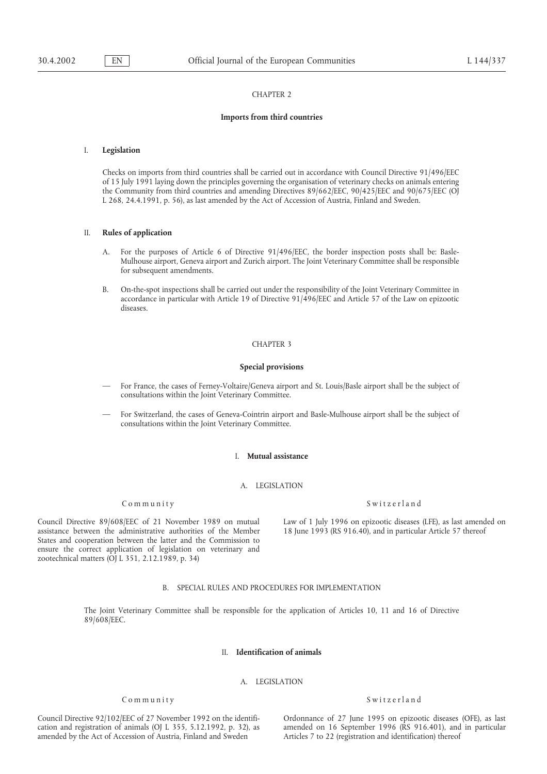#### CHAPTER 2

## **Imports from third countries**

### I. **Legislation**

Checks on imports from third countries shall be carried out in accordance with Council Directive 91/496/EEC of 15 July 1991 laying down the principles governing the organisation of veterinary checks on animals entering the Community from third countries and amending Directives 89/662/EEC, 90/425/EEC and 90/675/EEC (OJ L 268, 24.4.1991, p. 56), as last amended by the Act of Accession of Austria, Finland and Sweden.

## II. **Rules of application**

- A. For the purposes of Article 6 of Directive 91/496/EEC, the border inspection posts shall be: Basle-Mulhouse airport, Geneva airport and Zurich airport. The Joint Veterinary Committee shall be responsible for subsequent amendments.
- B. On-the-spot inspections shall be carried out under the responsibility of the Joint Veterinary Committee in accordance in particular with Article 19 of Directive 91/496/EEC and Article 57 of the Law on epizootic diseases.

#### CHAPTER 3

## **Special provisions**

- For France, the cases of Ferney-Voltaire/Geneva airport and St. Louis/Basle airport shall be the subject of consultations within the Joint Veterinary Committee.
- For Switzerland, the cases of Geneva-Cointrin airport and Basle-Mulhouse airport shall be the subject of consultations within the Joint Veterinary Committee.

### I. **Mutual assistance**

#### A. LEGISLATION

### Community Switzerland

assistance between the administrative authorities of the Member 18 June 1993 (RS 916.40), and in particular Article 57 thereof States and cooperation between the latter and the Commission to ensure the correct application of legislation on veterinary and zootechnical matters (OJ L 351, 2.12.1989, p. 34)

Council Directive 89/608/EEC of 21 November 1989 on mutual Law of 1 July 1996 on epizootic diseases (LFE), as last amended on

## B. SPECIAL RULES AND PROCEDURES FOR IMPLEMENTATION

The Joint Veterinary Committee shall be responsible for the application of Articles 10, 11 and 16 of Directive 89/608/EEC.

### II. **Identification of animals**

## A. LEGISLATION

## Community Switzerland

Council Directive 92/102/EEC of 27 November 1992 on the identifi- Ordonnance of 27 June 1995 on epizootic diseases (OFE), as last amended by the Act of Accession of Austria, Finland and Sweden Articles 7 to 22 (registration and identification) thereof

cation and registration of animals (OJ L 355, 5.12.1992, p. 32), as amended on 16 September 1996 (RS 916.401), and in particular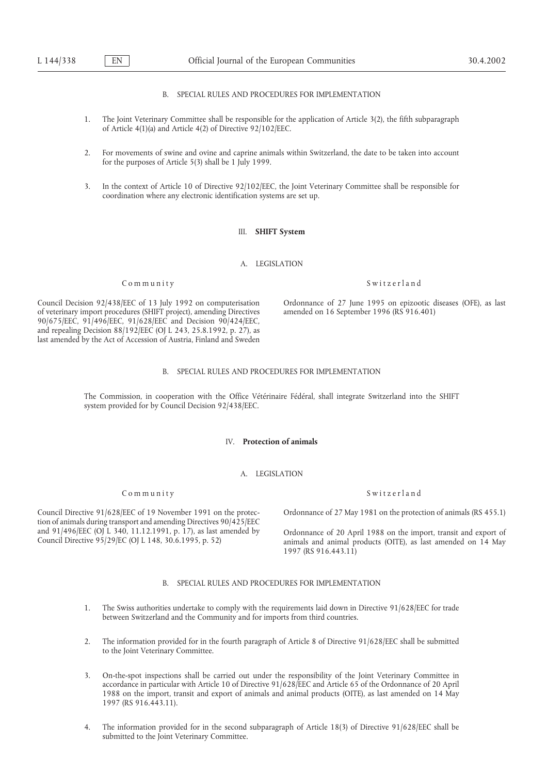B. SPECIAL RULES AND PROCEDURES FOR IMPLEMENTATION

- 1. The Joint Veterinary Committee shall be responsible for the application of Article 3(2), the fifth subparagraph of Article 4(1)(a) and Article 4(2) of Directive 92/102/EEC.
- 2. For movements of swine and ovine and caprine animals within Switzerland, the date to be taken into account for the purposes of Article 5(3) shall be 1 July 1999.
- 3. In the context of Article 10 of Directive 92/102/EEC, the Joint Veterinary Committee shall be responsible for coordination where any electronic identification systems are set up.

## III. **SHIFT System**

A. LEGISLATION

Council Decision 92/438/EEC of 13 July 1992 on computerisation Ordonnance of 27 June 1995 on epizootic diseases (OFE), as last of veterinary import procedures (SHIFT project), amending Directives amended on 16 September 19

#### B. SPECIAL RULES AND PROCEDURES FOR IMPLEMENTATION

The Commission, in cooperation with the Office Vétérinaire Fédéral, shall integrate Switzerland into the SHIFT system provided for by Council Decision 92/438/EEC.

### IV. **Protection of animals**

A. LEGISLATION

### Community Switzerland

tion of animals during transport and amending Directives 90/425/EEC and 91/496/EEC (OJ L 340, 11.12.1991, p. 17), as last amended by Crdonnance of 20 April 1988 on the import, transit and export of Council Directive 95/29/EC (OJ L 148, 30.6.1995, p. 52) animals and animal products (OITE),

Council Directive 91/628/EEC of 19 November 1991 on the protec- Ordonnance of 27 May 1981 on the protection of animals (RS 455.1)

1997 (RS 916.443.11)

## B. SPECIAL RULES AND PROCEDURES FOR IMPLEMENTATION

- 1. The Swiss authorities undertake to comply with the requirements laid down in Directive 91/628/EEC for trade between Switzerland and the Community and for imports from third countries.
- 2. The information provided for in the fourth paragraph of Article 8 of Directive 91/628/EEC shall be submitted to the Joint Veterinary Committee.
- 3. On-the-spot inspections shall be carried out under the responsibility of the Joint Veterinary Committee in accordance in particular with Article 10 of Directive 91/628/EEC and Article 65 of the Ordonnance of 20 April 1988 on the import, transit and export of animals and animal products (OITE), as last amended on 14 May 1997 (RS 916.443.11).
- 4. The information provided for in the second subparagraph of Article 18(3) of Directive 91/628/EEC shall be submitted to the Joint Veterinary Committee.

Community Switzerland

of veterinary import procedures (SHIFT project), amending Directives 90/675/EEC, 91/496/EEC, 91/628/EEC and Decision 90/424/EEC, and repealing Decision 88/192/EEC (OJ L 243, 25.8.1992, p. 27), as last amended by the Act of Accession of Austria, Finland and Sweden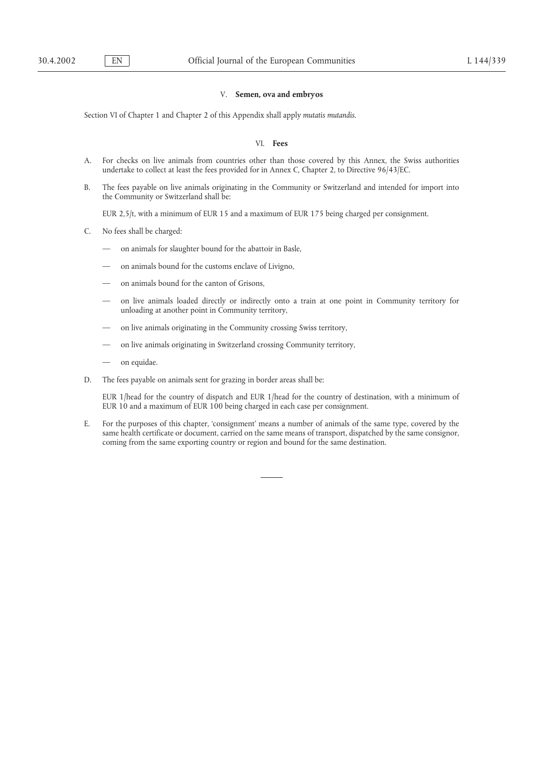# V. **Semen, ova and embryos**

Section VI of Chapter 1 and Chapter 2 of this Appendix shall apply *mutatis mutandis*.

## VI. **Fees**

- A. For checks on live animals from countries other than those covered by this Annex, the Swiss authorities undertake to collect at least the fees provided for in Annex C, Chapter 2, to Directive 96/43/EC.
- B. The fees payable on live animals originating in the Community or Switzerland and intended for import into the Community or Switzerland shall be:

EUR 2,5/t, with a minimum of EUR 15 and a maximum of EUR 175 being charged per consignment.

- C. No fees shall be charged:
	- on animals for slaughter bound for the abattoir in Basle,
	- on animals bound for the customs enclave of Livigno,
	- on animals bound for the canton of Grisons,
	- on live animals loaded directly or indirectly onto a train at one point in Community territory for unloading at another point in Community territory,
	- on live animals originating in the Community crossing Swiss territory,
	- on live animals originating in Switzerland crossing Community territory,
	- on equidae.
- D. The fees payable on animals sent for grazing in border areas shall be:

EUR 1/head for the country of dispatch and EUR 1/head for the country of destination, with a minimum of EUR 10 and a maximum of EUR 100 being charged in each case per consignment.

E. For the purposes of this chapter, 'consignment' means a number of animals of the same type, covered by the same health certificate or document, carried on the same means of transport, dispatched by the same consignor, coming from the same exporting country or region and bound for the same destination.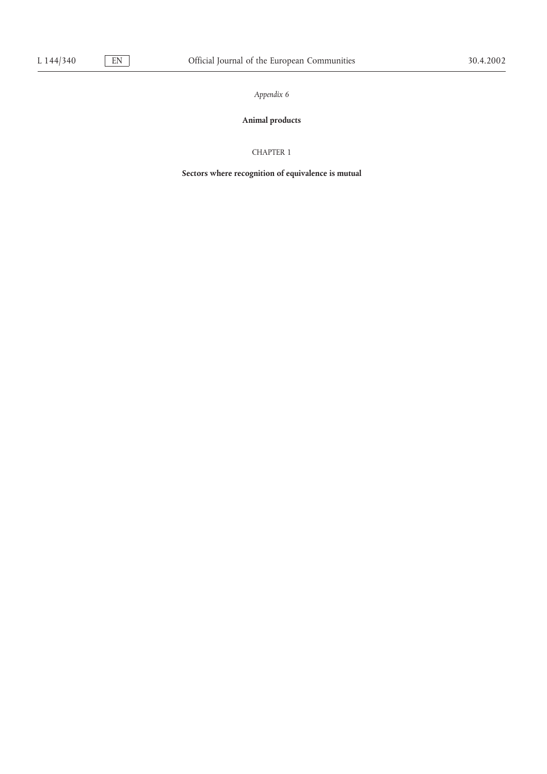# **Animal products**

# CHAPTER 1

**Sectors where recognition of equivalence is mutual**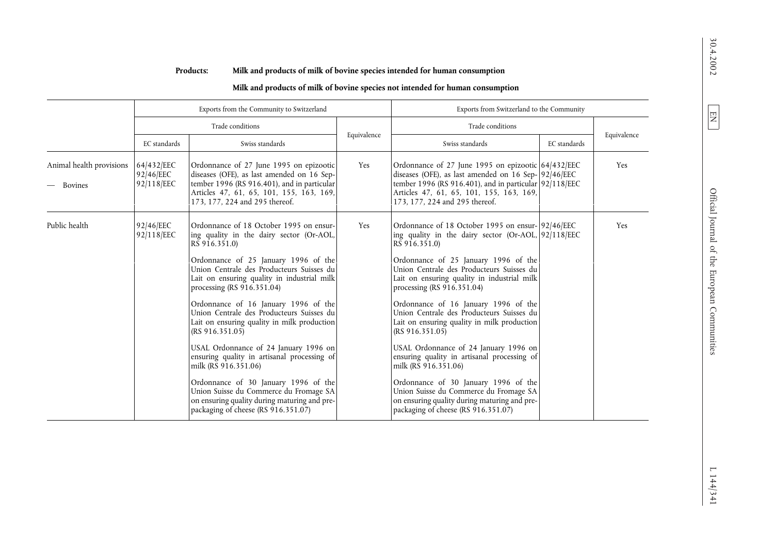|                                            | Exports from the Community to Switzerland |                                                                                                                                                                                                                                                                                                                                                                                                                                                                                                                                                                                                                                                                                                                        |             | Exports from Switzerland to the Community                                                                                                                                                                                                                                                                                                                                                                                                                                                                                                                                                                                                                                                                                                      |              |             |  |
|--------------------------------------------|-------------------------------------------|------------------------------------------------------------------------------------------------------------------------------------------------------------------------------------------------------------------------------------------------------------------------------------------------------------------------------------------------------------------------------------------------------------------------------------------------------------------------------------------------------------------------------------------------------------------------------------------------------------------------------------------------------------------------------------------------------------------------|-------------|------------------------------------------------------------------------------------------------------------------------------------------------------------------------------------------------------------------------------------------------------------------------------------------------------------------------------------------------------------------------------------------------------------------------------------------------------------------------------------------------------------------------------------------------------------------------------------------------------------------------------------------------------------------------------------------------------------------------------------------------|--------------|-------------|--|
|                                            | Trade conditions                          |                                                                                                                                                                                                                                                                                                                                                                                                                                                                                                                                                                                                                                                                                                                        |             | Trade conditions                                                                                                                                                                                                                                                                                                                                                                                                                                                                                                                                                                                                                                                                                                                               |              |             |  |
|                                            | EC standards<br>Swiss standards           |                                                                                                                                                                                                                                                                                                                                                                                                                                                                                                                                                                                                                                                                                                                        | Equivalence | Swiss standards                                                                                                                                                                                                                                                                                                                                                                                                                                                                                                                                                                                                                                                                                                                                | EC standards | Equivalence |  |
| Animal health provisions<br><b>Bovines</b> | 64/432/EEC<br>92/46/EEC<br>92/118/EEC     | Ordonnance of 27 June 1995 on epizootic<br>diseases (OFE), as last amended on 16 Sep-<br>tember 1996 (RS 916.401), and in particular<br>Articles 47, 61, 65, 101, 155, 163, 169,<br>173, 177, 224 and 295 thereof.                                                                                                                                                                                                                                                                                                                                                                                                                                                                                                     | Yes         | Ordonnance of 27 June 1995 on epizootic 64/432/EEC<br>diseases (OFE), as last amended on $16$ Sep- $ 92 46$ /EEC<br>tember 1996 (RS 916.401), and in particular $92/118/EEC$<br>Articles 47, 61, 65, 101, 155, 163, 169,<br>173, 177, 224 and 295 thereof.                                                                                                                                                                                                                                                                                                                                                                                                                                                                                     |              | Yes         |  |
| Public health                              | 92/46/EEC<br>92/118/EEC                   | Ordonnance of 18 October 1995 on ensur-<br>ing quality in the dairy sector (Or-AOL,<br>RS 916.351.0)<br>Ordonnance of 25 January 1996 of the<br>Union Centrale des Producteurs Suisses du<br>Lait on ensuring quality in industrial milk<br>processing (RS 916.351.04)<br>Ordonnance of 16 January 1996 of the<br>Union Centrale des Producteurs Suisses du<br>Lait on ensuring quality in milk production<br>(RS 916.351.05)<br>USAL Ordonnance of 24 January 1996 on<br>ensuring quality in artisanal processing of<br>milk (RS 916.351.06)<br>Ordonnance of 30 January 1996 of the<br>Union Suisse du Commerce du Fromage SA<br>on ensuring quality during maturing and pre-<br>packaging of cheese (RS 916.351.07) | Yes         | Ordonnance of 18 October 1995 on ensur- 92/46/EEC<br>ing quality in the dairy sector (Or-AOL, 92/118/EEC<br>RS 916.351.0)<br>Ordonnance of 25 January 1996 of the<br>Union Centrale des Producteurs Suisses du<br>Lait on ensuring quality in industrial milk<br>processing (RS 916.351.04)<br>Ordonnance of 16 January 1996 of the<br>Union Centrale des Producteurs Suisses du<br>Lait on ensuring quality in milk production<br>(RS $916.351.05$ )<br>USAL Ordonnance of 24 January 1996 on<br>ensuring quality in artisanal processing of<br>milk (RS 916.351.06)<br>Ordonnance of 30 January 1996 of the<br>Union Suisse du Commerce du Fromage SA<br>on ensuring quality during maturing and pre-<br>packaging of cheese (RS 916.351.07) |              | Yes         |  |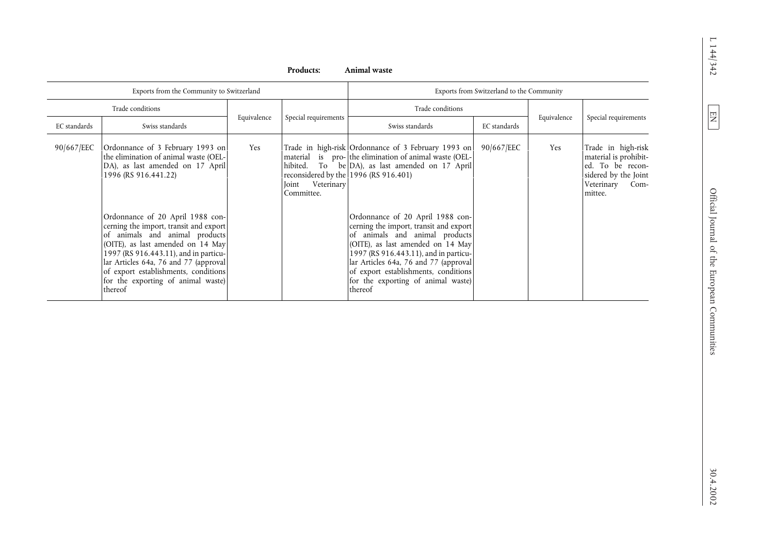| Exports from the Community to Switzerland<br>Exports from Switzerland to the Community<br>Trade conditions<br>Trade conditions<br>Special requirements<br>Equivalence<br>Special requirements<br>Equivalence<br>EC standards<br>Swiss standards<br>Swiss standards<br>EC standards<br>Trade in high-risk<br>Ordonnance of 3 February 1993 on<br>Trade in high-risk Ordonnance of 3 February 1993 on<br>90/667/EEC<br>Yes<br>Yes<br>material is pro- the elimination of animal waste (OEL-<br>material is prohibit-<br>the elimination of animal waste (OEL-<br>DA), as last amended on 17 April<br>To be DA), as last amended on 17 April<br>ed. To be recon-<br>hibited.<br>reconsidered by the 1996 (RS 916.401)<br>sidered by the Joint<br>1996 (RS 916.441.22)<br>Veterinary<br>Veterinary Com-<br>Joint<br>Committee.<br>mittee.<br>Ordonnance of 20 April 1988 con-<br>Ordonnance of 20 April 1988 con-<br>cerning the import, transit and export<br>cerning the import, transit and export<br>of animals and animal products<br>of animals and animal products<br>(OITE), as last amended on 14 May<br>(OITE), as last amended on 14 May<br>1997 (RS 916.443.11), and in particu-<br>1997 (RS 916.443.11), and in particu-<br>lar Articles 64a, 76 and 77 (approval<br>lar Articles 64a, 76 and 77 (approval<br>of export establishments, conditions<br>of export establishments, conditions<br>for the exporting of animal waste)<br>for the exporting of animal waste)<br>thereof<br>thereof | 90/667/EEC |  |  | Products: | Animal waste |  |  |
|-------------------------------------------------------------------------------------------------------------------------------------------------------------------------------------------------------------------------------------------------------------------------------------------------------------------------------------------------------------------------------------------------------------------------------------------------------------------------------------------------------------------------------------------------------------------------------------------------------------------------------------------------------------------------------------------------------------------------------------------------------------------------------------------------------------------------------------------------------------------------------------------------------------------------------------------------------------------------------------------------------------------------------------------------------------------------------------------------------------------------------------------------------------------------------------------------------------------------------------------------------------------------------------------------------------------------------------------------------------------------------------------------------------------------------------------------------------------------------------------------------|------------|--|--|-----------|--------------|--|--|
|                                                                                                                                                                                                                                                                                                                                                                                                                                                                                                                                                                                                                                                                                                                                                                                                                                                                                                                                                                                                                                                                                                                                                                                                                                                                                                                                                                                                                                                                                                       |            |  |  |           |              |  |  |
|                                                                                                                                                                                                                                                                                                                                                                                                                                                                                                                                                                                                                                                                                                                                                                                                                                                                                                                                                                                                                                                                                                                                                                                                                                                                                                                                                                                                                                                                                                       |            |  |  |           |              |  |  |
|                                                                                                                                                                                                                                                                                                                                                                                                                                                                                                                                                                                                                                                                                                                                                                                                                                                                                                                                                                                                                                                                                                                                                                                                                                                                                                                                                                                                                                                                                                       |            |  |  |           |              |  |  |
|                                                                                                                                                                                                                                                                                                                                                                                                                                                                                                                                                                                                                                                                                                                                                                                                                                                                                                                                                                                                                                                                                                                                                                                                                                                                                                                                                                                                                                                                                                       |            |  |  |           |              |  |  |
|                                                                                                                                                                                                                                                                                                                                                                                                                                                                                                                                                                                                                                                                                                                                                                                                                                                                                                                                                                                                                                                                                                                                                                                                                                                                                                                                                                                                                                                                                                       |            |  |  |           |              |  |  |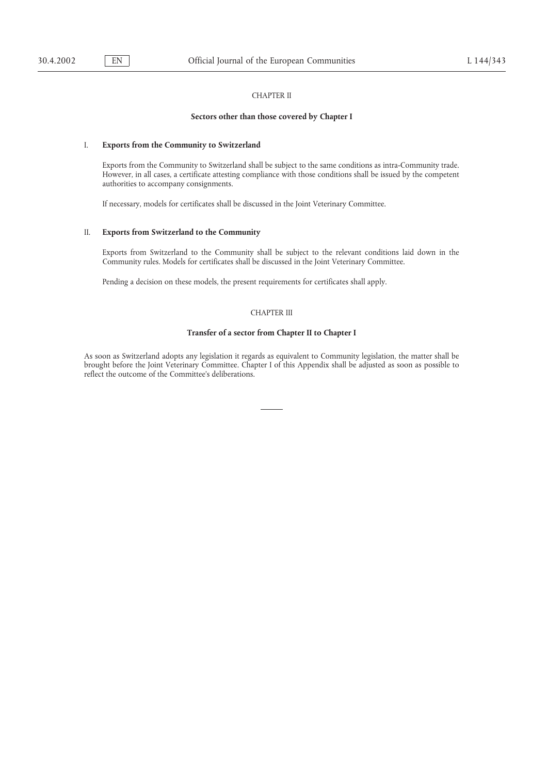# CHAPTER II

## **Sectors other than those covered by Chapter I**

# I. **Exports from the Community to Switzerland**

Exports from the Community to Switzerland shall be subject to the same conditions as intra-Community trade. However, in all cases, a certificate attesting compliance with those conditions shall be issued by the competent authorities to accompany consignments.

If necessary, models for certificates shall be discussed in the Joint Veterinary Committee.

### II. **Exports from Switzerland to the Community**

Exports from Switzerland to the Community shall be subject to the relevant conditions laid down in the Community rules. Models for certificates shall be discussed in the Joint Veterinary Committee.

Pending a decision on these models, the present requirements for certificates shall apply.

# CHAPTER III

### **Transfer of a sector from Chapter II to Chapter I**

As soon as Switzerland adopts any legislation it regards as equivalent to Community legislation, the matter shall be brought before the Joint Veterinary Committee. Chapter I of this Appendix shall be adjusted as soon as possible to reflect the outcome of the Committee's deliberations.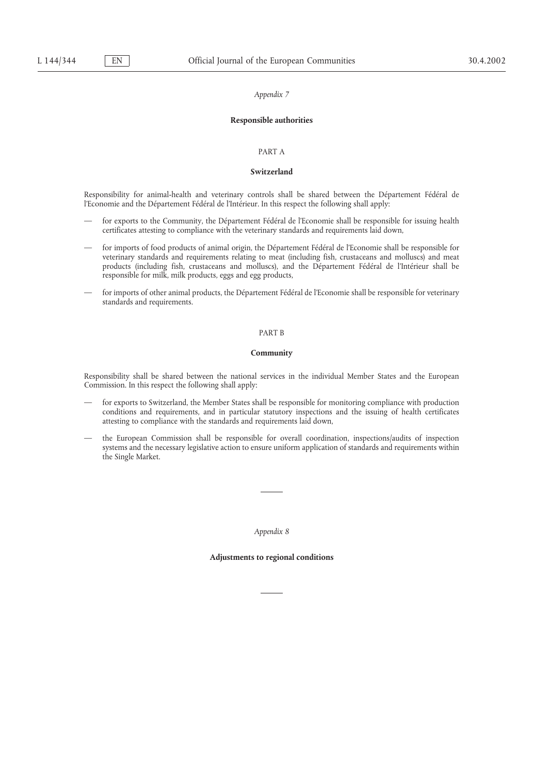#### **Responsible authorities**

#### PART A

### **Switzerland**

Responsibility for animal-health and veterinary controls shall be shared between the Département Fédéral de l'Economie and the Département Fédéral de l'Intérieur. In this respect the following shall apply:

- for exports to the Community, the Département Fédéral de l'Economie shall be responsible for issuing health certificates attesting to compliance with the veterinary standards and requirements laid down,
- for imports of food products of animal origin, the Département Fédéral de l'Economie shall be responsible for veterinary standards and requirements relating to meat (including fish, crustaceans and molluscs) and meat products (including fish, crustaceans and molluscs), and the Département Fédéral de l'Intérieur shall be responsible for milk, milk products, eggs and egg products,
- for imports of other animal products, the Département Fédéral de l'Economie shall be responsible for veterinary standards and requirements.

#### PART B

#### **Community**

Responsibility shall be shared between the national services in the individual Member States and the European Commission. In this respect the following shall apply:

- for exports to Switzerland, the Member States shall be responsible for monitoring compliance with production conditions and requirements, and in particular statutory inspections and the issuing of health certificates attesting to compliance with the standards and requirements laid down,
- the European Commission shall be responsible for overall coordination, inspections/audits of inspection systems and the necessary legislative action to ensure uniform application of standards and requirements within the Single Market.

*Appendix 8*

### **Adjustments to regional conditions**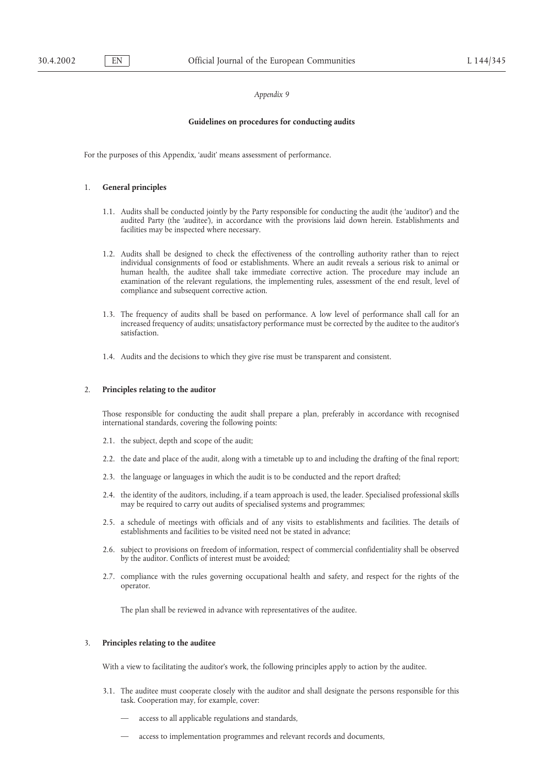#### **Guidelines on procedures for conducting audits**

For the purposes of this Appendix, 'audit' means assessment of performance.

#### 1. **General principles**

- 1.1. Audits shall be conducted jointly by the Party responsible for conducting the audit (the 'auditor') and the audited Party (the 'auditee'), in accordance with the provisions laid down herein. Establishments and facilities may be inspected where necessary.
- 1.2. Audits shall be designed to check the effectiveness of the controlling authority rather than to reject individual consignments of food or establishments. Where an audit reveals a serious risk to animal or human health, the auditee shall take immediate corrective action. The procedure may include an examination of the relevant regulations, the implementing rules, assessment of the end result, level of compliance and subsequent corrective action.
- 1.3. The frequency of audits shall be based on performance. A low level of performance shall call for an increased frequency of audits; unsatisfactory performance must be corrected by the auditee to the auditor's satisfaction.
- 1.4. Audits and the decisions to which they give rise must be transparent and consistent.

## 2. **Principles relating to the auditor**

Those responsible for conducting the audit shall prepare a plan, preferably in accordance with recognised international standards, covering the following points:

- 2.1. the subject, depth and scope of the audit;
- 2.2. the date and place of the audit, along with a timetable up to and including the drafting of the final report;
- 2.3. the language or languages in which the audit is to be conducted and the report drafted;
- 2.4. the identity of the auditors, including, if a team approach is used, the leader. Specialised professional skills may be required to carry out audits of specialised systems and programmes;
- 2.5. a schedule of meetings with officials and of any visits to establishments and facilities. The details of establishments and facilities to be visited need not be stated in advance;
- 2.6. subject to provisions on freedom of information, respect of commercial confidentiality shall be observed by the auditor. Conflicts of interest must be avoided;
- 2.7. compliance with the rules governing occupational health and safety, and respect for the rights of the operator.

The plan shall be reviewed in advance with representatives of the auditee.

# 3. **Principles relating to the auditee**

With a view to facilitating the auditor's work, the following principles apply to action by the auditee.

- 3.1. The auditee must cooperate closely with the auditor and shall designate the persons responsible for this task. Cooperation may, for example, cover:
	- access to all applicable regulations and standards,
	- access to implementation programmes and relevant records and documents,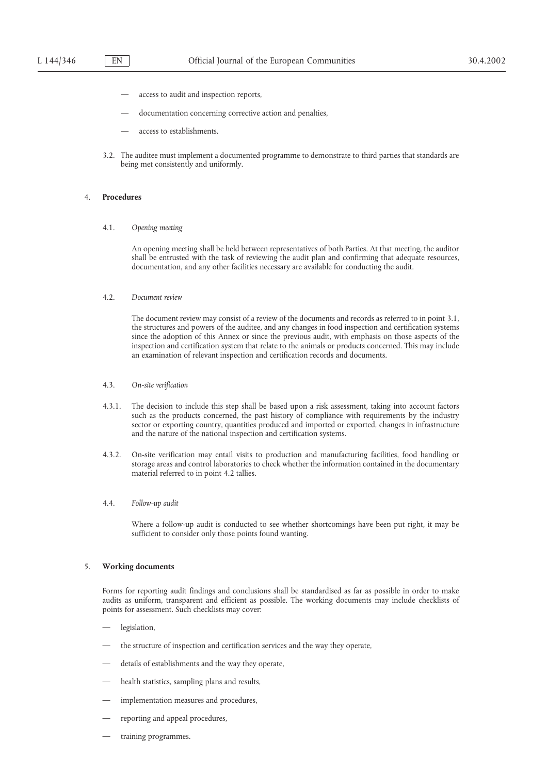- access to audit and inspection reports,
- documentation concerning corrective action and penalties,
- access to establishments.
- 3.2. The auditee must implement a documented programme to demonstrate to third parties that standards are being met consistently and uniformly.

# 4. **Procedures**

4.1. *Opening meeting*

An opening meeting shall be held between representatives of both Parties. At that meeting, the auditor shall be entrusted with the task of reviewing the audit plan and confirming that adequate resources, documentation, and any other facilities necessary are available for conducting the audit.

4.2. *Document review*

The document review may consist of a review of the documents and records as referred to in point 3.1, the structures and powers of the auditee, and any changes in food inspection and certification systems since the adoption of this Annex or since the previous audit, with emphasis on those aspects of the inspection and certification system that relate to the animals or products concerned. This may include an examination of relevant inspection and certification records and documents.

- 4.3. *On-site verification*
- 4.3.1. The decision to include this step shall be based upon a risk assessment, taking into account factors such as the products concerned, the past history of compliance with requirements by the industry sector or exporting country, quantities produced and imported or exported, changes in infrastructure and the nature of the national inspection and certification systems.
- 4.3.2. On-site verification may entail visits to production and manufacturing facilities, food handling or storage areas and control laboratories to check whether the information contained in the documentary material referred to in point 4.2 tallies.
- 4.4. *Follow-up audit*

Where a follow-up audit is conducted to see whether shortcomings have been put right, it may be sufficient to consider only those points found wanting.

## 5. **Working documents**

Forms for reporting audit findings and conclusions shall be standardised as far as possible in order to make audits as uniform, transparent and efficient as possible. The working documents may include checklists of points for assessment. Such checklists may cover:

- legislation,
- the structure of inspection and certification services and the way they operate,
- details of establishments and the way they operate,
- health statistics, sampling plans and results,
- implementation measures and procedures,
- reporting and appeal procedures,
- training programmes.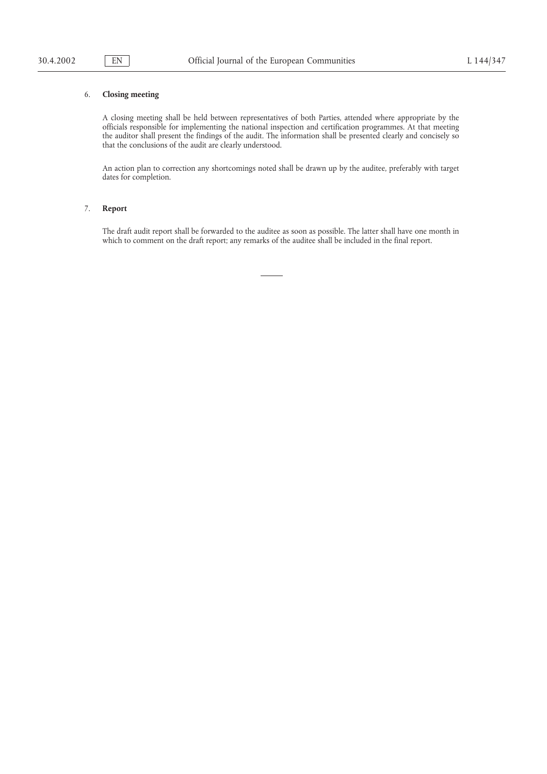# 6. **Closing meeting**

A closing meeting shall be held between representatives of both Parties, attended where appropriate by the officials responsible for implementing the national inspection and certification programmes. At that meeting the auditor shall present the findings of the audit. The information shall be presented clearly and concisely so that the conclusions of the audit are clearly understood.

An action plan to correction any shortcomings noted shall be drawn up by the auditee, preferably with target dates for completion.

# 7. **Report**

The draft audit report shall be forwarded to the auditee as soon as possible. The latter shall have one month in which to comment on the draft report; any remarks of the auditee shall be included in the final report.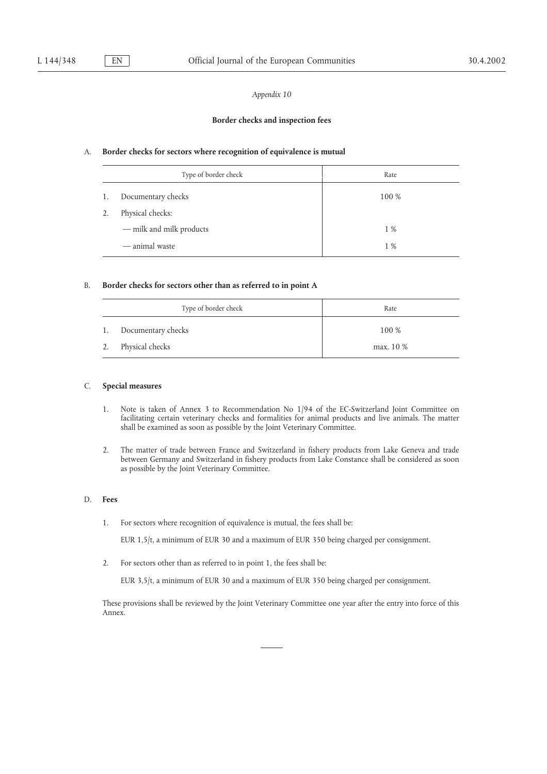# *Appendix 10*

### **Border checks and inspection fees**

### A. **Border checks for sectors where recognition of equivalence is mutual**

|    | Type of border check     | Rate  |
|----|--------------------------|-------|
| 1. | Documentary checks       | 100 % |
| 2. | Physical checks:         |       |
|    | - milk and milk products | 1 %   |
|    | — animal waste           | 1 %   |

## B. **Border checks for sectors other than as referred to in point A**

|    | Type of border check | Rate      |
|----|----------------------|-----------|
| 1. | Documentary checks   | 100 %     |
| 2. | Physical checks      | max. 10 % |

## C. **Special measures**

- 1. Note is taken of Annex 3 to Recommendation No 1/94 of the EC-Switzerland Joint Committee on facilitating certain veterinary checks and formalities for animal products and live animals. The matter shall be examined as soon as possible by the Joint Veterinary Committee.
- 2. The matter of trade between France and Switzerland in fishery products from Lake Geneva and trade between Germany and Switzerland in fishery products from Lake Constance shall be considered as soon as possible by the Joint Veterinary Committee.

# D. **Fees**

1. For sectors where recognition of equivalence is mutual, the fees shall be:

EUR 1,5/t, a minimum of EUR 30 and a maximum of EUR 350 being charged per consignment.

2. For sectors other than as referred to in point 1, the fees shall be:

EUR 3,5/t, a minimum of EUR 30 and a maximum of EUR 350 being charged per consignment.

These provisions shall be reviewed by the Joint Veterinary Committee one year after the entry into force of this Annex.